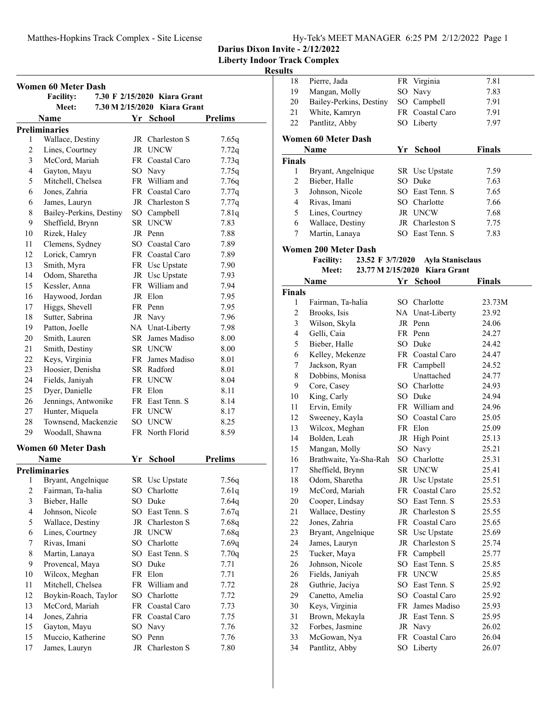|  | Hy-Tek's MEET MANAGER 6:25 PM 2/12/2022 Page 1 |  |  |
|--|------------------------------------------------|--|--|
|  |                                                |  |  |

**Liberty Indoor Track Complex**

|                         | <b>Women 60 Meter Dash</b><br><b>Facility:</b> |    | 7.30 F 2/15/2020 Kiara Grant   |                |
|-------------------------|------------------------------------------------|----|--------------------------------|----------------|
|                         | <b>Meet:</b>                                   |    | 7.30 M 2/15/2020 Kiara Grant   |                |
|                         | Name                                           |    | Yr School                      | <b>Prelims</b> |
|                         | <b>Preliminaries</b>                           |    |                                |                |
| 1                       | Wallace, Destiny                               |    | JR Charleston S                | 7.65q          |
| $\overline{c}$          | Lines, Courtney                                |    | JR UNCW                        | 7.72q          |
| $\overline{\mathbf{3}}$ | McCord, Mariah                                 |    | FR Coastal Caro                | 7.73q          |
| $\overline{4}$          | Gayton, Mayu                                   |    | SO Navy                        | 7.75q          |
| 5                       | Mitchell, Chelsea                              |    | FR William and                 | 7.76q          |
| 6                       | Jones, Zahria                                  |    | FR Coastal Caro                | 7.77q          |
| 6                       | James, Lauryn                                  |    | JR Charleston S                | 7.77q          |
| 8                       | Bailey-Perkins, Destiny                        |    | SO Campbell                    | 7.81q          |
| 9                       | Sheffield, Brynn                               |    | SR UNCW                        | 7.83           |
| 10                      | Rizek, Haley                                   |    | JR Penn                        | 7.88           |
| 11                      | Clemens, Sydney                                |    | SO Coastal Caro                | 7.89           |
| 12                      | Lorick, Camryn                                 |    | FR Coastal Caro                | 7.89           |
| 13                      | Smith, Myra                                    |    | FR Usc Upstate                 | 7.90           |
| 14                      | Odom, Sharetha                                 |    | JR Usc Upstate                 | 7.93           |
| 15                      | Kessler, Anna                                  |    | FR William and                 | 7.94           |
| 16                      | Haywood, Jordan                                |    | JR Elon                        | 7.95           |
| 17                      | Higgs, Shevell                                 |    | FR Penn                        | 7.95           |
| 18                      | Sutter, Sabrina                                |    | JR Navy                        | 7.96           |
| 19                      | Patton, Joelle                                 |    | NA Unat-Liberty                | 7.98           |
| 20                      | Smith, Lauren                                  |    | SR James Madiso                | 8.00           |
| 21                      | Smith, Destiny                                 |    | SR UNCW                        | 8.00           |
| 22                      | Keys, Virginia                                 |    | FR James Madiso                | 8.01           |
| 23                      | Hoosier, Denisha                               |    | SR Radford                     | 8.01           |
| 24                      | Fields, Janiyah                                |    | FR UNCW                        | 8.04           |
| 25                      | Dyer, Danielle                                 |    | FR Elon                        | 8.11           |
| 26                      | Jennings, Antwonike                            |    | FR East Tenn. S                | 8.14           |
| 27                      | Hunter, Miquela                                |    | FR UNCW                        | 8.17           |
| 28                      | Townsend, Mackenzie                            |    | SO UNCW                        | 8.25           |
| 29                      | Woodall, Shawna                                |    | FR North Florid                | 8.59           |
|                         | <b>Women 60 Meter Dash</b>                     |    |                                |                |
|                         | Name                                           |    |                                | <b>Prelims</b> |
|                         | <b>Preliminaries</b>                           |    | Yr School                      |                |
|                         |                                                |    |                                |                |
| $\overline{c}$          | 1 Bryant, Angelnique<br>Fairman, Ta-halia      |    | SR Usc Upstate<br>SO Charlotte | 7.56q<br>7.61q |
| $\overline{\mathbf{3}}$ | Bieber, Halle                                  | SO | Duke                           |                |
| 4                       |                                                |    |                                | 7.64q          |
|                         | Johnson, Nicole                                |    | SO East Tenn. S                | 7.67q          |
| 5                       | Wallace, Destiny<br>Lines, Courtney            |    | JR Charleston S<br>JR UNCW     | 7.68q          |
| 6                       |                                                |    |                                | 7.68q          |
| 7                       | Rivas, Imani                                   |    | SO Charlotte                   | 7.69q          |
| 8                       | Martin, Lanaya                                 |    | SO East Tenn. S                | 7.70q          |
| 9                       | Provencal, Maya                                |    | SO Duke                        | 7.71           |
| 10                      | Wilcox, Meghan                                 |    | FR Elon                        | 7.71           |
| 11                      | Mitchell, Chelsea                              |    | FR William and                 | 7.72           |
| 12                      | Boykin-Roach, Taylor                           |    | SO Charlotte                   | 7.72           |
| 13                      | McCord, Mariah                                 |    | FR Coastal Caro                | 7.73           |
| 14                      | Jones, Zahria                                  |    | FR Coastal Caro                | 7.75           |
| 15                      | Gayton, Mayu                                   | SO | Navy                           | 7.76           |
| 15                      | Muccio, Katherine                              | SO | Penn                           | 7.76           |
| 17                      | James, Lauryn                                  |    | JR Charleston S                | 7.80           |

| 18                 | Pierre, Jada                         |     | FR Virginia             | 7.81          |
|--------------------|--------------------------------------|-----|-------------------------|---------------|
| 19                 | Mangan, Molly                        |     | SO Navy                 | 7.83          |
| 20                 | Bailey-Perkins, Destiny              |     | SO Campbell             | 7.91          |
| 21                 | White, Kamryn                        |     | FR Coastal Caro         | 7.91          |
| 22                 | Pantlitz, Abby                       |     | SO Liberty              | 7.97          |
|                    |                                      |     |                         |               |
|                    | <b>Women 60 Meter Dash</b><br>Name   |     | Yr School               | <b>Finals</b> |
|                    |                                      |     |                         |               |
| <b>Finals</b><br>1 |                                      |     | SR Usc Upstate          | 7.59          |
|                    | Bryant, Angelnique                   |     | SO Duke                 |               |
| $\overline{c}$     | Bieber, Halle                        |     |                         | 7.63          |
| 3                  | Johnson, Nicole                      |     | SO East Tenn. S         | 7.65          |
| 4                  | Rivas, Imani                         |     | SO Charlotte            | 7.66          |
| 5                  | Lines, Courtney                      |     | JR UNCW                 | 7.68          |
| 6                  | Wallace, Destiny                     |     | JR Charleston S         | 7.75          |
| 7                  | Martin, Lanaya                       |     | SO East Tenn. S         | 7.83          |
|                    | Women 200 Meter Dash                 |     |                         |               |
|                    | <b>Facility:</b><br>23.52 F 3/7/2020 |     | <b>Ayla Stanisclaus</b> |               |
|                    | 23.77 M 2/15/2020<br>Meet:           |     | Kiara Grant             |               |
|                    | Name                                 |     | Yr School               | <b>Finals</b> |
| <b>Finals</b>      |                                      |     |                         |               |
| 1                  | Fairman, Ta-halia                    |     | SO Charlotte            | 23.73M        |
| 2                  | Brooks, Isis                         |     | NA Unat-Liberty         | 23.92         |
| 3                  | Wilson, Skyla                        |     | JR Penn                 | 24.06         |
| 4                  | Gelli, Caia                          |     | FR Penn                 | 24.27         |
| 5                  | Bieber, Halle                        |     | SO Duke                 | 24.42         |
| 6                  | Kelley, Mekenze                      |     | FR Coastal Caro         | 24.47         |
| 7                  | Jackson, Ryan                        |     | FR Campbell             | 24.52         |
| 8                  | Dobbins, Monisa                      |     | Unattached              | 24.77         |
| 9                  | Core, Casey                          |     | SO Charlotte            | 24.93         |
| 10                 | King, Carly                          |     | SO Duke                 | 24.94         |
| 11                 | Ervin, Emily                         |     | FR William and          | 24.96         |
| 12                 | Sweeney, Kayla                       |     | SO Coastal Caro         | 25.05         |
| 13                 | Wilcox, Meghan                       |     | FR Elon                 | 25.09         |
| 14                 | Bolden, Leah                         |     | JR High Point           | 25.13         |
| 15                 | Mangan, Molly                        |     | SO Navy                 | 25.21         |
| 16                 | Brathwaite, Ya-Sha-Rah               |     | SO Charlotte            | 25.31         |
| 17                 | Sheffield, Brynn                     |     | SR UNCW                 | 25.41         |
| 18                 | Odom, Sharetha                       |     | JR Usc Upstate          | 25.51         |
| 19                 | McCord, Mariah                       |     | FR Coastal Caro         | 25.52         |
| 20                 | Cooper, Lindsay                      | SO. | East Tenn. S            | 25.53         |
| 21                 | Wallace, Destiny                     | JR  | Charleston S            | 25.55         |
| 22                 | Jones, Zahria                        | FR  | Coastal Caro            | 25.65         |
| 23                 | Bryant, Angelnique                   | SR  | Usc Upstate             | 25.69         |
| 24                 | James, Lauryn                        | JR  | Charleston S            | 25.74         |
| 25                 | Tucker, Maya                         | FR  | Campbell                | 25.77         |
| 26                 | Johnson, Nicole                      | SO  | East Tenn. S            | 25.85         |
| 26                 | Fields, Janiyah                      |     | FR UNCW                 | 25.85         |
| 28                 | Guthrie, Jaciya                      | SO  | East Tenn. S            | 25.92         |
| 29                 | Canetto, Amelia                      |     | SO Coastal Caro         | 25.92         |
| 30                 | Keys, Virginia                       |     | FR James Madiso         | 25.93         |
| 31                 | Brown, Mekayla                       |     | JR East Tenn. S         | 25.95         |
| 32                 | Forbes, Jasmine                      |     | JR Navy                 | 26.02         |
| 33                 | McGowan, Nya                         | FR  | Coastal Caro            | 26.04         |
| 34                 | Pantlitz, Abby                       | SO  | Liberty                 | 26.07         |
|                    |                                      |     |                         |               |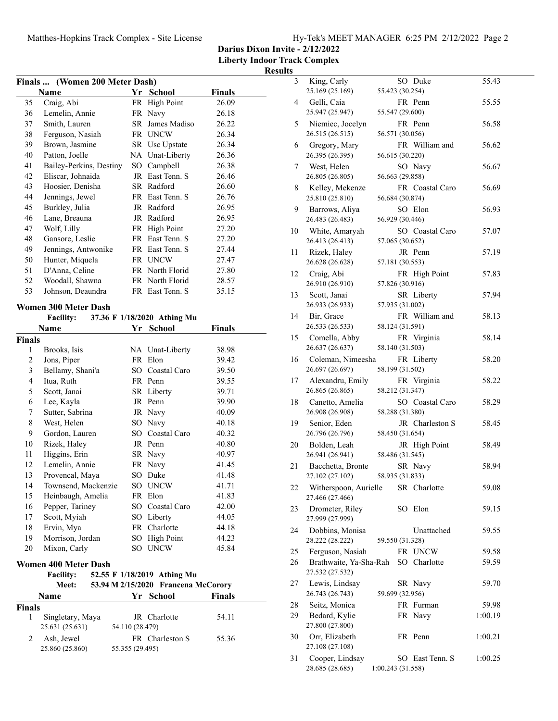|  | Hy-Tek's MEET MANAGER 6:25 PM 2/12/2022 Page 2 |  |  |
|--|------------------------------------------------|--|--|
|  |                                                |  |  |

3 King, Carly SO Duke 55.43

**Darius Dixon Invite - 2/12/2022**

**Liberty Indoor Track Complex**

### **Results**

|               | Finals  (Women 200 Meter Dash) |     |                             |               |
|---------------|--------------------------------|-----|-----------------------------|---------------|
|               | Name                           |     | Yr School                   | <b>Finals</b> |
| 35            | Craig, Abi                     | FR. | <b>High Point</b>           | 26.09         |
| 36            | Lemelin, Annie                 | FR  | Navy                        | 26.18         |
| 37            | Smith, Lauren                  | SR  | James Madiso                | 26.22         |
| 38            | Ferguson, Nasiah               |     | FR UNCW                     | 26.34         |
| 39            | Brown, Jasmine                 |     | SR Usc Upstate              | 26.34         |
| 40            | Patton, Joelle                 |     | NA Unat-Liberty             | 26.36         |
| 41            | Bailey-Perkins, Destiny        |     | SO Campbell                 | 26.38         |
| 42            | Eliscar, Johnaida              | JR  | East Tenn. S                | 26.46         |
| 43            | Hoosier, Denisha               |     | SR Radford                  | 26.60         |
| 44            | Jennings, Jewel                |     | FR East Tenn. S             | 26.76         |
| 45            | Burkley, Julia                 |     | JR Radford                  | 26.95         |
| 46            | Lane, Breauna                  |     | JR Radford                  | 26.95         |
| 47            | Wolf, Lilly                    |     | FR High Point               | 27.20         |
| 48            | Gansore, Leslie                |     | FR East Tenn. S             | 27.20         |
| 49            | Jennings, Antwonike            |     | FR East Tenn. S             | 27.44         |
| 50            | Hunter, Miquela                |     | FR UNCW                     | 27.47         |
| 51            | D'Anna, Celine                 |     | FR North Florid             | 27.80         |
| 52            | Woodall, Shawna                |     | FR North Florid             | 28.57         |
| 53            | Johnson, Deaundra              |     | FR East Tenn. S             | 35.15         |
|               | <b>Women 300 Meter Dash</b>    |     |                             |               |
|               | <b>Facility:</b>               |     | 37.36 F 1/18/2020 Athing Mu |               |
|               | Name                           |     | Yr School                   | Finals        |
| <b>Finals</b> |                                |     |                             |               |
| 1             | Brooks, Isis                   |     | NA Unat-Liberty             | 38.98         |
| 2             | Jons, Piper                    |     | FR Elon                     | 39.42         |
| 3             | Bellamy, Shani'a               |     | SO Coastal Caro             | 39.50         |
| 4             | Itua, Ruth                     |     | FR Penn                     | 39.55         |
| 5             | Scott, Janai                   | SR  | Liberty                     | 39.71         |
| 6             | Lee, Kayla                     | JR  | Penn                        | 39.90         |
| 7             | Sutter, Sabrina                | JR  | Navy                        | 40.09         |

8 West, Helen SO Navy 40.18 9 Gordon, Lauren SO Coastal Caro 40.32 10 Rizek, Haley JR Penn 40.80 11 Higgins, Erin SR Navy 40.97 12 41.45 Lemelin, Annie FR Navy 13 Provencal, Maya SO Duke 41.48 14 Townsend, Mackenzie SO UNCW 41.71 15 41.83 Heinbaugh, Amelia FR Elon 16 Pepper, Tariney SO Coastal Caro 42.00 17 Scott, Myiah SO Liberty 44.05 18 44.18 Ervin, Mya FR Charlotte 19 Morrison, Jordan SO High Point 44.23 20 Mixon, Carly SO UNCW 45.84

Facility: 52.55 F 1/18/2019 Athing Mu

25.631 (25.631) 54.110 (28.479)

25.860 (25.860) 55.355 (29.495)

1 54.11 Singletary, Maya JR Charlotte

2 Ash, Jewel FR Charleston S 55.36

**Meet: 53.94 M 2/15/2020 Francena McCorory Name Finals Pr School Finals** 

**Women 400 Meter Dash**

**Finals**

|    | 25.169 (25.169)                           | 55.423 (30.254)   |                 |         |  |
|----|-------------------------------------------|-------------------|-----------------|---------|--|
| 4  | Gelli, Caia<br>25.947 (25.947)            | 55.547 (29.600)   | FR Penn         | 55.55   |  |
| 5  | Niemiec, Jocelyn<br>26.515 (26.515)       | 56.571 (30.056)   | FR Penn         | 56.58   |  |
| 6  | Gregory, Mary<br>26.395 (26.395)          | 56.615 (30.220)   | FR William and  | 56.62   |  |
| 7  | West, Helen<br>26.805 (26.805)            | 56.663 (29.858)   | SO Navy         | 56.67   |  |
| 8  | Kelley, Mekenze<br>25.810 (25.810)        | 56.684 (30.874)   | FR Coastal Caro | 56.69   |  |
| 9  | Barrows, Aliya<br>26.483 (26.483)         | 56.929 (30.446)   | SO Elon         | 56.93   |  |
| 10 | White, Amaryah<br>26.413 (26.413)         | 57.065 (30.652)   | SO Coastal Caro | 57.07   |  |
| 11 | Rizek, Haley<br>26.628 (26.628)           | 57.181 (30.553)   | JR Penn         | 57.19   |  |
| 12 | Craig, Abi<br>26.910 (26.910)             | 57.826 (30.916)   | FR High Point   | 57.83   |  |
| 13 | Scott, Janai<br>26.933 (26.933)           | 57.935 (31.002)   | SR Liberty      | 57.94   |  |
| 14 | Bir, Grace<br>26.533 (26.533)             | 58.124 (31.591)   | FR William and  | 58.13   |  |
| 15 | Comella, Abby<br>26.637 (26.637)          | 58.140 (31.503)   | FR Virginia     | 58.14   |  |
| 16 | Coleman, Nimeesha<br>26.697 (26.697)      | 58.199 (31.502)   | FR Liberty      | 58.20   |  |
| 17 | Alexandru, Emily<br>26.865 (26.865)       | 58.212 (31.347)   | FR Virginia     | 58.22   |  |
| 18 | Canetto, Amelia<br>26.908 (26.908)        | 58.288 (31.380)   | SO Coastal Caro | 58.29   |  |
| 19 | Senior, Eden<br>26.796 (26.796)           | 58.450 (31.654)   | JR Charleston S | 58.45   |  |
| 20 | Bolden, Leah<br>26.941 (26.941)           | 58.486 (31.545)   | JR High Point   | 58.49   |  |
| 21 | Bacchetta, Bronte<br>27.102 (27.102)      | 58.935 (31.833)   | SR Navy         | 58.94   |  |
| 22 | Witherspoon, Aurielle<br>27.466 (27.466)  |                   | SR Charlotte    | 59.08   |  |
| 23 | Drometer, Riley<br>27.999 (27.999)        |                   | SO Elon         | 59.15   |  |
| 24 | Dobbins, Monisa<br>28.222 (28.222)        | 59.550 (31.328)   | Unattached      | 59.55   |  |
| 25 | Ferguson, Nasiah                          |                   | FR UNCW         | 59.58   |  |
| 26 | Brathwaite, Ya-Sha-Rah<br>27.532 (27.532) |                   | SO Charlotte    | 59.59   |  |
| 27 | Lewis, Lindsay<br>26.743 (26.743)         | 59.699 (32.956)   | SR Navy         | 59.70   |  |
| 28 | Seitz, Monica                             |                   | FR Furman       | 59.98   |  |
| 29 | Bedard, Kylie<br>27.800 (27.800)          |                   | FR Navy         | 1:00.19 |  |
| 30 | Orr, Elizabeth<br>27.108 (27.108)         |                   | FR Penn         | 1:00.21 |  |
| 31 | Cooper, Lindsay<br>28.685 (28.685)        | 1:00.243 (31.558) | SO East Tenn. S | 1:00.25 |  |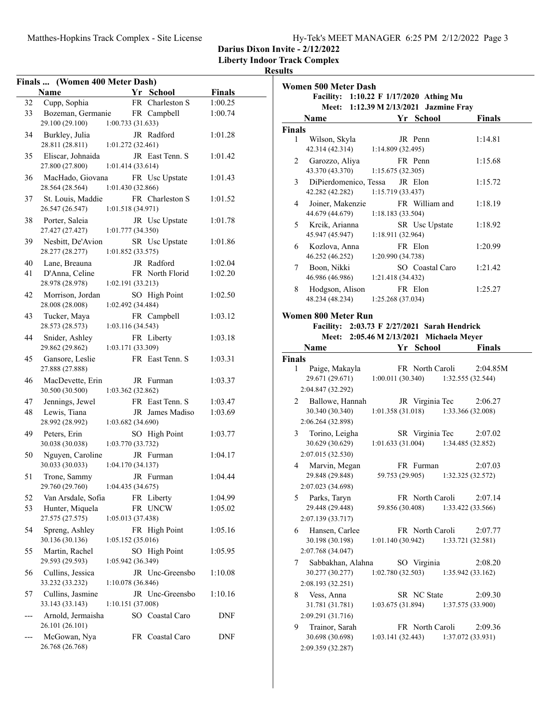**Liberty Indoor Track Complex**

|     | Finals  (Women 400 Meter Dash)        |                   |                       |                    |
|-----|---------------------------------------|-------------------|-----------------------|--------------------|
|     | Name                                  |                   | Yr School             | <b>Finals</b>      |
| 32  | Cupp, Sophia                          |                   | FR Charleston S       | 1:00.25            |
| 33  | Bozeman, Germanie                     |                   | FR Campbell           | 1:00.74            |
|     | 29.100 (29.100)                       | 1:00.733(31.633)  |                       |                    |
| 34  | Burkley, Julia                        |                   | JR Radford            | 1:01.28            |
|     | 28.811 (28.811)                       | 1:01.272 (32.461) |                       |                    |
| 35  | Eliscar, Johnaida                     |                   | JR East Tenn. S       | 1:01.42            |
|     | 27.800 (27.800)                       | 1:01.414 (33.614) |                       |                    |
| 36  | MacHado, Giovana                      |                   | FR Usc Upstate        | 1:01.43            |
|     | 28.564 (28.564)                       | 1:01.430 (32.866) |                       |                    |
| 37  | St. Louis, Maddie                     |                   | FR Charleston S       | 1:01.52            |
|     | 26.547 (26.547)                       | 1:01.518 (34.971) |                       |                    |
| 38  | Porter, Saleia                        |                   | JR Usc Upstate        | 1:01.78            |
|     | 27.427 (27.427)                       | 1:01.777 (34.350) |                       |                    |
| 39  | Nesbitt, De'Avion                     |                   | SR Usc Upstate        | 1:01.86            |
|     | 28.277 (28.277)                       | 1:01.852(33.575)  |                       |                    |
| 40  | Lane, Breauna                         |                   | JR Radford            | 1:02.04            |
| 41  | D'Anna, Celine                        |                   | FR North Florid       | 1:02.20            |
|     | 28.978 (28.978)                       | 1:02.191(33.213)  |                       |                    |
| 42  | Morrison, Jordan                      |                   | SO High Point         | 1:02.50            |
|     | 28.008 (28.008)                       | 1:02.492 (34.484) |                       |                    |
| 43  | Tucker, Maya                          |                   | FR Campbell           | 1:03.12            |
|     | 28.573 (28.573)                       | 1:03.116 (34.543) |                       |                    |
| 44  | Snider, Ashley                        |                   | FR Liberty            | 1:03.18            |
|     | 29.862 (29.862)                       | 1:03.171 (33.309) |                       |                    |
| 45  | Gansore, Leslie                       |                   | FR East Tenn. S       | 1:03.31            |
|     | 27.888 (27.888)                       |                   |                       |                    |
| 46  |                                       |                   |                       |                    |
|     | MacDevette, Erin<br>30.500 (30.500)   | 1:03.362 (32.862) | JR Furman             | 1:03.37            |
| 47  |                                       |                   | FR East Tenn. S       |                    |
| 48  | Jennings, Jewel<br>Lewis, Tiana       |                   | JR James Madiso       | 1:03.47<br>1:03.69 |
|     | 28.992 (28.992)                       | 1:03.682 (34.690) |                       |                    |
| 49  |                                       |                   |                       |                    |
|     | Peters, Erin<br>30.038 (30.038)       | 1:03.770 (33.732) | SO High Point         | 1:03.77            |
| 50  |                                       |                   | JR Furman             |                    |
|     | Nguyen, Caroline<br>30.033 (30.033)   | 1:04.170(34.137)  |                       | 1:04.17            |
| 51  | Trone, Sammy                          |                   | JR Furman             |                    |
|     | 29.760 (29.760)                       | 1:04.435 (34.675) |                       | 1:04.44            |
|     |                                       |                   |                       |                    |
| 52  | Van Arsdale, Sofia<br>Hunter, Miquela |                   | FR Liberty<br>FR UNCW | 1:04.99            |
| 53  | 27.575 (27.575)                       | 1:05.013 (37.438) |                       | 1:05.02            |
|     |                                       |                   |                       |                    |
| 54  | Spreng, Ashley<br>30.136 (30.136)     | 1:05.152(35.016)  | FR High Point         | 1:05.16            |
|     |                                       |                   |                       |                    |
| 55  | Martin, Rachel                        |                   | SO High Point         | 1:05.95            |
|     | 29.593 (29.593)                       | 1:05.942 (36.349) |                       |                    |
| 56  | Cullins, Jessica                      |                   | JR Unc-Greensbo       | 1:10.08            |
|     | 33.232 (33.232)                       | 1:10.078 (36.846) |                       |                    |
| 57  | Cullins, Jasmine                      |                   | JR Unc-Greensbo       | 1:10.16            |
|     | 33.143 (33.143)                       | 1:10.151(37.008)  |                       |                    |
| --- | Arnold, Jermaisha                     |                   | SO Coastal Caro       | <b>DNF</b>         |
|     | 26.101 (26.101)                       |                   |                       |                    |
|     | McGowan, Nya                          |                   | FR Coastal Caro       | DNF                |
|     | 26.768 (26.768)                       |                   |                       |                    |

|               | <b>Women 500 Meter Dash</b>                               |                                                                                   |                              |
|---------------|-----------------------------------------------------------|-----------------------------------------------------------------------------------|------------------------------|
|               |                                                           | Facility: 1:10.22 F 1/17/2020 Athing Mu<br>Meet: 1:12.39 M 2/13/2021 Jazmine Fray |                              |
|               | Name                                                      | Yr School                                                                         | <b>Finals</b>                |
| <b>Finals</b> |                                                           |                                                                                   |                              |
| 1             | Wilson, Skyla<br>42.314 (42.314)                          | JR Penn<br>1:14.809 (32.495)                                                      | 1:14.81                      |
| 2             | Garozzo, Aliya<br>43.370 (43.370)                         | FR Penn<br>1:15.675(32.305)                                                       | 1:15.68                      |
| 3             | DiPierdomenico, Tessa<br>42.282 (42.282)                  | JR Elon<br>1:15.719 (33.437)                                                      | 1:15.72                      |
| 4             | Joiner, Makenzie<br>44.679 (44.679)                       | FR William and<br>1:18.183 (33.504)                                               | 1:18.19                      |
| 5             | Krcik, Arianna<br>45.947 (45.947)                         | SR Usc Upstate<br>1:18.911 (32.964)                                               | 1:18.92                      |
| 6             | Kozlova, Anna<br>46.252 (46.252)                          | FR Elon<br>1:20.990 (34.738)                                                      | 1:20.99                      |
| 7             | Boon, Nikki<br>46.986 (46.986)                            | SO Coastal Caro<br>1:21.418 (34.432)                                              | 1:21.42                      |
| 8             | Hodgson, Alison<br>48.234 (48.234)                        | FR Elon<br>1:25.268 (37.034)                                                      | 1:25.27                      |
|               |                                                           |                                                                                   |                              |
|               | <b>Women 800 Meter Run</b>                                | Facility: 2:03.73 F 2/27/2021 Sarah Hendrick                                      |                              |
|               |                                                           | Meet: 2:05.46 M 2/13/2021 Michaela Meyer                                          |                              |
|               | <b>Name</b>                                               | Yr School                                                                         | <b>Finals</b>                |
| <b>Finals</b> |                                                           |                                                                                   |                              |
| 1             | Paige, Makayla<br>29.671 (29.671)                         | FR North Caroli<br>$1:00.011(30.340)$ $1:32.555(32.544)$                          | 2:04.85M                     |
|               | 2:04.847 (32.292)                                         |                                                                                   |                              |
| 2             | Ballowe, Hannah<br>30.340 (30.340)<br>2:06.264 (32.898)   | JR Virginia Tec<br>1:01.358(31.018)                                               | 2:06.27<br>1:33.366 (32.008) |
| 3             | Torino, Leigha<br>30.629 (30.629)                         | SR Virginia Tec<br>1:01.633(31.004)                                               | 2:07.02<br>1:34.485 (32.852) |
|               | 2:07.015 (32.530)                                         |                                                                                   |                              |
| 4             | Marvin, Megan<br>29.848 (29.848)                          | FR Furman<br>59.753 (29.905)                                                      | 2:07.03<br>1:32.325 (32.572) |
|               | 2:07.023 (34.698)                                         |                                                                                   |                              |
| 5             | Parks, Taryn<br>29.448 (29.448)                           | FR North Caroli<br>59.856 (30.408)                                                | 2:07.14<br>1:33.422 (33.566) |
| 6             | 2:07.139 (33.717)<br>Hansen, Carlee<br>30.198 (30.198)    | FR North Caroli<br>1:01.140(30.942)                                               | 2:07.77<br>1:33.721 (32.581) |
|               | 2:07.768 (34.047)                                         |                                                                                   |                              |
| 7             | Sabbakhan, Alahna<br>30.277 (30.277)<br>2:08.193 (32.251) | SO Virginia<br>1:02.780(32.503)                                                   | 2:08.20<br>1:35.942(33.162)  |
| 8             | Vess, Anna                                                | SR NC State                                                                       | 2:09.30                      |
|               | 31.781 (31.781)<br>2:09.291 (31.716)                      | 1:03.675(31.894)                                                                  | 1:37.575 (33.900)            |
| 9             | Trainor, Sarah<br>30.698 (30.698)<br>2:09.359 (32.287)    | FR North Caroli<br>1:03.141 (32.443)                                              | 2:09.36<br>1:37.072 (33.931) |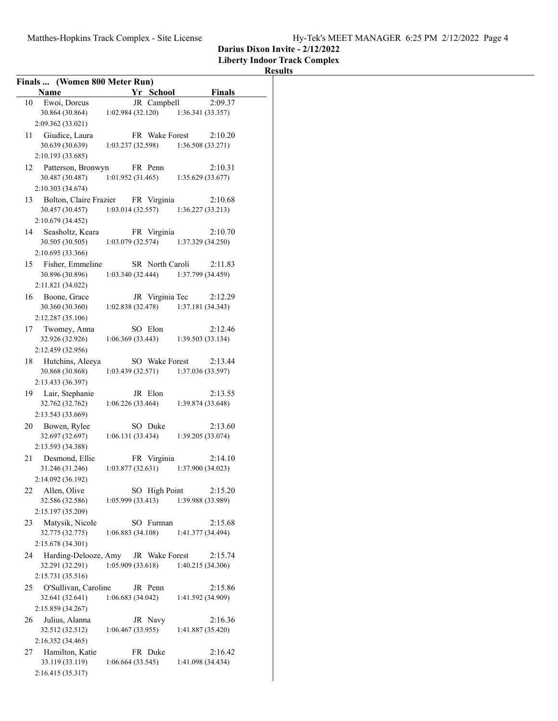**Liberty Indoor Track Complex**

| Finals  (Women 800 Meter Run)                 |                                       |                 |                   |               |
|-----------------------------------------------|---------------------------------------|-----------------|-------------------|---------------|
| Name                                          |                                       | Yr School       |                   | <b>Finals</b> |
| Ewoi, Dorcus<br>10                            |                                       | JR Campbell     |                   | 2:09.37       |
| 30.864 (30.864)                               | 1:02.984(32.120)                      |                 | 1:36.341(33.357)  |               |
| 2:09.362 (33.021)<br>11 Giudice, Laura        |                                       | FR Wake Forest  |                   | 2:10.20       |
| 30.639 (30.639)                               | 1:03.237 (32.598)                     |                 | 1:36.508 (33.271) |               |
| 2:10.193 (33.685)                             |                                       |                 |                   |               |
| Patterson, Bronwyn<br>12                      |                                       | FR Penn         |                   | 2:10.31       |
| 30.487 (30.487)                               | 1:01.952(31.465)                      |                 | 1:35.629(33.677)  |               |
| 2:10.303 (34.674)                             |                                       |                 |                   |               |
| Bolton, Claire Frazier FR Virginia<br>13      |                                       |                 |                   | 2:10.68       |
| 30.457 (30.457)                               | 1:03.014(32.557)                      |                 | 1:36.227(33.213)  |               |
| 2:10.679 (34.452)                             |                                       |                 |                   |               |
| 14<br>Seasholtz, Keara                        |                                       | FR Virginia     |                   | 2:10.70       |
| 30.505 (30.505)                               | 1:03.079(32.574)                      |                 | 1:37.329 (34.250) |               |
| 2:10.695 (33.366)                             |                                       |                 |                   |               |
| Fisher, Emmeline<br>15<br>30.896 (30.896)     | 1:03.340(32.444)                      | SR North Caroli | 1:37.799 (34.459) | 2:11.83       |
| 2:11.821 (34.022)                             |                                       |                 |                   |               |
| 16 Boone, Grace                               |                                       | JR Virginia Tec |                   | 2:12.29       |
| 30.360 (30.360)                               | 1:02.838(32.478)                      |                 | 1:37.181 (34.343) |               |
| 2:12.287 (35.106)                             |                                       |                 |                   |               |
| Twomey, Anna<br>17                            |                                       | SO Elon         |                   | 2:12.46       |
| 32.926 (32.926)                               | 1:06.369(33.443)                      |                 | 1:39.503(33.134)  |               |
| 2:12.459 (32.956)                             |                                       |                 |                   |               |
| Hutchins, Aleeya<br>18                        |                                       | SO Wake Forest  |                   | 2:13.44       |
| 30.868 (30.868)<br>2:13.433 (36.397)          | 1:03.439(32.571)                      |                 | 1:37.036 (33.597) |               |
| 19 Lair, Stephanie                            |                                       | JR Elon         |                   | 2:13.55       |
| 32.762 (32.762)                               | 1:06.226(33.464)                      |                 | 1:39.874 (33.648) |               |
| 2:13.543 (33.669)                             |                                       |                 |                   |               |
| Bowen, Rylee<br>20                            |                                       | SO Duke         |                   | 2:13.60       |
| 32.697 (32.697)                               | 1:06.131(33.434)                      |                 | 1:39.205(33.074)  |               |
| 2:13.593 (34.388)                             |                                       |                 |                   |               |
| 21<br>Desmond, Ellie                          |                                       | FR Virginia     |                   | 2:14.10       |
| 31.246 (31.246)                               | $1:03.877(32.631)$ $1:37.900(34.023)$ |                 |                   |               |
| 2:14.092 (36.192)<br>Allen, Olive<br>22       |                                       | SO High Point   |                   | 2:15.20       |
| 32.586 (32.586)                               | 1:05.999(33.413)                      |                 | 1:39.988 (33.989) |               |
| 2:15.197 (35.209)                             |                                       |                 |                   |               |
| Matysik, Nicole<br>23                         |                                       | SO Furman       |                   | 2:15.68       |
| 32.775 (32.775)                               | 1:06.883 (34.108)                     |                 | 1:41.377 (34.494) |               |
| 2:15.678 (34.301)                             |                                       |                 |                   |               |
| Harding-Delooze, Amy<br>24                    |                                       | JR Wake Forest  |                   | 2:15.74       |
| 32.291 (32.291)                               | 1:05.909 (33.618)                     |                 | 1:40.215 (34.306) |               |
| 2:15.731 (35.516)                             |                                       |                 |                   |               |
| O'Sullivan, Caroline<br>25<br>32.641 (32.641) |                                       | JR Penn         |                   | 2:15.86       |
| 2:15.859 (34.267)                             | 1:06.683(34.042)                      |                 | 1:41.592 (34.909) |               |
| Julius, Alanna<br>26                          |                                       | JR Navy         |                   | 2:16.36       |
| 32.512 (32.512)                               | 1:06.467(33.955)                      |                 | 1:41.887 (35.420) |               |
| 2:16.352 (34.465)                             |                                       |                 |                   |               |
| Hamilton, Katie<br>27                         |                                       | FR Duke         |                   | 2:16.42       |
| 33.119 (33.119)                               | 1:06.664 (33.545)                     |                 | 1:41.098 (34.434) |               |
| 2:16.415 (35.317)                             |                                       |                 |                   |               |
|                                               |                                       |                 |                   |               |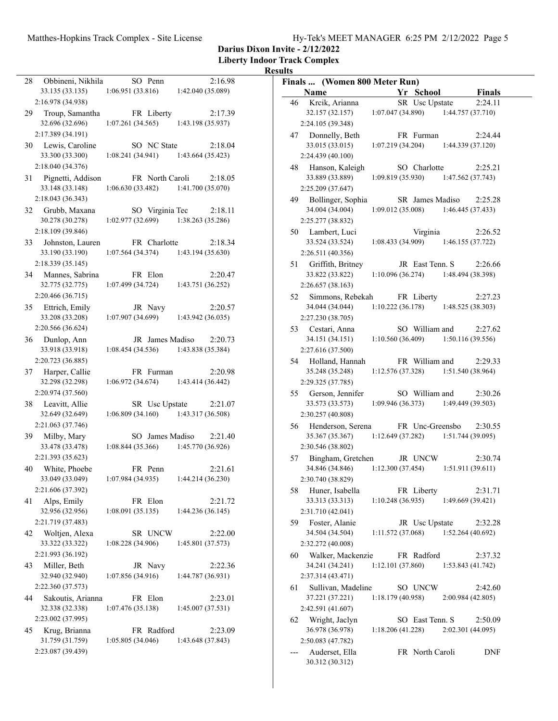| Hy-Tek's MEET MANAGER 6:25 PM 2/12/2022 Page 5 |  |
|------------------------------------------------|--|
|------------------------------------------------|--|

**Darius Dixon Invite - 2/12/2022**

**Liberty Indoor Track Complex**

| 28                                    |                                |                              |
|---------------------------------------|--------------------------------|------------------------------|
| Obbineni, Nikhila<br>33.135 (33.135)  | SO Penn<br>1:06.951(33.816)    | 2:16.98<br>1:42.040 (35.089) |
| 2:16.978 (34.938)                     |                                |                              |
| 29 Troup, Samantha<br>32.696 (32.696) | FR Liberty<br>1:07.261(34.565) | 2:17.39<br>1:43.198 (35.937) |
| 2:17.389 (34.191)                     |                                |                              |
| 30 Lewis, Caroline                    | SO NC State                    | 2:18.04                      |
| 33.300 (33.300)                       | 1:08.241(34.941)               | 1:43.664 (35.423)            |
| 2:18.040 (34.376)                     |                                |                              |
| Pignetti, Addison<br>31               | FR North Caroli                | 2:18.05                      |
| 33.148 (33.148)                       | 1:06.630(33.482)               | 1:41.700 (35.070)            |
|                                       |                                |                              |
| 2:18.043 (36.343)                     |                                |                              |
| 32 Grubb, Maxana                      | SO Virginia Tec                | 2:18.11                      |
| 30.278 (30.278)                       | 1:02.977(32.699)               | 1:38.263 (35.286)            |
| 2:18.109 (39.846)                     |                                |                              |
| Johnston, Lauren<br>33                | FR Charlotte                   | 2:18.34                      |
| 33.190 (33.190)                       | 1:07.564(34.374)               | 1:43.194 (35.630)            |
| 2:18.339 (35.145)                     |                                |                              |
| 34 Mannes, Sabrina                    | FR Elon                        | 2:20.47                      |
| 32.775 (32.775)                       | 1:07.499(34.724)               | 1:43.751 (36.252)            |
| 2:20.466 (36.715)                     |                                |                              |
|                                       |                                |                              |
| 35 Ettrich, Emily                     | JR Navy                        | 2:20.57                      |
| 33.208 (33.208)                       | 1:07.907(34.699)               | 1:43.942 (36.035)            |
| 2:20.566 (36.624)                     |                                |                              |
| 36 Dunlop, Ann                        | JR James Madiso                | 2:20.73                      |
| 33.918 (33.918)                       | 1:08.454(34.536)               | 1:43.838 (35.384)            |
| 2:20.723 (36.885)                     |                                |                              |
| 37 Harper, Callie                     | FR Furman                      | 2:20.98                      |
|                                       |                                |                              |
|                                       |                                |                              |
| 32.298 (32.298)                       | 1:06.972 (34.674)              | 1:43.414 (36.442)            |
| 2:20.974 (37.560)                     |                                |                              |
| 38 Leavitt, Allie                     | SR Usc Upstate                 | 2:21.07                      |
| 32.649 (32.649)                       | 1:06.809(34.160)               | 1:43.317 (36.508)            |
| 2:21.063 (37.746)                     |                                |                              |
| 39 Milby, Mary                        | SO James Madiso                | 2:21.40                      |
| 33.478 (33.478)                       | 1:08.844(35.366)               | 1:45.770 (36.926)            |
| 2:21.393 (35.623)                     |                                |                              |
| White, Phoebe<br>40                   | FR Penn                        | 2:21.61                      |
| 33.049 (33.049)                       | 1:07.984 (34.935)              | 1:44.214 (36.230)            |
| 2:21.606 (37.392)                     |                                |                              |
| 41<br>Alps, Emily                     | FR Elon                        | 2:21.72                      |
| 32.956 (32.956)                       | 1:08.091(35.135)               | 1:44.236 (36.145)            |
|                                       |                                |                              |
| 2:21.719 (37.483)                     |                                |                              |
| Woltjen, Alexa<br>42                  | SR UNCW                        | 2:22.00                      |
| 33.322 (33.322)                       | 1:08.228(34.906)               | 1:45.801 (37.573)            |
| 2:21.993 (36.192)                     |                                |                              |
| Miller, Beth<br>43                    | JR Navy                        | 2:22.36                      |
| 32.940 (32.940)                       | 1:07.856(34.916)               | 1:44.787 (36.931)            |
| 2:22.360 (37.573)                     |                                |                              |
| 44<br>Sakoutis, Arianna               | FR Elon                        | 2:23.01                      |
| 32.338 (32.338)                       | 1:07.476(35.138)               | 1:45.007 (37.531)            |
| 2:23.002 (37.995)                     |                                |                              |
| Krug, Brianna<br>45                   | FR Radford                     | 2:23.09                      |
| 31.759 (31.759)                       | 1:05.805(34.046)               | 1:43.648 (37.843)            |
| 2:23.087 (39.439)                     |                                |                              |

| Finals  (Women 800 Meter Run)              |                                       |                  |                   |         |
|--------------------------------------------|---------------------------------------|------------------|-------------------|---------|
| <b>Name</b>                                |                                       | Yr School        |                   | Finals  |
| 46<br>Krcik, Arianna                       |                                       | SR Usc Upstate   |                   | 2:24.11 |
| 32.157 (32.157)                            | 1:07.047(34.890)                      |                  | 1:44.757 (37.710) |         |
| 2:24.105 (39.348)                          |                                       |                  |                   |         |
| 47 Donnelly, Beth                          |                                       | FR Furman        |                   | 2:24.44 |
| 33.015 (33.015)                            | 1:07.219(34.204)                      |                  | 1:44.339 (37.120) |         |
| 2:24.439 (40.100)                          |                                       |                  |                   |         |
| Hanson, Kaleigh<br>48                      |                                       | SO Charlotte     |                   | 2:25.21 |
| 33.889 (33.889)                            | $1:09.819(35.930)$ $1:47.562(37.743)$ |                  |                   |         |
| 2:25.209 (37.647)                          |                                       |                  |                   |         |
| 49 Bollinger, Sophia<br>34.004 (34.004)    | $1:09.012(35.008)$ $1:46.445(37.433)$ | SR James Madiso  |                   | 2:25.28 |
| 2:25.277 (38.832)                          |                                       |                  |                   |         |
| 50 Lambert, Luci                           |                                       | Virginia         |                   | 2:26.52 |
| 33.524 (33.524)                            | 1:08.433 (34.909)                     |                  | 1:46.155 (37.722) |         |
| 2:26.511 (40.356)                          |                                       |                  |                   |         |
| 51 Griffith, Britney                       |                                       | JR East Tenn, S. |                   | 2:26.66 |
| 33.822 (33.822)                            | $1:10.096(36.274)$ 1:48.494 (38.398)  |                  |                   |         |
| 2:26.657 (38.163)                          |                                       |                  |                   |         |
| 52<br>Simmons, Rebekah                     |                                       | FR Liberty       |                   | 2:27.23 |
| 34.044 (34.044)                            | 1:10.222(36.178)                      |                  | 1:48.525 (38.303) |         |
| 2:27.230 (38.705)                          |                                       |                  |                   |         |
| 53 Cestari, Anna                           |                                       | SO William and   |                   | 2:27.62 |
| 34.151 (34.151)                            | 1:10.560(36.409)                      |                  | 1:50.116 (39.556) |         |
| 2:27.616 (37.500)                          |                                       |                  |                   |         |
| 54 Holland, Hannah                         |                                       | FR William and   |                   | 2:29.33 |
| 35.248 (35.248)                            | $1:12.576(37.328)$ $1:51.540(38.964)$ |                  |                   |         |
| 2:29.325 (37.785)                          |                                       |                  |                   |         |
| 55 Gerson, Jennifer<br>33.573 (33.573)     | 1:09.946(36.373)                      | SO William and   | 1:49.449 (39.503) | 2:30.26 |
| 2:30.257 (40.808)                          |                                       |                  |                   |         |
| Henderson, Serena<br>56                    |                                       | FR Unc-Greensbo  |                   | 2:30.55 |
| 35.367 (35.367)                            | 1:12.649(37.282)                      |                  | 1:51.744 (39.095) |         |
| 2:30.546 (38.802)                          |                                       |                  |                   |         |
| Bingham, Gretchen<br>57                    |                                       | JR UNCW          |                   | 2:30.74 |
| 34.846 (34.846)                            | 1:12.300(37.454)                      |                  | 1:51.911(39.611)  |         |
| 2:30.740 (38.829)                          |                                       |                  |                   |         |
| 58<br>Huner, Isabella                      |                                       | FR Liberty       |                   | 2:31.71 |
| 33.313 (33.313)                            | 1:10.248(36.935)                      |                  | 1:49.669 (39.421) |         |
| 2:31.710 (42.041)                          |                                       |                  |                   |         |
| Foster, Alanie<br>59                       |                                       | JR Usc Upstate   |                   | 2:32.28 |
| 34.504 (34.504)                            | 1:11.572 (37.068)                     |                  | 1:52.264 (40.692) |         |
| 2:32.272 (40.008)                          |                                       |                  |                   |         |
| Walker, Mackenzie<br>60<br>34.241 (34.241) |                                       | FR Radford       |                   | 2:37.32 |
| 2:37.314 (43.471)                          | 1:12.101(37.860)                      |                  | 1:53.843 (41.742) |         |
| Sullivan, Madeline<br>61                   |                                       | SO UNCW          |                   | 2:42.60 |
| 37.221 (37.221)                            | 1:18.179(40.958)                      |                  | 2:00.984 (42.805) |         |
| 2:42.591 (41.607)                          |                                       |                  |                   |         |
| Wright, Jaclyn<br>62                       |                                       | SO East Tenn. S  |                   | 2:50.09 |
| 36.978 (36.978)                            | 1:18.206(41.228)                      |                  | 2:02.301 (44.095) |         |
| 2:50.083 (47.782)                          |                                       |                  |                   |         |
| Auderset, Ella                             |                                       | FR North Caroli  |                   | DNF     |
| 30.312 (30.312)                            |                                       |                  |                   |         |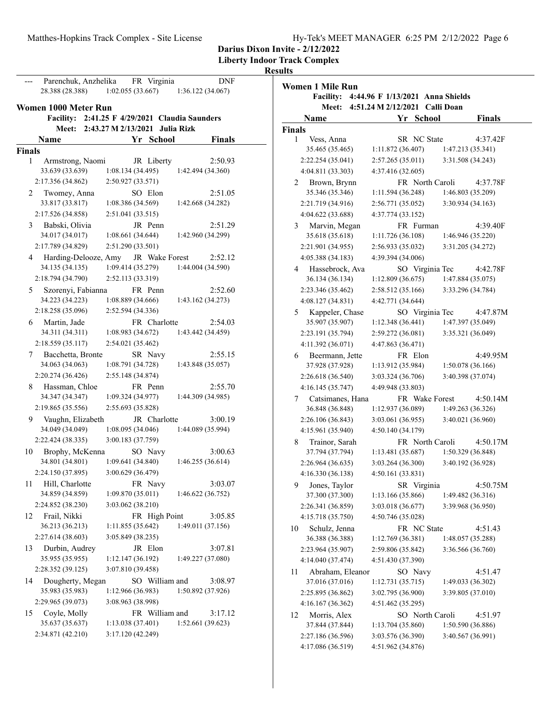**Liberty Indoor Track Complex**

**Women 1 Mile Run**

|               | Parenchuk, Anzhelika                  |                   | FR Virginia                    |                                      | <b>DNF</b>    |
|---------------|---------------------------------------|-------------------|--------------------------------|--------------------------------------|---------------|
|               | 28.388 (28.388)                       | 1:02.055(33.667)  |                                | 1:36.122 (34.067)                    |               |
|               | Women 1000 Meter Run                  |                   |                                |                                      |               |
|               | <b>Facility:</b>                      |                   |                                | 2:41.25 F 4/29/2021 Claudia Saunders |               |
|               | <b>Meet:</b>                          |                   | 2:43.27 M 2/13/2021 Julia Rizk |                                      |               |
|               | Name                                  |                   | Yr School                      |                                      | <b>Finals</b> |
| <b>Finals</b> |                                       |                   |                                |                                      |               |
| 1             | Armstrong, Naomi                      |                   | JR Liberty                     |                                      | 2:50.93       |
|               | 33.639 (33.639)                       | 1:08.134 (34.495) |                                | 1:42.494 (34.360)                    |               |
|               | 2:17.356 (34.862)                     | 2:50.927 (33.571) |                                |                                      |               |
| 2             | Twomey, Anna                          |                   | SO Elon                        |                                      | 2:51.05       |
|               | 33.817 (33.817)                       | 1:08.386 (34.569) |                                | 1:42.668 (34.282)                    |               |
|               | 2:17.526 (34.858)                     | 2:51.041 (33.515) |                                |                                      |               |
| 3             | Babski, Olivia                        |                   | JR Penn                        |                                      | 2:51.29       |
|               | 34.017 (34.017)                       | 1:08.661(34.644)  |                                | 1:42.960 (34.299)                    |               |
|               | 2:17.789 (34.829)                     | 2:51.290 (33.501) |                                |                                      |               |
|               | 4 Harding-Delooze, Amy                |                   | JR Wake Forest                 |                                      | 2:52.12       |
|               | 34.135 (34.135)                       | 1:09.414(35.279)  |                                | 1:44.004 (34.590)                    |               |
|               | 2:18.794 (34.790)                     | 2:52.113 (33.319) |                                |                                      |               |
| 5             |                                       |                   | FR Penn                        |                                      | 2:52.60       |
|               | Szorenyi, Fabianna<br>34.223 (34.223) | 1:08.889(34.666)  |                                | 1:43.162 (34.273)                    |               |
|               | 2:18.258 (35.096)                     | 2:52.594 (34.336) |                                |                                      |               |
|               | 6 Martin, Jade                        |                   | FR Charlotte                   |                                      | 2:54.03       |
|               | 34.311 (34.311)                       | 1:08.983 (34.672) |                                | 1:43.442 (34.459)                    |               |
|               | 2:18.559 (35.117)                     | 2:54.021 (35.462) |                                |                                      |               |
| 7             | Bacchetta, Bronte                     |                   | SR Navy                        |                                      | 2:55.15       |
|               | 34.063 (34.063)                       | 1:08.791 (34.728) |                                | 1:43.848 (35.057)                    |               |
|               | 2:20.274 (36.426)                     | 2:55.148 (34.874) |                                |                                      |               |
| 8             | Hassman, Chloe                        |                   | FR Penn                        |                                      | 2:55.70       |
|               | 34.347 (34.347)                       | 1:09.324 (34.977) |                                | 1:44.309 (34.985)                    |               |
|               | 2:19.865 (35.556)                     | 2:55.693 (35.828) |                                |                                      |               |
| 9.            | Vaughn, Elizabeth                     |                   | JR Charlotte                   |                                      | 3:00.19       |
|               | 34.049 (34.049)                       | 1:08.095 (34.046) |                                | 1:44.089 (35.994)                    |               |
|               | 2:22.424 (38.335)                     | 3:00.183 (37.759) |                                |                                      |               |
| 10            | Brophy, McKenna                       |                   | SO Navy                        |                                      | 3:00.63       |
|               | 34.801 (34.801)                       | 1:09.641 (34.840) |                                | 1:46.255 (36.614)                    |               |
|               | 2:24.150 (37.895)                     | 3:00.629 (36.479) |                                |                                      |               |
|               | 11 Hill, Charlotte                    |                   | FR Navy                        |                                      | 3:03.07       |
|               | 34.859 (34.859)                       | 1:09.870 (35.011) |                                | 1:46.622 (36.752)                    |               |
|               | 2:24.852 (38.230)                     | 3:03.062 (38.210) |                                |                                      |               |
| 12            | Frail, Nikki                          |                   | FR High Point                  |                                      | 3:05.85       |
|               | 36.213 (36.213)                       | 1:11.855(35.642)  |                                | 1:49.011 (37.156)                    |               |
|               | 2:27.614 (38.603)                     | 3:05.849 (38.235) |                                |                                      |               |
| 13            | Durbin, Audrey                        |                   | JR Elon                        |                                      | 3:07.81       |
|               | 35.955 (35.955)                       | 1:12.147(36.192)  |                                | 1:49.227 (37.080)                    |               |
|               | 2:28.352 (39.125)                     | 3:07.810 (39.458) |                                |                                      |               |
| 14            | Dougherty, Megan                      |                   | SO William and                 |                                      | 3:08.97       |
|               | 35.983 (35.983)                       | 1:12.966 (36.983) |                                | 1:50.892 (37.926)                    |               |
|               | 2:29.965 (39.073)                     | 3:08.963 (38.998) |                                |                                      |               |
| 15            | Coyle, Molly                          |                   | FR William and                 |                                      | 3:17.12       |
|               | 35.637 (35.637)                       | 1:13.038 (37.401) |                                | 1:52.661 (39.623)                    |               |
|               | 2:34.871 (42.210)                     | 3:17.120 (42.249) |                                |                                      |               |
|               |                                       |                   |                                |                                      |               |

| <b>Facility:</b>       | 4:44.96 F 1/13/2021 Anna Shields |                             |
|------------------------|----------------------------------|-----------------------------|
| Meet:                  | 4:51.24 M 2/12/2021              | <b>Calli Doan</b>           |
| Name                   | Yr School                        | <b>Finals</b>               |
| <b>Finals</b>          |                                  |                             |
| Vess, Anna<br>1        | SR NC State                      | 4:37.42F                    |
| 35.465 (35.465)        | 1:11.872 (36.407)                | 1:47.213 (35.341)           |
| 2:22.254 (35.041)      | 2:57.265 (35.011)                | 3:31.508 (34.243)           |
| 4:04.811 (33.303)      | 4:37.416 (32.605)                |                             |
| Brown, Brynn<br>2      |                                  | FR North Caroli<br>4:37.78F |
| 35.346 (35.346)        | 1:11.594 (36.248)                | 1:46.803 (35.209)           |
| 2:21.719 (34.916)      | 2:56.771 (35.052)                | 3:30.934 (34.163)           |
| 4:04.622 (33.688)      | 4:37.774 (33.152)                |                             |
| Marvin, Megan<br>3     | FR Furman                        | 4:39.40F                    |
| 35.618 (35.618)        | 1:11.726 (36.108)                | 1:46.946 (35.220)           |
| 2:21.901 (34.955)      | 2:56.933 (35.032)                | 3:31.205 (34.272)           |
| 4:05.388 (34.183)      | 4:39.394 (34.006)                |                             |
| Hassebrock, Ava<br>4   |                                  | SO Virginia Tec<br>4:42.78F |
| 36.134 (36.134)        | 1:12.809(36.675)                 | 1:47.884 (35.075)           |
| 2:23.346 (35.462)      | 2:58.512 (35.166)                | 3:33.296 (34.784)           |
| 4:08.127(34.831)       | 4:42.771 (34.644)                |                             |
| Kappeler, Chase<br>5.  |                                  | SO Virginia Tec<br>4:47.87M |
| 35.907 (35.907)        | 1:12.348(36.441)                 | 1:47.397 (35.049)           |
| 2:23.191 (35.794)      | 2:59.272 (36.081)                | 3:35.321 (36.049)           |
| 4:11.392 (36.071)      | 4:47.863 (36.471)                |                             |
| 6<br>Beermann, Jette   | FR Elon                          | 4:49.95M                    |
| 37.928 (37.928)        | 1:13.912 (35.984)                | 1:50.078 (36.166)           |
| 2:26.618 (36.540)      | 3:03.324 (36.706)                | 3:40.398 (37.074)           |
| 4:16.145(35.747)       | 4:49.948 (33.803)                |                             |
| Catsimanes, Hana<br>7  |                                  | FR Wake Forest<br>4:50.14M  |
| 36.848 (36.848)        | 1:12.937 (36.089)                | 1:49.263 (36.326)           |
| 2:26.106 (36.843)      | 3:03.061 (36.955)                | 3:40.021 (36.960)           |
| 4:15.961 (35.940)      | 4:50.140 (34.179)                |                             |
| 8<br>Trainor, Sarah    |                                  | FR North Caroli<br>4:50.17M |
| 37.794 (37.794)        | 1:13.481 (35.687)                | 1:50.329 (36.848)           |
| 2:26.964 (36.635)      | 3:03.264 (36.300)                | 3:40.192 (36.928)           |
| 4:16.330 (36.138)      | 4:50.161 (33.831)                |                             |
| Jones, Taylor<br>9     | SR Virginia                      | 4:50.75M                    |
| 37.300 (37.300)        | 1:13.166 (35.866)                | 1:49.482 (36.316)           |
| 2:26.341 (36.859)      | 3:03.018 (36.677)                | 3:39.968 (36.950)           |
| 4:15.718 (35.750)      | 4:50.746 (35.028)                |                             |
| 10<br>Schulz, Jenna    | FR NC State                      | 4:51.43                     |
| 36.388 (36.388)        | 1:12.769 (36.381)                | 1:48.057 (35.288)           |
| 2:23.964 (35.907)      | 2:59.806 (35.842)                | 3:36.566 (36.760)           |
| 4:14.040 (37.474)      | 4:51.430 (37.390)                |                             |
| Abraham, Eleanor<br>11 | SO Navy                          | 4:51.47                     |
| 37.016 (37.016)        | 1:12.731(35.715)                 | 1:49.033 (36.302)           |
| 2:25.895 (36.862)      | 3:02.795 (36.900)                | 3:39.805 (37.010)           |
| 4:16.167 (36.362)      | 4:51.462 (35.295)                |                             |
| Morris, Alex<br>12     |                                  | SO North Caroli<br>4:51.97  |
| 37.844 (37.844)        | 1:13.704 (35.860)                | 1:50.590 (36.886)           |
| 2:27.186 (36.596)      | 3:03.576 (36.390)                | 3:40.567 (36.991)           |
| 4:17.086 (36.519)      | 4:51.962 (34.876)                |                             |
|                        |                                  |                             |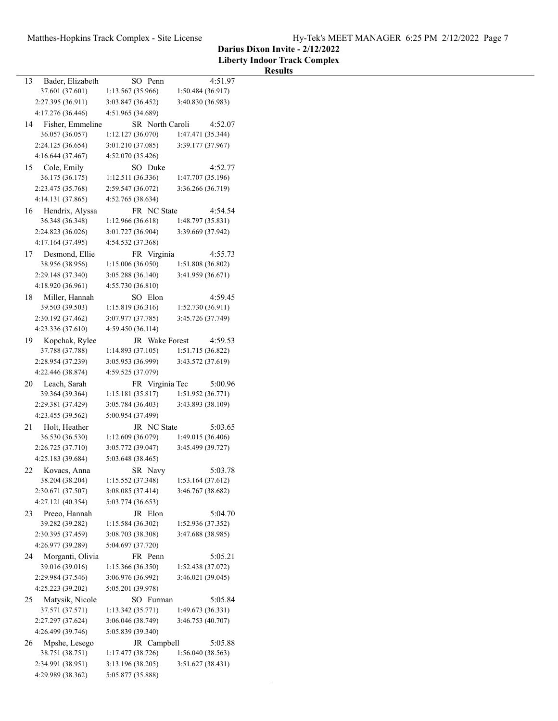|    |                                     |                             |                              | <b>Results</b> |
|----|-------------------------------------|-----------------------------|------------------------------|----------------|
| 13 | Bader, Elizabeth<br>37.601 (37.601) | SO Penn<br>1:13.567(35.966) | 4:51.97<br>1:50.484 (36.917) |                |
|    |                                     |                             |                              |                |
|    | 2:27.395 (36.911)                   | 3:03.847 (36.452)           | 3:40.830 (36.983)            |                |
|    | 4:17.276 (36.446)                   | 4:51.965 (34.689)           |                              |                |
| 14 | Fisher, Emmeline                    | SR North Caroli             | 4:52.07                      |                |
|    | 36.057 (36.057)                     | 1:12.127 (36.070)           | 1:47.471 (35.344)            |                |
|    | 2:24.125 (36.654)                   | 3:01.210(37.085)            | 3:39.177 (37.967)            |                |
|    | 4:16.644 (37.467)                   | 4:52.070(35.426)            |                              |                |
| 15 | Cole, Emily                         | SO Duke                     | 4:52.77                      |                |
|    | 36.175 (36.175)                     | 1:12.511(36.336)            | 1:47.707 (35.196)            |                |
|    |                                     |                             |                              |                |
|    | 2:23.475 (35.768)                   | 2:59.547 (36.072)           | 3:36.266 (36.719)            |                |
|    | 4:14.131 (37.865)                   | 4:52.765 (38.634)           |                              |                |
| 16 | Hendrix, Alyssa                     | FR NC State                 | 4:54.54                      |                |
|    | 36.348 (36.348)                     | 1:12.966(36.618)            | 1:48.797 (35.831)            |                |
|    | 2:24.823 (36.026)                   | 3:01.727 (36.904)           | 3:39.669 (37.942)            |                |
|    | 4:17.164 (37.495)                   | 4:54.532 (37.368)           |                              |                |
| 17 | Desmond, Ellie                      | FR Virginia                 | 4:55.73                      |                |
|    | 38.956 (38.956)                     | 1:15.006 (36.050)           |                              |                |
|    |                                     |                             | 1:51.808 (36.802)            |                |
|    | 2:29.148 (37.340)                   | 3:05.288(36.140)            | 3:41.959 (36.671)            |                |
|    | 4:18.920 (36.961)                   | 4:55.730(36.810)            |                              |                |
| 18 | Miller, Hannah                      | SO Elon                     | 4:59.45                      |                |
|    | 39.503 (39.503)                     | 1:15.819(36.316)            | 1:52.730(36.911)             |                |
|    | 2:30.192 (37.462)                   | 3:07.977 (37.785)           | 3:45.726 (37.749)            |                |
|    | 4:23.336 (37.610)                   | 4:59.450(36.114)            |                              |                |
| 19 |                                     | JR Wake Forest              | 4:59.53                      |                |
|    | Kopchak, Rylee                      |                             |                              |                |
|    | 37.788 (37.788)                     | 1:14.893(37.105)            | 1:51.715 (36.822)            |                |
|    | 2:28.954 (37.239)                   | 3:05.953 (36.999)           | 3:43.572 (37.619)            |                |
|    | 4:22.446 (38.874)                   | 4:59.525 (37.079)           |                              |                |
| 20 | Leach, Sarah                        | FR Virginia Tec             | 5:00.96                      |                |
|    | 39.364 (39.364)                     | 1:15.181(35.817)            | 1:51.952 (36.771)            |                |
|    | 2:29.381 (37.429)                   | 3:05.784(36.403)            | 3:43.893 (38.109)            |                |
|    | 4:23.455 (39.562)                   | 5:00.954 (37.499)           |                              |                |
| 21 | Holt, Heather                       | JR NC State                 | 5:03.65                      |                |
|    |                                     |                             |                              |                |
|    | 36.530 (36.530)                     | 1:12.609(36.079)            | 1:49.015 (36.406)            |                |
|    | 2:26.725 (37.710)                   | 3:05.772 (39.047)           | 3:45.499 (39.727)            |                |
|    | 4:25.183 (39.684)                   | 5:03.648 (38.465)           |                              |                |
| 22 | Kovacs, Anna                        | SR Navy                     | 5:03.78                      |                |
|    | 38.204 (38.204)                     | 1:15.552 (37.348)           | 1:53.164 (37.612)            |                |
|    | 2:30.671 (37.507)                   | 3:08.085(37.414)            | 3:46.767 (38.682)            |                |
|    | 4:27.121 (40.354)                   | 5:03.774 (36.653)           |                              |                |
| 23 | Preeo, Hannah                       | JR Elon                     | 5:04.70                      |                |
|    | 39.282 (39.282)                     | 1:15.584 (36.302)           | 1:52.936 (37.352)            |                |
|    | 2:30.395 (37.459)                   |                             |                              |                |
|    |                                     | 3:08.703 (38.308)           | 3:47.688 (38.985)            |                |
|    | 4:26.977 (39.289)                   | 5:04.697 (37.720)           |                              |                |
| 24 | Morganti, Olivia                    | FR Penn                     | 5:05.21                      |                |
|    | 39.016 (39.016)                     | 1:15.366 (36.350)           | 1:52.438 (37.072)            |                |
|    | 2:29.984 (37.546)                   | 3:06.976 (36.992)           | 3:46.021 (39.045)            |                |
|    | 4:25.223 (39.202)                   | 5:05.201 (39.978)           |                              |                |
| 25 | Matysik, Nicole                     | SO Furman                   | 5:05.84                      |                |
|    | 37.571 (37.571)                     | 1:13.342(35.771)            | 1:49.673(36.331)             |                |
|    |                                     |                             |                              |                |
|    | 2:27.297 (37.624)                   | 3:06.046 (38.749)           | 3:46.753 (40.707)            |                |
|    | 4:26.499 (39.746)                   | 5:05.839 (39.340)           |                              |                |
| 26 | Mpshe, Lesego                       | JR Campbell                 | 5:05.88                      |                |
|    | 38.751 (38.751)                     | 1:17.477 (38.726)           | 1:56.040 (38.563)            |                |
|    | 2:34.991 (38.951)                   | 3:13.196 (38.205)           | 3:51.627(38.431)             |                |
|    | 4:29.989 (38.362)                   | 5:05.877 (35.888)           |                              |                |
|    |                                     |                             |                              |                |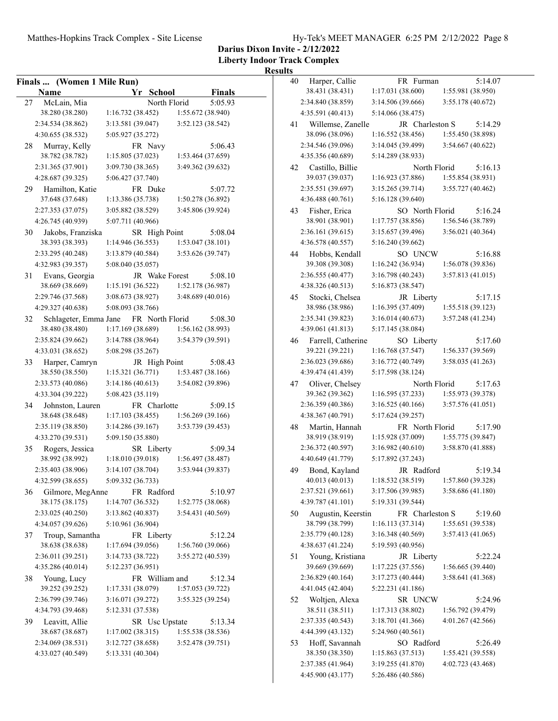**Liberty Indoor Track Complex**

|    | Finals  (Women 1 Mile Run) |                   |                 |                   |               |
|----|----------------------------|-------------------|-----------------|-------------------|---------------|
|    | Name                       |                   | Yr School       |                   | <b>Finals</b> |
| 27 | McLain, Mia                |                   | North Florid    |                   | 5:05.93       |
|    | 38.280 (38.280)            | 1:16.732(38.452)  |                 | 1:55.672 (38.940) |               |
|    | 2:34.534 (38.862)          | 3:13.581 (39.047) |                 | 3:52.123 (38.542) |               |
|    | 4:30.655 (38.532)          | 5:05.927 (35.272) |                 |                   |               |
| 28 | Murray, Kelly              |                   | FR Navy         |                   | 5:06.43       |
|    | 38.782 (38.782)            | 1:15.805(37.023)  |                 | 1:53.464 (37.659) |               |
|    | 2:31.365 (37.901)          | 3:09.730 (38.365) |                 | 3:49.362 (39.632) |               |
|    | 4:28.687 (39.325)          | 5:06.427 (37.740) |                 |                   |               |
| 29 | Hamilton, Katie            |                   | FR Duke         |                   | 5:07.72       |
|    | 37.648 (37.648)            | 1:13.386 (35.738) |                 | 1:50.278 (36.892) |               |
|    | 2:27.353 (37.075)          | 3:05.882 (38.529) |                 | 3:45.806 (39.924) |               |
|    | 4:26.745 (40.939)          | 5:07.711 (40.966) |                 |                   |               |
| 30 | Jakobs, Franziska          |                   | SR High Point   |                   | 5:08.04       |
|    | 38.393 (38.393)            | 1:14.946 (36.553) |                 | 1:53.047(38.101)  |               |
|    | 2:33.295 (40.248)          | 3:13.879 (40.584) |                 | 3:53.626 (39.747) |               |
|    | 4:32.983 (39.357)          | 5:08.040 (35.057) |                 |                   |               |
| 31 | Evans, Georgia             |                   | JR Wake Forest  |                   | 5:08.10       |
|    | 38.669 (38.669)            | 1:15.191(36.522)  |                 | 1:52.178 (36.987) |               |
|    | 2:29.746 (37.568)          | 3:08.673 (38.927) |                 | 3:48.689 (40.016) |               |
|    | 4:29.327 (40.638)          | 5:08.093 (38.766) |                 |                   |               |
| 32 | Schlageter, Emma Jane      |                   | FR North Florid |                   | 5:08.30       |
|    | 38.480 (38.480)            | 1:17.169 (38.689) |                 | 1:56.162 (38.993) |               |
|    | 2:35.824 (39.662)          | 3:14.788 (38.964) |                 | 3:54.379 (39.591) |               |
|    |                            |                   |                 |                   |               |
|    | 4:33.031 (38.652)          | 5:08.298 (35.267) |                 |                   |               |
| 33 | Harper, Camryn             |                   | JR High Point   |                   | 5:08.43       |
|    | 38.550 (38.550)            | 1:15.321(36.771)  |                 | 1:53.487 (38.166) |               |
|    | 2:33.573 (40.086)          | 3:14.186 (40.613) |                 | 3:54.082 (39.896) |               |
|    | 4:33.304 (39.222)          | 5:08.423 (35.119) |                 |                   |               |
| 34 | Johnston, Lauren           |                   | FR Charlotte    |                   | 5:09.15       |
|    | 38.648 (38.648)            | 1:17.103(38.455)  |                 | 1:56.269 (39.166) |               |
|    | 2:35.119 (38.850)          | 3:14.286 (39.167) |                 | 3:53.739 (39.453) |               |
|    | 4:33.270 (39.531)          | 5:09.150 (35.880) |                 |                   |               |
| 35 | Rogers, Jessica            |                   | SR Liberty      |                   | 5:09.34       |
|    | 38.992 (38.992)            | 1:18.010 (39.018) |                 | 1:56.497 (38.487) |               |
|    | 2:35.403 (38.906)          | 3:14.107 (38.704) |                 | 3:53.944 (39.837) |               |
|    | 4:32.599 (38.655)          | 5:09.332 (36.733) |                 |                   |               |
| 36 | Gilmore, MegAnne           |                   | FR Radford      |                   | 5:10.97       |
|    | 38.175 (38.175)            | 1:14.707 (36.532) |                 | 1:52.775 (38.068) |               |
|    | 2:33.025 (40.250)          | 3:13.862 (40.837) |                 | 3:54.431 (40.569) |               |
|    | 4:34.057 (39.626)          | 5:10.961 (36.904) |                 |                   |               |
| 37 | Troup, Samantha            |                   | FR Liberty      |                   | 5:12.24       |
|    | 38.638 (38.638)            | 1:17.694 (39.056) |                 | 1:56.760 (39.066) |               |
|    | 2:36.011 (39.251)          | 3:14.733 (38.722) |                 | 3:55.272 (40.539) |               |
|    | 4:35.286 (40.014)          | 5:12.237 (36.951) |                 |                   |               |
| 38 | Young, Lucy                |                   | FR William and  |                   | 5:12.34       |
|    | 39.252 (39.252)            | 1:17.331(38.079)  |                 | 1:57.053 (39.722) |               |
|    | 2:36.799 (39.746)          | 3:16.071(39.272)  |                 | 3:55.325 (39.254) |               |
|    | 4:34.793 (39.468)          | 5:12.331 (37.538) |                 |                   |               |
| 39 | Leavitt, Allie             |                   | SR Usc Upstate  |                   | 5:13.34       |
|    | 38.687 (38.687)            | 1:17.002(38.315)  |                 | 1:55.538 (38.536) |               |
|    | 2:34.069 (38.531)          | 3:12.727(38.658)  |                 | 3:52.478 (39.751) |               |
|    | 4:33.027 (40.549)          | 5:13.331 (40.304) |                 |                   |               |
|    |                            |                   |                 |                   |               |

| 40 | Harper, Callie                         | FR Furman                              | 5:14.07           |
|----|----------------------------------------|----------------------------------------|-------------------|
|    | 38.431 (38.431)                        | 1:17.031 (38.600)                      | 1:55.981 (38.950) |
|    | 2:34.840 (38.859)                      | 3:14.506 (39.666)                      | 3:55.178 (40.672) |
|    | 4:35.591 (40.413)                      | 5:14.066 (38.475)                      |                   |
| 41 | Willemse, Zanelle                      | JR Charleston S                        | 5:14.29           |
|    | 38.096 (38.096)                        | 1:16.552 (38.456)                      | 1:55.450 (38.898) |
|    | 2:34.546 (39.096)                      | 3:14.045 (39.499)                      | 3:54.667 (40.622) |
|    | 4:35.356 (40.689)                      | 5:14.289 (38.933)                      |                   |
| 42 | Castillo, Billie                       | North Florid                           | 5:16.13           |
|    | 39.037 (39.037)                        | 1:16.923 (37.886)                      | 1:55.854 (38.931) |
|    | 2:35.551 (39.697)                      | 3:15.265 (39.714)                      | 3:55.727 (40.462) |
|    | 4:36.488 (40.761)                      | 5:16.128 (39.640)                      |                   |
| 43 | Fisher, Erica                          | SO North Florid                        | 5:16.24           |
|    | 38.901 (38.901)                        | 1:17.757 (38.856)                      | 1:56.546 (38.789) |
|    | 2:36.161 (39.615)                      | 3:15.657 (39.496)                      | 3:56.021 (40.364) |
|    | 4:36.578 (40.557)                      | 5:16.240 (39.662)                      |                   |
| 44 | Hobbs, Kendall                         | SO UNCW                                | 5:16.88           |
|    | 39.308 (39.308)                        | 1:16.242 (36.934)                      | 1:56.078 (39.836) |
|    | 2:36.555 (40.477)                      | 3:16.798 (40.243)                      | 3:57.813 (41.015) |
|    | 4:38.326 (40.513)                      | 5:16.873 (38.547)                      |                   |
| 45 | Stocki, Chelsea                        | JR Liberty                             | 5:17.15           |
|    | 38.986 (38.986)                        | 1:16.395 (37.409)                      | 1:55.518 (39.123) |
|    | 2:35.341 (39.823)                      | 3:16.014 (40.673)                      | 3:57.248 (41.234) |
|    | 4:39.061 (41.813)                      | 5:17.145 (38.084)                      |                   |
| 46 | Farrell, Catherine                     | SO Liberty                             | 5:17.60           |
|    | 39.221 (39.221)                        | 1:16.768(37.547)                       | 1:56.337 (39.569) |
|    | 2:36.023 (39.686)                      | 3:16.772 (40.749)                      | 3:58.035 (41.263) |
|    | 4:39.474 (41.439)                      | 5:17.598 (38.124)                      |                   |
| 47 | Oliver, Chelsey                        | North Florid                           | 5:17.63           |
|    | 39.362 (39.362)                        | 1:16.595 (37.233)                      | 1:55.973 (39.378) |
|    | 2:36.359 (40.386)                      | 3:16.525 (40.166)                      | 3:57.576 (41.051) |
|    |                                        |                                        |                   |
|    | 4:38.367 (40.791)                      | 5:17.624 (39.257)                      |                   |
| 48 | Martin, Hannah                         | FR North Florid                        | 5:17.90           |
|    | 38.919 (38.919)                        | 1:15.928 (37.009)                      | 1:55.775 (39.847) |
|    | 2:36.372 (40.597)                      | 3:16.982 (40.610)                      | 3:58.870 (41.888) |
|    | 4:40.649 (41.779)                      | 5:17.892 (37.243)                      |                   |
| 49 | Bond, Kayland                          | JR Radford                             | 5:19.34           |
|    | 40.013 (40.013)                        | 1:18.532 (38.519)                      | 1:57.860 (39.328) |
|    | 2:37.521 (39.661)                      | 3:17.506 (39.985)                      | 3:58.686 (41.180) |
|    | 4:39.787 (41.101)                      | 5:19.331 (39.544)                      |                   |
| 50 | Augustin, Keerstin                     | FR Charleston S                        | 5:19.60           |
|    | 38.799 (38.799)                        | 1:16.113(37.314)                       | 1:55.651 (39.538) |
|    | 2:35.779 (40.128)                      | 3:16.348(40.569)                       | 3:57.413(41.065)  |
|    | 4:38.637 (41.224)                      | 5:19.593 (40.956)                      |                   |
| 51 | Young, Kristiana                       | JR Liberty                             | 5:22.24           |
|    | 39.669 (39.669)                        | 1:17.225 (37.556)                      | 1:56.665(39.440)  |
|    | 2:36.829 (40.164)                      | 3:17.273(40.444)                       | 3:58.641 (41.368) |
|    | 4:41.045 (42.404)                      | 5:22.231 (41.186)                      |                   |
| 52 | Woltjen, Alexa                         | SR UNCW                                | 5:24.96           |
|    | 38.511 (38.511)                        | 1:17.313 (38.802)                      | 1:56.792 (39.479) |
|    | 2:37.335 (40.543)                      | 3:18.701(41.366)                       | 4:01.267 (42.566) |
|    | 4:44.399 (43.132)                      | 5:24.960 (40.561)                      |                   |
| 53 | Hoff, Savannah                         | SO Radford                             | 5:26.49           |
|    | 38.350 (38.350)                        | 1:15.863 (37.513)                      | 1:55.421 (39.558) |
|    | 2:37.385 (41.964)<br>4:45.900 (43.177) | 3:19.255 (41.870)<br>5:26.486 (40.586) | 4:02.723 (43.468) |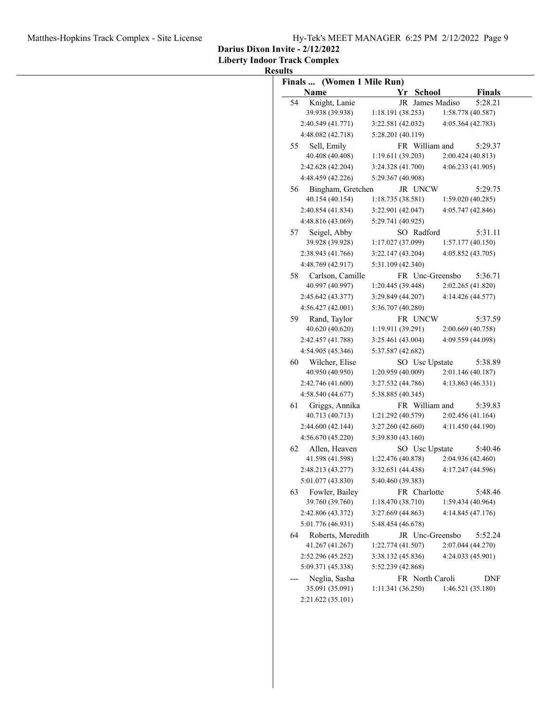**Darius Dixon Invite - 2/12/2022**

**Liberty Indoor Track Complex**

|    | Finals  (Women 1 Mile Run)           |                                      |                                 |
|----|--------------------------------------|--------------------------------------|---------------------------------|
|    | Name                                 | Yr School                            | <b>Finals</b>                   |
| 54 | Knight, Lanie                        | JR James Madiso                      | 5:28.21                         |
|    | 39.938 (39.938)                      | 1:18.191(38.253)                     | 1:58.778 (40.587)               |
|    | 2:40.549 (41.771)                    | 3:22.581 (42.032)                    | 4:05.364 (42.783)               |
|    | 4:48.082 (42.718)                    | 5:28.201 (40.119)                    |                                 |
| 55 | Sell, Emily<br>40.408 (40.408)       | FR William and<br>1:19.611 (39.203)  | 5:29.37<br>2:00.424(40.813)     |
|    | 2:42.628 (42.204)                    | 3:24.328 (41.700)                    | 4:06.233(41.905)                |
|    | 4:48.459 (42.226)                    | 5:29.367 (40.908)                    |                                 |
|    | Bingham, Gretchen                    |                                      |                                 |
| 56 | 40.154 (40.154)                      | JR UNCW<br>1:18.735(38.581)          | 5:29.75<br>1:59.020(40.285)     |
|    | 2:40.854 (41.834)                    | 3:22.901 (42.047)                    | 4:05.747 (42.846)               |
|    | 4:48.816 (43.069)                    | 5:29.741 (40.925)                    |                                 |
| 57 | Seigel, Abby                         | SO Radford                           | 5:31.11                         |
|    | 39.928 (39.928)                      | 1:17.027 (37.099)                    | 1:57.177(40.150)                |
|    | 2:38.943 (41.766)                    | 3:22.147 (43.204)                    | 4:05.852 (43.705)               |
|    | 4:48.769 (42.917)                    | 5:31.109 (42.340)                    |                                 |
| 58 | Carlson, Camille                     | FR Unc-Greensbo                      | 5:36.71                         |
|    | 40.997 (40.997)                      | 1:20.445 (39.448)                    | 2:02.265 (41.820)               |
|    | 2:45.642 (43.377)                    | 3:29.849 (44.207)                    | 4:14.426 (44.577)               |
|    | 4:56.427 (42.001)                    | 5:36.707 (40.280)                    |                                 |
| 59 | Rand, Taylor                         | FR UNCW                              | 5:37.59                         |
|    | 40.620 (40.620)                      | 1:19.911(39.291)                     | 2:00.669 (40.758)               |
|    | 2:42.457 (41.788)                    | 3:25.461 (43.004)                    | 4:09.559 (44.098)               |
|    | 4:54.905 (45.346)                    | 5:37.587 (42.682)                    |                                 |
| 60 | Wilcher, Elise                       | SO Usc Upstate                       | 5:38.89                         |
|    | 40.950 (40.950)                      | 1:20.959(40.009)                     | 2:01.146(40.187)                |
|    | 2:42.746 (41.600)                    | 3:27.532 (44.786)                    | 4:13.863(46.331)                |
|    | 4:58.540 (44.677)                    | 5:38.885 (40.345)                    |                                 |
| 61 | Griggs, Annika                       | FR William and                       | 5:39.83                         |
|    | 40.713 (40.713)                      | 1:21.292 (40.579)                    | 2:02.456(41.164)                |
|    | 2:44.600 (42.144)                    | 3:27.260 (42.660)                    | 4:11.450 (44.190)               |
|    | 4:56.670 (45.220)                    | 5:39.830 (43.160)                    |                                 |
| 62 | Allen, Heaven                        | SO Usc Upstate                       | 5:40.46                         |
|    | 41.598 (41.598)                      | 1:22.476 (40.878)                    | 2:04.936 (42.460)               |
|    | 2:48.213 (43.277)                    | 3:32.651 (44.438)                    | 4:17.247 (44.596)               |
|    | 5:01.077 (43.830)                    | 5:40.460 (39.383)                    |                                 |
| 63 | Fowler, Bailey                       | FR Charlotte                         | 5:48.46                         |
|    | 39.760 (39.760)                      | 1:18.470(38.710)                     | 1:59.434(40.964)                |
|    | 2:42.806 (43.372)                    | 3:27.669 (44.863)                    | 4:14.845(47.176)                |
|    | 5:01.776 (46.931)                    | 5:48.454 (46.678)                    |                                 |
| 64 | Roberts, Meredith<br>41.267 (41.267) | JR Unc-Greensbo<br>1:22.774 (41.507) | 5:52.24<br>2:07.044 (44.270)    |
|    | 2:52.296 (45.252)                    | 3:38.132 (45.836)                    | 4:24.033 (45.901)               |
|    | 5:09.371 (45.338)                    | 5:52.239 (42.868)                    |                                 |
|    | Neglia, Sasha<br>35.091 (35.091)     | FR North Caroli<br>1:11.341(36.250)  | <b>DNF</b><br>1:46.521 (35.180) |
|    |                                      |                                      |                                 |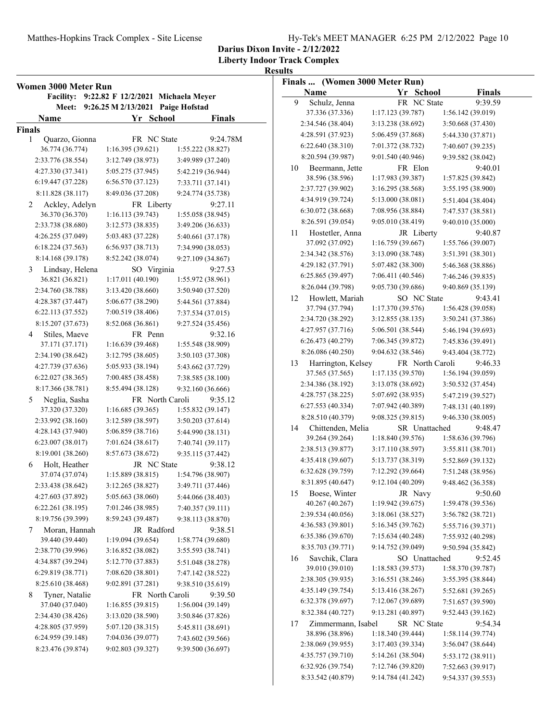**Darius Dixon Invite - 2/12/2022**

**Liberty Indoor Track Complex**

|                | Women 3000 Meter Run |                     |             |                                    |                   |
|----------------|----------------------|---------------------|-------------|------------------------------------|-------------------|
|                | <b>Facility:</b>     |                     |             | 9:22.82 F 12/2/2021 Michaela Meyer |                   |
|                | Meet:                | 9:26.25 M 2/13/2021 |             | Paige Hofstad                      |                   |
| Name           |                      |                     | Yr School   |                                    | <b>Finals</b>     |
| <b>Finals</b>  |                      |                     |             |                                    |                   |
| 1              | Quarzo, Gionna       |                     | FR NC State |                                    | 9:24.78M          |
|                | 36.774 (36.774)      | 1:16.395(39.621)    |             |                                    | 1:55.222 (38.827) |
|                | 2:33.776 (38.554)    | 3:12.749 (38.973)   |             |                                    | 3:49.989 (37.240) |
|                | 4:27.330 (37.341)    | 5:05.275 (37.945)   |             |                                    | 5:42.219 (36.944) |
|                | 6:19.447 (37.228)    | 6:56.570 (37.123)   |             |                                    | 7:33.711 (37.141) |
|                | 8:11.828 (38.117)    | 8:49.036 (37.208)   |             |                                    | 9:24.774 (35.738) |
| $\overline{2}$ | Ackley, Adelyn       |                     | FR Liberty  |                                    | 9:27.11           |
|                | 36.370 (36.370)      | 1:16.113(39.743)    |             |                                    | 1:55.058 (38.945) |
|                | 2:33.738 (38.680)    | 3:12.573 (38.835)   |             |                                    | 3:49.206 (36.633) |
|                | 4:26.255 (37.049)    | 5:03.483 (37.228)   |             |                                    | 5:40.661 (37.178) |
|                | 6:18.224 (37.563)    | 6:56.937 (38.713)   |             |                                    | 7:34.990 (38.053) |
|                | 8:14.168 (39.178)    | 8:52.242 (38.074)   |             |                                    | 9:27.109 (34.867) |
| 3              | Lindsay, Helena      |                     | SO Virginia |                                    | 9:27.53           |
|                | 36.821 (36.821)      | 1:17.011 (40.190)   |             |                                    | 1:55.972 (38.961) |
|                | 2:34.760 (38.788)    | 3:13.420 (38.660)   |             |                                    | 3:50.940 (37.520) |
|                | 4:28.387 (37.447)    | 5:06.677 (38.290)   |             |                                    | 5:44.561 (37.884) |
|                | 6:22.113 (37.552)    | 7:00.519 (38.406)   |             |                                    | 7:37.534 (37.015) |
|                | 8:15.207 (37.673)    | 8:52.068 (36.861)   |             |                                    | 9:27.524 (35.456) |
| 4              | Stiles, Maeve        |                     | FR Penn     |                                    | 9:32.16           |
|                | 37.171 (37.171)      | 1:16.639(39.468)    |             |                                    | 1:55.548 (38.909) |
|                | 2:34.190 (38.642)    | 3:12.795 (38.605)   |             |                                    | 3:50.103 (37.308) |
|                | 4:27.739 (37.636)    | 5:05.933 (38.194)   |             |                                    | 5:43.662 (37.729) |
|                | 6:22.027 (38.365)    | 7:00.485 (38.458)   |             |                                    | 7:38.585 (38.100) |
|                | 8:17.366 (38.781)    | 8:55.494 (38.128)   |             |                                    | 9:32.160 (36.666) |
| 5              | Neglia, Sasha        |                     |             | FR North Caroli                    | 9:35.12           |
|                | 37.320 (37.320)      | 1:16.685(39.365)    |             |                                    | 1:55.832 (39.147) |
|                | 2:33.992 (38.160)    | 3:12.589 (38.597)   |             |                                    | 3:50.203 (37.614) |
|                | 4:28.143 (37.940)    | 5:06.859 (38.716)   |             |                                    | 5:44.990 (38.131) |
|                | 6:23.007 (38.017)    | 7:01.624 (38.617)   |             |                                    | 7:40.741 (39.117) |
|                | 8:19.001 (38.260)    | 8:57.673 (38.672)   |             |                                    | 9:35.115 (37.442) |
| 6              | Holt, Heather        |                     | JR NC State |                                    | 9:38.12           |
|                | 37.074 (37.074)      | 1:15.889(38.815)    |             |                                    | 1:54.796 (38.907) |
|                | 2:33.438 (38.642)    | 3:12.265(38.827)    |             |                                    | 3:49.711 (37.446) |
|                | 4:27.603 (37.892)    | 5:05.663 (38.060)   |             |                                    | 5:44.066 (38.403) |
|                | 6:22.261 (38.195)    | 7:01.246 (38.985)   |             |                                    | 7:40.357 (39.111) |
|                | 8:19.756 (39.399)    | 8:59.243 (39.487)   |             |                                    | 9:38.113 (38.870) |
| 7              | Moran, Hannah        |                     | JR Radford  |                                    | 9:38.51           |
|                | 39.440 (39.440)      | 1:19.094 (39.654)   |             |                                    | 1:58.774 (39.680) |
|                | 2:38.770 (39.996)    | 3:16.852 (38.082)   |             |                                    | 3:55.593 (38.741) |
|                | 4:34.887 (39.294)    | 5:12.770 (37.883)   |             |                                    | 5:51.048 (38.278) |
|                | 6:29.819 (38.771)    | 7:08.620 (38.801)   |             |                                    | 7:47.142 (38.522) |
|                | 8:25.610 (38.468)    | 9:02.891 (37.281)   |             |                                    | 9:38.510 (35.619) |
| 8              | Tyner, Natalie       |                     |             | FR North Caroli                    | 9:39.50           |
|                | 37.040 (37.040)      | 1:16.855(39.815)    |             |                                    | 1:56.004 (39.149) |
|                | 2:34.430 (38.426)    | 3:13.020 (38.590)   |             |                                    | 3:50.846 (37.826) |
|                | 4:28.805 (37.959)    | 5:07.120 (38.315)   |             |                                    | 5:45.811 (38.691) |
|                | 6:24.959 (39.148)    | 7:04.036 (39.077)   |             |                                    | 7:43.602 (39.566) |
|                | 8:23.476 (39.874)    | 9:02.803 (39.327)   |             |                                    | 9:39.500 (36.697) |

| Finals  (Women 3000 Meter Run) |                   |                 |                   |
|--------------------------------|-------------------|-----------------|-------------------|
| Name                           |                   | Yr School       | <b>Finals</b>     |
| 9<br>Schulz, Jenna             |                   | FR NC State     | 9:39.59           |
| 37.336 (37.336)                | 1:17.123 (39.787) |                 | 1:56.142 (39.019) |
| 2:34.546 (38.404)              | 3:13.238 (38.692) |                 | 3:50.668 (37.430) |
| 4:28.591 (37.923)              | 5:06.459 (37.868) |                 | 5:44.330 (37.871) |
| 6:22.640 (38.310)              | 7:01.372 (38.732) |                 | 7:40.607 (39.235) |
| 8:20.594 (39.987)              | 9:01.540 (40.946) |                 | 9:39.582 (38.042) |
| Beermann, Jette<br>10          |                   | FR Elon         | 9:40.01           |
| 38.596 (38.596)                | 1:17.983 (39.387) |                 | 1:57.825 (39.842) |
| 2:37.727 (39.902)              | 3:16.295 (38.568) |                 | 3:55.195 (38.900) |
| 4:34.919 (39.724)              | 5:13.000 (38.081) |                 | 5:51.404 (38.404) |
| 6:30.072 (38.668)              | 7:08.956 (38.884) |                 |                   |
| 8:26.591 (39.054)              | 9:05.010 (38.419) |                 | 7:47.537 (38.581) |
|                                |                   |                 | 9:40.010 (35.000) |
| Hostetler, Anna<br>11          |                   | JR Liberty      | 9:40.87           |
| 37.092 (37.092)                | 1:16.759(39.667)  |                 | 1:55.766 (39.007) |
| 2:34.342 (38.576)              | 3:13.090 (38.748) |                 | 3:51.391 (38.301) |
| 4:29.182 (37.791)              | 5:07.482 (38.300) |                 | 5:46.368 (38.886) |
| 6:25.865 (39.497)              | 7:06.411 (40.546) |                 | 7:46.246 (39.835) |
| 8:26.044 (39.798)              | 9:05.730 (39.686) |                 | 9:40.869 (35.139) |
| Howlett, Mariah<br>12          |                   | SO NC State     | 9:43.41           |
| 37.794 (37.794)                | 1:17.370 (39.576) |                 | 1:56.428 (39.058) |
| 2:34.720 (38.292)              | 3:12.855 (38.135) |                 | 3:50.241 (37.386) |
| 4:27.957 (37.716)              | 5:06.501 (38.544) |                 | 5:46.194 (39.693) |
| 6:26.473 (40.279)              | 7:06.345 (39.872) |                 | 7:45.836 (39.491) |
| 8:26.086 (40.250)              | 9:04.632 (38.546) |                 | 9:43.404 (38.772) |
| Harrington, Kelsey<br>13       |                   | FR North Caroli | 9:46.33           |
| 37.565 (37.565)                | 1:17.135(39.570)  |                 | 1:56.194 (39.059) |
| 2:34.386 (38.192)              | 3:13.078 (38.692) |                 | 3:50.532 (37.454) |
| 4:28.757 (38.225)              | 5:07.692 (38.935) |                 | 5:47.219 (39.527) |
| 6:27.553 (40.334)              | 7:07.942 (40.389) |                 | 7:48.131 (40.189) |
| 8:28.510 (40.379)              | 9:08.325 (39.815) |                 | 9:46.330 (38.005) |
| Chittenden, Melia<br>14        |                   | SR Unattached   | 9:48.47           |
| 39.264 (39.264)                | 1:18.840 (39.576) |                 | 1:58.636 (39.796) |
| 2:38.513 (39.877)              | 3:17.110 (38.597) |                 | 3:55.811 (38.701) |
| 4:35.418 (39.607)              | 5:13.737 (38.319) |                 | 5:52.869 (39.132) |
| 6:32.628 (39.759)              | 7:12.292 (39.664) |                 | 7:51.248 (38.956) |
| 8:31.895 (40.647)              | 9:12.104 (40.209) |                 | 9:48.462 (36.358) |
| 15<br>Boese, Winter            |                   | JR Navy         | 9:50.60           |
| 40.267 (40.267)                | 1:19.942(39.675)  |                 | 1:59.478 (39.536) |
| 2:39.534 (40.056)              | 3:18.061 (38.527) |                 | 3:56.782 (38.721) |
| 4:36.583 (39.801)              | 5:16.345 (39.762) |                 | 5:55.716 (39.371) |
| 6:35.386 (39.670)              | 7:15.634 (40.248) |                 | 7:55.932 (40.298) |
| 8:35.703 (39.771)              | 9:14.752 (39.049) |                 | 9:50.594 (35.842) |
| Savchik, Clara<br>16           |                   | SO Unattached   | 9:52.45           |
| 39.010 (39.010)                | 1:18.583(39.573)  |                 | 1:58.370 (39.787) |
| 2:38.305 (39.935)              | 3:16.551 (38.246) |                 | 3:55.395 (38.844) |
| 4:35.149 (39.754)              | 5:13.416 (38.267) |                 | 5:52.681 (39.265) |
| 6:32.378 (39.697)              | 7:12.067 (39.689) |                 | 7:51.657 (39.590) |
| 8:32.384 (40.727)              | 9:13.281 (40.897) |                 | 9:52.443 (39.162) |
| Zimmermann, Isabel<br>17       |                   | SR NC State     | 9:54.34           |
| 38.896 (38.896)                | 1:18.340 (39.444) |                 | 1:58.114 (39.774) |
| 2:38.069 (39.955)              | 3:17.403 (39.334) |                 | 3:56.047 (38.644) |
| 4:35.757 (39.710)              | 5:14.261 (38.504) |                 | 5:53.172 (38.911) |
| 6:32.926 (39.754)              | 7:12.746 (39.820) |                 | 7:52.663 (39.917) |
| 8:33.542 (40.879)              | 9:14.784 (41.242) |                 | 9:54.337 (39.553) |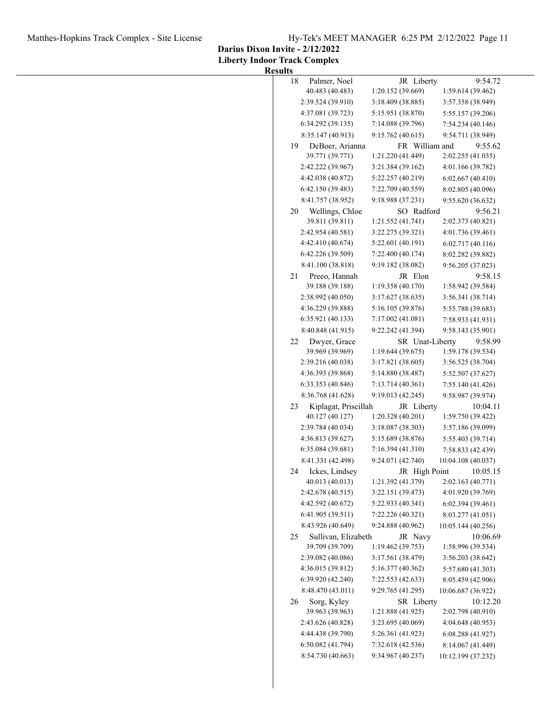# Matthes-Hopkins Track Complex - Site License Hy-Tek's MEET MANAGER 6:25 PM 2/12/2022 Page 11

**Darius Dixon Invite - 2/12/2022**

| <b>Results</b> |
|----------------|
|----------------|

| 18 | Palmer, Noel                            | JR Liberty                         | 9:54.72                       |
|----|-----------------------------------------|------------------------------------|-------------------------------|
|    | 40.483 (40.483)                         | 1:20.152 (39.669)                  | 1:59.614 (39.462)             |
|    | 2:39.524 (39.910)                       | 3:18.409 (38.885)                  | 3:57.358 (38.949)             |
|    | 4:37.081 (39.723)                       | 5:15.951 (38.870)                  | 5:55.157 (39.206)             |
|    | 6:34.292 (39.135)                       | 7:14.088 (39.796)                  | 7:54.234 (40.146)             |
|    | 8:35.147 (40.913)                       | 9:15.762 (40.615)                  | 9:54.711 (38.949)             |
| 19 | DeBoer, Arianna                         | FR William and                     | 9:55.62                       |
|    | 39.771 (39.771)                         | 1:21.220 (41.449)                  | 2:02.255 (41.035)             |
|    | 2:42.222 (39.967)                       | 3:21.384 (39.162)                  | 4:01.166 (39.782)             |
|    | 4:42.038 (40.872)                       | 5:22.257 (40.219)                  | 6:02.667(40.410)              |
|    | 6:42.150 (39.483)                       | 7:22.709 (40.559)                  | 8:02.805 (40.096)             |
|    | 8:41.757 (38.952)                       | 9:18.988 (37.231)                  | 9:55.620 (36.632)             |
| 20 | Wellings, Chloe<br>39.811 (39.811)      | SO Radford<br>1:21.552 (41.741)    | 9:56.21<br>2:02.373 (40.821)  |
|    | 2:42.954 (40.581)                       | 3:22.275 (39.321)                  | 4:01.736 (39.461)             |
|    | 4:42.410 (40.674)                       | 5:22.601 (40.191)                  | 6:02.717(40.116)              |
|    | 6:42.226 (39.509)                       | 7:22.400 (40.174)                  | 8:02.282 (39.882)             |
|    | 8:41.100 (38.818)                       | 9:19.182 (38.082)                  | 9:56.205 (37.023)             |
| 21 | Preeo, Hannah                           | JR Elon                            | 9:58.15                       |
|    | 39.188 (39.188)                         | 1:19.358 (40.170)                  | 1:58.942 (39.584)             |
|    | 2:38.992 (40.050)                       | 3:17.627 (38.635)                  | 3:56.341 (38.714)             |
|    | 4:36.229 (39.888)                       | 5:16.105 (39.876)                  | 5:55.788 (39.683)             |
|    | 6:35.921 (40.133)                       | 7:17.002 (41.081)                  | 7:58.933 (41.931)             |
|    | 8:40.848 (41.915)                       | 9:22.242 (41.394)                  | 9:58.143 (35.901)             |
| 22 | Dwyer, Grace                            | SR Unat-Liberty                    | 9:58.99                       |
|    | 39.969 (39.969)                         | 1:19.644 (39.675)                  | 1:59.178 (39.534)             |
|    | 2:39.216 (40.038)                       | 3:17.821 (38.605)                  | 3:56.525 (38.704)             |
|    | 4:36.393 (39.868)                       | 5:14.880 (38.487)                  | 5:52.507 (37.627)             |
|    | 6:33.353 (40.846)                       | 7:13.714 (40.361)                  | 7:55.140 (41.426)             |
|    | 8:36.768 (41.628)                       | 9:19.013 (42.245)                  | 9:58.987 (39.974)             |
| 23 | Kiplagat, Priscillah<br>40.127 (40.127) | JR Liberty<br>1:20.328 (40.201)    | 10:04.11<br>1:59.750 (39.422) |
|    | 2:39.784 (40.034)                       | 3:18.087 (38.303)                  | 3:57.186 (39.099)             |
|    | 4:36.813 (39.627)                       | 5:15.689 (38.876)                  | 5:55.403 (39.714)             |
|    | 6:35.084 (39.681)                       | 7:16.394 (41.310)                  | 7:58.833 (42.439)             |
|    | 8:41.331 (42.498)                       | 9:24.071 (42.740)                  | 10:04.108 (40.037)            |
| 24 | Ickes, Lindsey<br>40.013 (40.013)       | JR High Point<br>1:21.392 (41.379) | 10:05.15<br>2:02.163 (40.771) |
|    | 2:42.678 (40.515)                       | 3:22.151 (39.473)                  | 4:01.920 (39.769)             |
|    | 4:42.592 (40.672)                       | 5:22.933 (40.341)                  | 6:02.394 (39.461)             |
|    | 6:41.905 (39.511)                       | 7:22.226 (40.321)                  | 8:03.277 (41.051)             |
|    | 8:43.926 (40.649)                       | 9:24.888 (40.962)                  | 10:05.144 (40.256)            |
| 25 | Sullivan, Elizabeth                     | JR Navy                            | 10:06.69                      |
|    | 39.709 (39.709)                         | 1:19.462 (39.753)                  | 1:58.996 (39.534)             |
|    | 2:39.082 (40.086)                       | 3:17.561 (38.479)                  | 3:56.203 (38.642)             |
|    | 4:36.015 (39.812)                       | 5:16.377 (40.362)                  | 5:57.680 (41.303)             |
|    | 6:39.920 (42.240)                       | 7:22.553 (42.633)                  | 8:05.459 (42.906)             |
|    | 8:48.470 (43.011)                       | 9:29.765 (41.295)                  | 10:06.687 (36.922)            |
| 26 | Sorg, Kyley<br>39.963 (39.963)          | SR Liberty<br>1:21.888 (41.925)    | 10:12.20<br>2:02.798 (40.910) |
|    | 2:43.626 (40.828)                       | 3:23.695 (40.069)                  | 4:04.648 (40.953)             |
|    | 4:44.438 (39.790)                       | 5:26.361 (41.923)                  | 6:08.288 (41.927)             |
|    | 6:50.082 (41.794)                       | 7:32.618 (42.536)                  | 8:14.067 (41.449)             |
|    | 8:54.730 (40.663)                       | 9:34.967 (40.237)                  | 10:12.199 (37.232)            |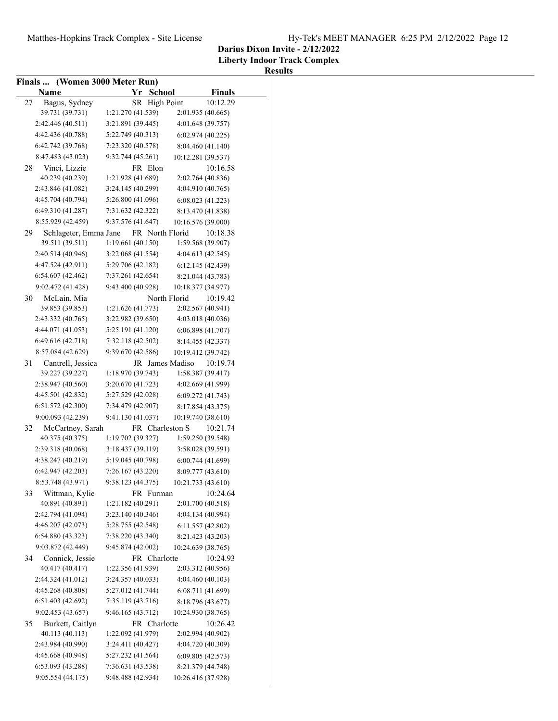**Liberty Indoor Track Complex**

| Finals  (Women 3000 Meter Run) |                       |                   |                    |               |
|--------------------------------|-----------------------|-------------------|--------------------|---------------|
|                                | Name                  | Yr School         |                    | <b>Finals</b> |
| 27                             | Bagus, Sydney         | SR High Point     |                    | 10:12.29      |
|                                | 39.731 (39.731)       | 1:21.270 (41.539) | 2:01.935 (40.665)  |               |
|                                | 2:42.446 (40.511)     | 3:21.891 (39.445) | 4:01.648 (39.757)  |               |
|                                | 4:42.436 (40.788)     | 5:22.749 (40.313) | 6:02.974(40.225)   |               |
|                                | 6:42.742 (39.768)     | 7:23.320 (40.578) | 8:04.460 (41.140)  |               |
|                                | 8:47.483 (43.023)     | 9:32.744 (45.261) | 10:12.281 (39.537) |               |
| 28                             | Vinci, Lizzie         | FR Elon           |                    | 10:16.58      |
|                                | 40.239 (40.239)       | 1:21.928 (41.689) | 2:02.764 (40.836)  |               |
|                                | 2:43.846 (41.082)     | 3:24.145 (40.299) | 4:04.910 (40.765)  |               |
|                                | 4:45.704 (40.794)     | 5:26.800 (41.096) | 6:08.023(41.223)   |               |
|                                | 6:49.310 (41.287)     | 7:31.632 (42.322) | 8:13.470 (41.838)  |               |
|                                | 8:55.929 (42.459)     | 9:37.576 (41.647) | 10:16.576 (39.000) |               |
| 29                             | Schlageter, Emma Jane | FR North Florid   |                    | 10:18.38      |
|                                | 39.511 (39.511)       | 1:19.661 (40.150) | 1:59.568 (39.907)  |               |
|                                | 2:40.514 (40.946)     | 3:22.068 (41.554) | 4:04.613 (42.545)  |               |
|                                | 4:47.524 (42.911)     | 5:29.706 (42.182) | 6:12.145 (42.439)  |               |
|                                | 6:54.607(42.462)      | 7:37.261 (42.654) | 8:21.044 (43.783)  |               |
|                                | 9:02.472 (41.428)     | 9:43.400 (40.928) | 10:18.377 (34.977) |               |
| 30                             | McLain, Mia           | North Florid      |                    | 10:19.42      |
|                                | 39.853 (39.853)       | 1:21.626 (41.773) | 2:02.567 (40.941)  |               |
|                                | 2:43.332 (40.765)     | 3:22.982 (39.650) | 4:03.018 (40.036)  |               |
|                                |                       |                   |                    |               |
|                                | 4:44.071 (41.053)     | 5:25.191 (41.120) | 6:06.898 (41.707)  |               |
|                                | 6:49.616 (42.718)     | 7:32.118 (42.502) | 8:14.455 (42.337)  |               |
|                                | 8:57.084 (42.629)     | 9:39.670 (42.586) | 10:19.412 (39.742) |               |
| 31                             | Cantrell, Jessica     | JR James Madiso   |                    | 10:19.74      |
|                                | 39.227 (39.227)       | 1:18.970 (39.743) | 1:58.387 (39.417)  |               |
|                                | 2:38.947 (40.560)     | 3:20.670 (41.723) | 4:02.669 (41.999)  |               |
|                                | 4:45.501 (42.832)     | 5:27.529 (42.028) | 6:09.272 (41.743)  |               |
|                                | 6:51.572 (42.300)     | 7:34.479 (42.907) | 8:17.854 (43.375)  |               |
|                                | 9:00.093 (42.239)     | 9:41.130 (41.037) | 10:19.740 (38.610) |               |
| 32                             | McCartney, Sarah      | FR Charleston S   |                    | 10:21.74      |
|                                | 40.375 (40.375)       | 1:19.702 (39.327) | 1:59.250 (39.548)  |               |
|                                | 2:39.318 (40.068)     | 3:18.437 (39.119) | 3:58.028 (39.591)  |               |
|                                | 4:38.247 (40.219)     | 5:19.045 (40.798) | 6:00.744(41.699)   |               |
|                                | 6:42.947 (42.203)     | 7:26.167 (43.220) | 8:09.777 (43.610)  |               |
|                                | 8:53.748 (43.971)     | 9:38.123 (44.375) | 10:21.733 (43.610) |               |
| 33                             | Wittman, Kylie        | FR Furman         |                    | 10:24.64      |
|                                | 40.891 (40.891)       | 1:21.182 (40.291) | 2:01.700 (40.518)  |               |
|                                | 2:42.794 (41.094)     | 3:23.140 (40.346) | 4:04.134 (40.994)  |               |
|                                | 4:46.207 (42.073)     | 5:28.755 (42.548) | 6:11.557 (42.802)  |               |
|                                | 6:54.880 (43.323)     | 7:38.220 (43.340) | 8:21.423 (43.203)  |               |
|                                | 9:03.872 (42.449)     | 9:45.874 (42.002) | 10:24.639 (38.765) |               |
| 34                             | Connick, Jessie       | FR Charlotte      |                    | 10:24.93      |
|                                | 40.417 (40.417)       | 1:22.356 (41.939) | 2:03.312 (40.956)  |               |
|                                | 2:44.324 (41.012)     | 3:24.357 (40.033) | 4:04.460 (40.103)  |               |
|                                | 4:45.268 (40.808)     | 5:27.012 (41.744) | 6:08.711 (41.699)  |               |
|                                | 6:51.403 (42.692)     | 7:35.119 (43.716) | 8:18.796 (43.677)  |               |
|                                | 9:02.453 (43.657)     | 9:46.165 (43.712) | 10:24.930 (38.765) |               |
| 35                             | Burkett, Caitlyn      | FR Charlotte      |                    | 10:26.42      |
|                                | 40.113 (40.113)       | 1:22.092 (41.979) | 2:02.994 (40.902)  |               |
|                                | 2:43.984 (40.990)     | 3:24.411 (40.427) | 4:04.720 (40.309)  |               |
|                                | 4:45.668 (40.948)     | 5:27.232 (41.564) | 6:09.805 (42.573)  |               |
|                                | 6:53.093 (43.288)     | 7:36.631 (43.538) | 8:21.379 (44.748)  |               |
|                                | 9:05.554(44.175)      | 9:48.488 (42.934) | 10:26.416 (37.928) |               |
|                                |                       |                   |                    |               |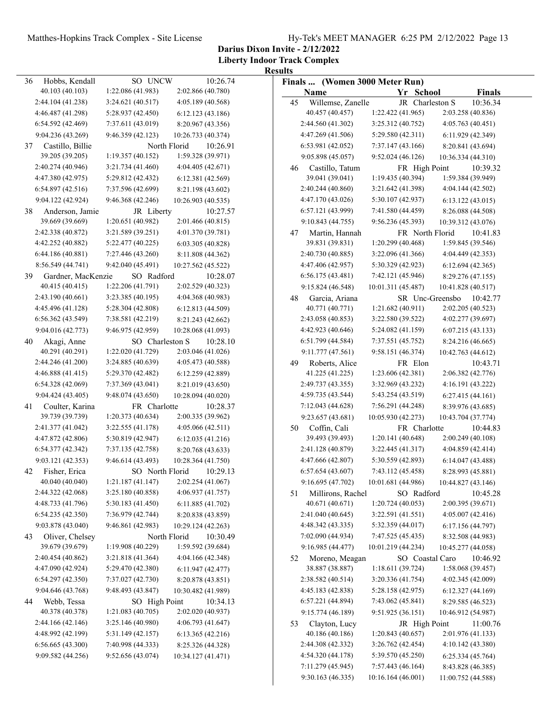**Darius Dixon Invite - 2/12/2022**

**Liberty Indoor Track Complex Results**

|    |                    |                   |                          | Results |                                |                    |                    |
|----|--------------------|-------------------|--------------------------|---------|--------------------------------|--------------------|--------------------|
| 36 | Hobbs, Kendall     | SO UNCW           | 10:26.74                 |         | Finals  (Women 3000 Meter Run) |                    |                    |
|    | 40.103 (40.103)    | 1:22.086 (41.983) | 2:02.866 (40.780)        |         | Name                           | Yr School          | <b>Finals</b>      |
|    | 2:44.104 (41.238)  | 3:24.621 (40.517) | 4:05.189 (40.568)        | 45      | Willemse, Zanelle              | JR Charleston S    | 10:36.34           |
|    | 4:46.487 (41.298)  | 5:28.937 (42.450) | 6:12.123(43.186)         |         | 40.457 (40.457)                | 1:22.422 (41.965)  | 2:03.258 (40.836)  |
|    | 6:54.592(42.469)   | 7:37.611 (43.019) | 8:20.967 (43.356)        |         | 2:44.560 (41.302)              | 3:25.312 (40.752)  | 4:05.763 (40.451)  |
|    | 9:04.236 (43.269)  | 9:46.359 (42.123) | 10:26.733 (40.374)       |         | 4:47.269 (41.506)              | 5:29.580 (42.311)  | 6:11.929 (42.349)  |
| 37 | Castillo, Billie   |                   | North Florid<br>10:26.91 |         | 6:53.981 (42.052)              | 7:37.147 (43.166)  | 8:20.841 (43.694)  |
|    | 39.205 (39.205)    | 1:19.357 (40.152) | 1:59.328 (39.971)        |         | 9:05.898 (45.057)              | 9:52.024(46.126)   | 10:36.334 (44.310) |
|    | 2:40.274 (40.946)  | 3:21.734 (41.460) | 4:04.405(42.671)         | 46      | Castillo, Tatum                | FR High Point      | 10:39.32           |
|    | 4:47.380 (42.975)  | 5:29.812 (42.432) | 6:12.381 (42.569)        |         | 39.041 (39.041)                | 1:19.435 (40.394)  | 1:59.384 (39.949)  |
|    | 6:54.897(42.516)   | 7:37.596 (42.699) | 8:21.198 (43.602)        |         | 2:40.244 (40.860)              | 3:21.642 (41.398)  | 4:04.144 (42.502)  |
|    | 9:04.122 (42.924)  | 9:46.368 (42.246) | 10:26.903 (40.535)       |         | 4:47.170 (43.026)              | 5:30.107 (42.937)  | 6:13.122(43.015)   |
| 38 | Anderson, Jamie    | JR Liberty        | 10:27.57                 |         | 6:57.121 (43.999)              | 7:41.580 (44.459)  | 8:26.088 (44.508)  |
|    | 39.669 (39.669)    | 1:20.651(40.982)  | 2:01.466 (40.815)        |         | 9:10.843 (44.755)              | 9:56.236 (45.393)  | 10:39.312 (43.076) |
|    | 2:42.338 (40.872)  | 3:21.589 (39.251) | 4:01.370 (39.781)        | 47      | Martin, Hannah                 | FR North Florid    | 10:41.83           |
|    | 4:42.252 (40.882)  | 5:22.477 (40.225) | 6:03.305 (40.828)        |         | 39.831 (39.831)                | 1:20.299(40.468)   | 1:59.845 (39.546)  |
|    | 6:44.186 (40.881)  | 7:27.446 (43.260) | 8:11.808 (44.362)        |         | 2:40.730 (40.885)              | 3:22.096 (41.366)  | 4:04.449 (42.353)  |
|    | 8:56.549 (44.741)  | 9:42.040 (45.491) | 10:27.562 (45.522)       |         | 4:47.406 (42.957)              | 5:30.329 (42.923)  | 6:12.694(42.365)   |
| 39 | Gardner, MacKenzie | SO Radford        | 10:28.07                 |         | 6:56.175(43.481)               | 7:42.121 (45.946)  | 8:29.276 (47.155)  |
|    | 40.415 (40.415)    | 1:22.206 (41.791) | 2:02.529 (40.323)        |         | 9:15.824 (46.548)              | 10:01.311 (45.487) | 10:41.828 (40.517) |
|    | 2:43.190 (40.661)  | 3:23.385 (40.195) | 4:04.368 (40.983)        | 48      | Garcia, Ariana                 | SR Unc-Greensbo    | 10:42.77           |
|    | 4:45.496 (41.128)  | 5:28.304 (42.808) | 6:12.813 (44.509)        |         | 40.771 (40.771)                | 1:21.682(40.911)   | 2:02.205 (40.523)  |
|    | 6:56.362(43.549)   | 7:38.581 (42.219) | 8:21.243 (42.662)        |         | 2:43.058 (40.853)              | 3:22.580 (39.522)  | 4:02.277 (39.697)  |
|    | 9:04.016 (42.773)  | 9:46.975 (42.959) | 10:28.068 (41.093)       |         | 4:42.923 (40.646)              | 5:24.082 (41.159)  | 6:07.215(43.133)   |
| 40 | Akagi, Anne        | SO Charleston S   | 10:28.10                 |         | 6:51.799 (44.584)              | 7:37.551 (45.752)  | 8:24.216 (46.665)  |
|    | 40.291 (40.291)    | 1:22.020 (41.729) | 2:03.046 (41.026)        |         | 9:11.777 (47.561)              | 9:58.151 (46.374)  | 10:42.763 (44.612) |
|    | 2:44.246 (41.200)  | 3:24.885 (40.639) | 4:05.473 (40.588)        | 49      | Roberts, Alice                 | FR Elon            | 10:43.71           |
|    | 4:46.888 (41.415)  | 5:29.370 (42.482) | 6:12.259 (42.889)        |         | 41.225 (41.225)                | 1:23.606 (42.381)  | 2:06.382 (42.776)  |
|    | 6:54.328 (42.069)  | 7:37.369 (43.041) | 8:21.019 (43.650)        |         | 2:49.737 (43.355)              | 3:32.969 (43.232)  | 4:16.191 (43.222)  |
|    | 9:04.424 (43.405)  | 9:48.074 (43.650) | 10:28.094 (40.020)       |         | 4:59.735 (43.544)              | 5:43.254 (43.519)  | 6:27.415(44.161)   |
| 41 | Coulter, Karina    | FR Charlotte      | 10:28.37                 |         | 7:12.043 (44.628)              | 7:56.291 (44.248)  | 8:39.976 (43.685)  |
|    | 39.739 (39.739)    | 1:20.373(40.634)  | 2:00.335 (39.962)        |         | 9:23.657 (43.681)              | 10:05.930 (42.273) | 10:43.704 (37.774) |
|    | 2:41.377 (41.042)  | 3:22.555 (41.178) | 4:05.066(42.511)         | 50      | Coffin, Cali                   | FR Charlotte       | 10:44.83           |
|    | 4:47.872 (42.806)  | 5:30.819 (42.947) | 6:12.035 (41.216)        |         | 39.493 (39.493)                | 1:20.141 (40.648)  | 2:00.249 (40.108)  |
|    | 6:54.377 (42.342)  | 7:37.135 (42.758) | 8:20.768 (43.633)        |         | 2:41.128 (40.879)              | 3:22.445 (41.317)  | 4:04.859 (42.414)  |
|    | 9:03.121 (42.353)  | 9:46.614 (43.493) | 10:28.364 (41.750)       |         | 4:47.666 (42.807)              | 5:30.559 (42.893)  | 6:14.047(43.488)   |
| 42 | Fisher, Erica      | SO North Florid   | 10:29.13                 |         | 6:57.654(43.607)               | 7:43.112 (45.458)  | 8:28.993 (45.881)  |
|    | 40.040 (40.040)    | 1:21.187(41.147)  | 2:02.254 (41.067)        |         | 9:16.695 (47.702)              | 10:01.681 (44.986) | 10:44.827 (43.146) |
|    | 2:44.322 (42.068)  | 3:25.180 (40.858) | 4:06.937 (41.757)        | 51      | Millirons, Rachel              | SO Radford         | 10:45.28           |
|    | 4:48.733 (41.796)  | 5:30.183 (41.450) | 6:11.885 (41.702)        |         | 40.671 (40.671)                | 1:20.724 (40.053)  | 2:00.395 (39.671)  |
|    | 6:54.235(42.350)   | 7:36.979 (42.744) | 8:20.838 (43.859)        |         | 2:41.040 (40.645)              | 3:22.591 (41.551)  | 4:05.007 (42.416)  |
|    | 9:03.878 (43.040)  | 9:46.861 (42.983) | 10:29.124 (42.263)       |         | 4:48.342 (43.335)              | 5:32.359 (44.017)  | 6:17.156 (44.797)  |
| 43 | Oliver, Chelsey    |                   | North Florid<br>10:30.49 |         | 7:02.090 (44.934)              | 7:47.525 (45.435)  | 8:32.508 (44.983)  |
|    | 39.679 (39.679)    | 1:19.908 (40.229) | 1:59.592 (39.684)        |         | 9:16.985 (44.477)              | 10:01.219 (44.234) | 10:45.277 (44.058) |
|    | 2:40.454 (40.862)  | 3:21.818 (41.364) | 4:04.166 (42.348)        | 52      | Moreno, Meagan                 | SO Coastal Caro    | 10:46.92           |
|    | 4:47.090 (42.924)  | 5:29.470 (42.380) | 6:11.947 (42.477)        |         | 38.887 (38.887)                | 1:18.611 (39.724)  | 1:58.068 (39.457)  |
|    | 6:54.297(42.350)   | 7:37.027 (42.730) | 8:20.878 (43.851)        |         | 2:38.582 (40.514)              | 3:20.336 (41.754)  | 4:02.345 (42.009)  |
|    | 9:04.646 (43.768)  | 9:48.493 (43.847) | 10:30.482 (41.989)       |         | 4:45.183 (42.838)              | 5:28.158 (42.975)  | 6:12.327 (44.169)  |
| 44 | Webb, Tessa        | SO High Point     | 10:34.13                 |         | 6:57.221 (44.894)              | 7:43.062 (45.841)  | 8:29.585 (46.523)  |
|    | 40.378 (40.378)    | 1:21.083 (40.705) | 2:02.020 (40.937)        |         | 9:15.774 (46.189)              | 9:51.925 (36.151)  | 10:46.912 (54.987) |
|    | 2:44.166 (42.146)  | 3:25.146 (40.980) | 4:06.793 (41.647)        | 53      | Clayton, Lucy                  | JR High Point      | 11:00.76           |
|    | 4:48.992 (42.199)  | 5:31.149(42.157)  | 6:13.365 (42.216)        |         | 40.186 (40.186)                | 1:20.843 (40.657)  | 2:01.976 (41.133)  |
|    | 6:56.665(43.300)   | 7:40.998 (44.333) | 8:25.326 (44.328)        |         | 2:44.308 (42.332)              | 3:26.762(42.454)   | 4:10.142 (43.380)  |
|    | 9:09.582 (44.256)  | 9:52.656 (43.074) | 10:34.127 (41.471)       |         | 4:54.320 (44.178)              | 5:39.570 (45.250)  | 6:25.334 (45.764)  |
|    |                    |                   |                          |         | 7:11.279 (45.945)              | 7:57.443 (46.164)  | 8:43.828 (46.385)  |
|    |                    |                   |                          |         | 9:30.163 (46.335)              | 10:16.164 (46.001) | 11:00.752 (44.588) |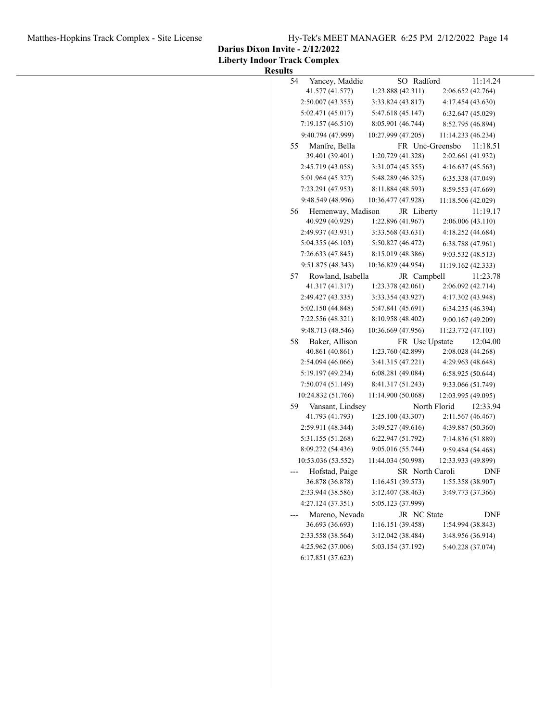Matthes-Hopkins Track Complex - Site License Hy-Tek's MEET MANAGER 6:25 PM 2/12/2022 Page 14

**Darius Dixon Invite - 2/12/2022**

| <b>Results</b> |  |
|----------------|--|
|----------------|--|

| 54    | Yancey, Maddie                       | SO Radford                      | 11:14.24                      |
|-------|--------------------------------------|---------------------------------|-------------------------------|
|       | 41.577 (41.577)                      | 1:23.888 (42.311)               | 2:06.652 (42.764)             |
|       | 2:50.007(43.355)                     | 3:33.824 (43.817)               | 4:17.454 (43.630)             |
|       | 5:02.471 (45.017)                    | 5:47.618 (45.147)               | 6:32.647(45.029)              |
|       | 7:19.157(46.510)                     | 8:05.901 (46.744)               | 8:52.795 (46.894)             |
|       | 9:40.794 (47.999)                    | 10:27.999 (47.205)              | 11:14.233 (46.234)            |
| 55    | Manfre, Bella                        | FR Unc-Greensbo                 | 11:18.51                      |
|       | 39.401 (39.401)                      | 1:20.729 (41.328)               | 2:02.661 (41.932)             |
|       | 2:45.719 (43.058)                    | 3:31.074 (45.355)               | 4:16.637(45.563)              |
|       | 5:01.964 (45.327)                    | 5:48.289 (46.325)               | 6:35.338 (47.049)             |
|       | 7:23.291 (47.953)                    | 8:11.884 (48.593)               | 8:59.553 (47.669)             |
|       | 9:48.549 (48.996)                    | 10:36.477 (47.928)              | 11:18.506 (42.029)            |
| 56    | Hemenway, Madison<br>40.929 (40.929) | JR Liberty<br>1:22.896 (41.967) | 11:19.17<br>2:06.006 (43.110) |
|       | 2:49.937 (43.931)                    | 3:33.568 (43.631)               | 4:18.252 (44.684)             |
|       | 5:04.355(46.103)                     | 5:50.827 (46.472)               | 6:38.788 (47.961)             |
|       | 7:26.633(47.845)                     | 8:15.019 (48.386)               | 9:03.532 (48.513)             |
|       | 9:51.875 (48.343)                    | 10:36.829 (44.954)              | 11:19.162 (42.333)            |
| 57    | Rowland, Isabella                    | JR Campbell                     | 11:23.78                      |
|       | 41.317 (41.317)                      | 1:23.378 (42.061)               | 2:06.092 (42.714)             |
|       | 2:49.427 (43.335)                    | 3:33.354 (43.927)               | 4:17.302 (43.948)             |
|       | 5:02.150 (44.848)                    | 5:47.841 (45.691)               | 6:34.235 (46.394)             |
|       | 7:22.556 (48.321)                    | 8:10.958 (48.402)               | 9:00.167 (49.209)             |
|       | 9:48.713 (48.546)                    | 10:36.669 (47.956)              | 11:23.772 (47.103)            |
| 58    | Baker, Allison                       | FR Usc Upstate                  | 12:04.00                      |
|       | 40.861 (40.861)                      | 1:23.760 (42.899)               | 2:08.028 (44.268)             |
|       | 2:54.094(46.066)                     | 3:41.315 (47.221)               | 4:29.963 (48.648)             |
|       | 5:19.197 (49.234)                    | 6:08.281 (49.084)               | 6:58.925 (50.644)             |
|       | 7:50.074 (51.149)                    | 8:41.317 (51.243)               | 9:33.066 (51.749)             |
|       | 10:24.832 (51.766)                   | 11:14.900 (50.068)              | 12:03.995 (49.095)            |
| 59    | Vansant, Lindsey                     | North Florid                    | 12:33.94                      |
|       | 41.793 (41.793)                      | 1:25.100(43.307)                | 2:11.567 (46.467)             |
|       | 2:59.911 (48.344)                    | 3:49.527 (49.616)               | 4:39.887 (50.360)             |
|       | 5:31.155 (51.268)                    | 6:22.947(51.792)                | 7:14.836 (51.889)             |
|       | 8:09.272 (54.436)                    | 9:05.016 (55.744)               | 9:59.484 (54.468)             |
|       | 10:53.036 (53.552)                   | 11:44.034 (50.998)              | 12:33.933 (49.899)            |
|       | Hofstad, Paige                       | SR North Caroli                 | DNF                           |
|       | 36.878 (36.878)                      | 1:16.451 (39.573)               | 1:55.358 (38.907)             |
|       | 2:33.944 (38.586)                    | 3:12.407 (38.463)               | 3:49.773 (37.366)             |
|       | 4:27.124 (37.351)                    | 5:05.123 (37.999)               |                               |
| $---$ | Mareno, Nevada                       | JR NC State                     | <b>DNF</b>                    |
|       | 36.693 (36.693)                      | 1:16.151 (39.458)               | 1:54.994 (38.843)             |
|       | 2:33.558 (38.564)                    | 3:12.042 (38.484)               | 3:48.956 (36.914)             |
|       | 4:25.962 (37.006)                    | 5:03.154 (37.192)               | 5:40.228 (37.074)             |
|       | 6:17.851 (37.623)                    |                                 |                               |
|       |                                      |                                 |                               |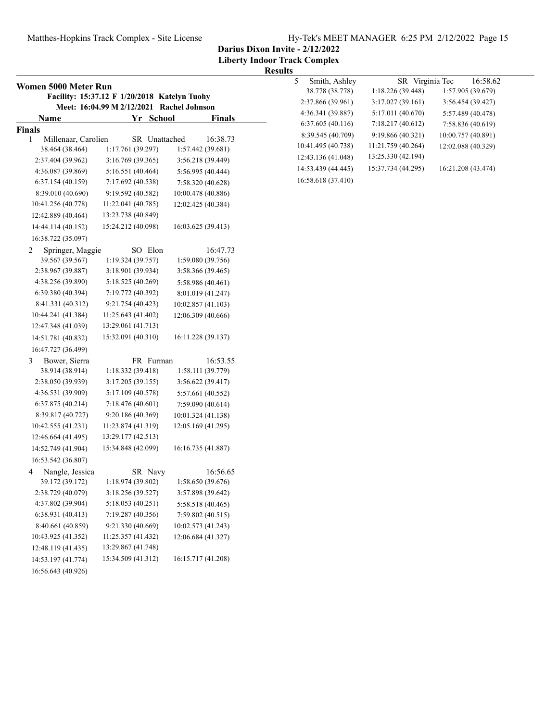### Matthes-Hopkins Track Complex - Site License Hy-Tek's MEET MANAGER 6:25 PM 2/12/2022 Page 15

**Darius Dixon Invite - 2/12/2022**

**Liberty Indoor Track Complex**

| Women 5000 Meter Run     | Facility: 15:37.12 F 1/20/2018 Katelyn Tuohy |                       |
|--------------------------|----------------------------------------------|-----------------------|
|                          | Meet: 16:04.99 M 2/12/2021                   | <b>Rachel Johnson</b> |
| Name                     | Yr School                                    | <b>Finals</b>         |
| <b>Finals</b>            |                                              |                       |
| Millenaar, Carolien<br>1 | SR Unattached                                | 16:38.73              |
| 38.464 (38.464)          | 1:17.761 (39.297)                            | 1:57.442 (39.681)     |
| 2:37.404 (39.962)        | 3:16.769 (39.365)                            | 3:56.218 (39.449)     |
| 4:36.087 (39.869)        | 5:16.551 (40.464)                            | 5:56.995 (40.444)     |
| 6:37.154(40.159)         | 7:17.692 (40.538)                            | 7:58.320 (40.628)     |
| 8:39.010 (40.690)        | 9:19.592 (40.582)                            | 10:00.478 (40.886)    |
| 10:41.256 (40.778)       | 11:22.041 (40.785)                           | 12:02.425 (40.384)    |
| 12:42.889 (40.464)       | 13:23.738 (40.849)                           |                       |
| 14:44.114 (40.152)       | 15:24.212 (40.098)                           | 16:03.625 (39.413)    |
| 16:38.722 (35.097)       |                                              |                       |
| 2<br>Springer, Maggie    | SO Elon                                      | 16:47.73              |
| 39.567 (39.567)          | 1:19.324 (39.757)                            | 1:59.080 (39.756)     |
| 2:38.967 (39.887)        | 3:18.901 (39.934)                            | 3:58.366 (39.465)     |
| 4:38.256 (39.890)        | 5:18.525 (40.269)                            | 5:58.986 (40.461)     |
| 6:39.380 (40.394)        | 7:19.772 (40.392)                            | 8:01.019 (41.247)     |
| 8:41.331 (40.312)        | 9:21.754 (40.423)                            | 10:02.857 (41.103)    |
| 10:44.241 (41.384)       | 11:25.643 (41.402)                           | 12:06.309 (40.666)    |
| 12:47.348 (41.039)       | 13:29.061 (41.713)                           |                       |
| 14:51.781 (40.832)       | 15:32.091 (40.310)                           | 16:11.228 (39.137)    |
| 16:47.727 (36.499)       |                                              |                       |
| 3<br>Bower, Sierra       | FR Furman                                    | 16:53.55              |
| 38.914 (38.914)          | 1:18.332(39.418)                             | 1:58.111 (39.779)     |
| 2:38.050 (39.939)        | 3:17.205 (39.155)                            | 3:56.622 (39.417)     |
| 4:36.531 (39.909)        | 5:17.109 (40.578)                            | 5:57.661 (40.552)     |
| 6:37.875 (40.214)        | 7:18.476 (40.601)                            | 7:59.090 (40.614)     |
| 8:39.817 (40.727)        | 9:20.186 (40.369)                            | 10:01.324 (41.138)    |
| 10:42.555 (41.231)       | 11:23.874 (41.319)                           | 12:05.169 (41.295)    |
| 12:46.664 (41.495)       | 13:29.177 (42.513)                           |                       |
| 14:52.749 (41.904)       | 15:34.848 (42.099)                           | 16:16.735 (41.887)    |
| 16:53.542 (36.807)       |                                              |                       |
| Nangle, Jessica<br>4     | SR Navy                                      | 16:56.65              |
| 39.172 (39.172)          | 1:18.974 (39.802)                            | 1:58.650 (39.676)     |
| 2:38.729 (40.079)        | 3:18.256 (39.527)                            | 3:57.898 (39.642)     |
| 4:37.802 (39.904)        | 5:18.053 (40.251)                            | 5:58.518 (40.465)     |
| 6:38.931 (40.413)        | 7:19.287 (40.356)                            | 7:59.802 (40.515)     |
| 8:40.661 (40.859)        | 9:21.330 (40.669)                            | 10:02.573 (41.243)    |
| 10:43.925 (41.352)       | 11:25.357 (41.432)                           | 12:06.684 (41.327)    |
| 12:48.119 (41.435)       | 13:29.867 (41.748)                           |                       |
| 14:53.197 (41.774)       | 15:34.509 (41.312)                           | 16:15.717 (41.208)    |
| 16:56.643 (40.926)       |                                              |                       |

| 5. | Smith, Ashley      |                    | SR Virginia Tec |                    | 16:58.62 |
|----|--------------------|--------------------|-----------------|--------------------|----------|
|    | 38.778 (38.778)    | 1:18.226(39.448)   |                 | 1:57.905 (39.679)  |          |
|    | 2:37.866 (39.961)  | 3:17.027(39.161)   |                 | 3:56.454 (39.427)  |          |
|    | 4:36.341 (39.887)  | 5:17.011 (40.670)  |                 | 5:57.489 (40.478)  |          |
|    | 6:37.605(40.116)   | 7:18.217 (40.612)  |                 | 7:58.836 (40.619)  |          |
|    | 8:39.545 (40.709)  | 9:19.866 (40.321)  |                 | 10:00.757 (40.891) |          |
|    | 10:41.495 (40.738) | 11:21.759 (40.264) |                 | 12:02.088 (40.329) |          |
|    | 12:43.136 (41.048) | 13:25.330 (42.194) |                 |                    |          |
|    | 14:53.439 (44.445) | 15:37.734 (44.295) |                 | 16:21.208 (43.474) |          |
|    | 16:58.618 (37.410) |                    |                 |                    |          |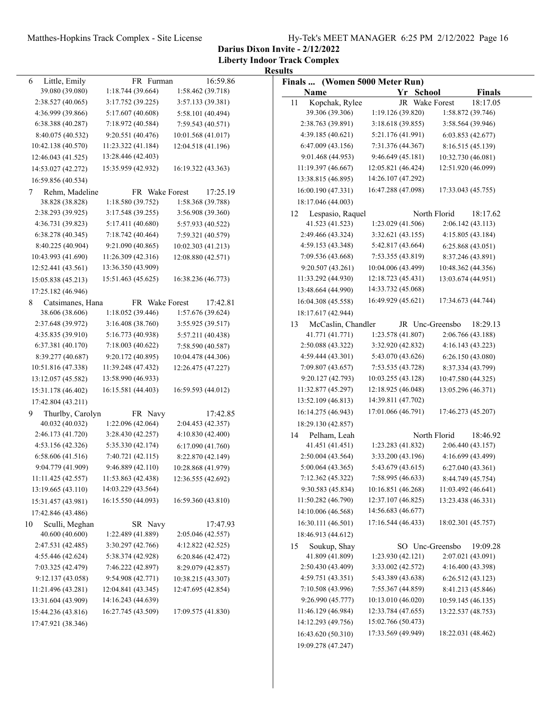**Darius Dixon Invite - 2/12/2022**

| FR Furman<br>Finals  (Women 5000 Meter Run)<br>6<br>39.080 (39.080)<br>1:18.744 (39.664)<br>1:58.462 (39.718)<br>Name<br>Yr School<br><b>Finals</b><br>2:38.527 (40.065)<br>3:17.752 (39.225)<br>3:57.133 (39.381)<br>Kopchak, Rylee<br>JR Wake Forest<br>18:17.05<br>11<br>39.306 (39.306)<br>1:19.126 (39.820)<br>1:58.872 (39.746)<br>4:36.999 (39.866)<br>5:17.607 (40.608)<br>5:58.101 (40.494)<br>2:38.763 (39.891)<br>6:38.388 (40.287)<br>7:18.972 (40.584)<br>3:18.618(39.855)<br>3:58.564 (39.946)<br>7:59.543 (40.571)<br>9:20.551 (40.476)<br>10:01.568 (41.017)<br>4:39.185 (40.621)<br>5:21.176 (41.991)<br>8:40.075 (40.532)<br>6:03.853 (42.677)<br>6:47.009(43.156)<br>7:31.376 (44.367)<br>10:42.138 (40.570)<br>11:23.322 (41.184)<br>12:04.518 (41.196)<br>8:16.515 (45.139)<br>13:28.446 (42.403)<br>9:46.649 (45.181)<br>9:01.468 (44.953)<br>10:32.730 (46.081)<br>12:46.043 (41.525)<br>15:35.959 (42.932)<br>16:19.322 (43.363)<br>11:19.397 (46.667)<br>12:05.821 (46.424)<br>12:51.920 (46.099)<br>14:53.027 (42.272)<br>14:26.107 (47.292)<br>13:38.815 (46.895)<br>16:59.856 (40.534)<br>16:47.288 (47.098)<br>17:33.043 (45.755)<br>16:00.190 (47.331)<br>17:25.19<br>Rehm, Madeline<br>FR Wake Forest<br>7<br>38.828 (38.828)<br>1:18.580 (39.752)<br>1:58.368 (39.788)<br>18:17.046 (44.003)<br>2:38.293 (39.925)<br>3:17.548 (39.255)<br>3:56.908 (39.360)<br>North Florid<br>18:17.62<br>Lespasio, Raquel<br>12<br>41.523 (41.523)<br>1:23.029 (41.506)<br>2:06.142 (43.113)<br>4:36.731 (39.823)<br>5:17.411 (40.680)<br>5:57.933 (40.522)<br>2:49.466 (43.324)<br>3:32.621 (43.155)<br>4:15.805(43.184)<br>6:38.278(40.345)<br>7:18.742 (40.464)<br>7:59.321 (40.579)<br>5:42.817 (43.664)<br>8:40.225 (40.904)<br>9:21.090 (40.865)<br>10:02.303 (41.213)<br>4:59.153 (43.348)<br>6:25.868(43.051)<br>7:09.536 (43.668)<br>10:43.993 (41.690)<br>11:26.309 (42.316)<br>12:08.880 (42.571)<br>7:53.355 (43.819)<br>8:37.246 (43.891)<br>10:04.006 (43.499)<br>13:36.350 (43.909)<br>9:20.507(43.261)<br>10:48.362 (44.356)<br>12:52.441 (43.561)<br>11:33.292 (44.930)<br>12:18.723 (45.431)<br>15:51.463 (45.625)<br>16:38.236 (46.773)<br>13:03.674 (44.951)<br>15:05.838 (45.213)<br>14:33.732 (45.068)<br>13:48.664 (44.990)<br>17:25.182 (46.946)<br>16:49.929 (45.621)<br>17:34.673 (44.744)<br>16:04.308 (45.558)<br>17:42.81<br>8<br>Catsimanes, Hana<br>FR Wake Forest<br>1:18.052 (39.446)<br>1:57.676 (39.624)<br>38.606 (38.606)<br>18:17.617 (42.944)<br>2:37.648 (39.972)<br>3:16.408(38.760)<br>3:55.925 (39.517)<br>McCaslin, Chandler<br>18:29.13<br>JR Unc-Greensbo<br>13<br>41.771 (41.771)<br>1:23.578 (41.807)<br>2:06.766 (43.188)<br>4:35.835 (39.910)<br>5:16.773 (40.938)<br>5:57.211 (40.438)<br>6:37.381(40.170)<br>7:18.003 (40.622)<br>2:50.088 (43.322)<br>3:32.920 (42.832)<br>4:16.143(43.223)<br>7:58.590 (40.587)<br>8:39.277 (40.687)<br>9:20.172 (40.895)<br>4:59.444 (43.301)<br>5:43.070 (43.626)<br>10:04.478 (44.306)<br>6:26.150 (43.080)<br>10:51.816 (47.338)<br>11:39.248 (47.432)<br>7:09.807 (43.657)<br>7:53.535 (43.728)<br>12:26.475 (47.227)<br>8:37.334 (43.799)<br>13:58.990 (46.933)<br>10:03.255 (43.128)<br>13:12.057 (45.582)<br>9:20.127 (42.793)<br>10:47.580 (44.325)<br>11:32.877 (45.297)<br>12:18.925 (46.048)<br>16:15.581 (44.403)<br>13:05.296 (46.371)<br>16:59.593 (44.012)<br>15:31.178 (46.402)<br>14:39.811 (47.702)<br>13:52.109 (46.813)<br>17:42.804 (43.211)<br>17:01.066 (46.791)<br>17:46.273 (45.207)<br>16:14.275 (46.943)<br>Thurlby, Carolyn<br>FR Navy<br>17:42.85<br>9<br>40.032 (40.032)<br>1:22.096 (42.064)<br>2:04.453 (42.357)<br>18:29.130 (42.857)<br>2:46.173 (41.720)<br>3:28.430 (42.257)<br>4:10.830 (42.400)<br>Pelham, Leah<br>North Florid<br>18:46.92<br>14<br>41.451 (41.451)<br>4:53.156 (42.326)<br>5:35.330 (42.174)<br>1:23.283(41.832)<br>2:06.440 (43.157)<br>6:17.090 (41.760)<br>6:58.606 (41.516)<br>7:40.721 (42.115)<br>2:50.004(43.564)<br>3:33.200 (43.196)<br>4:16.699 (43.499)<br>8:22.870 (42.149)<br>9:04.779 (41.909)<br>9:46.889 (42.110)<br>5:00.064 (43.365)<br>5:43.679 (43.615)<br>10:28.868 (41.979)<br>6:27.040(43.361)<br>11:11.425 (42.557)<br>11:53.863 (42.438)<br>12:36.555 (42.692)<br>7:12.362 (45.322)<br>7:58.995 (46.633)<br>8:44.749 (45.754)<br>14:03.229 (43.564)<br>9:30.583 (45.834)<br>10:16.851 (46.268)<br>13:19.665 (43.110)<br>11:03.492 (46.641)<br>16:15.550 (44.093)<br>16:59.360 (43.810)<br>11:50.282 (46.790)<br>12:37.107 (46.825)<br>13:23.438 (46.331)<br>15:31.457 (43.981)<br>14:56.683 (46.677)<br>14:10.006 (46.568)<br>17:42.846 (43.486)<br>17:16.544 (46.433)<br>18:02.301 (45.757)<br>16:30.111 (46.501)<br>Sculli, Meghan<br>SR Navy<br>17:47.93<br>10<br>40.600 (40.600)<br>1:22.489 (41.889)<br>2:05.046 (42.557)<br>18:46.913 (44.612)<br>2:47.531 (42.485)<br>3:30.297 (42.766)<br>4:12.822 (42.525)<br>SO Unc-Greensbo<br>19:09.28<br>Soukup, Shay<br>15<br>41.809 (41.809)<br>4:55.446 (42.624)<br>5:38.374 (42.928)<br>1:23.930 (42.121)<br>2:07.021 (43.091)<br>6:20.846 (42.472)<br>7:03.325 (42.479)<br>7:46.222 (42.897)<br>2:50.430 (43.409)<br>3:33.002 (42.572)<br>4:16.400 (43.398)<br>8:29.079 (42.857)<br>9:54.908 (42.771)<br>4:59.751 (43.351)<br>5:43.389 (43.638)<br>9:12.137 (43.058)<br>10:38.215 (43.307)<br>6:26.512(43.123)<br>7:10.508 (43.996)<br>7:55.367 (44.859)<br>11:21.496 (43.281)<br>12:04.841 (43.345)<br>12:47.695 (42.854)<br>8:41.213 (45.846)<br>14:16.243 (44.639)<br>9:26.990 (45.777)<br>10:13.010 (46.020)<br>13:31.604 (43.909)<br>10:59.145 (46.135)<br>11:46.129 (46.984)<br>12:33.784 (47.655)<br>13:22.537 (48.753)<br>16:27.745 (43.509)<br>17:09.575 (41.830)<br>15:44.236 (43.816)<br>15:02.766 (50.473)<br>14:12.293 (49.756)<br>17:47.921 (38.346)<br>17:33.569 (49.949)<br>18:22.031 (48.462)<br>16:43.620 (50.310) |               |          | <b>Results</b>     |  |
|----------------------------------------------------------------------------------------------------------------------------------------------------------------------------------------------------------------------------------------------------------------------------------------------------------------------------------------------------------------------------------------------------------------------------------------------------------------------------------------------------------------------------------------------------------------------------------------------------------------------------------------------------------------------------------------------------------------------------------------------------------------------------------------------------------------------------------------------------------------------------------------------------------------------------------------------------------------------------------------------------------------------------------------------------------------------------------------------------------------------------------------------------------------------------------------------------------------------------------------------------------------------------------------------------------------------------------------------------------------------------------------------------------------------------------------------------------------------------------------------------------------------------------------------------------------------------------------------------------------------------------------------------------------------------------------------------------------------------------------------------------------------------------------------------------------------------------------------------------------------------------------------------------------------------------------------------------------------------------------------------------------------------------------------------------------------------------------------------------------------------------------------------------------------------------------------------------------------------------------------------------------------------------------------------------------------------------------------------------------------------------------------------------------------------------------------------------------------------------------------------------------------------------------------------------------------------------------------------------------------------------------------------------------------------------------------------------------------------------------------------------------------------------------------------------------------------------------------------------------------------------------------------------------------------------------------------------------------------------------------------------------------------------------------------------------------------------------------------------------------------------------------------------------------------------------------------------------------------------------------------------------------------------------------------------------------------------------------------------------------------------------------------------------------------------------------------------------------------------------------------------------------------------------------------------------------------------------------------------------------------------------------------------------------------------------------------------------------------------------------------------------------------------------------------------------------------------------------------------------------------------------------------------------------------------------------------------------------------------------------------------------------------------------------------------------------------------------------------------------------------------------------------------------------------------------------------------------------------------------------------------------------------------------------------------------------------------------------------------------------------------------------------------------------------------------------------------------------------------------------------------------------------------------------------------------------------------------------------------------------------------------------------------------------------------------------------------------------------------------------------------------------------------------------------------------------------------------------------------------------------------------------------------------------------------------------------------------------------------------------------------------------------------------------------------------------------------------------------------------------------------------------------------------------------------------------------------------------------------------------------------------------------------------------------------------------------------------------------------------------------------------------------------------------------------------------------------------------------------------------------------------------------------------------------------------------------------------------------------------------------------------------------------------------------------------------------------------------------------------------------------------------------------------------------------------------------------------------------------------------------------|---------------|----------|--------------------|--|
|                                                                                                                                                                                                                                                                                                                                                                                                                                                                                                                                                                                                                                                                                                                                                                                                                                                                                                                                                                                                                                                                                                                                                                                                                                                                                                                                                                                                                                                                                                                                                                                                                                                                                                                                                                                                                                                                                                                                                                                                                                                                                                                                                                                                                                                                                                                                                                                                                                                                                                                                                                                                                                                                                                                                                                                                                                                                                                                                                                                                                                                                                                                                                                                                                                                                                                                                                                                                                                                                                                                                                                                                                                                                                                                                                                                                                                                                                                                                                                                                                                                                                                                                                                                                                                                                                                                                                                                                                                                                                                                                                                                                                                                                                                                                                                                                                                                                                                                                                                                                                                                                                                                                                                                                                                                                                                                                                                                                                                                                                                                                                                                                                                                                                                                                                                                                                                                                                  | Little, Emily | 16:59.86 |                    |  |
|                                                                                                                                                                                                                                                                                                                                                                                                                                                                                                                                                                                                                                                                                                                                                                                                                                                                                                                                                                                                                                                                                                                                                                                                                                                                                                                                                                                                                                                                                                                                                                                                                                                                                                                                                                                                                                                                                                                                                                                                                                                                                                                                                                                                                                                                                                                                                                                                                                                                                                                                                                                                                                                                                                                                                                                                                                                                                                                                                                                                                                                                                                                                                                                                                                                                                                                                                                                                                                                                                                                                                                                                                                                                                                                                                                                                                                                                                                                                                                                                                                                                                                                                                                                                                                                                                                                                                                                                                                                                                                                                                                                                                                                                                                                                                                                                                                                                                                                                                                                                                                                                                                                                                                                                                                                                                                                                                                                                                                                                                                                                                                                                                                                                                                                                                                                                                                                                                  |               |          |                    |  |
|                                                                                                                                                                                                                                                                                                                                                                                                                                                                                                                                                                                                                                                                                                                                                                                                                                                                                                                                                                                                                                                                                                                                                                                                                                                                                                                                                                                                                                                                                                                                                                                                                                                                                                                                                                                                                                                                                                                                                                                                                                                                                                                                                                                                                                                                                                                                                                                                                                                                                                                                                                                                                                                                                                                                                                                                                                                                                                                                                                                                                                                                                                                                                                                                                                                                                                                                                                                                                                                                                                                                                                                                                                                                                                                                                                                                                                                                                                                                                                                                                                                                                                                                                                                                                                                                                                                                                                                                                                                                                                                                                                                                                                                                                                                                                                                                                                                                                                                                                                                                                                                                                                                                                                                                                                                                                                                                                                                                                                                                                                                                                                                                                                                                                                                                                                                                                                                                                  |               |          |                    |  |
|                                                                                                                                                                                                                                                                                                                                                                                                                                                                                                                                                                                                                                                                                                                                                                                                                                                                                                                                                                                                                                                                                                                                                                                                                                                                                                                                                                                                                                                                                                                                                                                                                                                                                                                                                                                                                                                                                                                                                                                                                                                                                                                                                                                                                                                                                                                                                                                                                                                                                                                                                                                                                                                                                                                                                                                                                                                                                                                                                                                                                                                                                                                                                                                                                                                                                                                                                                                                                                                                                                                                                                                                                                                                                                                                                                                                                                                                                                                                                                                                                                                                                                                                                                                                                                                                                                                                                                                                                                                                                                                                                                                                                                                                                                                                                                                                                                                                                                                                                                                                                                                                                                                                                                                                                                                                                                                                                                                                                                                                                                                                                                                                                                                                                                                                                                                                                                                                                  |               |          |                    |  |
|                                                                                                                                                                                                                                                                                                                                                                                                                                                                                                                                                                                                                                                                                                                                                                                                                                                                                                                                                                                                                                                                                                                                                                                                                                                                                                                                                                                                                                                                                                                                                                                                                                                                                                                                                                                                                                                                                                                                                                                                                                                                                                                                                                                                                                                                                                                                                                                                                                                                                                                                                                                                                                                                                                                                                                                                                                                                                                                                                                                                                                                                                                                                                                                                                                                                                                                                                                                                                                                                                                                                                                                                                                                                                                                                                                                                                                                                                                                                                                                                                                                                                                                                                                                                                                                                                                                                                                                                                                                                                                                                                                                                                                                                                                                                                                                                                                                                                                                                                                                                                                                                                                                                                                                                                                                                                                                                                                                                                                                                                                                                                                                                                                                                                                                                                                                                                                                                                  |               |          |                    |  |
|                                                                                                                                                                                                                                                                                                                                                                                                                                                                                                                                                                                                                                                                                                                                                                                                                                                                                                                                                                                                                                                                                                                                                                                                                                                                                                                                                                                                                                                                                                                                                                                                                                                                                                                                                                                                                                                                                                                                                                                                                                                                                                                                                                                                                                                                                                                                                                                                                                                                                                                                                                                                                                                                                                                                                                                                                                                                                                                                                                                                                                                                                                                                                                                                                                                                                                                                                                                                                                                                                                                                                                                                                                                                                                                                                                                                                                                                                                                                                                                                                                                                                                                                                                                                                                                                                                                                                                                                                                                                                                                                                                                                                                                                                                                                                                                                                                                                                                                                                                                                                                                                                                                                                                                                                                                                                                                                                                                                                                                                                                                                                                                                                                                                                                                                                                                                                                                                                  |               |          |                    |  |
|                                                                                                                                                                                                                                                                                                                                                                                                                                                                                                                                                                                                                                                                                                                                                                                                                                                                                                                                                                                                                                                                                                                                                                                                                                                                                                                                                                                                                                                                                                                                                                                                                                                                                                                                                                                                                                                                                                                                                                                                                                                                                                                                                                                                                                                                                                                                                                                                                                                                                                                                                                                                                                                                                                                                                                                                                                                                                                                                                                                                                                                                                                                                                                                                                                                                                                                                                                                                                                                                                                                                                                                                                                                                                                                                                                                                                                                                                                                                                                                                                                                                                                                                                                                                                                                                                                                                                                                                                                                                                                                                                                                                                                                                                                                                                                                                                                                                                                                                                                                                                                                                                                                                                                                                                                                                                                                                                                                                                                                                                                                                                                                                                                                                                                                                                                                                                                                                                  |               |          |                    |  |
|                                                                                                                                                                                                                                                                                                                                                                                                                                                                                                                                                                                                                                                                                                                                                                                                                                                                                                                                                                                                                                                                                                                                                                                                                                                                                                                                                                                                                                                                                                                                                                                                                                                                                                                                                                                                                                                                                                                                                                                                                                                                                                                                                                                                                                                                                                                                                                                                                                                                                                                                                                                                                                                                                                                                                                                                                                                                                                                                                                                                                                                                                                                                                                                                                                                                                                                                                                                                                                                                                                                                                                                                                                                                                                                                                                                                                                                                                                                                                                                                                                                                                                                                                                                                                                                                                                                                                                                                                                                                                                                                                                                                                                                                                                                                                                                                                                                                                                                                                                                                                                                                                                                                                                                                                                                                                                                                                                                                                                                                                                                                                                                                                                                                                                                                                                                                                                                                                  |               |          |                    |  |
|                                                                                                                                                                                                                                                                                                                                                                                                                                                                                                                                                                                                                                                                                                                                                                                                                                                                                                                                                                                                                                                                                                                                                                                                                                                                                                                                                                                                                                                                                                                                                                                                                                                                                                                                                                                                                                                                                                                                                                                                                                                                                                                                                                                                                                                                                                                                                                                                                                                                                                                                                                                                                                                                                                                                                                                                                                                                                                                                                                                                                                                                                                                                                                                                                                                                                                                                                                                                                                                                                                                                                                                                                                                                                                                                                                                                                                                                                                                                                                                                                                                                                                                                                                                                                                                                                                                                                                                                                                                                                                                                                                                                                                                                                                                                                                                                                                                                                                                                                                                                                                                                                                                                                                                                                                                                                                                                                                                                                                                                                                                                                                                                                                                                                                                                                                                                                                                                                  |               |          |                    |  |
|                                                                                                                                                                                                                                                                                                                                                                                                                                                                                                                                                                                                                                                                                                                                                                                                                                                                                                                                                                                                                                                                                                                                                                                                                                                                                                                                                                                                                                                                                                                                                                                                                                                                                                                                                                                                                                                                                                                                                                                                                                                                                                                                                                                                                                                                                                                                                                                                                                                                                                                                                                                                                                                                                                                                                                                                                                                                                                                                                                                                                                                                                                                                                                                                                                                                                                                                                                                                                                                                                                                                                                                                                                                                                                                                                                                                                                                                                                                                                                                                                                                                                                                                                                                                                                                                                                                                                                                                                                                                                                                                                                                                                                                                                                                                                                                                                                                                                                                                                                                                                                                                                                                                                                                                                                                                                                                                                                                                                                                                                                                                                                                                                                                                                                                                                                                                                                                                                  |               |          |                    |  |
|                                                                                                                                                                                                                                                                                                                                                                                                                                                                                                                                                                                                                                                                                                                                                                                                                                                                                                                                                                                                                                                                                                                                                                                                                                                                                                                                                                                                                                                                                                                                                                                                                                                                                                                                                                                                                                                                                                                                                                                                                                                                                                                                                                                                                                                                                                                                                                                                                                                                                                                                                                                                                                                                                                                                                                                                                                                                                                                                                                                                                                                                                                                                                                                                                                                                                                                                                                                                                                                                                                                                                                                                                                                                                                                                                                                                                                                                                                                                                                                                                                                                                                                                                                                                                                                                                                                                                                                                                                                                                                                                                                                                                                                                                                                                                                                                                                                                                                                                                                                                                                                                                                                                                                                                                                                                                                                                                                                                                                                                                                                                                                                                                                                                                                                                                                                                                                                                                  |               |          |                    |  |
|                                                                                                                                                                                                                                                                                                                                                                                                                                                                                                                                                                                                                                                                                                                                                                                                                                                                                                                                                                                                                                                                                                                                                                                                                                                                                                                                                                                                                                                                                                                                                                                                                                                                                                                                                                                                                                                                                                                                                                                                                                                                                                                                                                                                                                                                                                                                                                                                                                                                                                                                                                                                                                                                                                                                                                                                                                                                                                                                                                                                                                                                                                                                                                                                                                                                                                                                                                                                                                                                                                                                                                                                                                                                                                                                                                                                                                                                                                                                                                                                                                                                                                                                                                                                                                                                                                                                                                                                                                                                                                                                                                                                                                                                                                                                                                                                                                                                                                                                                                                                                                                                                                                                                                                                                                                                                                                                                                                                                                                                                                                                                                                                                                                                                                                                                                                                                                                                                  |               |          |                    |  |
|                                                                                                                                                                                                                                                                                                                                                                                                                                                                                                                                                                                                                                                                                                                                                                                                                                                                                                                                                                                                                                                                                                                                                                                                                                                                                                                                                                                                                                                                                                                                                                                                                                                                                                                                                                                                                                                                                                                                                                                                                                                                                                                                                                                                                                                                                                                                                                                                                                                                                                                                                                                                                                                                                                                                                                                                                                                                                                                                                                                                                                                                                                                                                                                                                                                                                                                                                                                                                                                                                                                                                                                                                                                                                                                                                                                                                                                                                                                                                                                                                                                                                                                                                                                                                                                                                                                                                                                                                                                                                                                                                                                                                                                                                                                                                                                                                                                                                                                                                                                                                                                                                                                                                                                                                                                                                                                                                                                                                                                                                                                                                                                                                                                                                                                                                                                                                                                                                  |               |          |                    |  |
|                                                                                                                                                                                                                                                                                                                                                                                                                                                                                                                                                                                                                                                                                                                                                                                                                                                                                                                                                                                                                                                                                                                                                                                                                                                                                                                                                                                                                                                                                                                                                                                                                                                                                                                                                                                                                                                                                                                                                                                                                                                                                                                                                                                                                                                                                                                                                                                                                                                                                                                                                                                                                                                                                                                                                                                                                                                                                                                                                                                                                                                                                                                                                                                                                                                                                                                                                                                                                                                                                                                                                                                                                                                                                                                                                                                                                                                                                                                                                                                                                                                                                                                                                                                                                                                                                                                                                                                                                                                                                                                                                                                                                                                                                                                                                                                                                                                                                                                                                                                                                                                                                                                                                                                                                                                                                                                                                                                                                                                                                                                                                                                                                                                                                                                                                                                                                                                                                  |               |          |                    |  |
|                                                                                                                                                                                                                                                                                                                                                                                                                                                                                                                                                                                                                                                                                                                                                                                                                                                                                                                                                                                                                                                                                                                                                                                                                                                                                                                                                                                                                                                                                                                                                                                                                                                                                                                                                                                                                                                                                                                                                                                                                                                                                                                                                                                                                                                                                                                                                                                                                                                                                                                                                                                                                                                                                                                                                                                                                                                                                                                                                                                                                                                                                                                                                                                                                                                                                                                                                                                                                                                                                                                                                                                                                                                                                                                                                                                                                                                                                                                                                                                                                                                                                                                                                                                                                                                                                                                                                                                                                                                                                                                                                                                                                                                                                                                                                                                                                                                                                                                                                                                                                                                                                                                                                                                                                                                                                                                                                                                                                                                                                                                                                                                                                                                                                                                                                                                                                                                                                  |               |          |                    |  |
|                                                                                                                                                                                                                                                                                                                                                                                                                                                                                                                                                                                                                                                                                                                                                                                                                                                                                                                                                                                                                                                                                                                                                                                                                                                                                                                                                                                                                                                                                                                                                                                                                                                                                                                                                                                                                                                                                                                                                                                                                                                                                                                                                                                                                                                                                                                                                                                                                                                                                                                                                                                                                                                                                                                                                                                                                                                                                                                                                                                                                                                                                                                                                                                                                                                                                                                                                                                                                                                                                                                                                                                                                                                                                                                                                                                                                                                                                                                                                                                                                                                                                                                                                                                                                                                                                                                                                                                                                                                                                                                                                                                                                                                                                                                                                                                                                                                                                                                                                                                                                                                                                                                                                                                                                                                                                                                                                                                                                                                                                                                                                                                                                                                                                                                                                                                                                                                                                  |               |          |                    |  |
|                                                                                                                                                                                                                                                                                                                                                                                                                                                                                                                                                                                                                                                                                                                                                                                                                                                                                                                                                                                                                                                                                                                                                                                                                                                                                                                                                                                                                                                                                                                                                                                                                                                                                                                                                                                                                                                                                                                                                                                                                                                                                                                                                                                                                                                                                                                                                                                                                                                                                                                                                                                                                                                                                                                                                                                                                                                                                                                                                                                                                                                                                                                                                                                                                                                                                                                                                                                                                                                                                                                                                                                                                                                                                                                                                                                                                                                                                                                                                                                                                                                                                                                                                                                                                                                                                                                                                                                                                                                                                                                                                                                                                                                                                                                                                                                                                                                                                                                                                                                                                                                                                                                                                                                                                                                                                                                                                                                                                                                                                                                                                                                                                                                                                                                                                                                                                                                                                  |               |          |                    |  |
|                                                                                                                                                                                                                                                                                                                                                                                                                                                                                                                                                                                                                                                                                                                                                                                                                                                                                                                                                                                                                                                                                                                                                                                                                                                                                                                                                                                                                                                                                                                                                                                                                                                                                                                                                                                                                                                                                                                                                                                                                                                                                                                                                                                                                                                                                                                                                                                                                                                                                                                                                                                                                                                                                                                                                                                                                                                                                                                                                                                                                                                                                                                                                                                                                                                                                                                                                                                                                                                                                                                                                                                                                                                                                                                                                                                                                                                                                                                                                                                                                                                                                                                                                                                                                                                                                                                                                                                                                                                                                                                                                                                                                                                                                                                                                                                                                                                                                                                                                                                                                                                                                                                                                                                                                                                                                                                                                                                                                                                                                                                                                                                                                                                                                                                                                                                                                                                                                  |               |          |                    |  |
|                                                                                                                                                                                                                                                                                                                                                                                                                                                                                                                                                                                                                                                                                                                                                                                                                                                                                                                                                                                                                                                                                                                                                                                                                                                                                                                                                                                                                                                                                                                                                                                                                                                                                                                                                                                                                                                                                                                                                                                                                                                                                                                                                                                                                                                                                                                                                                                                                                                                                                                                                                                                                                                                                                                                                                                                                                                                                                                                                                                                                                                                                                                                                                                                                                                                                                                                                                                                                                                                                                                                                                                                                                                                                                                                                                                                                                                                                                                                                                                                                                                                                                                                                                                                                                                                                                                                                                                                                                                                                                                                                                                                                                                                                                                                                                                                                                                                                                                                                                                                                                                                                                                                                                                                                                                                                                                                                                                                                                                                                                                                                                                                                                                                                                                                                                                                                                                                                  |               |          |                    |  |
|                                                                                                                                                                                                                                                                                                                                                                                                                                                                                                                                                                                                                                                                                                                                                                                                                                                                                                                                                                                                                                                                                                                                                                                                                                                                                                                                                                                                                                                                                                                                                                                                                                                                                                                                                                                                                                                                                                                                                                                                                                                                                                                                                                                                                                                                                                                                                                                                                                                                                                                                                                                                                                                                                                                                                                                                                                                                                                                                                                                                                                                                                                                                                                                                                                                                                                                                                                                                                                                                                                                                                                                                                                                                                                                                                                                                                                                                                                                                                                                                                                                                                                                                                                                                                                                                                                                                                                                                                                                                                                                                                                                                                                                                                                                                                                                                                                                                                                                                                                                                                                                                                                                                                                                                                                                                                                                                                                                                                                                                                                                                                                                                                                                                                                                                                                                                                                                                                  |               |          |                    |  |
|                                                                                                                                                                                                                                                                                                                                                                                                                                                                                                                                                                                                                                                                                                                                                                                                                                                                                                                                                                                                                                                                                                                                                                                                                                                                                                                                                                                                                                                                                                                                                                                                                                                                                                                                                                                                                                                                                                                                                                                                                                                                                                                                                                                                                                                                                                                                                                                                                                                                                                                                                                                                                                                                                                                                                                                                                                                                                                                                                                                                                                                                                                                                                                                                                                                                                                                                                                                                                                                                                                                                                                                                                                                                                                                                                                                                                                                                                                                                                                                                                                                                                                                                                                                                                                                                                                                                                                                                                                                                                                                                                                                                                                                                                                                                                                                                                                                                                                                                                                                                                                                                                                                                                                                                                                                                                                                                                                                                                                                                                                                                                                                                                                                                                                                                                                                                                                                                                  |               |          |                    |  |
|                                                                                                                                                                                                                                                                                                                                                                                                                                                                                                                                                                                                                                                                                                                                                                                                                                                                                                                                                                                                                                                                                                                                                                                                                                                                                                                                                                                                                                                                                                                                                                                                                                                                                                                                                                                                                                                                                                                                                                                                                                                                                                                                                                                                                                                                                                                                                                                                                                                                                                                                                                                                                                                                                                                                                                                                                                                                                                                                                                                                                                                                                                                                                                                                                                                                                                                                                                                                                                                                                                                                                                                                                                                                                                                                                                                                                                                                                                                                                                                                                                                                                                                                                                                                                                                                                                                                                                                                                                                                                                                                                                                                                                                                                                                                                                                                                                                                                                                                                                                                                                                                                                                                                                                                                                                                                                                                                                                                                                                                                                                                                                                                                                                                                                                                                                                                                                                                                  |               |          |                    |  |
|                                                                                                                                                                                                                                                                                                                                                                                                                                                                                                                                                                                                                                                                                                                                                                                                                                                                                                                                                                                                                                                                                                                                                                                                                                                                                                                                                                                                                                                                                                                                                                                                                                                                                                                                                                                                                                                                                                                                                                                                                                                                                                                                                                                                                                                                                                                                                                                                                                                                                                                                                                                                                                                                                                                                                                                                                                                                                                                                                                                                                                                                                                                                                                                                                                                                                                                                                                                                                                                                                                                                                                                                                                                                                                                                                                                                                                                                                                                                                                                                                                                                                                                                                                                                                                                                                                                                                                                                                                                                                                                                                                                                                                                                                                                                                                                                                                                                                                                                                                                                                                                                                                                                                                                                                                                                                                                                                                                                                                                                                                                                                                                                                                                                                                                                                                                                                                                                                  |               |          |                    |  |
|                                                                                                                                                                                                                                                                                                                                                                                                                                                                                                                                                                                                                                                                                                                                                                                                                                                                                                                                                                                                                                                                                                                                                                                                                                                                                                                                                                                                                                                                                                                                                                                                                                                                                                                                                                                                                                                                                                                                                                                                                                                                                                                                                                                                                                                                                                                                                                                                                                                                                                                                                                                                                                                                                                                                                                                                                                                                                                                                                                                                                                                                                                                                                                                                                                                                                                                                                                                                                                                                                                                                                                                                                                                                                                                                                                                                                                                                                                                                                                                                                                                                                                                                                                                                                                                                                                                                                                                                                                                                                                                                                                                                                                                                                                                                                                                                                                                                                                                                                                                                                                                                                                                                                                                                                                                                                                                                                                                                                                                                                                                                                                                                                                                                                                                                                                                                                                                                                  |               |          |                    |  |
|                                                                                                                                                                                                                                                                                                                                                                                                                                                                                                                                                                                                                                                                                                                                                                                                                                                                                                                                                                                                                                                                                                                                                                                                                                                                                                                                                                                                                                                                                                                                                                                                                                                                                                                                                                                                                                                                                                                                                                                                                                                                                                                                                                                                                                                                                                                                                                                                                                                                                                                                                                                                                                                                                                                                                                                                                                                                                                                                                                                                                                                                                                                                                                                                                                                                                                                                                                                                                                                                                                                                                                                                                                                                                                                                                                                                                                                                                                                                                                                                                                                                                                                                                                                                                                                                                                                                                                                                                                                                                                                                                                                                                                                                                                                                                                                                                                                                                                                                                                                                                                                                                                                                                                                                                                                                                                                                                                                                                                                                                                                                                                                                                                                                                                                                                                                                                                                                                  |               |          |                    |  |
|                                                                                                                                                                                                                                                                                                                                                                                                                                                                                                                                                                                                                                                                                                                                                                                                                                                                                                                                                                                                                                                                                                                                                                                                                                                                                                                                                                                                                                                                                                                                                                                                                                                                                                                                                                                                                                                                                                                                                                                                                                                                                                                                                                                                                                                                                                                                                                                                                                                                                                                                                                                                                                                                                                                                                                                                                                                                                                                                                                                                                                                                                                                                                                                                                                                                                                                                                                                                                                                                                                                                                                                                                                                                                                                                                                                                                                                                                                                                                                                                                                                                                                                                                                                                                                                                                                                                                                                                                                                                                                                                                                                                                                                                                                                                                                                                                                                                                                                                                                                                                                                                                                                                                                                                                                                                                                                                                                                                                                                                                                                                                                                                                                                                                                                                                                                                                                                                                  |               |          |                    |  |
|                                                                                                                                                                                                                                                                                                                                                                                                                                                                                                                                                                                                                                                                                                                                                                                                                                                                                                                                                                                                                                                                                                                                                                                                                                                                                                                                                                                                                                                                                                                                                                                                                                                                                                                                                                                                                                                                                                                                                                                                                                                                                                                                                                                                                                                                                                                                                                                                                                                                                                                                                                                                                                                                                                                                                                                                                                                                                                                                                                                                                                                                                                                                                                                                                                                                                                                                                                                                                                                                                                                                                                                                                                                                                                                                                                                                                                                                                                                                                                                                                                                                                                                                                                                                                                                                                                                                                                                                                                                                                                                                                                                                                                                                                                                                                                                                                                                                                                                                                                                                                                                                                                                                                                                                                                                                                                                                                                                                                                                                                                                                                                                                                                                                                                                                                                                                                                                                                  |               |          |                    |  |
|                                                                                                                                                                                                                                                                                                                                                                                                                                                                                                                                                                                                                                                                                                                                                                                                                                                                                                                                                                                                                                                                                                                                                                                                                                                                                                                                                                                                                                                                                                                                                                                                                                                                                                                                                                                                                                                                                                                                                                                                                                                                                                                                                                                                                                                                                                                                                                                                                                                                                                                                                                                                                                                                                                                                                                                                                                                                                                                                                                                                                                                                                                                                                                                                                                                                                                                                                                                                                                                                                                                                                                                                                                                                                                                                                                                                                                                                                                                                                                                                                                                                                                                                                                                                                                                                                                                                                                                                                                                                                                                                                                                                                                                                                                                                                                                                                                                                                                                                                                                                                                                                                                                                                                                                                                                                                                                                                                                                                                                                                                                                                                                                                                                                                                                                                                                                                                                                                  |               |          |                    |  |
|                                                                                                                                                                                                                                                                                                                                                                                                                                                                                                                                                                                                                                                                                                                                                                                                                                                                                                                                                                                                                                                                                                                                                                                                                                                                                                                                                                                                                                                                                                                                                                                                                                                                                                                                                                                                                                                                                                                                                                                                                                                                                                                                                                                                                                                                                                                                                                                                                                                                                                                                                                                                                                                                                                                                                                                                                                                                                                                                                                                                                                                                                                                                                                                                                                                                                                                                                                                                                                                                                                                                                                                                                                                                                                                                                                                                                                                                                                                                                                                                                                                                                                                                                                                                                                                                                                                                                                                                                                                                                                                                                                                                                                                                                                                                                                                                                                                                                                                                                                                                                                                                                                                                                                                                                                                                                                                                                                                                                                                                                                                                                                                                                                                                                                                                                                                                                                                                                  |               |          |                    |  |
|                                                                                                                                                                                                                                                                                                                                                                                                                                                                                                                                                                                                                                                                                                                                                                                                                                                                                                                                                                                                                                                                                                                                                                                                                                                                                                                                                                                                                                                                                                                                                                                                                                                                                                                                                                                                                                                                                                                                                                                                                                                                                                                                                                                                                                                                                                                                                                                                                                                                                                                                                                                                                                                                                                                                                                                                                                                                                                                                                                                                                                                                                                                                                                                                                                                                                                                                                                                                                                                                                                                                                                                                                                                                                                                                                                                                                                                                                                                                                                                                                                                                                                                                                                                                                                                                                                                                                                                                                                                                                                                                                                                                                                                                                                                                                                                                                                                                                                                                                                                                                                                                                                                                                                                                                                                                                                                                                                                                                                                                                                                                                                                                                                                                                                                                                                                                                                                                                  |               |          |                    |  |
|                                                                                                                                                                                                                                                                                                                                                                                                                                                                                                                                                                                                                                                                                                                                                                                                                                                                                                                                                                                                                                                                                                                                                                                                                                                                                                                                                                                                                                                                                                                                                                                                                                                                                                                                                                                                                                                                                                                                                                                                                                                                                                                                                                                                                                                                                                                                                                                                                                                                                                                                                                                                                                                                                                                                                                                                                                                                                                                                                                                                                                                                                                                                                                                                                                                                                                                                                                                                                                                                                                                                                                                                                                                                                                                                                                                                                                                                                                                                                                                                                                                                                                                                                                                                                                                                                                                                                                                                                                                                                                                                                                                                                                                                                                                                                                                                                                                                                                                                                                                                                                                                                                                                                                                                                                                                                                                                                                                                                                                                                                                                                                                                                                                                                                                                                                                                                                                                                  |               |          |                    |  |
|                                                                                                                                                                                                                                                                                                                                                                                                                                                                                                                                                                                                                                                                                                                                                                                                                                                                                                                                                                                                                                                                                                                                                                                                                                                                                                                                                                                                                                                                                                                                                                                                                                                                                                                                                                                                                                                                                                                                                                                                                                                                                                                                                                                                                                                                                                                                                                                                                                                                                                                                                                                                                                                                                                                                                                                                                                                                                                                                                                                                                                                                                                                                                                                                                                                                                                                                                                                                                                                                                                                                                                                                                                                                                                                                                                                                                                                                                                                                                                                                                                                                                                                                                                                                                                                                                                                                                                                                                                                                                                                                                                                                                                                                                                                                                                                                                                                                                                                                                                                                                                                                                                                                                                                                                                                                                                                                                                                                                                                                                                                                                                                                                                                                                                                                                                                                                                                                                  |               |          |                    |  |
|                                                                                                                                                                                                                                                                                                                                                                                                                                                                                                                                                                                                                                                                                                                                                                                                                                                                                                                                                                                                                                                                                                                                                                                                                                                                                                                                                                                                                                                                                                                                                                                                                                                                                                                                                                                                                                                                                                                                                                                                                                                                                                                                                                                                                                                                                                                                                                                                                                                                                                                                                                                                                                                                                                                                                                                                                                                                                                                                                                                                                                                                                                                                                                                                                                                                                                                                                                                                                                                                                                                                                                                                                                                                                                                                                                                                                                                                                                                                                                                                                                                                                                                                                                                                                                                                                                                                                                                                                                                                                                                                                                                                                                                                                                                                                                                                                                                                                                                                                                                                                                                                                                                                                                                                                                                                                                                                                                                                                                                                                                                                                                                                                                                                                                                                                                                                                                                                                  |               |          |                    |  |
|                                                                                                                                                                                                                                                                                                                                                                                                                                                                                                                                                                                                                                                                                                                                                                                                                                                                                                                                                                                                                                                                                                                                                                                                                                                                                                                                                                                                                                                                                                                                                                                                                                                                                                                                                                                                                                                                                                                                                                                                                                                                                                                                                                                                                                                                                                                                                                                                                                                                                                                                                                                                                                                                                                                                                                                                                                                                                                                                                                                                                                                                                                                                                                                                                                                                                                                                                                                                                                                                                                                                                                                                                                                                                                                                                                                                                                                                                                                                                                                                                                                                                                                                                                                                                                                                                                                                                                                                                                                                                                                                                                                                                                                                                                                                                                                                                                                                                                                                                                                                                                                                                                                                                                                                                                                                                                                                                                                                                                                                                                                                                                                                                                                                                                                                                                                                                                                                                  |               |          |                    |  |
|                                                                                                                                                                                                                                                                                                                                                                                                                                                                                                                                                                                                                                                                                                                                                                                                                                                                                                                                                                                                                                                                                                                                                                                                                                                                                                                                                                                                                                                                                                                                                                                                                                                                                                                                                                                                                                                                                                                                                                                                                                                                                                                                                                                                                                                                                                                                                                                                                                                                                                                                                                                                                                                                                                                                                                                                                                                                                                                                                                                                                                                                                                                                                                                                                                                                                                                                                                                                                                                                                                                                                                                                                                                                                                                                                                                                                                                                                                                                                                                                                                                                                                                                                                                                                                                                                                                                                                                                                                                                                                                                                                                                                                                                                                                                                                                                                                                                                                                                                                                                                                                                                                                                                                                                                                                                                                                                                                                                                                                                                                                                                                                                                                                                                                                                                                                                                                                                                  |               |          |                    |  |
|                                                                                                                                                                                                                                                                                                                                                                                                                                                                                                                                                                                                                                                                                                                                                                                                                                                                                                                                                                                                                                                                                                                                                                                                                                                                                                                                                                                                                                                                                                                                                                                                                                                                                                                                                                                                                                                                                                                                                                                                                                                                                                                                                                                                                                                                                                                                                                                                                                                                                                                                                                                                                                                                                                                                                                                                                                                                                                                                                                                                                                                                                                                                                                                                                                                                                                                                                                                                                                                                                                                                                                                                                                                                                                                                                                                                                                                                                                                                                                                                                                                                                                                                                                                                                                                                                                                                                                                                                                                                                                                                                                                                                                                                                                                                                                                                                                                                                                                                                                                                                                                                                                                                                                                                                                                                                                                                                                                                                                                                                                                                                                                                                                                                                                                                                                                                                                                                                  |               |          |                    |  |
|                                                                                                                                                                                                                                                                                                                                                                                                                                                                                                                                                                                                                                                                                                                                                                                                                                                                                                                                                                                                                                                                                                                                                                                                                                                                                                                                                                                                                                                                                                                                                                                                                                                                                                                                                                                                                                                                                                                                                                                                                                                                                                                                                                                                                                                                                                                                                                                                                                                                                                                                                                                                                                                                                                                                                                                                                                                                                                                                                                                                                                                                                                                                                                                                                                                                                                                                                                                                                                                                                                                                                                                                                                                                                                                                                                                                                                                                                                                                                                                                                                                                                                                                                                                                                                                                                                                                                                                                                                                                                                                                                                                                                                                                                                                                                                                                                                                                                                                                                                                                                                                                                                                                                                                                                                                                                                                                                                                                                                                                                                                                                                                                                                                                                                                                                                                                                                                                                  |               |          |                    |  |
|                                                                                                                                                                                                                                                                                                                                                                                                                                                                                                                                                                                                                                                                                                                                                                                                                                                                                                                                                                                                                                                                                                                                                                                                                                                                                                                                                                                                                                                                                                                                                                                                                                                                                                                                                                                                                                                                                                                                                                                                                                                                                                                                                                                                                                                                                                                                                                                                                                                                                                                                                                                                                                                                                                                                                                                                                                                                                                                                                                                                                                                                                                                                                                                                                                                                                                                                                                                                                                                                                                                                                                                                                                                                                                                                                                                                                                                                                                                                                                                                                                                                                                                                                                                                                                                                                                                                                                                                                                                                                                                                                                                                                                                                                                                                                                                                                                                                                                                                                                                                                                                                                                                                                                                                                                                                                                                                                                                                                                                                                                                                                                                                                                                                                                                                                                                                                                                                                  |               |          |                    |  |
|                                                                                                                                                                                                                                                                                                                                                                                                                                                                                                                                                                                                                                                                                                                                                                                                                                                                                                                                                                                                                                                                                                                                                                                                                                                                                                                                                                                                                                                                                                                                                                                                                                                                                                                                                                                                                                                                                                                                                                                                                                                                                                                                                                                                                                                                                                                                                                                                                                                                                                                                                                                                                                                                                                                                                                                                                                                                                                                                                                                                                                                                                                                                                                                                                                                                                                                                                                                                                                                                                                                                                                                                                                                                                                                                                                                                                                                                                                                                                                                                                                                                                                                                                                                                                                                                                                                                                                                                                                                                                                                                                                                                                                                                                                                                                                                                                                                                                                                                                                                                                                                                                                                                                                                                                                                                                                                                                                                                                                                                                                                                                                                                                                                                                                                                                                                                                                                                                  |               |          |                    |  |
|                                                                                                                                                                                                                                                                                                                                                                                                                                                                                                                                                                                                                                                                                                                                                                                                                                                                                                                                                                                                                                                                                                                                                                                                                                                                                                                                                                                                                                                                                                                                                                                                                                                                                                                                                                                                                                                                                                                                                                                                                                                                                                                                                                                                                                                                                                                                                                                                                                                                                                                                                                                                                                                                                                                                                                                                                                                                                                                                                                                                                                                                                                                                                                                                                                                                                                                                                                                                                                                                                                                                                                                                                                                                                                                                                                                                                                                                                                                                                                                                                                                                                                                                                                                                                                                                                                                                                                                                                                                                                                                                                                                                                                                                                                                                                                                                                                                                                                                                                                                                                                                                                                                                                                                                                                                                                                                                                                                                                                                                                                                                                                                                                                                                                                                                                                                                                                                                                  |               |          |                    |  |
|                                                                                                                                                                                                                                                                                                                                                                                                                                                                                                                                                                                                                                                                                                                                                                                                                                                                                                                                                                                                                                                                                                                                                                                                                                                                                                                                                                                                                                                                                                                                                                                                                                                                                                                                                                                                                                                                                                                                                                                                                                                                                                                                                                                                                                                                                                                                                                                                                                                                                                                                                                                                                                                                                                                                                                                                                                                                                                                                                                                                                                                                                                                                                                                                                                                                                                                                                                                                                                                                                                                                                                                                                                                                                                                                                                                                                                                                                                                                                                                                                                                                                                                                                                                                                                                                                                                                                                                                                                                                                                                                                                                                                                                                                                                                                                                                                                                                                                                                                                                                                                                                                                                                                                                                                                                                                                                                                                                                                                                                                                                                                                                                                                                                                                                                                                                                                                                                                  |               |          |                    |  |
|                                                                                                                                                                                                                                                                                                                                                                                                                                                                                                                                                                                                                                                                                                                                                                                                                                                                                                                                                                                                                                                                                                                                                                                                                                                                                                                                                                                                                                                                                                                                                                                                                                                                                                                                                                                                                                                                                                                                                                                                                                                                                                                                                                                                                                                                                                                                                                                                                                                                                                                                                                                                                                                                                                                                                                                                                                                                                                                                                                                                                                                                                                                                                                                                                                                                                                                                                                                                                                                                                                                                                                                                                                                                                                                                                                                                                                                                                                                                                                                                                                                                                                                                                                                                                                                                                                                                                                                                                                                                                                                                                                                                                                                                                                                                                                                                                                                                                                                                                                                                                                                                                                                                                                                                                                                                                                                                                                                                                                                                                                                                                                                                                                                                                                                                                                                                                                                                                  |               |          |                    |  |
|                                                                                                                                                                                                                                                                                                                                                                                                                                                                                                                                                                                                                                                                                                                                                                                                                                                                                                                                                                                                                                                                                                                                                                                                                                                                                                                                                                                                                                                                                                                                                                                                                                                                                                                                                                                                                                                                                                                                                                                                                                                                                                                                                                                                                                                                                                                                                                                                                                                                                                                                                                                                                                                                                                                                                                                                                                                                                                                                                                                                                                                                                                                                                                                                                                                                                                                                                                                                                                                                                                                                                                                                                                                                                                                                                                                                                                                                                                                                                                                                                                                                                                                                                                                                                                                                                                                                                                                                                                                                                                                                                                                                                                                                                                                                                                                                                                                                                                                                                                                                                                                                                                                                                                                                                                                                                                                                                                                                                                                                                                                                                                                                                                                                                                                                                                                                                                                                                  |               |          |                    |  |
|                                                                                                                                                                                                                                                                                                                                                                                                                                                                                                                                                                                                                                                                                                                                                                                                                                                                                                                                                                                                                                                                                                                                                                                                                                                                                                                                                                                                                                                                                                                                                                                                                                                                                                                                                                                                                                                                                                                                                                                                                                                                                                                                                                                                                                                                                                                                                                                                                                                                                                                                                                                                                                                                                                                                                                                                                                                                                                                                                                                                                                                                                                                                                                                                                                                                                                                                                                                                                                                                                                                                                                                                                                                                                                                                                                                                                                                                                                                                                                                                                                                                                                                                                                                                                                                                                                                                                                                                                                                                                                                                                                                                                                                                                                                                                                                                                                                                                                                                                                                                                                                                                                                                                                                                                                                                                                                                                                                                                                                                                                                                                                                                                                                                                                                                                                                                                                                                                  |               |          |                    |  |
|                                                                                                                                                                                                                                                                                                                                                                                                                                                                                                                                                                                                                                                                                                                                                                                                                                                                                                                                                                                                                                                                                                                                                                                                                                                                                                                                                                                                                                                                                                                                                                                                                                                                                                                                                                                                                                                                                                                                                                                                                                                                                                                                                                                                                                                                                                                                                                                                                                                                                                                                                                                                                                                                                                                                                                                                                                                                                                                                                                                                                                                                                                                                                                                                                                                                                                                                                                                                                                                                                                                                                                                                                                                                                                                                                                                                                                                                                                                                                                                                                                                                                                                                                                                                                                                                                                                                                                                                                                                                                                                                                                                                                                                                                                                                                                                                                                                                                                                                                                                                                                                                                                                                                                                                                                                                                                                                                                                                                                                                                                                                                                                                                                                                                                                                                                                                                                                                                  |               |          |                    |  |
|                                                                                                                                                                                                                                                                                                                                                                                                                                                                                                                                                                                                                                                                                                                                                                                                                                                                                                                                                                                                                                                                                                                                                                                                                                                                                                                                                                                                                                                                                                                                                                                                                                                                                                                                                                                                                                                                                                                                                                                                                                                                                                                                                                                                                                                                                                                                                                                                                                                                                                                                                                                                                                                                                                                                                                                                                                                                                                                                                                                                                                                                                                                                                                                                                                                                                                                                                                                                                                                                                                                                                                                                                                                                                                                                                                                                                                                                                                                                                                                                                                                                                                                                                                                                                                                                                                                                                                                                                                                                                                                                                                                                                                                                                                                                                                                                                                                                                                                                                                                                                                                                                                                                                                                                                                                                                                                                                                                                                                                                                                                                                                                                                                                                                                                                                                                                                                                                                  |               |          |                    |  |
|                                                                                                                                                                                                                                                                                                                                                                                                                                                                                                                                                                                                                                                                                                                                                                                                                                                                                                                                                                                                                                                                                                                                                                                                                                                                                                                                                                                                                                                                                                                                                                                                                                                                                                                                                                                                                                                                                                                                                                                                                                                                                                                                                                                                                                                                                                                                                                                                                                                                                                                                                                                                                                                                                                                                                                                                                                                                                                                                                                                                                                                                                                                                                                                                                                                                                                                                                                                                                                                                                                                                                                                                                                                                                                                                                                                                                                                                                                                                                                                                                                                                                                                                                                                                                                                                                                                                                                                                                                                                                                                                                                                                                                                                                                                                                                                                                                                                                                                                                                                                                                                                                                                                                                                                                                                                                                                                                                                                                                                                                                                                                                                                                                                                                                                                                                                                                                                                                  |               |          |                    |  |
|                                                                                                                                                                                                                                                                                                                                                                                                                                                                                                                                                                                                                                                                                                                                                                                                                                                                                                                                                                                                                                                                                                                                                                                                                                                                                                                                                                                                                                                                                                                                                                                                                                                                                                                                                                                                                                                                                                                                                                                                                                                                                                                                                                                                                                                                                                                                                                                                                                                                                                                                                                                                                                                                                                                                                                                                                                                                                                                                                                                                                                                                                                                                                                                                                                                                                                                                                                                                                                                                                                                                                                                                                                                                                                                                                                                                                                                                                                                                                                                                                                                                                                                                                                                                                                                                                                                                                                                                                                                                                                                                                                                                                                                                                                                                                                                                                                                                                                                                                                                                                                                                                                                                                                                                                                                                                                                                                                                                                                                                                                                                                                                                                                                                                                                                                                                                                                                                                  |               |          |                    |  |
|                                                                                                                                                                                                                                                                                                                                                                                                                                                                                                                                                                                                                                                                                                                                                                                                                                                                                                                                                                                                                                                                                                                                                                                                                                                                                                                                                                                                                                                                                                                                                                                                                                                                                                                                                                                                                                                                                                                                                                                                                                                                                                                                                                                                                                                                                                                                                                                                                                                                                                                                                                                                                                                                                                                                                                                                                                                                                                                                                                                                                                                                                                                                                                                                                                                                                                                                                                                                                                                                                                                                                                                                                                                                                                                                                                                                                                                                                                                                                                                                                                                                                                                                                                                                                                                                                                                                                                                                                                                                                                                                                                                                                                                                                                                                                                                                                                                                                                                                                                                                                                                                                                                                                                                                                                                                                                                                                                                                                                                                                                                                                                                                                                                                                                                                                                                                                                                                                  |               |          |                    |  |
|                                                                                                                                                                                                                                                                                                                                                                                                                                                                                                                                                                                                                                                                                                                                                                                                                                                                                                                                                                                                                                                                                                                                                                                                                                                                                                                                                                                                                                                                                                                                                                                                                                                                                                                                                                                                                                                                                                                                                                                                                                                                                                                                                                                                                                                                                                                                                                                                                                                                                                                                                                                                                                                                                                                                                                                                                                                                                                                                                                                                                                                                                                                                                                                                                                                                                                                                                                                                                                                                                                                                                                                                                                                                                                                                                                                                                                                                                                                                                                                                                                                                                                                                                                                                                                                                                                                                                                                                                                                                                                                                                                                                                                                                                                                                                                                                                                                                                                                                                                                                                                                                                                                                                                                                                                                                                                                                                                                                                                                                                                                                                                                                                                                                                                                                                                                                                                                                                  |               |          |                    |  |
|                                                                                                                                                                                                                                                                                                                                                                                                                                                                                                                                                                                                                                                                                                                                                                                                                                                                                                                                                                                                                                                                                                                                                                                                                                                                                                                                                                                                                                                                                                                                                                                                                                                                                                                                                                                                                                                                                                                                                                                                                                                                                                                                                                                                                                                                                                                                                                                                                                                                                                                                                                                                                                                                                                                                                                                                                                                                                                                                                                                                                                                                                                                                                                                                                                                                                                                                                                                                                                                                                                                                                                                                                                                                                                                                                                                                                                                                                                                                                                                                                                                                                                                                                                                                                                                                                                                                                                                                                                                                                                                                                                                                                                                                                                                                                                                                                                                                                                                                                                                                                                                                                                                                                                                                                                                                                                                                                                                                                                                                                                                                                                                                                                                                                                                                                                                                                                                                                  |               |          |                    |  |
|                                                                                                                                                                                                                                                                                                                                                                                                                                                                                                                                                                                                                                                                                                                                                                                                                                                                                                                                                                                                                                                                                                                                                                                                                                                                                                                                                                                                                                                                                                                                                                                                                                                                                                                                                                                                                                                                                                                                                                                                                                                                                                                                                                                                                                                                                                                                                                                                                                                                                                                                                                                                                                                                                                                                                                                                                                                                                                                                                                                                                                                                                                                                                                                                                                                                                                                                                                                                                                                                                                                                                                                                                                                                                                                                                                                                                                                                                                                                                                                                                                                                                                                                                                                                                                                                                                                                                                                                                                                                                                                                                                                                                                                                                                                                                                                                                                                                                                                                                                                                                                                                                                                                                                                                                                                                                                                                                                                                                                                                                                                                                                                                                                                                                                                                                                                                                                                                                  |               |          | 19:09.278 (47.247) |  |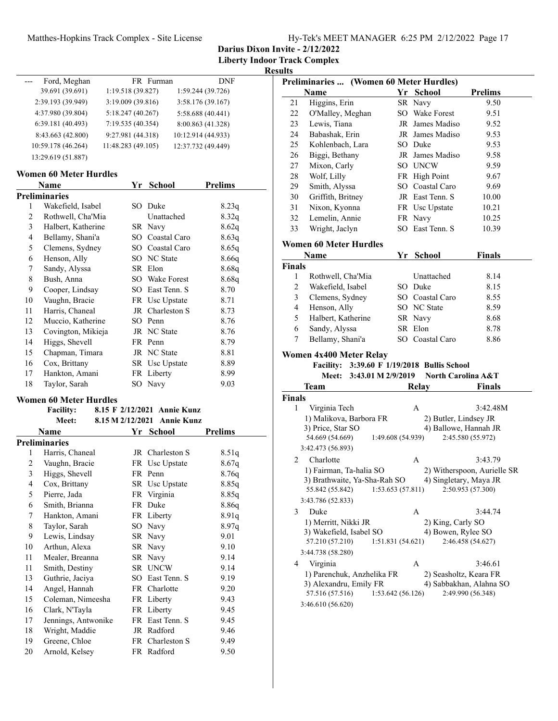**Darius Dixon Invite - 2/12/2022**

**Liberty Indoor Track Complex**

**Results**

| Ford, Meghan       |                    | FR Furman | DNF                |
|--------------------|--------------------|-----------|--------------------|
| 39.691 (39.691)    | 1:19.518(39.827)   |           | 1:59.244 (39.726)  |
| 2:39.193 (39.949)  | 3:19.009 (39.816)  |           | 3:58.176 (39.167)  |
| 4:37.980 (39.804)  | 5:18.247(40.267)   |           | 5:58.688 (40.441)  |
| 6:39.181(40.493)   | 7:19.535 (40.354)  |           | 8:00.863 (41.328)  |
| 8:43.663 (42.800)  | 9:27.981 (44.318)  |           | 10:12.914 (44.933) |
| 10:59.178 (46.264) | 11:48.283 (49.105) |           | 12:37.732 (49.449) |
| 13:29.619 (51.887) |                    |           |                    |

### **Women 60 Meter Hurdles**

| Name |                    |     | School          | Prelims |
|------|--------------------|-----|-----------------|---------|
|      | Preliminaries      |     |                 |         |
| 1    | Wakefield, Isabel  | SO. | Duke            | 8.23q   |
| 2    | Rothwell, Cha'Mia  |     | Unattached      | 8.32q   |
| 3    | Halbert, Katherine |     | SR Navy         | 8.62q   |
| 4    | Bellamy, Shani'a   | SО  | Coastal Caro    | 8.63q   |
| 5    | Clemens, Sydney    | SО  | Coastal Caro    | 8.65q   |
| 6    | Henson, Ally       | SО  | NC State        | 8.66q   |
| 7    | Sandy, Alyssa      |     | SR Elon         | 8.68q   |
| 8    | Bush, Anna         | SO. | Wake Forest     | 8.68q   |
| 9    | Cooper, Lindsay    | SO. | East Tenn. S    | 8.70    |
| 10   | Vaughn, Bracie     |     | FR Usc Upstate  | 8.71    |
| 11   | Harris, Chaneal    |     | JR Charleston S | 8.73    |
| 12   | Muccio, Katherine  | SО  | Penn            | 8.76    |
| 13   | Covington, Mikieja |     | JR NC State     | 8.76    |
| 14   | Higgs, Shevell     |     | FR Penn         | 8.79    |
| 15   | Chapman, Timara    |     | JR NC State     | 8.81    |
| 16   | Cox, Brittany      |     | SR Usc Upstate  | 8.89    |
| 17   | Hankton, Amani     |     | FR Liberty      | 8.99    |
| 18   | Taylor, Sarah      | SО  | Navy            | 9.03    |
|      |                    |     |                 |         |

### **Women 60 Meter Hurdles**

| <b>Facility:</b> | 8.15 F 2/12/2021 Annie Kunz |  |
|------------------|-----------------------------|--|
| Meet:            | 8.15 M 2/12/2021 Annie Kunz |  |

| Name |                      |    | School          | <b>Prelims</b> |
|------|----------------------|----|-----------------|----------------|
|      | <b>Preliminaries</b> |    |                 |                |
| 1    | Harris, Chaneal      |    | JR Charleston S | 8.51q          |
| 2    | Vaughn, Bracie       |    | FR Usc Upstate  | 8.67q          |
| 3    | Higgs, Shevell       |    | FR Penn         | 8.76q          |
| 4    | Cox, Brittany        |    | SR Usc Upstate  | 8.85q          |
| 5    | Pierre, Jada         |    | FR Virginia     | 8.85q          |
| 6    | Smith, Brianna       |    | FR Duke         | 8.86q          |
| 7    | Hankton, Amani       |    | FR Liberty      | 8.91q          |
| 8    | Taylor, Sarah        | SO | Navy            | 8.97q          |
| 9    | Lewis, Lindsay       |    | SR Navy         | 9.01           |
| 10   | Arthun, Alexa        |    | SR Navy         | 9.10           |
| 11   | Mealer, Breanna      |    | SR Navy         | 9.14           |
| 11   | Smith, Destiny       |    | SR UNCW         | 9.14           |
| 13   | Guthrie, Jaciya      |    | SO East Tenn. S | 9.19           |
| 14   | Angel, Hannah        |    | FR Charlotte    | 9.20           |
| 15   | Coleman, Nimeesha    |    | FR Liberty      | 9.43           |
| 16   | Clark, N'Tayla       |    | FR Liberty      | 9.45           |
| 17   | Jennings, Antwonike  |    | FR East Tenn. S | 9.45           |
| 18   | Wright, Maddie       |    | JR Radford      | 9.46           |
| 19   | Greene, Chloe        |    | FR Charleston S | 9.49           |
| 20   | Arnold, Kelsey       |    | FR Radford      | 9.50           |

|                | Preliminaries  (Women 60 Meter Hurdles)     |                   |                               |                             |
|----------------|---------------------------------------------|-------------------|-------------------------------|-----------------------------|
|                | Name                                        |                   | Yr School                     | <b>Prelims</b>              |
| 21             | Higgins, Erin                               |                   | SR Navy                       | 9.50                        |
| 22             | O'Malley, Meghan                            |                   | SO Wake Forest                | 9.51                        |
| 23             | Lewis, Tiana                                |                   | JR James Madiso               | 9.52                        |
| 24             | Babashak, Erin                              |                   | JR James Madiso               | 9.53                        |
| 25             | Kohlenbach, Lara                            |                   | SO Duke                       | 9.53                        |
| 26             | Biggi, Bethany                              |                   | JR James Madiso               | 9.58                        |
| 27             | Mixon, Carly                                |                   | SO UNCW                       | 9.59                        |
| 28             | Wolf, Lilly                                 |                   | FR High Point                 | 9.67                        |
| 29             | Smith, Alyssa                               |                   | SO Coastal Caro               | 9.69                        |
| 30             | Griffith, Britney                           |                   | JR East Tenn. S               | 10.00                       |
| 31             | Nixon, Kyonna                               |                   | FR Usc Upstate                | 10.21                       |
| 32             | Lemelin, Annie                              |                   | FR Navy                       | 10.25                       |
| 33             | Wright, Jaclyn                              |                   | SO East Tenn. S               | 10.39                       |
|                |                                             |                   |                               |                             |
|                | Women 60 Meter Hurdles                      |                   |                               |                             |
|                | Name                                        |                   | Yr School                     | <b>Finals</b>               |
| Finals         |                                             |                   |                               |                             |
| 1              | Rothwell, Cha'Mia                           |                   | Unattached                    | 8.14                        |
| $\overline{c}$ | Wakefield, Isabel                           |                   | SO Duke                       | 8.15                        |
| $\mathfrak{Z}$ | Clemens, Sydney                             |                   | SO Coastal Caro               | 8.55                        |
| $\overline{4}$ | Henson, Ally                                |                   | SO NC State                   | 8.59                        |
| 5              | Halbert, Katherine                          |                   | SR Navy                       | 8.68                        |
| 6              | Sandy, Alyssa                               |                   | SR Elon                       | 8.78                        |
|                |                                             |                   |                               |                             |
| 7              | Bellamy, Shani'a                            |                   | SO Coastal Caro               | 8.86                        |
|                | Women 4x400 Meter Relay                     |                   |                               |                             |
|                | Facility: 3:39.60 F 1/19/2018 Bullis School |                   |                               |                             |
|                | 3:43.01 M 2/9/2019<br><b>Meet:</b>          |                   | <b>North Carolina A&amp;T</b> |                             |
|                | Team                                        |                   | Relay                         | <b>Finals</b>               |
|                |                                             |                   |                               |                             |
| 1              | Virginia Tech                               |                   | A                             | 3:42.48M                    |
|                | 1) Malikova, Barbora FR                     |                   | 2) Butler, Lindsey JR         |                             |
|                | 3) Price, Star SO                           |                   | 4) Ballowe, Hannah JR         |                             |
|                | 54.669 (54.669)                             | 1:49.608 (54.939) |                               | 2:45.580 (55.972)           |
| Finals         | 3:42.473 (56.893)                           |                   |                               |                             |
| 2              | Charlotte                                   |                   | A                             | 3:43.79                     |
|                | 1) Fairman, Ta-halia SO                     |                   |                               | 2) Witherspoon, Aurielle SR |
|                | 3) Brathwaite, Ya-Sha-Rah SO                |                   | 4) Singletary, Maya JR        |                             |
|                | 55.842 (55.842)                             | 1:53.653(57.811)  |                               | 2:50.953 (57.300)           |
|                | 3:43.786 (52.833)                           |                   |                               |                             |
| 3              | Duke                                        |                   | А                             | 3:44.74                     |
|                | 1) Merritt, Nikki JR                        |                   | 2) King, Carly SO             |                             |
|                | 3) Wakefield, Isabel SO                     |                   | 4) Bowen, Rylee SO            |                             |
|                | 57.210 (57.210)                             | 1:51.831 (54.621) |                               | 2:46.458 (54.627)           |
|                | 3:44.738 (58.280)                           |                   |                               |                             |
| 4              | Virginia                                    |                   | Α                             | 3:46.61                     |
|                | 1) Parenchuk, Anzhelika FR                  |                   | 2) Seasholtz, Keara FR        |                             |
|                | 3) Alexandru, Emily FR                      |                   |                               | 4) Sabbakhan, Alahna SO     |
|                | 57.516 (57.516)                             | 1:53.642 (56.126) |                               | 2:49.990 (56.348)           |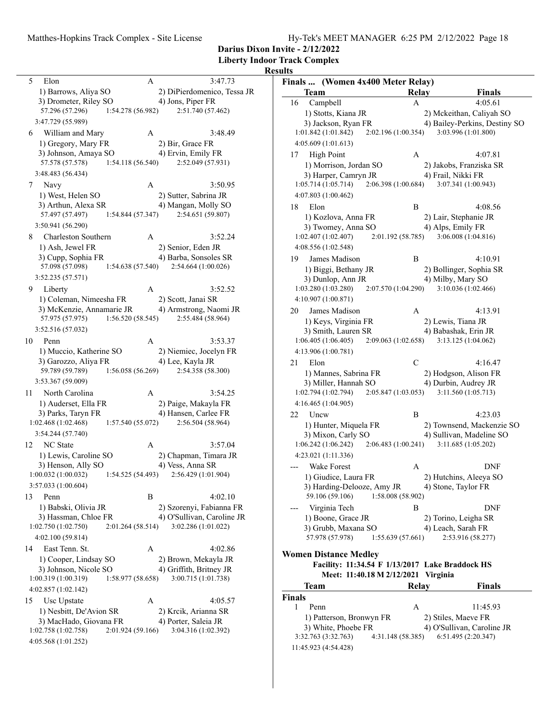| Hy-Tek's MEET MANAGER 6:25 PM 2/12/2022 Page 18 |  |  |  |
|-------------------------------------------------|--|--|--|
|                                                 |  |  |  |

**Darius Dixon Invite - 2/12/2022**

**Liberty Indoor Track Complex**

| 5   | Elon                      |                   | A | 3:47.73                     |
|-----|---------------------------|-------------------|---|-----------------------------|
|     | 1) Barrows, Aliya SO      |                   |   | 2) DiPierdomenico, Tessa JR |
|     | 3) Drometer, Riley SO     |                   |   | 4) Jons, Piper FR           |
|     | 57.296 (57.296)           | 1:54.278 (56.982) |   | 2:51.740 (57.462)           |
|     | 3:47.729 (55.989)         |                   |   |                             |
| 6   | William and Mary          |                   | A | 3:48.49                     |
|     |                           |                   |   |                             |
|     | 1) Gregory, Mary FR       |                   |   | 2) Bir, Grace FR            |
|     | 3) Johnson, Amaya SO      |                   |   | 4) Ervin, Emily FR          |
|     | 57.578 (57.578)           | 1:54.118 (56.540) |   | 2:52.049 (57.931)           |
|     | 3:48.483 (56.434)         |                   |   |                             |
| 7   | Navy                      |                   | A | 3:50.95                     |
|     | 1) West, Helen SO         |                   |   | 2) Sutter, Sabrina JR       |
|     | 3) Arthun, Alexa SR       |                   |   | 4) Mangan, Molly SO         |
|     | 57.497 (57.497)           | 1:54.844(57.347)  |   | 2:54.651 (59.807)           |
|     | 3:50.941 (56.290)         |                   |   |                             |
| 8   | Charleston Southern       |                   | A | 3:52.24                     |
|     | 1) Ash, Jewel FR          |                   |   | 2) Senior, Eden JR          |
|     |                           |                   |   |                             |
|     | 3) Cupp, Sophia FR        |                   |   | 4) Barba, Sonsoles SR       |
|     | 57.098 (57.098)           | 1:54.638 (57.540) |   | 2:54.664 (1:00.026)         |
|     | 3:52.235 (57.571)         |                   |   |                             |
| 9.  | Liberty                   |                   | А | 3:52.52                     |
|     | 1) Coleman, Nimeesha FR   |                   |   | 2) Scott, Janai SR          |
|     | 3) McKenzie, Annamarie JR |                   |   | 4) Armstrong, Naomi JR      |
|     | 57.975 (57.975)           | 1:56.520(58.545)  |   | 2:55.484 (58.964)           |
|     | 3:52.516 (57.032)         |                   |   |                             |
| 10  | Penn                      |                   | A | 3:53.37                     |
|     | 1) Muccio, Katherine SO   |                   |   | 2) Niemiec, Jocelyn FR      |
|     | 3) Garozzo, Aliya FR      |                   |   | 4) Lee, Kayla JR            |
|     | 59.789 (59.789)           | 1:56.058 (56.269) |   | 2:54.358 (58.300)           |
|     |                           |                   |   |                             |
|     | 3:53.367 (59.009)         |                   |   |                             |
| 11. | North Carolina            |                   | А | 3:54.25                     |
|     | 1) Auderset, Ella FR      |                   |   | 2) Paige, Makayla FR        |
|     | 3) Parks, Taryn FR        |                   |   | 4) Hansen, Carlee FR        |
|     | 1:02.468 (1:02.468)       | 1:57.540(55.072)  |   | 2:56.504 (58.964)           |
|     | 3:54.244 (57.740)         |                   |   |                             |
| 12  | <b>NC</b> State           |                   | A | 3:57.04                     |
|     | 1) Lewis, Caroline SO     |                   |   | 2) Chapman, Timara JR       |
|     | 3) Henson, Ally SO        |                   |   | 4) Vess, Anna SR            |
|     | 1:00.032 (1:00.032)       | 1:54.525 (54.493) |   | 2:56.429 (1:01.904)         |
|     | 3:57.033 (1:00.604)       |                   |   |                             |
|     |                           |                   |   |                             |
| 13  | Penn                      |                   | В | 4:02.10                     |
|     | 1) Babski, Olivia JR      |                   |   | 2) Szorenyi, Fabianna FR    |
|     | 3) Hassman, Chloe FR      |                   |   | 4) O'Sullivan, Caroline JR  |
|     | 1:02.750 (1:02.750)       | 2:01.264 (58.514) |   | 3:02.286 (1:01.022)         |
|     | 4:02.100 (59.814)         |                   |   |                             |
| 14  | East Tenn. St.            |                   | А | 4:02.86                     |
|     | 1) Cooper, Lindsay SO     |                   |   | 2) Brown, Mekayla JR        |
|     | 3) Johnson, Nicole SO     |                   |   | 4) Griffith, Britney JR     |
|     | 1:00.319 (1:00.319)       | 1:58.977 (58.658) |   | 3:00.715 (1:01.738)         |
|     | 4:02.857 (1:02.142)       |                   |   |                             |
|     |                           |                   |   |                             |
| 15  | Usc Upstate               |                   | A | 4:05.57                     |
|     | 1) Nesbitt, De'Avion SR   |                   |   | 2) Krcik, Arianna SR        |
|     | 3) MacHado, Giovana FR    |                   |   | 4) Porter, Saleia JR        |
|     | 1:02.758 (1:02.758)       | 2:01.924 (59.166) |   | 3:04.316 (1:02.392)         |
|     | 4:05.568 (1:01.252)       |                   |   |                             |
|     |                           |                   |   |                             |

| Finals  (Women 4x400 Meter Relay)                               |              |                                                   |
|-----------------------------------------------------------------|--------------|---------------------------------------------------|
| <b>Team</b>                                                     | <b>Relay</b> | Finals                                            |
| 16<br>Campbell                                                  | A            | 4:05.61                                           |
| 1) Stotts, Kiana JR                                             |              | 2) Mckeithan, Caliyah SO                          |
| 3) Jackson, Ryan FR                                             |              | 4) Bailey-Perkins, Destiny SO                     |
| 1:01.842(1:01.842)<br>2:02.196 (1:00.354)                       |              | 3:03.996 (1:01.800)                               |
| 4:05.609(1:01.613)                                              |              |                                                   |
| <b>High Point</b><br>17                                         | Α            | 4:07.81                                           |
| 1) Morrison, Jordan SO                                          |              | 2) Jakobs, Franziska SR                           |
| 3) Harper, Camryn JR                                            |              | 4) Frail, Nikki FR                                |
| 1:05.714(1:05.714)<br>2:06.398(1:00.684)                        |              | 3:07.341 (1:00.943)                               |
| 4:07.803 (1:00.462)                                             |              |                                                   |
| 18<br>Elon                                                      | Β            | 4:08.56                                           |
| 1) Kozlova, Anna FR                                             |              | 2) Lair, Stephanie JR                             |
| 3) Twomey, Anna SO<br>1:02.407(1:02.407)<br>2:01.192 (58.785)   |              | 4) Alps, Emily FR<br>3:06.008 (1:04.816)          |
| 4:08.556 (1:02.548)                                             |              |                                                   |
| James Madison                                                   |              |                                                   |
| 19                                                              | В            | 4:10.91                                           |
| 1) Biggi, Bethany JR<br>3) Dunlop, Ann JR                       |              | 2) Bollinger, Sophia SR<br>4) Milby, Mary SO      |
| 1:03.280(1:03.280)<br>2:07.570 (1:04.290)                       |              | 3:10.036 (1:02.466)                               |
| 4:10.907 (1:00.871)                                             |              |                                                   |
| James Madison<br>20                                             | А            | 4:13.91                                           |
| 1) Keys, Virginia FR                                            |              | 2) Lewis, Tiana JR                                |
| 3) Smith, Lauren SR                                             |              | 4) Babashak, Erin JR                              |
| 1:06.405(1:06.405)<br>2:09.063(1:02.658)                        |              | 3:13.125 (1:04.062)                               |
| 4:13.906 (1:00.781)                                             |              |                                                   |
| 21<br>Elon                                                      | С            | 4:16.47                                           |
| 1) Mannes, Sabrina FR                                           |              | 2) Hodgson, Alison FR                             |
| 3) Miller, Hannah SO                                            |              | 4) Durbin, Audrey JR                              |
| 1:02.794(1:02.794)<br>2:05.847(1:03.053)                        |              | 3:11.560 (1:05.713)                               |
| 4:16.465 (1:04.905)                                             |              |                                                   |
| 22<br>Uncw                                                      | Β            | 4:23.03                                           |
| 1) Hunter, Miquela FR                                           |              | 2) Townsend, Mackenzie SO                         |
| 3) Mixon, Carly SO                                              |              | 4) Sullivan, Madeline SO                          |
| 1:06.242(1:06.242)<br>2:06.483 (1:00.241)                       |              | 3:11.685 (1:05.202)                               |
| 4:23.021 (1:11.336)                                             |              |                                                   |
| Wake Forest                                                     | А            | DNF                                               |
| 1) Giudice, Laura FR                                            |              | 2) Hutchins, Aleeya SO                            |
| 3) Harding-Delooze, Amy JR                                      |              | 4) Stone, Taylor FR                               |
| 59.106 (59.106)<br>1:58.008 (58.902)                            |              |                                                   |
| Virginia Tech                                                   | B            | DNF                                               |
| 1) Boone, Grace JR                                              |              | 2) Torino, Leigha SR                              |
| 3) Grubb, Maxana SO<br>57.978 (57.978)<br>1:55.639(57.661)      |              | 4) Leach, Sarah FR<br>2:53.916 (58.277)           |
|                                                                 |              |                                                   |
| <b>Women Distance Medley</b>                                    |              |                                                   |
| Facility: 11:34.54 F 1/13/2017 Lake Braddock HS                 |              |                                                   |
| Meet: 11:40.18 M 2/12/2021 Virginia                             |              |                                                   |
| Team                                                            | Relay        | Finals                                            |
| <b>Finals</b>                                                   |              |                                                   |
| 1<br>Penn                                                       | А            | 11:45.93                                          |
| 1) Patterson, Bronwyn FR                                        |              | 2) Stiles, Maeve FR                               |
| 3) White, Phoebe FR<br>3:32.763 (3:32.763)<br>4:31.148 (58.385) |              | 4) O'Sullivan, Caroline JR<br>6:51.495 (2:20.347) |
|                                                                 |              |                                                   |
| 11:45.923 (4:54.428)                                            |              |                                                   |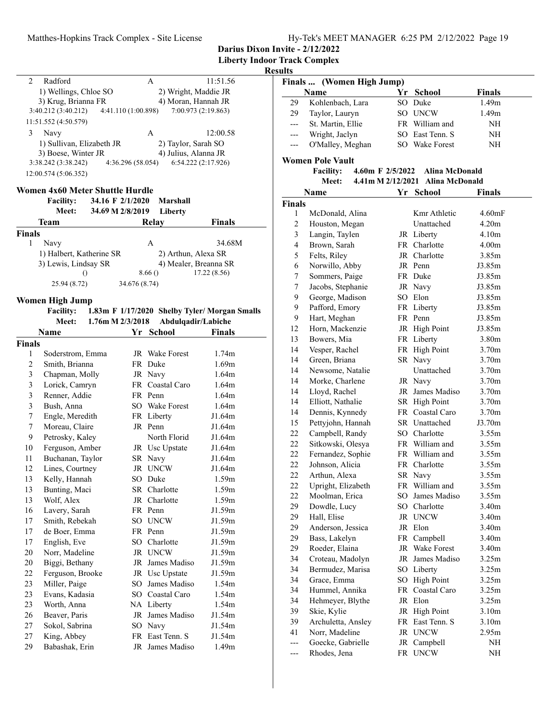**Darius Dixon Invite - 2/12/2022**

**Liberty Indoor Track Complex**

### **Results**

| Radford<br>$\mathcal{D}$  | A                   | 11:51.56             |
|---------------------------|---------------------|----------------------|
| 1) Wellings, Chloe SO     |                     | 2) Wright, Maddie JR |
| 3) Krug, Brianna FR       |                     | 4) Moran, Hannah JR  |
| 3:40.212 (3:40.212)       | 4:41.110 (1:00.898) | 7:00.973 (2:19.863)  |
| 11:51.552 (4:50.579)      |                     |                      |
| 3<br>Navy                 | A                   | 12:00.58             |
| 1) Sullivan, Elizabeth JR |                     | 2) Taylor, Sarah SO  |
| 3) Boese, Winter JR       |                     | 4) Julius, Alanna JR |
| 3:38.242 (3:38.242)       | 4:36.296 (58.054)   | 6:54.222(2:17.926)   |
| 12:00.574 (5:06.352)      |                     |                      |

### **Women 4x60 Meter Shuttle Hurdle**

| <b>Facility:</b><br>Meet: | 34.16 F 2/1/2020<br>34.69 M 2/8/2019 | Marshall<br>Liberty |                       |  |
|---------------------------|--------------------------------------|---------------------|-----------------------|--|
| Team                      |                                      | Relay               | <b>Finals</b>         |  |
| <b>Finals</b>             |                                      |                     |                       |  |
| Navy                      |                                      | Α                   | 34.68M                |  |
| 1) Halbert, Katherine SR  |                                      |                     | 2) Arthun, Alexa SR   |  |
| 3) Lewis, Lindsay SR      |                                      |                     | 4) Mealer, Breanna SR |  |
| $\left( \right)$          |                                      | 8.66()              | 17.22 (8.56)          |  |
| 25.94 (8.72)              |                                      | 34.676 (8.74)       |                       |  |

### **Women High Jump**

| <b>Facility:</b> |                    | 1.83m F 1/17/2020 Shelby Tyler/ Morgan Smalls |
|------------------|--------------------|-----------------------------------------------|
| Meet:            | 1.76m M $2/3/2018$ | Abdulqadir/Labiche                            |

| Name   |                  |      | School             | Finals            |  |  |
|--------|------------------|------|--------------------|-------------------|--|--|
| Finals |                  |      |                    |                   |  |  |
| 1      | Soderstrom, Emma | JR   | <b>Wake Forest</b> | 1.74m             |  |  |
| 2      | Smith, Brianna   | FR.  | Duke               | 1.69m             |  |  |
| 3      | Chapman, Molly   | JR   | Navy               | 1.64m             |  |  |
| 3      | Lorick, Camryn   |      | FR Coastal Caro    | 1.64m             |  |  |
| 3      | Renner, Addie    |      | FR Penn            | 1.64m             |  |  |
| 3      | Bush, Anna       |      | SO Wake Forest     | 1.64m             |  |  |
| 7      | Engle, Meredith  |      | FR Liberty         | J1.64m            |  |  |
| 7      | Moreau, Claire   |      | JR Penn            | J1.64m            |  |  |
| 9      | Petrosky, Kaley  |      | North Florid       | J1.64m            |  |  |
| 10     | Ferguson, Amber  |      | JR Usc Upstate     | J1.64m            |  |  |
| 11     | Buchanan, Taylor |      | SR Navy            | J1.64m            |  |  |
| 12     | Lines, Courtney  | JR   | <b>UNCW</b>        | J1.64m            |  |  |
| 13     | Kelly, Hannah    | SO   | Duke               | 1.59m             |  |  |
| 13     | Bunting, Maci    |      | SR Charlotte       | 1.59m             |  |  |
| 13     | Wolf, Alex       | JR   | Charlotte          | 1.59m             |  |  |
| 16     | Lavery, Sarah    |      | FR Penn            | J1.59m            |  |  |
| 17     | Smith, Rebekah   |      | SO UNCW            | J1.59m            |  |  |
| 17     | de Boer, Emma    |      | FR Penn            | J1.59m            |  |  |
| 17     | English, Eve     |      | SO Charlotte       | J1.59m            |  |  |
| 20     | Norr, Madeline   |      | JR UNCW            | J1.59m            |  |  |
| 20     | Biggi, Bethany   | JR   | James Madiso       | J1.59m            |  |  |
| 22     | Ferguson, Brooke |      | JR Usc Upstate     | J1.59m            |  |  |
| 23     | Miller, Paige    | SO.  | James Madiso       | 1.54m             |  |  |
| 23     | Evans, Kadasia   |      | SO Coastal Caro    | 1.54m             |  |  |
| 23     | Worth, Anna      |      | NA Liberty         | 1.54m             |  |  |
| 26     | Beaver, Paris    | JR   | James Madiso       | J1.54m            |  |  |
| 27     | Sokol, Sabrina   |      | SO Navy            | J1.54m            |  |  |
| 27     | King, Abbey      | FR - | East Tenn. S       | J1.54m            |  |  |
| 29     | Babashak, Erin   | JR   | James Madiso       | 1.49 <sub>m</sub> |  |  |
|        |                  |      |                    |                   |  |  |

| uns                                   |                                      |      |                       |                   |  |  |  |
|---------------------------------------|--------------------------------------|------|-----------------------|-------------------|--|--|--|
| Finals                                | (Women High Jump)                    |      |                       |                   |  |  |  |
|                                       | Name                                 |      | Yr School             | <b>Finals</b>     |  |  |  |
| 29                                    | Kohlenbach, Lara                     |      | SO Duke               | 1.49 <sub>m</sub> |  |  |  |
| 29                                    | Taylor, Lauryn                       |      | SO UNCW               | 1.49m             |  |  |  |
| ---                                   | St. Martin, Ellie                    |      | FR William and        | NH                |  |  |  |
| ---                                   | Wright, Jaclyn                       |      | SO East Tenn. S       | NH                |  |  |  |
| ---                                   | O'Malley, Meghan                     |      | SO Wake Forest        | NΗ                |  |  |  |
|                                       | <b>Women Pole Vault</b>              |      |                       |                   |  |  |  |
|                                       | <b>Facility:</b><br>4.60m F 2/5/2022 |      | Alina McDonald        |                   |  |  |  |
|                                       | Meet:<br>$4.41$ m M $2/12/2021$      |      | <b>Alina McDonald</b> |                   |  |  |  |
| Name<br>Yr<br><b>School</b><br>Finals |                                      |      |                       |                   |  |  |  |
| <b>Finals</b>                         |                                      |      |                       |                   |  |  |  |
| 1                                     | McDonald, Alina                      |      | Kmr Athletic          | 4.60mF            |  |  |  |
| 2                                     | Houston, Megan                       |      | Unattached            | 4.20 <sub>m</sub> |  |  |  |
| 3                                     | Langin, Taylen                       |      | JR Liberty            | 4.10 <sub>m</sub> |  |  |  |
| 4                                     | Brown, Sarah                         |      | FR Charlotte          | 4.00 <sub>m</sub> |  |  |  |
| 5                                     | Felts, Riley                         |      | JR Charlotte          | 3.85m             |  |  |  |
| 6                                     | Norwillo, Abby                       |      | JR Penn               | J3.85m            |  |  |  |
| 7                                     | Sommers, Paige                       |      | FR Duke               | J3.85m            |  |  |  |
| 7                                     | Jacobs, Stephanie                    |      | JR Navy               | J3.85m            |  |  |  |
| 9                                     | George, Madison                      |      | SO Elon               | J3.85m            |  |  |  |
| 9                                     |                                      |      |                       | J3.85m            |  |  |  |
|                                       | Pafford, Emory                       |      | FR Liberty            |                   |  |  |  |
| 9                                     | Hart, Meghan                         |      | FR Penn               | J3.85m            |  |  |  |
| 12                                    | Horn, Mackenzie                      |      | JR High Point         | J3.85m            |  |  |  |
| 13                                    | Bowers, Mia                          |      | FR Liberty            | 3.80m             |  |  |  |
| 14                                    | Vesper, Rachel                       |      | FR High Point         | 3.70m             |  |  |  |
| 14                                    | Green, Briana                        |      | SR Navy               | 3.70 <sub>m</sub> |  |  |  |
| 14                                    | Newsome, Natalie                     |      | Unattached            | 3.70m             |  |  |  |
| 14                                    | Morke, Charlene                      |      | JR Navy               | 3.70m             |  |  |  |
| 14                                    | Lloyd, Rachel                        |      | JR James Madiso       | 3.70 <sub>m</sub> |  |  |  |
| 14                                    | Elliott, Nathalie                    |      | SR High Point         | 3.70 <sub>m</sub> |  |  |  |
| 14                                    | Dennis, Kynnedy                      |      | FR Coastal Caro       | 3.70m             |  |  |  |
| 15                                    | Pettyjohn, Hannah                    |      | SR Unattached         | J3.70m            |  |  |  |
| 22                                    | Campbell, Randy                      |      | SO Charlotte          | 3.55m             |  |  |  |
| 22                                    | Sitkowski, Olesya                    |      | FR William and        | 3.55m             |  |  |  |
| 22                                    | Fernandez, Sophie                    |      | FR William and        | 3.55m             |  |  |  |
| 22                                    | Johnson, Alicia                      |      | FR Charlotte          | 3.55m             |  |  |  |
| 22                                    | Arthun, Alexa                        |      | SR Navy               | 3.55m             |  |  |  |
| 22                                    | Upright, Elizabeth                   |      | FR William and        | 3.55m             |  |  |  |
| 22                                    | Moolman, Erica                       | SO - | James Madiso          | 3.55m             |  |  |  |
| 29                                    | Dowdle, Lucy                         |      | SO Charlotte          | 3.40m             |  |  |  |
| 29                                    | Hall, Elise                          |      | JR UNCW               | 3.40m             |  |  |  |
| 29                                    | Anderson, Jessica                    |      | JR Elon               | 3.40m             |  |  |  |
| 29                                    | Bass, Lakelyn                        | FR   | Campbell              | 3.40m             |  |  |  |
| 29                                    | Roeder, Elaina                       |      | JR Wake Forest        | 3.40m             |  |  |  |
| 34                                    | Croteau, Madolyn                     |      | JR James Madiso       | 3.25m             |  |  |  |
| 34                                    | Bermudez, Marisa                     |      | SO Liberty            | 3.25m             |  |  |  |
| 34                                    | Grace, Emma                          |      | SO High Point         | 3.25m             |  |  |  |
| 34                                    | Hummel, Annika                       |      | FR Coastal Caro       | 3.25m             |  |  |  |
| 34                                    | Hehmeyer, Blythe                     |      | JR Elon               | 3.25m             |  |  |  |
| 39                                    | Skie, Kylie                          |      | JR High Point         | 3.10m             |  |  |  |
| 39                                    | Archuletta, Ansley                   |      | FR East Tenn. S       | 3.10 <sub>m</sub> |  |  |  |
| 41                                    |                                      |      | JR UNCW               |                   |  |  |  |
|                                       | Norr, Madeline<br>Goecke, Gabrielle  |      |                       | 2.95m             |  |  |  |
| ---                                   |                                      | JR   | Campbell              | NH                |  |  |  |
| ---                                   | Rhodes, Jena                         |      | FR UNCW               | NH                |  |  |  |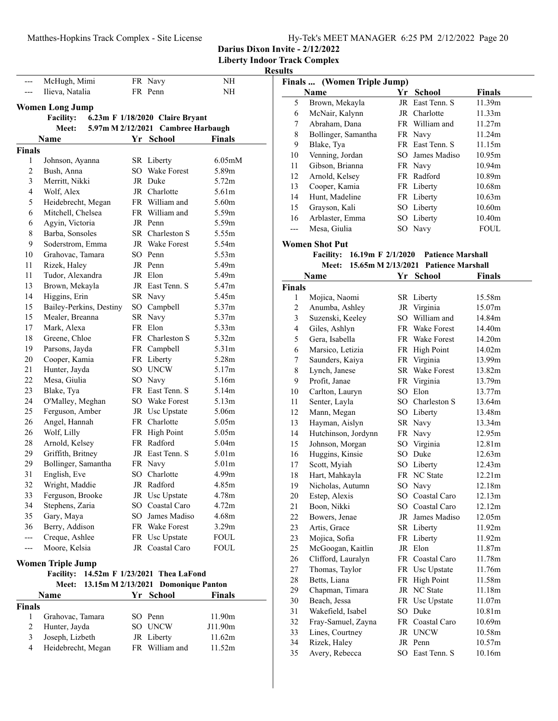**Liberty Indoor Track Complex**

**Results**

|                | McHugh, Mimi                              |     | FR Navy                            | NΗ                  |
|----------------|-------------------------------------------|-----|------------------------------------|---------------------|
| ---            | Ilieva, Natalia                           |     | FR Penn                            | NΗ                  |
|                |                                           |     |                                    |                     |
|                | <b>Women Long Jump</b>                    |     |                                    |                     |
|                | Facility: 6.23m F 1/18/2020 Claire Bryant |     |                                    |                     |
|                | Meet:                                     |     | 5.97m M 2/12/2021 Cambree Harbaugh |                     |
|                | Name                                      |     | Yr School                          | <b>Finals</b>       |
| <b>Finals</b>  |                                           |     |                                    |                     |
| 1              | Johnson, Ayanna                           |     | SR Liberty                         | 6.05 <sub>m</sub> M |
| $\overline{2}$ | Bush, Anna                                |     | SO Wake Forest                     | 5.89m               |
| 3              | Merritt, Nikki                            |     | JR Duke                            | 5.72 <sub>m</sub>   |
| 4              | Wolf, Alex                                |     | JR Charlotte                       | 5.61m               |
| 5              | Heidebrecht, Megan                        |     | FR William and                     | 5.60m               |
| 6              | Mitchell, Chelsea                         |     | FR William and                     | 5.59m               |
| 6              | Agyin, Victoria                           |     | JR Penn                            | 5.59m               |
| 8              | Barba, Sonsoles                           |     | SR Charleston S                    | 5.55m               |
| 9              | Soderstrom, Emma                          |     | JR Wake Forest                     | 5.54m               |
| 10             | Grahovac, Tamara                          |     | SO Penn                            | 5.53m               |
| 11             | Rizek, Haley                              |     | JR Penn                            | 5.49m               |
| 11             | Tudor, Alexandra                          |     | JR Elon                            | 5.49m               |
| 13             | Brown, Mekayla                            |     | JR East Tenn. S                    | 5.47m               |
| 14             | Higgins, Erin                             |     | SR Navy                            | 5.45m               |
| 15             | Bailey-Perkins, Destiny                   |     | SO Campbell                        | 5.37m               |
| 15             | Mealer, Breanna                           |     | SR Navy                            | 5.37m               |
| 17             | Mark, Alexa                               |     | FR Elon                            | 5.33m               |
| 18             | Greene, Chloe                             |     | FR Charleston S                    | 5.32m               |
| 19             | Parsons, Jayda                            |     | FR Campbell                        | 5.31m               |
| 20             | Cooper, Kamia                             |     | FR Liberty                         | 5.28m               |
| 21             | Hunter, Jayda                             |     | SO UNCW                            | 5.17m               |
| 22             | Mesa, Giulia                              |     | SO Navy                            | 5.16m               |
| 23             | Blake, Tya                                |     | FR East Tenn. S                    | 5.14m               |
| 24             | O'Malley, Meghan                          |     | SO Wake Forest                     | 5.13m               |
| 25             | Ferguson, Amber                           |     | JR Usc Upstate                     | 5.06m               |
| 26             | Angel, Hannah                             |     | FR Charlotte                       | 5.05m               |
| 26             | Wolf, Lilly                               |     | FR High Point                      | 5.05m               |
| 28             | Arnold, Kelsey                            |     | FR Radford                         | 5.04m               |
| 29             | Griffith, Britney                         |     | JR East Tenn. S                    | 5.01m               |
| 29             | Bollinger, Samantha                       |     | FR Navy                            | 5.01m               |
| 31             | English, Eve                              | SO. | Charlotte                          | 4.99m               |
| 32             | Wright, Maddie                            |     | JR Radford                         | 4.85m               |
| 33             | Ferguson, Brooke                          |     | JR Usc Upstate                     | 4.78m               |
| 34             | Stephens, Zaria                           |     | SO Coastal Caro                    | 4.72m               |
| 35             | Gary, Maya                                |     | SO James Madiso                    | 4.68m               |
| 36             | Berry, Addison                            |     | FR Wake Forest                     | 3.29m               |
| ---            | Creque, Ashlee                            |     | FR Usc Upstate<br>JR Coastal Caro  | <b>FOUL</b>         |
| ---            | Moore, Kelsia                             |     |                                    | <b>FOUL</b>         |
|                | <b>Women Triple Jump</b>                  |     |                                    |                     |
|                | <b>Facility:</b>                          |     | 14.52m F 1/23/2021 Thea LaFond     |                     |
|                | 13.15m M 2/13/2021<br><b>Meet:</b>        |     | <b>Domonique Panton</b>            |                     |
|                | Name                                      |     | Yr School                          | <b>Finals</b>       |
| <b>Finals</b>  |                                           |     |                                    |                     |
| 1              | Grahovac, Tamara                          |     | SO Penn                            | 11.90m              |
| $\overline{c}$ | Hunter, Jayda                             |     | SO UNCW                            | J11.90m             |
| $\mathfrak{Z}$ | Joseph, Lizbeth                           |     | JR Liberty                         | 11.62m              |
| $\overline{4}$ | Heidebrecht, Megan                        |     | FR William and                     | 11.52m              |
|                |                                           |     |                                    |                     |

| Finals  (Women Triple Jump) |                     |  |                 |                    |  |  |
|-----------------------------|---------------------|--|-----------------|--------------------|--|--|
| <b>Name</b>                 |                     |  | School<br>Yr    | <b>Finals</b>      |  |  |
| 5                           | Brown, Mekayla      |  | JR East Tenn. S | 11.39m             |  |  |
| 6                           | McNair, Kalynn      |  | JR Charlotte    | 11.33m             |  |  |
| 7                           | Abraham, Dana       |  | FR William and  | 11.27m             |  |  |
| 8                           | Bollinger, Samantha |  | FR Navy         | 11.24m             |  |  |
| 9                           | Blake, Tya          |  | FR East Tenn. S | 11.15m             |  |  |
| 10                          | Venning, Jordan     |  | SO James Madiso | 10.95m             |  |  |
| 11                          | Gibson, Brianna     |  | FR Navy         | 10.94 <sub>m</sub> |  |  |
| 12                          | Arnold, Kelsey      |  | FR Radford      | 10.89 <sub>m</sub> |  |  |
| 13                          | Cooper, Kamia       |  | FR Liberty      | 10.68m             |  |  |
| 14                          | Hunt, Madeline      |  | FR Liberty      | 10.63m             |  |  |
| 15                          | Grayson, Kali       |  | SO Liberty      | 10.60m             |  |  |
| 16                          | Arblaster, Emma     |  | SO Liberty      | 10.40 <sub>m</sub> |  |  |
|                             | Mesa, Giulia        |  | SO Navy         | <b>FOUL</b>        |  |  |
|                             |                     |  |                 |                    |  |  |

### **Women Shot Put**

**Facility:** 16.19m F 2/1/2020 Patience Marshall **Meet: 15.65m M 2/13/2021 Patience Marshall**

|                | Name                | Yr  | <b>School</b>      | <b>Finals</b>      |  |
|----------------|---------------------|-----|--------------------|--------------------|--|
| <b>Finals</b>  |                     |     |                    |                    |  |
| 1              | Mojica, Naomi       |     | SR Liberty         | 15.58m             |  |
| $\overline{c}$ | Anumba, Ashley      |     | JR Virginia        | 15.07m             |  |
| 3              | Suzenski, Keeley    | SO  | William and        | 14.84m             |  |
| 4              | Giles, Ashlyn       |     | FR Wake Forest     | 14.40m             |  |
| 5              | Gera, Isabella      |     | FR Wake Forest     | 14.20m             |  |
| 6              | Marsico, Letizia    |     | FR High Point      | 14.02m             |  |
| 7              | Saunders, Kaiya     |     | FR Virginia        | 13.99m             |  |
| 8              | Lynch, Janese       | SR  | <b>Wake Forest</b> | 13.82m             |  |
| 9              | Profit, Janae       |     | FR Virginia        | 13.79m             |  |
| 10             | Carlton, Lauryn     |     | SO Elon            | 13.77m             |  |
| 11             | Senter, Layla       |     | SO Charleston S    | 13.64m             |  |
| 12             | Mann, Megan         |     | SO Liberty         | 13.48m             |  |
| 13             | Hayman, Aislyn      |     | SR Navy            | 13.34m             |  |
| 14             | Hutchinson, Jordynn |     | FR Navy            | 12.95m             |  |
| 15             | Johnson, Morgan     |     | SO Virginia        | 12.81m             |  |
| 16             | Huggins, Kinsie     | SO  | Duke               | 12.63m             |  |
| 17             | Scott, Myiah        |     | SO Liberty         | 12.43m             |  |
| 18             | Hart, Mahkayla      |     | FR NC State        | 12.21m             |  |
| 19             | Nicholas, Autumn    | SO. | Navy               | 12.18m             |  |
| 20             | Estep, Alexis       |     | SO Coastal Caro    | 12.13m             |  |
| 21             | Boon, Nikki         |     | SO Coastal Caro    | 12.12m             |  |
| 22             | Bowers, Jenae       | JR  | James Madiso       | 12.05m             |  |
| 23             | Artis, Grace        |     | SR Liberty         | 11.92m             |  |
| 23             | Mojica, Sofia       | FR  | Liberty            | 11.92m             |  |
| 25             | McGoogan, Kaitlin   | JR  | Elon               | 11.87m             |  |
| 26             | Clifford, Lauralyn  |     | FR Coastal Caro    | 11.78m             |  |
| 27             | Thomas, Taylor      |     | FR Usc Upstate     | 11.76m             |  |
| 28             | Betts, Liana        | FR  | <b>High Point</b>  | 11.58m             |  |
| 29             | Chapman, Timara     | JR  | <b>NC</b> State    | 11.18m             |  |
| 30             | Beach, Jessa        |     | FR Usc Upstate     | 11.07m             |  |
| 31             | Wakefield, Isabel   | SО  | Duke               | 10.81 <sub>m</sub> |  |
| 32             | Fray-Samuel, Zayna  | FR  | Coastal Caro       | 10.69m             |  |
| 33             | Lines, Courtney     |     | JR UNCW            | 10.58m             |  |
| 34             | Rizek, Haley        |     | JR Penn            | 10.57m             |  |
| 35             | Avery, Rebecca      |     | SO East Tenn. S    | 10.16m             |  |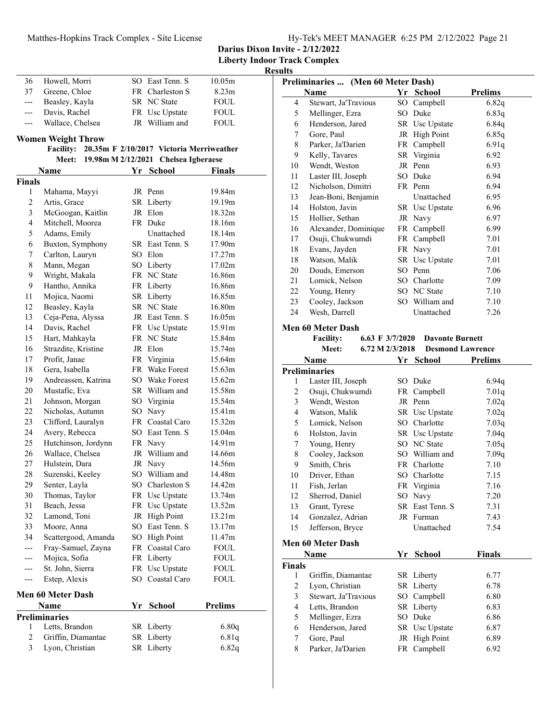| Hy-Tek's MEET MANAGER 6:25 PM 2/12/2022 Page 21 |  |  |
|-------------------------------------------------|--|--|
|                                                 |  |  |

| Darius Dixon Invite - 2/12/2022 |
|---------------------------------|
|---------------------------------|

**Liberty Indoor Track Complex**

|                |                                                    |                                  | Liberty Indo      |
|----------------|----------------------------------------------------|----------------------------------|-------------------|
|                |                                                    |                                  | ŀ                 |
| 36             | Howell, Morri                                      | SO East Tenn. S                  | 10.05m            |
| 37             | Greene, Chloe                                      | FR Charleston S                  | 8.23 <sub>m</sub> |
| ---            | Beasley, Kayla                                     | SR NC State                      | <b>FOUL</b>       |
| ---            | Davis, Rachel                                      | FR Usc Upstate<br>JR William and | ${\tt FOUL}$      |
| ---            | Wallace, Chelsea                                   |                                  | <b>FOUL</b>       |
|                | <b>Women Weight Throw</b>                          |                                  |                   |
|                | Facility: 20.35m F 2/10/2017 Victoria Merriweather |                                  |                   |
|                | Meet: 19.98m M 2/12/2021                           | <b>Chelsea Igberaese</b>         |                   |
|                | Name                                               | Yr School                        | Finals            |
| <b>Finals</b>  |                                                    |                                  |                   |
| 1              | Mahama, Mayyi                                      | JR Penn                          | 19.84m            |
| $\overline{2}$ | Artis, Grace                                       | SR Liberty                       | 19.19m            |
| 3              | McGoogan, Kaitlin                                  | JR Elon                          | 18.32m            |
| 4              | Mitchell, Moorea                                   | FR Duke                          | 18.16m            |
| 5              | Adams, Emily                                       | Unattached                       | 18.14m            |
| 6              | Buxton, Symphony                                   | SR East Tenn. S                  | 17.90m            |
| 7              | Carlton, Lauryn                                    | SO Elon                          | 17.27m            |
| 8              | Mann, Megan                                        | SO Liberty                       | 17.02m            |
| 9              | Wright, Makala                                     | FR NC State                      | 16.86m            |
| 9              | Hantho, Annika                                     | FR Liberty                       | 16.86m            |
| 11             | Mojica, Naomi                                      | SR Liberty                       | 16.85m            |
| 12             | Beasley, Kayla                                     | SR NC State                      | 16.80m            |
| 13             | Ceja-Pena, Alyssa                                  | JR East Tenn. S                  | 16.05m            |
| 14             | Davis, Rachel                                      | FR Usc Upstate                   | 15.91m            |
| 15             | Hart, Mahkayla                                     | FR NC State                      | 15.84m            |
| 16             | Strazdite, Kristine                                | JR Elon                          | 15.74m            |
| 17             | Profit, Janae                                      | FR Virginia                      | 15.64m            |
| 18             | Gera, Isabella                                     | FR Wake Forest                   | 15.63m            |
| 19             | Andreassen, Katrina                                | SO Wake Forest                   | 15.62m            |
| 20             | Mustafic, Eva                                      | SR William and                   | 15.58m            |
| 21             | Johnson, Morgan                                    | SO Virginia                      | 15.54m            |
| 22             | Nicholas, Autumn                                   | SO Navy                          | 15.41m            |
| 23             | Clifford, Lauralyn                                 | FR Coastal Caro                  | 15.32m            |
| 24             | Avery, Rebecca                                     | SO East Tenn. S                  | 15.04m            |
| 25             | Hutchinson, Jordynn                                | FR Navy                          | 14.91m            |
| 26             | Wallace, Chelsea                                   | JR William and                   | 14.66m            |
| 27             | Hulstein, Dara                                     | JR Navy                          | 14.56m            |
| 28             | Suzenski, Keeley                                   | SO William and                   | 14.48m            |
| 29             | Senter, Layla                                      | SO Charleston S                  | 14.42m            |
| 30             | Thomas, Taylor                                     | FR Usc Upstate                   | 13.74m            |
| 31             | Beach, Jessa                                       | FR Usc Upstate                   | 13.52m            |
| 32             | Lamond, Toni                                       | JR High Point                    | 13.21m            |
| 33             | Moore, Anna                                        | SO East Tenn. S                  | 13.17m            |
| 34             | Scattergood, Amanda                                | SO High Point                    | 11.47m            |
|                | Fray-Samuel, Zayna                                 | FR Coastal Caro                  | <b>FOUL</b>       |
|                | Mojica, Sofia                                      | FR Liberty                       | <b>FOUL</b>       |
|                | St. John, Sierra                                   | FR Usc Upstate                   | <b>FOUL</b>       |
| ---            | Estep, Alexis                                      | SO Coastal Caro                  | <b>FOUL</b>       |
|                | <b>Men 60 Meter Dash</b>                           |                                  |                   |
|                | Name                                               | <u>Yr School</u>                 | Prelims           |
|                | Preliminaries                                      |                                  |                   |
| 1              | Letts, Brandon                                     | SR Liberty                       | 6.80q             |
| 2              | Griffin, Diamantae                                 | SR Liberty                       | 6.81q             |
| 3              | Lyon, Christian                                    | SR Liberty                       | 6.82q             |
|                |                                                    |                                  |                   |

|                    | Preliminaries  (Men 60 Meter Dash)<br>Name |    | Yr School                  | <b>Prelims</b>                                             |
|--------------------|--------------------------------------------|----|----------------------------|------------------------------------------------------------|
| 4                  | Stewart, Ja'Travious                       |    | SO Campbell                | 6.82q                                                      |
| 5                  | Mellinger, Ezra                            |    | SO Duke                    | 6.83q                                                      |
| 6                  | Henderson, Jared                           |    | SR Usc Upstate             | 6.84q                                                      |
| 7                  | Gore, Paul                                 |    | JR High Point              | 6.85q                                                      |
| 8                  | Parker, Ja'Darien                          |    | FR Campbell                | 6.91q                                                      |
| 9                  | Kelly, Tavares                             |    | SR Virginia                | 6.92                                                       |
| 10                 | Wendt, Weston                              |    | JR Penn                    | 6.93                                                       |
| 11                 | Laster III, Joseph                         |    | SO Duke                    | 6.94                                                       |
| 12                 | Nicholson, Dimitri                         |    | FR Penn                    | 6.94                                                       |
| 13                 | Jean-Boni, Benjamin                        |    | Unattached                 | 6.95                                                       |
| 14                 | Holston, Javin                             |    | SR Usc Upstate             | 6.96                                                       |
| 15                 | Hollier, Sethan                            |    | JR Navy                    | 6.97                                                       |
| 16                 | Alexander, Dominique                       |    | FR Campbell                | 6.99                                                       |
| 17                 | Osuji, Chukwumdi                           |    | FR Campbell                | 7.01                                                       |
| 18                 | Evans, Jayden                              |    | FR Navy                    | 7.01                                                       |
| 18                 | Watson, Malik                              |    | SR Usc Upstate             | 7.01                                                       |
| 20                 | Douds, Emerson                             |    | SO Penn                    | 7.06                                                       |
| 21                 | Lomick, Nelson                             |    | SO Charlotte               | 7.09                                                       |
| 22                 | Young, Henry                               |    | SO NC State                | 7.10                                                       |
| 23                 | Cooley, Jackson                            |    | SO William and             | 7.10                                                       |
| 24                 | Wesh, Darrell                              |    | Unattached                 | 7.26                                                       |
|                    | Name                                       |    | Yr School                  | <b>Prelims</b>                                             |
| 1                  | <b>Preliminaries</b>                       |    | SO Duke                    |                                                            |
| 2                  | Laster III, Joseph<br>Osuji, Chukwumdi     |    | FR Campbell                | 6.94q<br>7.01q                                             |
| 3                  |                                            |    |                            |                                                            |
|                    |                                            |    |                            |                                                            |
|                    | Wendt, Weston                              |    | JR Penn                    |                                                            |
| 4                  | Watson, Malik                              |    | SR Usc Upstate             |                                                            |
| 5                  | Lomick, Nelson                             |    | SO Charlotte               |                                                            |
| 6                  | Holston, Javin                             |    | SR Usc Upstate             |                                                            |
| 7                  | Young, Henry                               |    | SO NC State                |                                                            |
| 8                  | Cooley, Jackson                            |    | SO William and             |                                                            |
| 9                  | Smith, Chris                               |    | FR Charlotte               | 7.10                                                       |
| 10<br>11           | Driver, Ethan                              |    | SO Charlotte               | 7.15<br>7.16                                               |
| 12                 | Fish, Jerlan                               |    | FR Virginia                |                                                            |
| 13                 | Sherrod, Daniel                            |    | SO Navy<br>SR East Tenn. S | 7.20<br>7.31                                               |
| 14                 | Grant, Tyrese<br>Gonzalez, Adrian          |    | JR Furman                  | 7.43                                                       |
| 15                 | Jefferson, Bryce                           |    | Unattached                 | 7.02q<br>7.02q<br>7.03q<br>7.04q<br>7.05q<br>7.09q<br>7.54 |
|                    |                                            |    |                            |                                                            |
|                    | <b>Men 60 Meter Dash</b><br>Name           | Yr | <b>School</b>              | <b>Finals</b>                                              |
|                    |                                            |    |                            |                                                            |
| 1                  | Griffin, Diamantae                         |    | SR Liberty                 | 6.77                                                       |
| <b>Finals</b><br>2 | Lyon, Christian                            |    | SR Liberty                 | 6.78                                                       |
| 3                  | Stewart, Ja'Travious                       |    | SO Campbell                | 6.80                                                       |
| 4                  | Letts, Brandon                             |    | SR Liberty                 | 6.83                                                       |
| 5<br>6             | Mellinger, Ezra<br>Henderson, Jared        |    | SO Duke<br>SR Usc Upstate  | 6.86<br>6.87                                               |

7 Gore, Paul JR High Point 6.89<br>8 Parker, Ja'Darien FR Campbell 6.92 8 6.92 Parker, Ja'Darien FR Campbell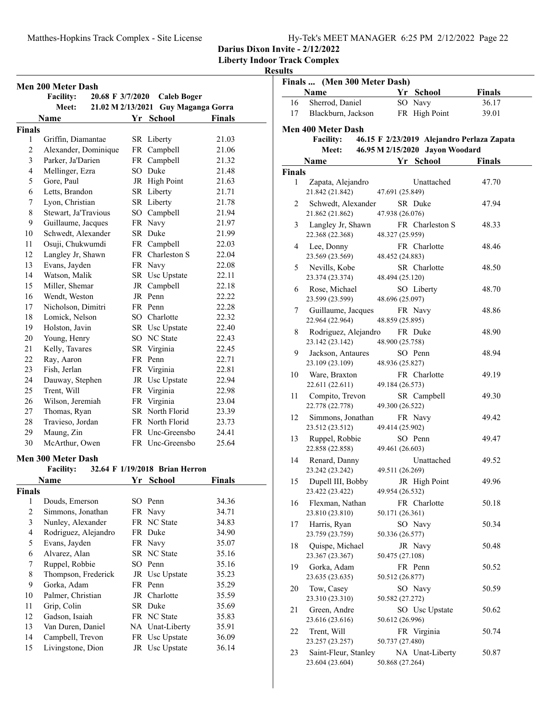**Liberty Indoor Track Complex**

| Men 200 Meter Dash                           |                                      |    |                                |        |  |  |
|----------------------------------------------|--------------------------------------|----|--------------------------------|--------|--|--|
|                                              | <b>Facility:</b><br>20.68 F 3/7/2020 |    | <b>Caleb Boger</b>             |        |  |  |
|                                              | Meet:<br>21.02 M 2/13/2021           |    | Guy Maganga Gorra              |        |  |  |
|                                              | Name                                 | Yr | <b>School</b>                  | Finals |  |  |
| <b>Finals</b>                                |                                      |    |                                |        |  |  |
| 1                                            | Griffin, Diamantae                   |    | SR Liberty                     | 21.03  |  |  |
| $\overline{c}$                               | Alexander, Dominique                 |    | FR Campbell                    | 21.06  |  |  |
| 3                                            | Parker, Ja'Darien                    |    | FR Campbell                    | 21.32  |  |  |
| 4                                            | Mellinger, Ezra                      |    | SO Duke                        | 21.48  |  |  |
| 5                                            | Gore, Paul                           |    | JR High Point                  | 21.63  |  |  |
| 6                                            | Letts, Brandon                       |    | SR Liberty                     | 21.71  |  |  |
| 7                                            | Lyon, Christian                      |    | SR Liberty                     | 21.78  |  |  |
| 8                                            | Stewart, Ja'Travious                 |    | SO Campbell                    | 21.94  |  |  |
| 9                                            | Guillaume, Jacques                   |    | FR Navy                        | 21.97  |  |  |
| 10                                           | Schwedt, Alexander                   |    | SR Duke                        | 21.99  |  |  |
| 11                                           | Osuji, Chukwumdi                     |    | FR Campbell                    | 22.03  |  |  |
| 12                                           | Langley Jr, Shawn                    |    | FR Charleston S                | 22.04  |  |  |
| 13                                           | Evans, Jayden                        |    | FR Navy                        | 22.08  |  |  |
| 14                                           | Watson, Malik                        |    | SR Usc Upstate                 | 22.11  |  |  |
| 15                                           | Miller, Shemar                       |    | JR Campbell                    | 22.18  |  |  |
| 16                                           | Wendt, Weston                        |    | JR Penn                        | 22.22  |  |  |
| 17                                           | Nicholson, Dimitri                   |    | FR Penn                        | 22.28  |  |  |
| 18                                           | Lomick. Nelson                       |    | SO Charlotte                   | 22.32  |  |  |
| 19                                           | Holston, Javin                       |    | SR Usc Upstate                 | 22.40  |  |  |
| 20                                           | Young, Henry                         |    | SO NC State                    | 22.43  |  |  |
| 21                                           | Kelly, Tavares                       |    | SR Virginia                    | 22.45  |  |  |
| 22                                           | Ray, Aaron                           |    | FR Penn                        | 22.71  |  |  |
| 23                                           | Fish, Jerlan                         |    | FR Virginia                    | 22.81  |  |  |
| 24                                           | Dauway, Stephen                      |    | JR Usc Upstate                 | 22.94  |  |  |
| 25                                           | Trent, Will                          |    | FR Virginia                    | 22.98  |  |  |
| 26                                           | Wilson, Jeremiah                     |    | FR Virginia                    | 23.04  |  |  |
| 27                                           | Thomas, Ryan                         |    | SR North Florid                | 23.39  |  |  |
| 28                                           | Travieso, Jordan                     |    | FR North Florid                | 23.73  |  |  |
| 29                                           | Maung, Zin                           |    | FR Unc-Greensbo                | 24.41  |  |  |
| 30                                           | McArthur, Owen                       |    | FR Unc-Greensbo                | 25.64  |  |  |
|                                              | <b>Men 300 Meter Dash</b>            |    |                                |        |  |  |
|                                              | <b>Facility:</b>                     |    | 32.64 F 1/19/2018 Brian Herron |        |  |  |
| Name<br><b>School</b><br><b>Finals</b><br>Yr |                                      |    |                                |        |  |  |
| <b>Finals</b>                                |                                      |    |                                |        |  |  |
| 1                                            | Douds, Emerson                       |    | SO Penn                        | 34.36  |  |  |
| $\overline{c}$                               | Simmons, Jonathan                    |    | FR Navy                        | 34.71  |  |  |
| 3                                            | Nunley, Alexander                    |    | FR NC State                    | 34.83  |  |  |
| $\overline{4}$                               | Rodriguez, Alejandro                 |    | FR Duke                        | 34.90  |  |  |
| 5                                            | Evans, Jayden                        |    | FR Navy                        | 35.07  |  |  |
| 6                                            | Alvarez, Alan                        |    | SR NC State                    | 35.16  |  |  |
| 7                                            | Ruppel, Robbie                       |    | SO Penn                        | 35.16  |  |  |
| 8                                            | Thompson, Frederick                  |    | JR Usc Upstate                 | 35.23  |  |  |
| 9                                            | Gorka, Adam                          |    | FR Penn                        | 35.29  |  |  |
| 10                                           | Palmer, Christian                    |    | JR Charlotte                   | 35.59  |  |  |
| 11                                           | Grip, Colin                          |    | SR Duke                        | 35.69  |  |  |
| 12                                           | Gadson, Isaiah                       |    | FR NC State                    | 35.83  |  |  |
| 13                                           | Van Duren, Daniel                    |    | NA Unat-Liberty                | 35.91  |  |  |
| 14                                           | Campbell, Trevon                     |    | FR Usc Upstate                 | 36.09  |  |  |
| 15                                           | Livingstone, Dion                    |    | JR Usc Upstate                 | 36.14  |  |  |

| Finals  (Men 300 Meter Dash) |                                         |                 |                                 |                                            |  |
|------------------------------|-----------------------------------------|-----------------|---------------------------------|--------------------------------------------|--|
|                              | Name                                    |                 | Yr School                       | <b>Finals</b>                              |  |
| 16                           | Sherrod, Daniel                         |                 | SO Navy                         | 36.17                                      |  |
| 17                           | Blackburn, Jackson                      |                 | FR High Point                   | 39.01                                      |  |
|                              | <b>Men 400 Meter Dash</b>               |                 |                                 |                                            |  |
|                              | <b>Facility:</b>                        |                 |                                 | 46.15 F 2/23/2019 Alejandro Perlaza Zapata |  |
|                              | Meet:                                   |                 | 46.95 M 2/15/2020 Jayon Woodard |                                            |  |
|                              | Name                                    |                 | Yr School                       | <b>Finals</b>                              |  |
| <b>Finals</b>                |                                         |                 |                                 |                                            |  |
| 1                            | Zapata, Alejandro<br>21.842 (21.842)    | 47.691 (25.849) | Unattached                      | 47.70                                      |  |
| 2                            | Schwedt, Alexander<br>21.862 (21.862)   | 47.938 (26.076) | SR Duke                         | 47.94                                      |  |
| 3                            | Langley Jr, Shawn<br>22.368 (22.368)    | 48.327 (25.959) | FR Charleston S                 | 48.33                                      |  |
| 4                            | Lee, Donny<br>23.569 (23.569)           | 48.452 (24.883) | FR Charlotte                    | 48.46                                      |  |
| 5                            | Nevills, Kobe<br>23.374 (23.374)        | 48.494 (25.120) | SR Charlotte                    | 48.50                                      |  |
| 6                            | Rose, Michael<br>23.599 (23.599)        | 48.696 (25.097) | SO Liberty                      | 48.70                                      |  |
| 7                            | Guillaume, Jacques<br>22.964 (22.964)   | 48.859 (25.895) | FR Navy                         | 48.86                                      |  |
| 8                            | Rodriguez, Alejandro                    |                 | FR Duke                         | 48.90                                      |  |
| 9                            | 23.142 (23.142)<br>Jackson, Antaures    | 48.900 (25.758) | SO Penn                         | 48.94                                      |  |
| 10                           | 23.109 (23.109)<br>Ware, Braxton        | 48.936 (25.827) | FR Charlotte                    | 49.19                                      |  |
| 11                           | 22.611 (22.611)<br>Compito, Trevon      | 49.184 (26.573) | SR Campbell                     | 49.30                                      |  |
|                              | 22.778 (22.778)                         | 49.300 (26.522) |                                 |                                            |  |
| 12                           | Simmons, Jonathan<br>23.512 (23.512)    | 49.414 (25.902) | FR Navy                         | 49.42                                      |  |
| 13                           | Ruppel, Robbie<br>22.858 (22.858)       | 49.461 (26.603) | SO Penn                         | 49.47                                      |  |
| 14                           | Renard, Danny<br>23.242 (23.242)        | 49.511 (26.269) | Unattached                      | 49.52                                      |  |
| 15                           | Dupell III, Bobby<br>23.422 (23.422)    | 49.954 (26.532) | JR High Point                   | 49.96                                      |  |
| 16                           | Flexman, Nathan<br>23.810 (23.810)      | 50.171 (26.361) | FR Charlotte                    | 50.18                                      |  |
| 17                           | Harris, Ryan<br>23.759 (23.759)         | 50.336 (26.577) | SO Navy                         | 50.34                                      |  |
| 18                           | Quispe, Michael<br>23.367 (23.367)      | 50.475 (27.108) | JR Navy                         | 50.48                                      |  |
| 19                           | Gorka, Adam<br>23.635 (23.635)          | 50.512 (26.877) | FR Penn                         | 50.52                                      |  |
| 20                           | Tow, Casey<br>23.310 (23.310)           | 50.582 (27.272) | SO Navy                         | 50.59                                      |  |
| 21                           | Green, Andre<br>23.616 (23.616)         | 50.612 (26.996) | SO Usc Upstate                  | 50.62                                      |  |
| 22                           | Trent, Will<br>23.257 (23.257)          | 50.737 (27.480) | FR Virginia                     | 50.74                                      |  |
| 23                           | Saint-Fleur, Stanley<br>23.604 (23.604) | 50.868 (27.264) | NA Unat-Liberty                 | 50.87                                      |  |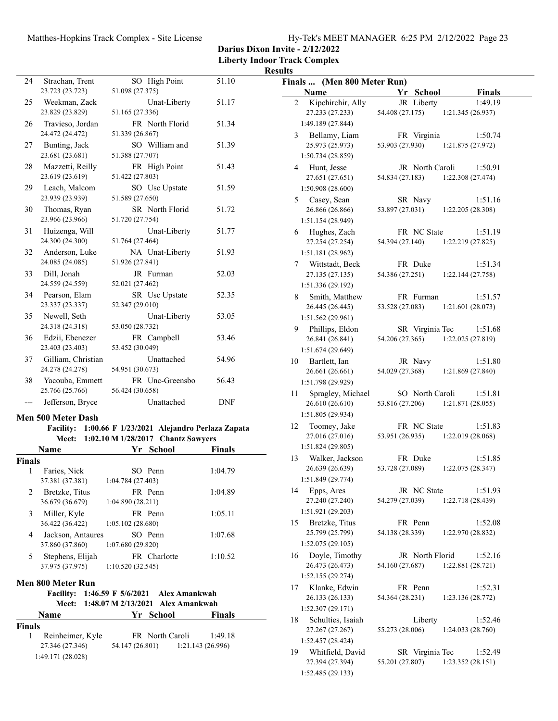**Darius Dixon Invite - 2/12/2022**

|                    |                                       |                                                                                                    |               | <b>Results</b>                                                                                                                                           |
|--------------------|---------------------------------------|----------------------------------------------------------------------------------------------------|---------------|----------------------------------------------------------------------------------------------------------------------------------------------------------|
| 24                 | Strachan, Trent                       | SO High Point                                                                                      | 51.10         | Finals  (Men 800 Meter Run)                                                                                                                              |
|                    | 23.723 (23.723)                       | 51.098 (27.375)                                                                                    |               | Yr School<br>Name<br><b>Finals</b>                                                                                                                       |
| 25                 | Weekman, Zack<br>23.829 (23.829)      | Unat-Liberty<br>51.165 (27.336)                                                                    | 51.17         | $\overline{2}$<br>Kipchirchir, Ally<br>JR Liberty<br>1:49.19<br>54.408 (27.175)<br>27.233 (27.233)<br>1:21.345(26.937)                                   |
| 26                 | Travieso, Jordan<br>24.472 (24.472)   | FR North Florid<br>51.339 (26.867)                                                                 | 51.34         | 1:49.189 (27.844)<br>Bellamy, Liam<br>FR Virginia<br>1:50.74<br>3                                                                                        |
| 27                 | Bunting, Jack<br>23.681 (23.681)      | SO William and<br>51.388 (27.707)                                                                  | 51.39         | 25.973 (25.973)<br>53.903 (27.930)<br>1:21.875(27.972)<br>1:50.734 (28.859)                                                                              |
| 28                 | Mazzetti, Reilly<br>23.619 (23.619)   | FR High Point<br>51.422 (27.803)                                                                   | 51.43         | Hunt, Jesse<br>JR North Caroli<br>1:50.91<br>4<br>27.651 (27.651)<br>54.834 (27.183)<br>1:22.308 (27.474)                                                |
| 29                 | Leach, Malcom<br>23.939 (23.939)      | SO Usc Upstate<br>51.589 (27.650)                                                                  | 51.59         | 1:50.908 (28.600)<br>1:51.16                                                                                                                             |
| 30                 | Thomas, Ryan<br>23.966 (23.966)       | SR North Florid<br>51.720 (27.754)                                                                 | 51.72         | Casey, Sean<br>SR Navy<br>5<br>53.897 (27.031)<br>26.866 (26.866)<br>1:22.205 (28.308)<br>1:51.154(28.949)                                               |
| 31                 | Huizenga, Will<br>24.300 (24.300)     | Unat-Liberty<br>51.764 (27.464)                                                                    | 51.77         | Hughes, Zach<br>FR NC State<br>1:51.19<br>6<br>54.394 (27.140)<br>1:22.219 (27.825)<br>27.254 (27.254)                                                   |
| 32                 | Anderson, Luke<br>24.085 (24.085)     | NA Unat-Liberty<br>51.926 (27.841)                                                                 | 51.93         | 1:51.181 (28.962)                                                                                                                                        |
| 33                 | Dill, Jonah<br>24.559 (24.559)        | JR Furman<br>52.021 (27.462)                                                                       | 52.03         | Wittstadt, Beck<br>FR Duke<br>1:51.34<br>7<br>54.386 (27.251)<br>27.135 (27.135)<br>1:22.144 (27.758)<br>1:51.336 (29.192)                               |
| 34                 | Pearson, Elam<br>23.337 (23.337)      | SR Usc Upstate<br>52.347 (29.010)                                                                  | 52.35         | Smith, Matthew<br>FR Furman<br>1:51.57<br>8<br>53.528 (27.083)<br>26.445 (26.445)<br>1:21.601(28.073)                                                    |
| 35                 | Newell, Seth<br>24.318 (24.318)       | Unat-Liberty<br>53.050 (28.732)                                                                    | 53.05         | 1:51.562 (29.961)<br>Phillips, Eldon<br>SR Virginia Tec<br>1:51.68<br>9                                                                                  |
| 36                 | Edzii, Ebenezer<br>23.403 (23.403)    | FR Campbell<br>53.452 (30.049)                                                                     | 53.46         | 54.206 (27.365)<br>1:22.025 (27.819)<br>26.841 (26.841)<br>1:51.674 (29.649)                                                                             |
| 37                 | Gilliam, Christian<br>24.278 (24.278) | Unattached<br>54.951 (30.673)                                                                      | 54.96         | Bartlett, Ian<br>JR Navy<br>1:51.80<br>10<br>54.029 (27.368)<br>1:21.869(27.840)<br>26.661 (26.661)                                                      |
| 38                 | Yacouba, Emmett<br>25.766 (25.766)    | FR Unc-Greensbo<br>56.424 (30.658)                                                                 | 56.43         | 1:51.798 (29.929)<br>SO North Caroli<br>1:51.81<br>11<br>Spragley, Michael                                                                               |
|                    | Jefferson, Bryce                      | Unattached                                                                                         | <b>DNF</b>    | 1:21.871 (28.055)<br>26.610 (26.610)<br>53.816 (27.206)<br>1:51.805(29.934)                                                                              |
|                    | <b>Men 500 Meter Dash</b>             | Facility: 1:00.66 F 1/23/2021 Alejandro Perlaza Zapata<br>Meet: 1:02.10 M 1/28/2017 Chantz Sawyers |               | FR NC State<br>1:51.83<br>12<br>Toomey, Jake<br>1:22.019 (28.068)<br>27.016 (27.016)<br>53.951 (26.935)                                                  |
|                    | Name                                  | Yr School                                                                                          | <b>Finals</b> | 1:51.824 (29.805)                                                                                                                                        |
| <b>Finals</b>      |                                       |                                                                                                    |               | Walker, Jackson<br>FR Duke<br>1:51.85<br>13                                                                                                              |
|                    | Faries, Nick<br>37.381 (37.381)       | SO Penn<br>1:04.784 (27.403)                                                                       | 1:04.79       | 26.639 (26.639)<br>53.728 (27.089)<br>1:22.075 (28.347)<br>1:51.849 (29.774)                                                                             |
| 2                  | Bretzke, Titus<br>36.679 (36.679)     | FR Penn<br>1:04.890(28.211)                                                                        | 1:04.89       | JR NC State<br>1:51.93<br>Epps, Ares<br>14<br>27.240 (27.240)<br>54.279 (27.039)<br>1:22.718 (28.439)                                                    |
| 3                  | Miller, Kyle<br>36.422 (36.422)       | FR Penn<br>1:05.102(28.680)                                                                        | 1:05.11       | 1:51.921 (29.203)<br>Bretzke, Titus<br>FR Penn<br>1:52.08<br>15                                                                                          |
| 4                  | Jackson, Antaures<br>37.860 (37.860)  | SO Penn<br>1:07.680 (29.820)                                                                       | 1:07.68       | 54.138 (28.339)<br>25.799 (25.799)<br>1:22.970(28.832)<br>1:52.075 (29.105)                                                                              |
| 5                  | Stephens, Elijah<br>37.975 (37.975)   | FR Charlotte<br>1:10.520(32.545)                                                                   | 1:10.52       | Doyle, Timothy<br>JR North Florid<br>1:52.16<br>16<br>26.473 (26.473)<br>54.160 (27.687)<br>1:22.881 (28.721)<br>1:52.155 (29.274)                       |
|                    | Men 800 Meter Run                     | Facility: 1:46.59 F 5/6/2021 Alex Amankwah<br>Meet: 1:48.07 M 2/13/2021 Alex Amankwah              |               | Klanke, Edwin<br>FR Penn<br>1:52.31<br>17<br>26.133 (26.133)<br>54.364 (28.231)<br>1:23.136(28.772)                                                      |
|                    | Name                                  | Yr School                                                                                          | <b>Finals</b> | 1:52.307(29.171)                                                                                                                                         |
| <b>Finals</b><br>1 | Reinheimer, Kyle                      | FR North Caroli                                                                                    | 1:49.18       | Schulties, Isaiah<br>1:52.46<br>18<br>Liberty<br>27.267 (27.267)<br>55.273 (28.006)<br>1:24.033(28.760)                                                  |
|                    | 27.346 (27.346)<br>1:49.171 (28.028)  | 54.147 (26.801)<br>1:21.143 (26.996)                                                               |               | 1:52.457 (28.424)<br>Whitfield, David<br>SR Virginia Tec<br>1:52.49<br>19<br>27.394 (27.394)<br>55.201 (27.807)<br>1:23.352(28.151)<br>1:52.485 (29.133) |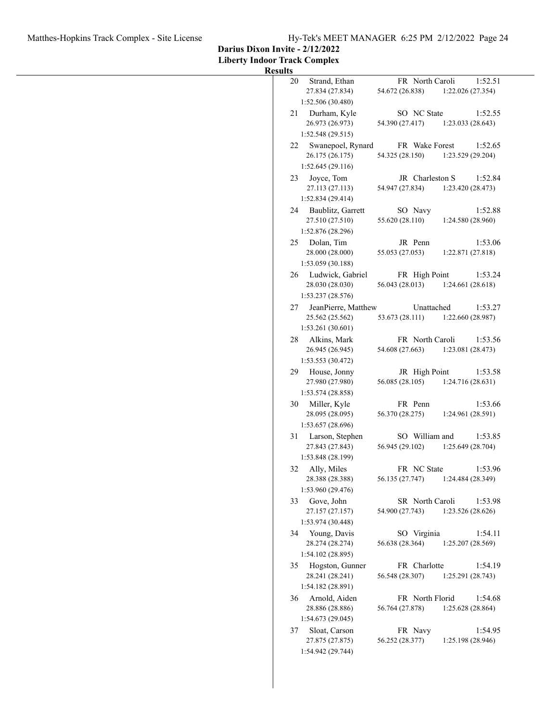**Darius Dixon Invite - 2/12/2022**

**Liberty Indoor Track Complex**

| <b>Results</b>                                                                                                                      |  |
|-------------------------------------------------------------------------------------------------------------------------------------|--|
| Strand, Ethan<br>FR North Caroli<br>1:52.51<br>20<br>27.834 (27.834)<br>54.672 (26.838)<br>1:22.026 (27.354)<br>1:52.506(30.480)    |  |
| SO NC State<br>Durham, Kyle<br>1:52.55<br>21<br>26.973 (26.973)<br>54.390 (27.417)<br>1:23.033(28.643)<br>1:52.548(29.515)          |  |
| FR Wake Forest<br>Swanepoel, Rynard<br>1:52.65<br>22<br>26.175 (26.175)<br>54.325 (28.150)<br>1:23.529 (29.204)<br>1:52.645(29.116) |  |
| JR Charleston S<br>Joyce, Tom<br>1:52.84<br>23<br>54.947 (27.834)<br>1:23.420(28.473)<br>27.113 (27.113)<br>1:52.834 (29.414)       |  |
| SO Navy<br>24<br>Baublitz, Garrett<br>1:52.88<br>55.620 (28.110)<br>27.510 (27.510)<br>1:24.580 (28.960)<br>1:52.876 (28.296)       |  |
| Dolan, Tim<br>JR Penn<br>25<br>1:53.06<br>28.000 (28.000)<br>55.053 (27.053)<br>1:22.871 (27.818)<br>1:53.059 (30.188)              |  |
| Ludwick, Gabriel<br>1:53.24<br>26<br>FR High Point<br>28.030 (28.030)<br>56.043 (28.013)<br>1:24.661(28.618)<br>1:53.237 (28.576)   |  |
| JeanPierre, Matthew<br>Unattached<br>1:53.27<br>27<br>53.673 (28.111)<br>25.562 (25.562)<br>1:22.660(28.987)<br>1:53.261(30.601)    |  |
| 28<br>Alkins, Mark<br>FR North Caroli<br>1:53.56<br>54.608 (27.663)<br>1:23.081(28.473)<br>26.945 (26.945)<br>1:53.553 (30.472)     |  |
| 29<br>House, Jonny<br>JR High Point<br>1:53.58<br>56.085 (28.105)<br>1:24.716(28.631)<br>27.980 (27.980)<br>1:53.574 (28.858)       |  |
| FR Penn<br>1:53.66<br>30<br>Miller, Kyle<br>56.370 (28.275)<br>28.095 (28.095)<br>1:24.961 (28.591)<br>1:53.657 (28.696)            |  |
| SO William and<br>1:53.85<br>Larson, Stephen<br>31<br>27.843 (27.843)<br>56.945 (29.102)<br>1:25.649 (28.704)<br>1:53.848 (28.199)  |  |
| FR NC State<br>1:53.96<br>32<br>Ally, Miles<br>28.388 (28.388)<br>56.135 (27.747)<br>1:24.484 (28.349)<br>1:53.960 (29.476)         |  |
| Gove, John<br>SR North Caroli<br>33<br>1:53.98<br>27.157 (27.157)<br>54.900 (27.743)<br>1:23.526 (28.626)<br>1:53.974 (30.448)      |  |
| Young, Davis<br>SO Virginia<br>1:54.11<br>34<br>28.274 (28.274)<br>56.638 (28.364)<br>1:25.207 (28.569)<br>1:54.102 (28.895)        |  |
| FR Charlotte<br>Hogston, Gunner<br>1:54.19<br>35<br>28.241 (28.241)<br>56.548 (28.307)<br>1:25.291 (28.743)<br>1:54.182 (28.891)    |  |
| Arnold, Aiden<br>FR North Florid<br>1:54.68<br>36<br>28.886 (28.886)<br>56.764 (27.878)<br>1:25.628(28.864)<br>1:54.673 (29.045)    |  |
| Sloat, Carson<br>FR Navy<br>1:54.95<br>37<br>27.875 (27.875)<br>56.252 (28.377)<br>1:25.198 (28.946)<br>1:54.942 (29.744)           |  |
|                                                                                                                                     |  |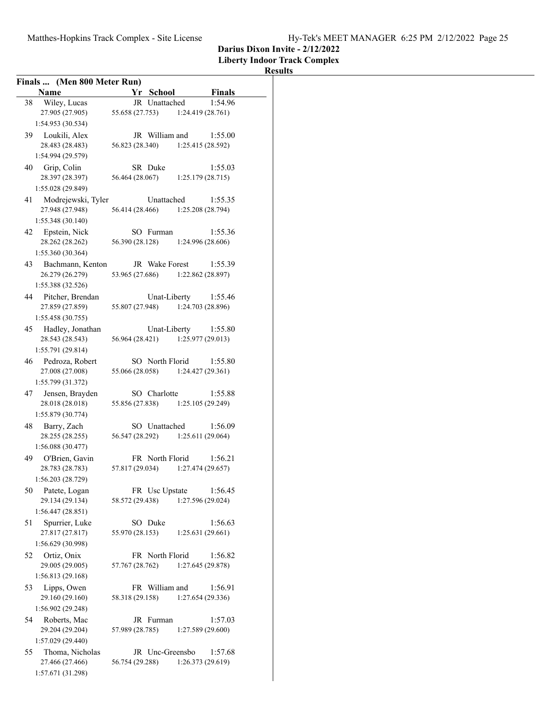**Liberty Indoor Track Complex**

| Finals  (Men 800 Meter Run)              |                                                     |                              |
|------------------------------------------|-----------------------------------------------------|------------------------------|
| <b>Name</b>                              | Yr School                                           | Finals                       |
| Wiley, Lucas<br>38                       | JR Unattached                                       | 1:54.96                      |
| 27.905 (27.905)                          | 55.658 (27.753)                                     | 1:24.419 (28.761)            |
| 1:54.953 (30.534)                        |                                                     |                              |
| 39 Loukili, Alex                         | JR William and                                      | 1:55.00                      |
| 28.483 (28.483)                          | 56.823 (28.340) 1:25.415 (28.592)                   |                              |
| 1:54.994 (29.579)                        |                                                     |                              |
| 40 Grip, Colin                           | SR Duke                                             | 1:55.03                      |
| 28.397 (28.397)                          | 56.464 (28.067)                                     | 1:25.179(28.715)             |
| 1:55.028 (29.849)                        |                                                     |                              |
| 41 Modrejewski, Tyler                    | Unattached                                          | 1:55.35                      |
| 27.948 (27.948)                          | 56.414 (28.466) 1:25.208 (28.794)                   |                              |
| 1:55.348 (30.140)                        |                                                     |                              |
| Epstein, Nick<br>42                      | SO Furman                                           | 1:55.36                      |
| 28.262 (28.262)                          | 56.390 (28.128)                                     | 1:24.996 (28.606)            |
| 1:55.360 (30.364)                        |                                                     |                              |
| 43 Bachmann, Kenton<br>26.279 (26.279)   | JR Wake Forest<br>53.965 (27.686) 1:22.862 (28.897) | 1:55.39                      |
| 1:55.388 (32.526)                        |                                                     |                              |
|                                          | Unat-Liberty                                        | 1:55.46                      |
| 44 Pitcher, Brendan<br>27.859 (27.859)   | 55.807 (27.948)                                     | 1:24.703 (28.896)            |
| 1:55.458 (30.755)                        |                                                     |                              |
| 45 Hadley, Jonathan                      | Unat-Liberty                                        | 1:55.80                      |
| 28.543 (28.543)                          | 56.964 (28.421) 1:25.977 (29.013)                   |                              |
| 1:55.791 (29.814)                        |                                                     |                              |
| 46 Pedroza, Robert                       | SO North Florid                                     | 1:55.80                      |
| 27.008 (27.008)                          | 55.066 (28.058) 1:24.427 (29.361)                   |                              |
| 1:55.799 (31.372)                        |                                                     |                              |
| 47 Jensen, Brayden                       | SO Charlotte                                        | 1:55.88                      |
| 28.018 (28.018)                          | 55.856 (27.838) 1:25.105 (29.249)                   |                              |
| 1:55.879 (30.774)                        |                                                     |                              |
| 48 Barry, Zach                           | SO Unattached                                       | 1:56.09                      |
| 28.255 (28.255)                          | 56.547 (28.292)                                     | 1:25.611 (29.064)            |
| 1:56.088 (30.477)                        |                                                     |                              |
| 49 O'Brien, Gavin<br>28.783 (28.783)     | FR North Florid<br>57.817 (29.034)                  | 1:56.21<br>1:27.474 (29.657) |
| 1:56.203 (28.729)                        |                                                     |                              |
| Patete, Logan<br>50                      | FR Usc Upstate                                      | 1:56.45                      |
| 29.134 (29.134)                          | 58.572 (29.438)                                     | 1:27.596 (29.024)            |
| 1:56.447 (28.851)                        |                                                     |                              |
| Spurrier, Luke<br>51                     | SO Duke                                             | 1:56.63                      |
| 27.817 (27.817)                          | 55.970 (28.153)                                     | 1:25.631 (29.661)            |
| 1:56.629 (30.998)                        |                                                     |                              |
| Ortiz, Onix<br>52                        | FR North Florid                                     | 1:56.82                      |
| 29.005 (29.005)                          | 57.767 (28.762)                                     | 1:27.645 (29.878)            |
| 1:56.813 (29.168)                        |                                                     |                              |
| Lipps, Owen<br>53                        | FR William and                                      | 1:56.91                      |
| 29.160 (29.160)                          | 58.318 (29.158)                                     | 1:27.654 (29.336)            |
| 1:56.902 (29.248)                        |                                                     |                              |
| Roberts, Mac<br>54                       | JR Furman                                           | 1:57.03                      |
| 29.204 (29.204)                          | 57.989 (28.785)                                     | 1:27.589 (29.600)            |
| 1:57.029 (29.440)                        |                                                     |                              |
| Thoma, Nicholas<br>55<br>27.466 (27.466) | JR Unc-Greensbo<br>56.754 (29.288)                  | 1:57.68<br>1:26.373 (29.619) |
| 1:57.671 (31.298)                        |                                                     |                              |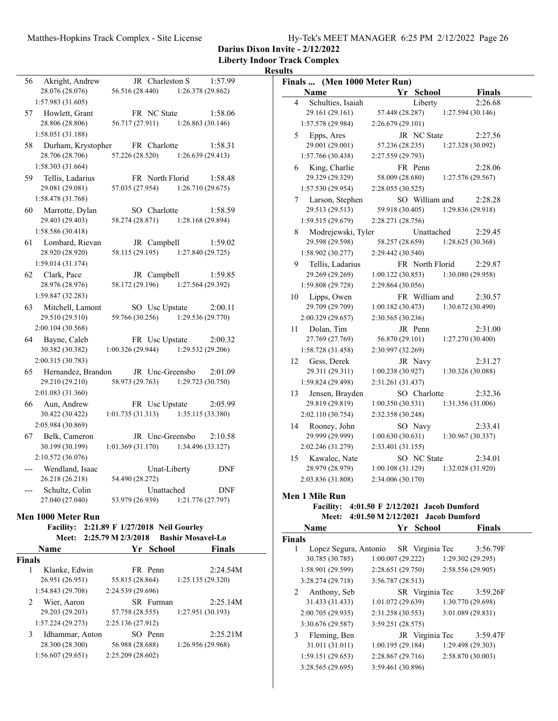| Hy-Tek's MEET MANAGER 6:25 PM 2/12/2022 Page 26 |  |  |
|-------------------------------------------------|--|--|
|                                                 |  |  |

**Darius Dixon Invite - 2/12/2022**

**Liberty Indoor Track Complex**

### **Results**

| 56            | Akright, Andrew                      | JR Charleston S                            |                          | 1:57.99    |              |                                    | Finals  (Men 1000 Meter Run)                                                           |                 |                              |  |
|---------------|--------------------------------------|--------------------------------------------|--------------------------|------------|--------------|------------------------------------|----------------------------------------------------------------------------------------|-----------------|------------------------------|--|
|               | 28.076 (28.076)                      | 56.516 (28.440)                            | 1:26.378 (29.862)        |            |              | Name                               |                                                                                        | Yr School       | Finals                       |  |
|               | 1:57.983(31.605)                     |                                            |                          |            | 4            | Schulties, Isaiah                  |                                                                                        | Liberty         | 2:26.68                      |  |
|               | 57 Howlett, Grant                    | FR NC State                                |                          | 1:58.06    |              | 29.161 (29.161)                    | 57.448 (28.287)                                                                        |                 | 1:27.594(30.146)             |  |
|               | 28.806 (28.806)                      | 56.717 (27.911)                            | 1:26.863(30.146)         |            |              | 1:57.578 (29.984)                  | 2:26.679(29.101)                                                                       |                 |                              |  |
|               | 1:58.051 (31.188)                    |                                            |                          |            | 5            | Epps, Ares                         |                                                                                        | JR NC State     | 2:27.56                      |  |
| 58            | Durham, Krystopher                   | FR Charlotte                               |                          | 1:58.31    |              | 29.001 (29.001)                    | 57.236 (28.235)                                                                        |                 | 1:27.328 (30.092)            |  |
|               | 28.706 (28.706)                      | 57.226 (28.520)                            | 1:26.639(29.413)         |            |              | 1:57.766 (30.438)                  | 2:27.559 (29.793)                                                                      |                 |                              |  |
|               | 1:58.303 (31.664)                    |                                            |                          |            | 6            | King, Charlie                      |                                                                                        | FR Penn         | 2:28.06                      |  |
| 59            | Tellis, Ladarius                     | FR North Florid                            |                          | 1:58.48    |              | 29.329 (29.329)                    | 58.009 (28.680)                                                                        |                 | 1:27.576(29.567)             |  |
|               | 29.081 (29.081)<br>1:58.478 (31.768) | 57.035 (27.954)                            | 1:26.710(29.675)         |            |              | 1:57.530(29.954)                   | 2:28.055(30.525)                                                                       | SO William and  |                              |  |
| 60            | Marrotte, Dylan                      | SO Charlotte                               |                          | 1:58.59    | 7            | Larson, Stephen<br>29.513 (29.513) | 59.918 (30.405)                                                                        |                 | 2:28.28<br>1:29.836(29.918)  |  |
|               | 29.403 (29.403)                      | 58.274 (28.871)                            | 1:28.168 (29.894)        |            |              | 1:59.515(29.679)                   | 2:28.271 (28.756)                                                                      |                 |                              |  |
|               | 1:58.586 (30.418)                    |                                            |                          |            | 8            | Modrejewski, Tyler                 |                                                                                        | Unattached      | 2:29.45                      |  |
|               | 61 Lombard, Rievan                   | JR Campbell                                |                          | 1:59.02    |              | 29.598 (29.598)                    | 58.257 (28.659)                                                                        |                 | 1:28.625(30.368)             |  |
|               | 28.920 (28.920)                      | 58.115 (29.195)                            | 1:27.840(29.725)         |            |              | 1:58.902(30.277)                   | 2:29.442 (30.540)                                                                      |                 |                              |  |
|               | 1:59.014(31.174)                     |                                            |                          |            | 9            | Tellis, Ladarius                   |                                                                                        | FR North Florid | 2:29.87                      |  |
|               | 62 Clark, Pace                       | JR Campbell                                |                          | 1:59.85    |              | 29.269 (29.269)                    | 1:00.122(30.853)                                                                       |                 | 1:30.080(29.958)             |  |
|               | 28.976 (28.976)                      | 58.172 (29.196)                            | 1:27.564 (29.392)        |            |              | 1:59.808 (29.728)                  | 2:29.864 (30.056)                                                                      |                 |                              |  |
|               | 1:59.847(32.283)                     |                                            |                          |            | 10           | Lipps, Owen                        |                                                                                        | FR William and  | 2:30.57                      |  |
|               | 63 Mitchell, Lamont                  | SO Usc Upstate                             |                          | 2:00.11    |              | 29.709 (29.709)                    | 1:00.182(30.473)                                                                       |                 | 1:30.672(30.490)             |  |
|               | 29.510 (29.510)                      | 59.766 (30.256)                            | 1:29.536 (29.770)        |            |              | 2:00.329 (29.657)                  | 2:30.565 (30.236)                                                                      |                 |                              |  |
|               | 2:00.104 (30.568)                    |                                            |                          |            | 11           | Dolan, Tim                         |                                                                                        | JR Penn         | 2:31.00                      |  |
|               | 64 Bayne, Caleb                      | FR Usc Upstate                             |                          | 2:00.32    |              | 27.769 (27.769)                    | 56.870 (29.101)                                                                        |                 | 1:27.270(30.400)             |  |
|               | 30.382 (30.382)                      | 1:00.326(29.944)                           | 1:29.532 (29.206)        |            |              | 1:58.728 (31.458)                  | 2:30.997 (32.269)                                                                      |                 |                              |  |
|               | 2:00.315 (30.783)                    |                                            |                          |            |              | 12 Gess, Derek                     |                                                                                        | JR Navy         | 2:31.27                      |  |
|               | 65 Hernandez, Brandon                | JR Unc-Greensbo                            |                          | 2:01.09    |              | 29.311 (29.311)                    | 1:00.238(30.927)                                                                       |                 | 1:30.326(30.088)             |  |
|               | 29.210 (29.210)                      | 58.973 (29.763)                            | 1:29.723(30.750)         |            |              | 1:59.824 (29.498)                  | 2:31.261 (31.437)                                                                      |                 |                              |  |
|               | 2:01.083 (31.360)                    |                                            |                          |            | 13           | Jensen, Brayden                    |                                                                                        | SO Charlotte    | 2:32.36                      |  |
|               | 66 Aun, Andrew                       | FR Usc Upstate                             |                          | 2:05.99    |              | 29.819 (29.819)                    | 1:00.350(30.531)                                                                       |                 | 1:31.356 (31.006)            |  |
|               | 30.422 (30.422)<br>2:05.984 (30.869) | 1:01.735(31.313)                           | 1:35.115 (33.380)        |            |              | 2:02.110(30.754)                   | 2:32.358 (30.248)                                                                      |                 |                              |  |
| 67            | Belk, Cameron                        | JR Unc-Greensbo                            |                          | 2:10.58    |              | 14 Rooney, John<br>29.999 (29.999) | 1:00.630(30.631)                                                                       | SO Navy         | 2:33.41<br>1:30.967 (30.337) |  |
|               | 30.199 (30.199)                      | 1:01.369(31.170)                           | 1:34.496 (33.127)        |            |              | 2:02.246(31.279)                   | 2:33.401 (31.155)                                                                      |                 |                              |  |
|               | 2:10.572(36.076)                     |                                            |                          |            | 15           | Kawalec, Nate                      |                                                                                        | SO NC State     | 2:34.01                      |  |
|               | Wendland, Isaac                      | Unat-Liberty                               |                          | DNF        |              | 28.979 (28.979)                    | 1:00.108(31.129)                                                                       |                 | 1:32.028 (31.920)            |  |
|               | 26.218 (26.218)                      | 54.490 (28.272)                            |                          |            |              | 2:03.836 (31.808)                  | 2:34.006 (30.170)                                                                      |                 |                              |  |
|               | Schultz, Colin                       | Unattached                                 |                          | <b>DNF</b> |              |                                    |                                                                                        |                 |                              |  |
|               | 27.040 (27.040)                      | 53.979 (26.939)                            | 1:21.776 (27.797)        |            |              | Men 1 Mile Run                     |                                                                                        |                 |                              |  |
|               | Men 1000 Meter Run                   |                                            |                          |            |              |                                    | Facility: 4:01.50 F 2/12/2021 Jacob Dumford<br>Meet: 4:01.50 M 2/12/2021 Jacob Dumford |                 |                              |  |
|               |                                      | Facility: 2:21.89 F 1/27/2018 Neil Gourley |                          |            |              | Name                               |                                                                                        | Yr School       | Finals                       |  |
|               | Meet: $2:25.79$ M $2/3/2018$         |                                            | <b>Bashir Mosavel-Lo</b> |            | Finals       |                                    |                                                                                        |                 |                              |  |
|               | Name                                 | Yr School                                  |                          | Finals     | $\mathbf{1}$ | Lopez Segura, Antonio              |                                                                                        | SR Virginia Tec | 3:56.79F                     |  |
| <b>Finals</b> |                                      |                                            |                          |            |              | 30.785 (30.785)                    | 1:00.007(29.222)                                                                       |                 | 1:29.302(29.295)             |  |
| $\mathbf{1}$  | Klanke, Edwin                        | FR Penn                                    |                          | 2:24.54M   |              | 1:58.901 (29.599)                  | 2:28.651 (29.750)                                                                      |                 | 2:58.556 (29.905)            |  |
|               | 26.951 (26.951)                      | 55.815 (28.864)                            | 1:25.135 (29.320)        |            |              | 3:28.274 (29.718)                  | 3:56.787 (28.513)                                                                      |                 |                              |  |
|               | 1:54.843 (29.708)                    | 2:24.539 (29.696)                          |                          |            | 2            | Anthony, Seb                       |                                                                                        | SR Virginia Tec | 3:59.26F                     |  |
| 2             | Wier, Aaron                          | SR Furman                                  |                          | 2:25.14M   |              | 31.433 (31.433)                    | 1:01.072(29.639)                                                                       |                 | 1:30.770 (29.698)            |  |
|               | 29.203 (29.203)                      | 57.758 (28.555)                            | 1:27.951 (30.193)        |            |              | 2:00.705 (29.935)                  | 2:31.258 (30.553)                                                                      |                 | 3:01.089 (29.831)            |  |
|               | 1:57.224 (29.273)                    | 2:25.136 (27.912)                          |                          |            |              | 3:30.676 (29.587)                  | 3:59.251(28.575)                                                                       |                 |                              |  |
| 3             | Idhammar, Anton                      | SO Penn                                    |                          | 2:25.21M   | 3            | Fleming, Ben                       |                                                                                        | JR Virginia Tec | 3:59.47F                     |  |
|               | 28.300 (28.300)                      | 56.988 (28.688)                            | 1:26.956 (29.968)        |            |              | 31.011 (31.011)                    | 1:00.195(29.184)                                                                       |                 | 1:29.498 (29.303)            |  |
|               | 1:56.607(29.651)                     | 2:25.209 (28.602)                          |                          |            |              | 1:59.151 (29.653)                  | 2:28.867 (29.716)                                                                      |                 | 2:58.870 (30.003)            |  |

3:28.565 (29.695) 3:59.461 (30.896)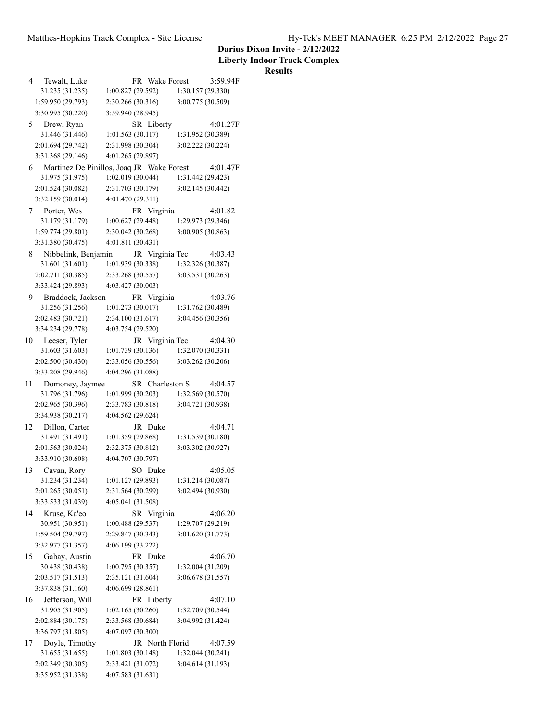### **Liberty Indoor Track Complex Results** 4 Tewalt, Luke FR Wake Forest 3:59.94F 31.235 (31.235) 1:00.827 (29.592) 1:30.157 (29.330) 1:59.950 (29.793) 2:30.266 (30.316) 3:00.775 (30.509) 3:30.995 (30.220) 3:59.940 (28.945) 5 Drew, Ryan SR Liberty 4:01.27F 31.446 (31.446) 1:01.563 (30.117) 1:31.952 (30.389) 2:01.694 (29.742) 2:31.998 (30.304) 3:02.222 (30.224) 3:31.368 (29.146) 4:01.265 (29.897) 6 4:01.47F Martinez De Pinillos, Joaq JR Wake Forest 31.975 (31.975) 1:02.019 (30.044) 1:31.442 (29.423) 2:01.524 (30.082) 2:31.703 (30.179) 3:02.145 (30.442) 3:32.159 (30.014) 4:01.470 (29.311) 7 Porter, Wes FR Virginia 4:01.82 31.179 (31.179) 1:00.627 (29.448) 1:29.973 (29.346) 1:59.774 (29.801) 2:30.042 (30.268) 3:00.905 (30.863) 3:31.380 (30.475) 4:01.811 (30.431) 8 Nibbelink, Benjamin JR Virginia Tec 4:03.43 31.601 (31.601) 1:01.939 (30.338) 1:32.326 (30.387) 2:02.711 (30.385) 2:33.268 (30.557) 3:03.531 (30.263) 3:33.424 (29.893) 4:03.427 (30.003) 9 4:03.76 Braddock, Jackson FR Virginia 31.256 (31.256) 1:01.273 (30.017) 1:31.762 (30.489) 2:02.483 (30.721) 2:34.100 (31.617) 3:04.456 (30.356) 3:34.234 (29.778) 4:03.754 (29.520) 10 Leeser, Tyler JR Virginia Tec 4:04.30 31.603 (31.603) 1:01.739 (30.136) 1:32.070 (30.331) 2:02.500 (30.430) 2:33.056 (30.556) 3:03.262 (30.206) 3:33.208 (29.946) 4:04.296 (31.088) 11 Domoney, Jaymee SR Charleston S 4:04.57 31.796 (31.796) 1:01.999 (30.203) 1:32.569 (30.570) 2:02.965 (30.396) 2:33.783 (30.818) 3:04.721 (30.938) 3:34.938 (30.217) 4:04.562 (29.624) 12 Dillon, Carter JR Duke 4:04.71 31.491 (31.491) 1:01.359 (29.868) 1:31.539 (30.180) 2:01.563 (30.024) 2:32.375 (30.812) 3:03.302 (30.927) 3:33.910 (30.608) 4:04.707 (30.797) 13 Cavan, Rory SO Duke 4:05.05 31.234 (31.234) 1:01.127 (29.893) 1:31.214 (30.087) 2:01.265 (30.051) 2:31.564 (30.299) 3:02.494 (30.930) 3:33.533 (31.039) 4:05.041 (31.508) 14 Kruse, Ka'eo SR Virginia 4:06.20 30.951 (30.951) 1:00.488 (29.537) 1:29.707 (29.219) 1:59.504 (29.797) 2:29.847 (30.343) 3:01.620 (31.773) 3:32.977 (31.357) 4:06.199 (33.222) 15 Gabay, Austin FR Duke 4:06.70 30.438 (30.438) 1:00.795 (30.357) 1:32.004 (31.209) 2:03.517 (31.513) 2:35.121 (31.604) 3:06.678 (31.557) 3:37.838 (31.160) 4:06.699 (28.861) 16 Jefferson, Will FR Liberty 4:07.10 31.905 (31.905) 1:02.165 (30.260) 1:32.709 (30.544) 2:02.884 (30.175) 2:33.568 (30.684) 3:04.992 (31.424) 3:36.797 (31.805) 4:07.097 (30.300) 17 Doyle, Timothy JR North Florid 4:07.59 31.655 (31.655) 1:01.803 (30.148) 1:32.044 (30.241) 2:02.349 (30.305) 2:33.421 (31.072) 3:04.614 (31.193) 3:35.952 (31.338) 4:07.583 (31.631)

**Darius Dixon Invite - 2/12/2022**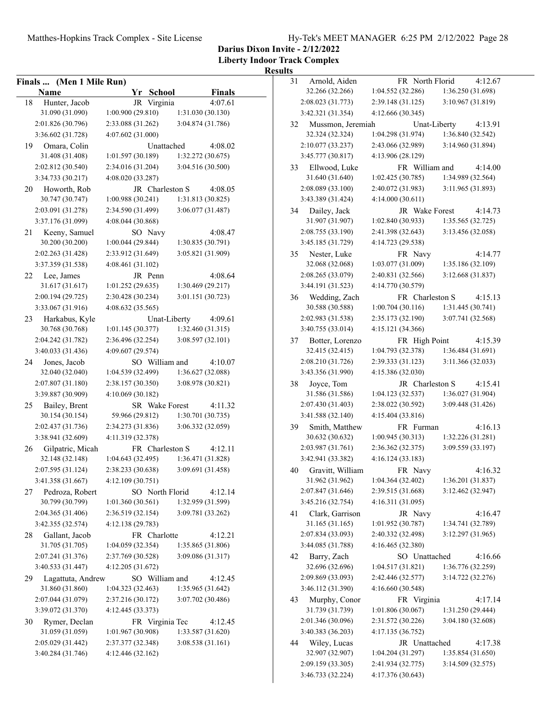**Liberty Indoor Track Complex**

| Finals  (Men 1 Mile Run) |                                        | 31<br>Arnolo  |
|--------------------------|----------------------------------------|---------------|
| Name                     | Yr School<br><b>Finals</b>             | 32.266 (      |
| Hunter, Jacob<br>18      | JR Virginia<br>4:07.61                 | $2:08.023$ (  |
| 31.090 (31.090)          | 1:00.900(29.810)<br>1:31.030 (30.130)  | 3:42.321 (    |
| 2:01.826 (30.796)        | 2:33.088 (31.262)<br>3:04.874 (31.786) | Mussn<br>32   |
| 3:36.602 (31.728)        | 4:07.602 (31.000)                      | 32.324 (      |
| Omara, Colin<br>19       | Unattached<br>4:08.02                  | $2:10.077$ (  |
| 31.408 (31.408)          | 1:01.597 (30.189)<br>1:32.272 (30.675) | 3:45.777 (    |
| 2:02.812 (30.540)        | 2:34.016 (31.204)<br>3:04.516 (30.500) | 33<br>Ellwoo  |
| 3:34.733 (30.217)        | 4:08.020 (33.287)                      | 31.640 (      |
| Howorth, Rob<br>20       | JR Charleston S<br>4:08.05             | 2:08.089 (    |
| 30.747 (30.747)          | 1:00.988(30.241)<br>1:31.813 (30.825)  | 3:43.389 (    |
| 2:03.091 (31.278)        | 2:34.590 (31.499)<br>3:06.077 (31.487) | 34<br>Dailey  |
| 3:37.176 (31.099)        | 4:08.044 (30.868)                      | 31.907 (      |
| 21<br>Keeny, Samuel      | SO Navy<br>4:08.47                     | $2:08.755$ (  |
| 30.200 (30.200)          | 1:00.044 (29.844)<br>1:30.835 (30.791) | $3:45.185$ (  |
| 2:02.263 (31.428)        | 2:33.912 (31.649)<br>3:05.821 (31.909) | 35<br>Nester  |
| 3:37.359 (31.538)        | 4:08.461(31.102)                       | 32.068 (      |
| Lee, James<br>22         | 4:08.64<br>JR Penn                     | $2:08.265$ (  |
| 31.617 (31.617)          | 1:01.252(29.635)<br>1:30.469 (29.217)  | 3:44.191 (    |
| 2:00.194(29.725)         | 3:01.151 (30.723)<br>2:30.428 (30.234) | Weddi<br>36   |
| 3:33.067 (31.916)        | 4:08.632(35.565)                       | 30.588 (      |
| 23<br>Harkabus, Kyle     | Unat-Liberty<br>4:09.61                | $2:02.983$ (  |
| 30.768 (30.768)          | 1:32.460 (31.315)<br>1:01.145 (30.377) | 3:40.755 (    |
| 2:04.242 (31.782)        | 2:36.496 (32.254)<br>3:08.597 (32.101) | 37<br>Botter. |
| 3:40.033 (31.436)        | 4:09.607 (29.574)                      | 32.415 (      |
| 24<br>Jones, Jacob       | SO William and<br>4:10.07              | 2:08.210(     |
| 32.040 (32.040)          | 1:04.539 (32.499)<br>1:36.627 (32.088) | 3:43.356 (    |
| 2:07.807 (31.180)        | 2:38.157 (30.350)<br>3:08.978 (30.821) | 38<br>Joyce,  |
| 3:39.887 (30.909)        | 4:10.069(30.182)                       | 31.586 (      |
| 25<br>Bailey, Brent      | SR Wake Forest<br>4:11.32              | 2:07.430 (    |
| 30.154 (30.154)          | 59.966 (29.812)<br>1:30.701 (30.735)   | 3:41.588 (    |
| 2:02.437 (31.736)        | 3:06.332 (32.059)<br>2:34.273(31.836)  | Smith,<br>39  |
| 3:38.941 (32.609)        | 4:11.319 (32.378)                      | 30.632 (      |
| 26<br>Gilpatric, Micah   | FR Charleston S<br>4:12.11             | 2:03.987 (    |
| 32.148 (32.148)          | 1:04.643 (32.495)<br>1:36.471 (31.828) | 3:42.941 (    |
| 2:07.595 (31.124)        | 3:09.691 (31.458)<br>2:38.233 (30.638) | 40<br>Gravit  |
| 3:41.358 (31.667)        | 4:12.109(30.751)                       | 31.962 (      |
| 27<br>Pedroza, Robert    | SO North Florid<br>4:12.14             | $2:07.847$ (  |
| 30.799 (30.799)          | 1:01.360(30.561)<br>1:32.959 (31.599)  | 3:45.216 (    |
| 2:04.365 (31.406)        | 2:36.519 (32.154)<br>3:09.781 (33.262) | Clark,<br>41  |
| 3:42.355 (32.574)        | 4:12.138(29.783)                       | 31.165 (      |
| Gallant, Jacob<br>28     | FR Charlotte<br>4:12.21                | 2:07.834 (    |
| 31.705 (31.705)          | 1:04.059(32.354)<br>1:35.865 (31.806)  | $3:44.085$ (  |
| 2:07.241 (31.376)        | 2:37.769 (30.528)<br>3:09.086 (31.317) | 42<br>Barry,  |
| 3:40.533 (31.447)        | 4:12.205 (31.672)                      | 32.696 (      |
| Lagattuta, Andrew<br>29  | SO William and<br>4:12.45              | 2:09.869 (    |
| 31.860 (31.860)          | 1:04.323(32.463)<br>1:35.965 (31.642)  | 3:46.112 (    |
| 2:07.044 (31.079)        | 3:07.702 (30.486)<br>2:37.216 (30.172) | 43<br>Murph   |
| 3:39.072 (31.370)        | 4:12.445 (33.373)                      | 31.739 (      |
| Rymer, Declan<br>30      | FR Virginia Tec<br>4:12.45             | 2:01.346 (    |
| 31.059 (31.059)          | 1:01.967 (30.908)<br>1:33.587 (31.620) | 3:40.383 (    |
| 2:05.029 (31.442)        | 3:08.538 (31.161)<br>2:37.377 (32.348) | 44<br>Wiley,  |
| 3:40.284 (31.746)        | 4:12.446 (32.162)                      | 32.907 (      |
|                          |                                        | 2:09.159 (    |
|                          |                                        |               |

| 31 | Arnold, Aiden     | FR North Florid   | 4:12.67                 |
|----|-------------------|-------------------|-------------------------|
|    | 32.266 (32.266)   | 1:04.552 (32.286) | 1:36.250 (31.698)       |
|    | 2:08.023 (31.773) | 2:39.148 (31.125) | 3:10.967 (31.819)       |
|    | 3:42.321 (31.354) | 4:12.666 (30.345) |                         |
| 32 | Mussmon, Jeremiah |                   | Unat-Liberty<br>4:13.91 |
|    | 32.324 (32.324)   | 1:04.298 (31.974) | 1:36.840 (32.542)       |
|    | 2:10.077 (33.237) | 2:43.066 (32.989) | 3:14.960 (31.894)       |
|    | 3:45.777 (30.817) | 4:13.906 (28.129) |                         |
| 33 | Ellwood, Luke     | FR William and    | 4:14.00                 |
|    | 31.640 (31.640)   | 1:02.425 (30.785) | 1:34.989 (32.564)       |
|    | 2:08.089 (33.100) | 2:40.072 (31.983) | 3:11.965 (31.893)       |
|    | 3:43.389 (31.424) | 4:14.000 (30.611) |                         |
| 34 | Dailey, Jack      | JR Wake Forest    | 4:14.73                 |
|    | 31.907 (31.907)   | 1:02.840 (30.933) | 1:35.565 (32.725)       |
|    | 2:08.755 (33.190) | 2:41.398 (32.643) | 3:13.456 (32.058)       |
|    | 3:45.185 (31.729) | 4:14.723 (29.538) |                         |
| 35 | Nester, Luke      | FR Navy           | 4:14.77                 |
|    | 32.068 (32.068)   | 1:03.077 (31.009) | 1:35.186 (32.109)       |
|    | 2:08.265 (33.079) | 2:40.831 (32.566) | 3:12.668 (31.837)       |
|    | 3:44.191 (31.523) | 4:14.770 (30.579) |                         |
| 36 | Wedding, Zach     | FR Charleston S   | 4:15.13                 |
|    | 30.588 (30.588)   | 1:00.704(30.116)  | 1:31.445 (30.741)       |
|    | 2:02.983 (31.538) | 2:35.173 (32.190) | 3:07.741 (32.568)       |
|    | 3:40.755 (33.014) | 4:15.121 (34.366) |                         |
| 37 | Botter, Lorenzo   | FR High Point     | 4:15.39                 |
|    | 32.415 (32.415)   | 1:04.793 (32.378) | 1:36.484 (31.691)       |
|    | 2:08.210 (31.726) | 2:39.333 (31.123) | 3:11.366 (32.033)       |
|    | 3:43.356 (31.990) | 4:15.386 (32.030) |                         |
| 38 | Joyce, Tom        | JR Charleston S   | 4:15.41                 |
|    | 31.586 (31.586)   | 1:04.123 (32.537) | 1:36.027 (31.904)       |
|    | 2:07.430 (31.403) | 2:38.022 (30.592) | 3:09.448 (31.426)       |
|    | 3:41.588 (32.140) | 4:15.404 (33.816) |                         |
| 39 | Smith, Matthew    | FR Furman         | 4:16.13                 |
|    | 30.632 (30.632)   | 1:00.945 (30.313) | 1:32.226 (31.281)       |
|    | 2:03.987 (31.761) | 2:36.362 (32.375) | 3:09.559 (33.197)       |
|    | 3:42.941 (33.382) | 4:16.124(33.183)  |                         |
| 40 | Gravitt, William  | FR Navy           | 4:16.32                 |
|    | 31.962 (31.962)   | 1:04.364 (32.402) | 1:36.201 (31.837)       |
|    | 2:07.847 (31.646) | 2:39.515 (31.668) | 3:12.462 (32.947)       |
|    | 3:45.216 (32.754) | 4:16.311 (31.095) |                         |
| 41 | Clark, Garrison   | JR Navy           | 4:16.47                 |
|    | 31.165 (31.165)   | 1:01.952 (30.787) | 1:34.741 (32.789)       |
|    | 2:07.834 (33.093) | 2:40.332 (32.498) | 3:12.297 (31.965)       |
|    | 3:44.085 (31.788) | 4:16.465 (32.380) |                         |
| 42 | Barry, Zach       | SO Unattached     | 4:16.66                 |
|    | 32.696 (32.696)   | 1:04.517(31.821)  | 1:36.776 (32.259)       |
|    | 2:09.869 (33.093) | 2:42.446 (32.577) | 3:14.722 (32.276)       |
|    | 3:46.112 (31.390) | 4:16.660 (30.548) |                         |
| 43 | Murphy, Conor     | FR Virginia       | 4:17.14                 |
|    | 31.739 (31.739)   | 1:01.806(30.067)  | 1:31.250 (29.444)       |
|    | 2:01.346 (30.096) | 2:31.572 (30.226) | 3:04.180 (32.608)       |
|    | 3:40.383 (36.203) | 4:17.135 (36.752) |                         |
| 44 | Wiley, Lucas      | JR Unattached     | 4:17.38                 |
|    | 32.907 (32.907)   | 1:04.204 (31.297) | 1:35.854(31.650)        |
|    | 2:09.159 (33.305) | 2:41.934 (32.775) | 3:14.509 (32.575)       |
|    | 3:46.733 (32.224) | 4:17.376 (30.643) |                         |
|    |                   |                   |                         |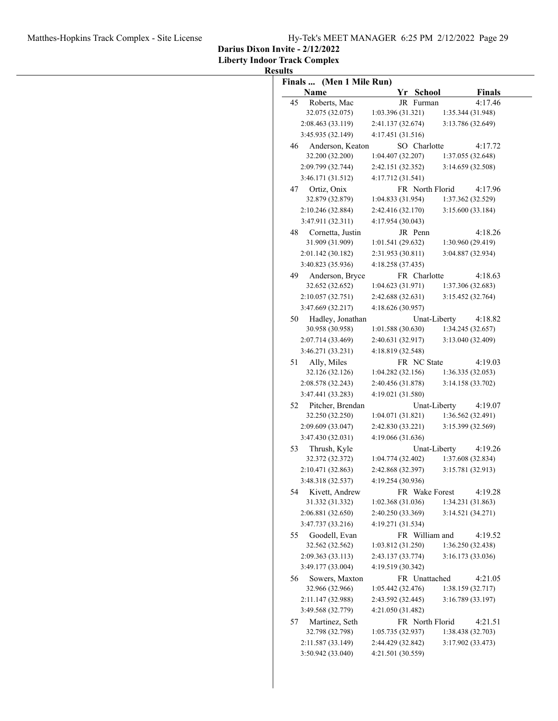**Darius Dixon Invite - 2/12/2022**

**Liberty Indoor Track Complex**

|    | Finals  (Men 1 Mile Run)<br>Name     | Yr School                       | <b>Finals</b>                |
|----|--------------------------------------|---------------------------------|------------------------------|
| 45 | Roberts, Mac                         | JR Furman                       | 4:17.46                      |
|    | 32.075 (32.075)                      | 1:03.396(31.321)                | 1:35.344 (31.948)            |
|    | 2:08.463 (33.119)                    | 2:41.137 (32.674)               | 3:13.786 (32.649)            |
|    | 3:45.935 (32.149)                    | 4:17.451(31.516)                |                              |
| 46 | Anderson, Keaton                     | SO Charlotte                    | 4:17.72                      |
|    | 32.200 (32.200)                      | 1:04.407(32.207)                | 1:37.055 (32.648)            |
|    | 2:09.799 (32.744)                    | 2:42.151 (32.352)               | 3:14.659 (32.508)            |
|    | 3:46.171 (31.512)                    | 4:17.712 (31.541)               |                              |
| 47 | Ortiz, Onix                          | FR North Florid                 | 4:17.96                      |
|    | 32.879 (32.879)                      | 1:04.833(31.954)                | 1:37.362 (32.529)            |
|    | 2:10.246 (32.884)                    | 2:42.416 (32.170)               | 3:15.600(33.184)             |
|    | 3:47.911 (32.311)                    | 4:17.954 (30.043)               |                              |
| 48 | Cornetta, Justin                     | JR Penn                         | 4:18.26                      |
|    | 31.909 (31.909)                      | 1:01.541(29.632)                | 1:30.960 (29.419)            |
|    | 2:01.142 (30.182)                    | 2:31.953 (30.811)               | 3:04.887 (32.934)            |
|    | 3:40.823 (35.936)                    | 4:18.258 (37.435)               |                              |
| 49 | Anderson, Bryce                      | FR Charlotte                    | 4:18.63                      |
|    | 32.652 (32.652)                      | 1:04.623(31.971)                | 1:37.306 (32.683)            |
|    | 2:10.057(32.751)                     | 2:42.688 (32.631)               | 3:15.452 (32.764)            |
|    | 3:47.669 (32.217)                    | 4:18.626 (30.957)               |                              |
| 50 | Hadley, Jonathan                     | Unat-Liberty                    | 4:18.82                      |
|    | 30.958 (30.958)                      | 1:01.588(30.630)                | 1:34.245 (32.657)            |
|    | 2:07.714 (33.469)                    | 2:40.631 (32.917)               | 3:13.040 (32.409)            |
|    | 3:46.271 (33.231)                    | 4:18.819 (32.548)               |                              |
|    |                                      |                                 | 4:19.03                      |
| 51 | Ally, Miles<br>32.126 (32.126)       | FR NC State<br>1:04.282(32.156) | 1:36.335(32.053)             |
|    |                                      |                                 |                              |
|    | 2:08.578 (32.243)                    | 2:40.456 (31.878)               | 3:14.158 (33.702)            |
|    | 3:47.441 (33.283)                    | 4:19.021 (31.580)               |                              |
| 52 | Pitcher, Brendan                     | Unat-Liberty                    | 4:19.07                      |
|    | 32.250 (32.250)                      | 1:04.071(31.821)                | 1:36.562(32.491)             |
|    | 2:09.609 (33.047)                    | 2:42.830 (33.221)               | 3:15.399 (32.569)            |
|    | 3:47.430 (32.031)                    | 4:19.066 (31.636)               |                              |
| 53 | Thrush, Kyle                         | Unat-Liberty                    | 4:19.26                      |
|    | 32.372 (32.372)                      | 1:04.774(32.402)                | 1:37.608 (32.834)            |
|    | 2:10.471 (32.863)                    | 2:42.868 (32.397)               | 3:15.781 (32.913)            |
|    | 3:48.318 (32.537)                    | 4:19.254 (30.936)               |                              |
|    | Kivett, Andrew<br>54                 | FR Wake Forest                  | 4:19.28                      |
|    | 31.332 (31.332)                      | 1:02.368(31.036)                | 1:34.231 (31.863)            |
|    | 2:06.881 (32.650)                    | 2:40.250 (33.369)               | 3:14.521 (34.271)            |
|    | 3:47.737 (33.216)                    | 4:19.271 (31.534)               |                              |
| 55 | Goodell, Evan                        | FR William and                  | 4:19.52                      |
|    | 32.562 (32.562)                      | 1:03.812 (31.250)               | 1:36.250 (32.438)            |
|    | 2:09.363 (33.113)                    | 2:43.137 (33.774)               | 3:16.173 (33.036)            |
|    | 3:49.177 (33.004)                    | 4:19.519 (30.342)               |                              |
| 56 | Sowers, Maxton                       | FR Unattached                   | 4:21.05                      |
|    | 32.966 (32.966)                      | 1:05.442(32.476)                | 1:38.159(32.717)             |
|    | 2:11.147 (32.988)                    | 2:43.592 (32.445)               | 3:16.789 (33.197)            |
|    |                                      | 4:21.050 (31.482)               |                              |
|    | 3:49.568 (32.779)                    |                                 |                              |
| 57 |                                      | FR North Florid                 |                              |
|    | Martinez, Seth                       | 1:05.735(32.937)                | 1:38.438 (32.703)            |
|    | 32.798 (32.798)<br>2:11.587 (33.149) | 2:44.429 (32.842)               | 4:21.51<br>3:17.902 (33.473) |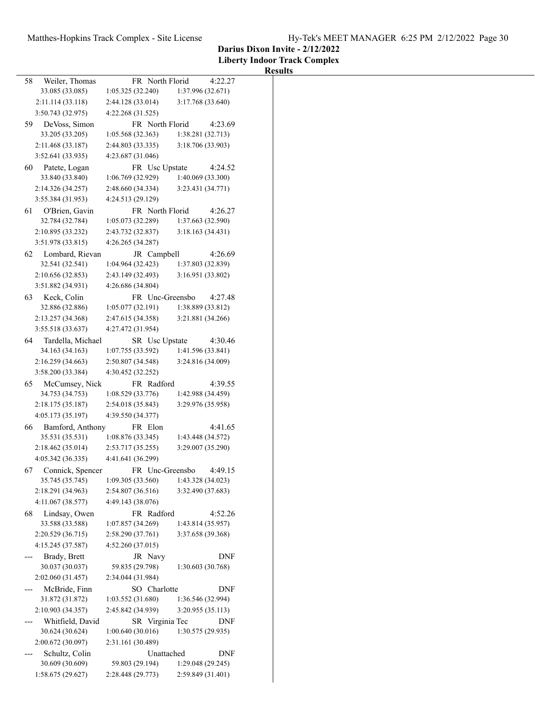|  |  | Hy-Tek's MEET MANAGER 6:25 PM 2/12/2022 Page 30 |  |  |  |
|--|--|-------------------------------------------------|--|--|--|
|--|--|-------------------------------------------------|--|--|--|

# **Darius Dixon Invite - 2/12/2022**

| 58 | Weiler, Thomas                      | FR North Florid                     |                   | 4:22.27    |
|----|-------------------------------------|-------------------------------------|-------------------|------------|
|    | 33.085 (33.085)                     | 1:05.325 (32.240)                   | 1:37.996 (32.671) |            |
|    | 2:11.114(33.118)                    | 2:44.128 (33.014)                   | 3:17.768 (33.640) |            |
|    | 3:50.743 (32.975)                   | 4:22.268 (31.525)                   |                   |            |
| 59 | De Voss, Simon                      | FR North Florid                     |                   | 4:23.69    |
|    | 33.205 (33.205)                     | 1:05.568 (32.363)                   | 1:38.281 (32.713) |            |
|    | 2:11.468 (33.187)                   | 2:44.803 (33.335)                   | 3:18.706 (33.903) |            |
|    | 3:52.641 (33.935)                   | 4:23.687 (31.046)                   |                   |            |
| 60 | Patete, Logan                       | FR Usc Upstate                      |                   | 4:24.52    |
|    | 33.840 (33.840)                     | 1:06.769(32.929)                    | 1:40.069 (33.300) |            |
|    | 2:14.326 (34.257)                   | 2:48.660 (34.334)                   | 3:23.431 (34.771) |            |
|    | 3:55.384 (31.953)                   | 4:24.513 (29.129)                   |                   |            |
| 61 | O'Brien, Gavin                      | FR North Florid                     |                   | 4:26.27    |
|    | 32.784 (32.784)                     | 1:05.073(32.289)                    | 1:37.663 (32.590) |            |
|    | 2:10.895 (33.232)                   | 2:43.732 (32.837)                   | 3:18.163 (34.431) |            |
|    | 3:51.978 (33.815)                   | 4:26.265 (34.287)                   |                   |            |
| 62 | Lombard, Rievan                     | JR Campbell                         |                   | 4:26.69    |
|    | 32.541 (32.541)                     | 1:04.964(32.423)                    | 1:37.803 (32.839) |            |
|    | 2:10.656 (32.853)                   | 2:43.149 (32.493)                   | 3:16.951 (33.802) |            |
|    | 3:51.882 (34.931)                   | 4:26.686 (34.804)                   |                   |            |
| 63 | Keck, Colin                         | FR Unc-Greensbo                     |                   | 4:27.48    |
|    | 32.886 (32.886)                     | 1:05.077(32.191)                    | 1:38.889 (33.812) |            |
|    | 2:13.257 (34.368)                   | 2:47.615 (34.358)                   | 3:21.881 (34.266) |            |
|    | 3:55.518 (33.637)                   | 4:27.472 (31.954)                   |                   |            |
| 64 | Tardella, Michael                   | SR Usc Upstate<br>1:07.755 (33.592) | 1:41.596 (33.841) | 4:30.46    |
|    | 34.163 (34.163)                     |                                     | 3:24.816 (34.009) |            |
|    | 2:16.259(34.663)                    | 2:50.807 (34.548)                   |                   |            |
|    | 3:58.200 (33.384)                   | 4:30.452 (32.252)                   |                   |            |
| 65 | McCumsey, Nick<br>34.753 (34.753)   | FR Radford<br>1:08.529 (33.776)     | 1:42.988 (34.459) | 4:39.55    |
|    | 2:18.175 (35.187)                   | 2:54.018 (35.843)                   | 3:29.976 (35.958) |            |
|    | 4:05.173 (35.197)                   | 4:39.550 (34.377)                   |                   |            |
|    |                                     |                                     |                   | 4:41.65    |
| 66 | Bamford, Anthony<br>35.531 (35.531) | FR Elon<br>1:08.876(33.345)         | 1:43.448 (34.572) |            |
|    | 2:18.462(35.014)                    | 2:53.717(35.255)                    | 3:29.007 (35.290) |            |
|    | 4:05.342 (36.335)                   | 4:41.641 (36.299)                   |                   |            |
|    |                                     |                                     |                   |            |
| 67 | Connick, Spencer<br>35.745 (35.745) | FR Unc-Greensbo<br>1:09.305(33.560) | 1:43.328 (34.023) | 4:49.15    |
|    | 2:18.291 (34.963)                   | 2:54.807 (36.516)                   | 3:32.490 (37.683) |            |
|    | 4:11.067 (38.577)                   | 4:49.143 (38.076)                   |                   |            |
| 68 | Lindsay, Owen                       | FR Radford                          |                   | 4:52.26    |
|    | 33.588 (33.588)                     | 1:07.857 (34.269)                   | 1:43.814 (35.957) |            |
|    | 2:20.529 (36.715)                   | 2:58.290 (37.761)                   | 3:37.658 (39.368) |            |
|    | 4:15.245 (37.587)                   | 4:52.260 (37.015)                   |                   |            |
|    | Brady, Brett                        | JR Navy                             |                   | DNF        |
|    | 30.037 (30.037)                     | 59.835 (29.798)                     | 1:30.603 (30.768) |            |
|    | 2:02.060 (31.457)                   | 2:34.044 (31.984)                   |                   |            |
|    | McBride, Finn                       | SO Charlotte                        |                   | <b>DNF</b> |
|    | 31.872 (31.872)                     | 1:03.552(31.680)                    | 1:36.546 (32.994) |            |
|    | 2:10.903 (34.357)                   | 2:45.842 (34.939)                   | 3:20.955 (35.113) |            |
|    | Whitfield, David                    | SR Virginia Tec                     |                   | DNF        |
|    | 30.624 (30.624)                     | 1:00.640(30.016)                    | 1:30.575 (29.935) |            |
|    | 2:00.672 (30.097)                   | 2:31.161 (30.489)                   |                   |            |
|    | Schultz, Colin                      | Unattached                          |                   | DNF        |
|    | 30.609 (30.609)                     | 59.803 (29.194)                     | 1:29.048 (29.245) |            |
|    | 1:58.675(29.627)                    | 2:28.448 (29.773)                   | 2:59.849 (31.401) |            |
|    |                                     |                                     |                   |            |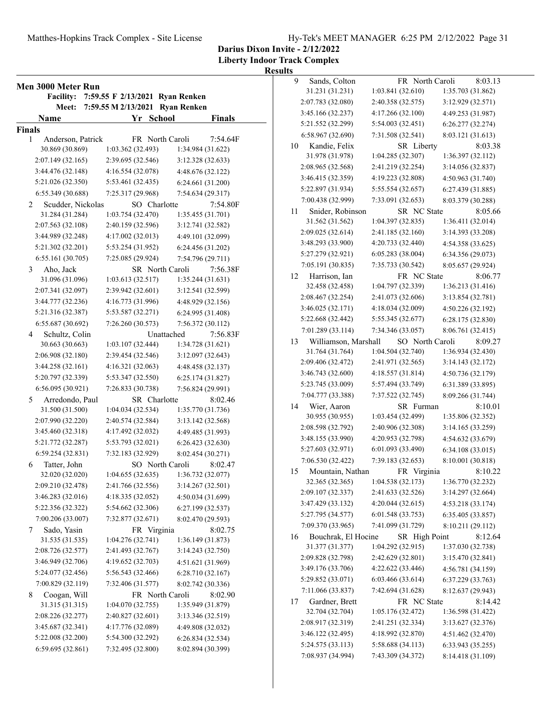**Liberty Indoor Track Complex**

| Men 3000 Meter Run<br><b>Facility:</b> |                   | 7:59.55 F 2/13/2021 Ryan Renken |          |
|----------------------------------------|-------------------|---------------------------------|----------|
| Meet:                                  |                   | 7:59.55 M 2/13/2021 Ryan Renken |          |
| Name                                   |                   | Yr School                       | Finals   |
| Finals                                 |                   |                                 |          |
| Anderson, Patrick<br>1                 |                   | FR North Caroli                 | 7:54.64F |
| 30.869 (30.869)                        | 1:03.362 (32.493) | 1:34.984 (31.622)               |          |
| 2:07.149 (32.165)                      | 2:39.695 (32.546) | 3:12.328 (32.633)               |          |
| 3:44.476 (32.148)                      | 4:16.554 (32.078) | 4:48.676 (32.122)               |          |
| 5:21.026 (32.350)                      | 5:53.461 (32.435) | 6:24.661 (31.200)               |          |
| 6:55.349 (30.688)                      | 7:25.317 (29.968) | 7:54.634 (29.317)               |          |
| Scudder, Nickolas<br>2                 |                   | SO Charlotte                    | 7:54.80F |
| 31.284 (31.284)                        | 1:03.754(32.470)  | 1:35.455 (31.701)               |          |
| 2:07.563 (32.108)                      | 2:40.159 (32.596) | 3:12.741 (32.582)               |          |
| 3:44.989 (32.248)                      | 4:17.002 (32.013) | 4:49.101 (32.099)               |          |
| 5:21.302 (32.201)                      | 5:53.254 (31.952) | 6:24.456 (31.202)               |          |
| 6:55.161 (30.705)                      | 7:25.085 (29.924) | 7:54.796 (29.711)               |          |
| Aho, Jack<br>3                         |                   | SR North Caroli                 | 7:56.38F |
| 31.096 (31.096)                        | 1:03.613(32.517)  | 1:35.244 (31.631)               |          |
| 2:07.341 (32.097)                      | 2:39.942 (32.601) | 3:12.541 (32.599)               |          |
| 3:44.777 (32.236)                      | 4:16.773 (31.996) | 4:48.929 (32.156)               |          |
| 5:21.316 (32.387)                      | 5:53.587 (32.271) | 6:24.995 (31.408)               |          |
| 6:55.687 (30.692)                      | 7:26.260 (30.573) | 7:56.372 (30.112)               |          |
| Schultz, Colin<br>4                    |                   | Unattached                      | 7:56.83F |
| 30.663 (30.663)                        | 1:03.107 (32.444) | 1:34.728 (31.621)               |          |
| 2:06.908 (32.180)                      | 2:39.454 (32.546) | 3:12.097 (32.643)               |          |
| 3:44.258 (32.161)                      | 4:16.321 (32.063) | 4:48.458 (32.137)               |          |
| 5:20.797 (32.339)                      | 5:53.347 (32.550) | 6:25.174 (31.827)               |          |
| 6:56.095 (30.921)                      | 7:26.833 (30.738) | 7:56.824 (29.991)               |          |
| Arredondo, Paul<br>5                   |                   | SR Charlotte                    | 8:02.46  |
| 31.500 (31.500)                        | 1:04.034 (32.534) | 1:35.770 (31.736)               |          |
| 2:07.990 (32.220)                      | 2:40.574 (32.584) | 3:13.142 (32.568)               |          |
| 3:45.460 (32.318)                      | 4:17.492 (32.032) | 4:49.485 (31.993)               |          |
| 5:21.772 (32.287)                      | 5:53.793 (32.021) | 6:26.423 (32.630)               |          |
| 6:59.254 (32.831)                      | 7:32.183 (32.929) | 8:02.454 (30.271)               |          |
| Tatter, John<br>6                      |                   | SO North Caroli                 | 8:02.47  |
| 32.020 (32.020)                        | 1:04.655 (32.635) | 1:36.732 (32.077)               |          |
| 2:09.210 (32.478)                      | 2:41.766 (32.556) | 3:14.267 (32.501)               |          |
| 3:46.283 (32.016)                      | 4:18.335 (32.052) | 4:50.034 (31.699)               |          |
| 5:22.356 (32.322)                      | 5:54.662 (32.306) | 6:27.199 (32.537)               |          |
| 7:00.206 (33.007)                      | 7:32.877 (32.671) | 8:02.470 (29.593)               |          |
| Sado, Yasin<br>7                       |                   | FR Virginia                     | 8:02.75  |
| 31.535 (31.535)                        | 1:04.276 (32.741) | 1:36.149 (31.873)               |          |
| 2:08.726 (32.577)                      | 2:41.493 (32.767) | 3:14.243 (32.750)               |          |
| 3:46.949 (32.706)                      | 4:19.652 (32.703) | 4:51.621 (31.969)               |          |
| 5:24.077 (32.456)                      | 5:56.543 (32.466) | 6:28.710 (32.167)               |          |
| 7:00.829 (32.119)                      | 7:32.406 (31.577) | 8:02.742 (30.336)               |          |
| 8<br>Coogan, Will                      |                   | FR North Caroli                 | 8:02.90  |
| 31.315 (31.315)                        | 1:04.070(32.755)  | 1:35.949 (31.879)               |          |
| 2:08.226 (32.277)                      | 2:40.827 (32.601) | 3:13.346 (32.519)               |          |
| 3:45.687 (32.341)                      | 4:17.776 (32.089) | 4:49.808 (32.032)               |          |
| 5:22.008 (32.200)                      | 5:54.300 (32.292) | 6:26.834 (32.534)               |          |
| 6:59.695 (32.861)                      | 7:32.495 (32.800) | 8:02.894 (30.399)               |          |
|                                        |                   |                                 |          |

| 9  | Sands, Colton                          | FR North Caroli                  | 8:03.13                                |
|----|----------------------------------------|----------------------------------|----------------------------------------|
|    | 31.231 (31.231)                        | 1:03.841 (32.610)                | 1:35.703 (31.862)                      |
|    | 2:07.783 (32.080)                      | 2:40.358 (32.575)                | 3:12.929 (32.571)                      |
|    | 3:45.166 (32.237)                      | 4:17.266 (32.100)                | 4:49.253 (31.987)                      |
|    | 5:21.552 (32.299)                      | 5:54.003 (32.451)                | 6:26.277 (32.274)                      |
|    | 6:58.967 (32.690)                      | 7:31.508 (32.541)                | 8:03.121 (31.613)                      |
| 10 | Kandie, Felix                          | SR Liberty                       | 8:03.38                                |
|    | 31.978 (31.978)                        | 1:04.285 (32.307)                | 1:36.397 (32.112)                      |
|    | 2:08.965 (32.568)                      | 2:41.219 (32.254)                | 3:14.056 (32.837)                      |
|    | 3:46.415 (32.359)                      | 4:19.223 (32.808)                | 4:50.963 (31.740)                      |
|    | 5:22.897 (31.934)                      | 5:55.554 (32.657)                | 6:27.439 (31.885)                      |
|    | 7:00.438 (32.999)                      | 7:33.091 (32.653)                | 8:03.379 (30.288)                      |
| 11 | Snider, Robinson                       | SR NC State                      | 8:05.66                                |
|    | 31.562 (31.562)                        | 1:04.397 (32.835)                | 1:36.411 (32.014)                      |
|    | 2:09.025 (32.614)                      | 2:41.185 (32.160)                | 3:14.393 (33.208)                      |
|    | 3:48.293 (33.900)                      | 4:20.733 (32.440)                | 4:54.358 (33.625)                      |
|    | 5:27.279 (32.921)                      | 6:05.283 (38.004)                | 6:34.356 (29.073)                      |
|    | 7:05.191 (30.835)                      | 7:35.733 (30.542)                | 8:05.657 (29.924)                      |
| 12 | Harrison, Ian                          | FR NC State                      | 8:06.77                                |
|    | 32.458 (32.458)                        | 1:04.797 (32.339)                | 1:36.213 (31.416)                      |
|    | 2:08.467 (32.254)                      | 2:41.073 (32.606)                | 3:13.854 (32.781)                      |
|    | 3:46.025 (32.171)                      | 4:18.034 (32.009)                | 4:50.226 (32.192)                      |
|    | 5:22.668 (32.442)                      | 5:55.345 (32.677)                | 6:28.175(32.830)                       |
|    | 7:01.289 (33.114)                      | 7:34.346 (33.057)                | 8:06.761 (32.415)                      |
| 13 | Williamson, Marshall                   | SO North Caroli                  | 8:09.27                                |
|    | 31.764 (31.764)                        | 1:04.504 (32.740)                | 1:36.934 (32.430)                      |
|    | 2:09.406 (32.472)                      | 2:41.971 (32.565)                | 3:14.143 (32.172)                      |
|    | 3:46.743 (32.600)                      | 4:18.557 (31.814)                | 4:50.736 (32.179)                      |
|    | 5:23.745 (33.009)                      | 5:57.494 (33.749)                | 6:31.389 (33.895)                      |
|    | 7:04.777 (33.388)                      | 7:37.522 (32.745)                | 8:09.266 (31.744)                      |
|    |                                        |                                  |                                        |
| 14 | Wier, Aaron<br>30.955 (30.955)         | SR Furman<br>1:03.454 (32.499)   | 8:10.01<br>1:35.806 (32.352)           |
|    | 2:08.598 (32.792)                      | 2:40.906 (32.308)                | 3:14.165 (33.259)                      |
|    | 3:48.155 (33.990)                      | 4:20.953 (32.798)                |                                        |
|    | 5:27.603 (32.971)                      | 6:01.093 (33.490)                | 4:54.632 (33.679)<br>6:34.108 (33.015) |
|    | 7:06.530 (32.422)                      | 7:39.183 (32.653)                |                                        |
|    |                                        |                                  | 8:10.001 (30.818)<br>8:10.22           |
| 15 | Mountain, Nathan<br>32.365 (32.365)    | FR Virginia<br>1:04.538 (32.173) | 1:36.770 (32.232)                      |
|    | 2:09.107 (32.337)                      | 2:41.633 (32.526)                | 3:14.297 (32.664)                      |
|    | 3:47.429 (33.132)                      | 4:20.044 (32.615)                |                                        |
|    | 5:27.795 (34.577)                      | 6:01.548 (33.753)                | 4:53.218 (33.174)<br>6:35.405 (33.857) |
|    | 7:09.370 (33.965)                      | 7:41.099 (31.729)                |                                        |
|    |                                        | SR High Point                    | 8:10.211 (29.112)<br>8:12.64           |
| 16 | Bouchrak, El Hocine<br>31.377 (31.377) | 1:04.292 (32.915)                | 1:37.030 (32.738)                      |
|    |                                        | 2:42.629 (32.801)                |                                        |
|    | 2:09.828 (32.798)<br>3:49.176 (33.706) | 4:22.622 (33.446)                | 3:15.470 (32.841)                      |
|    |                                        |                                  | 4:56.781 (34.159)                      |
|    | 5:29.852 (33.071)                      | 6:03.466 (33.614)                | 6:37.229 (33.763)                      |
|    | 7:11.066 (33.837)                      | 7:42.694 (31.628)                | 8:12.637 (29.943)                      |
| 17 | Gardner, Brett                         | FR NC State                      | 8:14.42                                |
|    | 32.704 (32.704)                        | 1:05.176 (32.472)                | 1:36.598 (31.422)                      |
|    | 2:08.917 (32.319)                      | 2:41.251 (32.334)                | 3:13.627 (32.376)                      |
|    | 3:46.122 (32.495)                      | 4:18.992 (32.870)                | 4:51.462 (32.470)                      |
|    | 5:24.575 (33.113)                      | 5:58.688 (34.113)                | 6:33.943 (35.255)                      |
|    | 7:08.937 (34.994)                      | 7:43.309 (34.372)                | 8:14.418 (31.109)                      |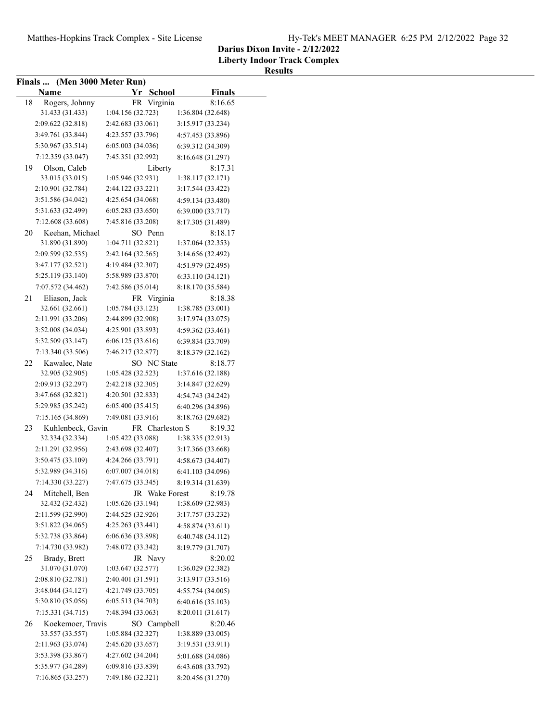**Liberty Indoor Track Complex**

|    | Finals  (Men 3000 Meter Run) |                   |                   |
|----|------------------------------|-------------------|-------------------|
|    | Name                         | Yr School         | <b>Finals</b>     |
| 18 | Rogers, Johnny               | FR Virginia       | 8:16.65           |
|    | 31.433 (31.433)              | 1:04.156 (32.723) | 1:36.804 (32.648) |
|    | 2:09.622 (32.818)            | 2:42.683 (33.061) | 3:15.917 (33.234) |
|    | 3:49.761 (33.844)            | 4:23.557 (33.796) |                   |
|    |                              |                   | 4:57.453 (33.896) |
|    | 5:30.967 (33.514)            | 6:05.003(34.036)  | 6:39.312 (34.309) |
|    | 7:12.359 (33.047)            | 7:45.351 (32.992) | 8:16.648 (31.297) |
| 19 | Olson, Caleb                 | Liberty           | 8:17.31           |
|    | 33.015 (33.015)              | 1:05.946(32.931)  | 1:38.117(32.171)  |
|    | 2:10.901 (32.784)            | 2:44.122 (33.221) | 3:17.544 (33.422) |
|    | 3:51.586 (34.042)            | 4:25.654 (34.068) | 4:59.134 (33.480) |
|    | 5:31.633 (32.499)            | 6:05.283(33.650)  | 6:39.000 (33.717) |
|    | 7:12.608 (33.608)            | 7:45.816 (33.208) | 8:17.305 (31.489) |
| 20 | Keehan, Michael              | SO Penn           | 8:18.17           |
|    | 31.890 (31.890)              | 1:04.711 (32.821) | 1:37.064 (32.353) |
|    | 2:09.599 (32.535)            | 2:42.164 (32.565) | 3:14.656 (32.492) |
|    | 3:47.177 (32.521)            | 4:19.484 (32.307) | 4:51.979 (32.495) |
|    | 5:25.119 (33.140)            | 5:58.989 (33.870) | 6:33.110(34.121)  |
|    | 7:07.572 (34.462)            | 7:42.586 (35.014) | 8:18.170 (35.584) |
| 21 | Eliason, Jack                | FR Virginia       | 8:18.38           |
|    | 32.661 (32.661)              | 1:05.784(33.123)  | 1:38.785 (33.001) |
|    | 2:11.991 (33.206)            | 2:44.899 (32.908) | 3:17.974 (33.075) |
|    | 3:52.008 (34.034)            | 4:25.901 (33.893) | 4:59.362 (33.461) |
|    | 5:32.509 (33.147)            | 6:06.125(33.616)  | 6:39.834 (33.709) |
|    | 7:13.340 (33.506)            | 7:46.217 (32.877) | 8:18.379 (32.162) |
| 22 | Kawalec, Nate                | SO NC State       | 8:18.77           |
|    | 32.905 (32.905)              | 1:05.428(32.523)  | 1:37.616 (32.188) |
|    | 2:09.913 (32.297)            | 2:42.218 (32.305) | 3:14.847 (32.629) |
|    | 3:47.668 (32.821)            | 4:20.501(32.833)  | 4:54.743 (34.242) |
|    | 5:29.985 (35.242)            | 6:05.400(35.415)  |                   |
|    |                              |                   | 6:40.296 (34.896) |
|    | 7:15.165 (34.869)            | 7:49.081 (33.916) | 8:18.763 (29.682) |
| 23 | Kuhlenbeck, Gavin            | FR Charleston S   | 8:19.32           |
|    | 32.334 (32.334)              | 1:05.422 (33.088) | 1:38.335 (32.913) |
|    | 2:11.291 (32.956)            | 2:43.698 (32.407) | 3:17.366 (33.668) |
|    | 3:50.475 (33.109)            | 4:24.266 (33.791) | 4:58.673 (34.407) |
|    | 5:32.989 (34.316)            | 6:07.007 (34.018) | 6:41.103 (34.096) |
|    | 7:14.330 (33.227)            | 7:47.675 (33.345) | 8:19.314 (31.639) |
| 24 | Mitchell, Ben                | JR Wake Forest    | 8:19.78           |
|    | 32.432 (32.432)              | 1:05.626(33.194)  | 1:38.609 (32.983) |
|    | 2:11.599 (32.990)            | 2:44.525 (32.926) | 3:17.757 (33.232) |
|    | 3:51.822 (34.065)            | 4:25.263 (33.441) | 4:58.874 (33.611) |
|    | 5:32.738 (33.864)            | 6:06.636 (33.898) | 6:40.748 (34.112) |
|    | 7:14.730 (33.982)            | 7:48.072 (33.342) | 8:19.779 (31.707) |
| 25 | Brady, Brett                 | JR Navy           | 8:20.02           |
|    | 31.070 (31.070)              | 1:03.647(32.577)  | 1:36.029 (32.382) |
|    | 2:08.810 (32.781)            | 2:40.401 (31.591) | 3:13.917 (33.516) |
|    | 3:48.044 (34.127)            | 4:21.749 (33.705) | 4:55.754 (34.005) |
|    | 5:30.810 (35.056)            | 6:05.513 (34.703) |                   |
|    |                              |                   | 6:40.616 (35.103) |
|    | 7:15.331 (34.715)            | 7:48.394 (33.063) | 8:20.011 (31.617) |
| 26 | Koekemoer, Travis            | SO Campbell       | 8:20.46           |
|    | 33.557 (33.557)              | 1:05.884(32.327)  | 1:38.889 (33.005) |
|    | 2:11.963 (33.074)            | 2:45.620 (33.657) | 3:19.531 (33.911) |
|    | 3:53.398 (33.867)            | 4:27.602 (34.204) | 5:01.688 (34.086) |
|    | 5:35.977 (34.289)            | 6:09.816 (33.839) | 6:43.608 (33.792) |
|    | 7:16.865 (33.257)            | 7:49.186 (32.321) | 8:20.456 (31.270) |
|    |                              |                   |                   |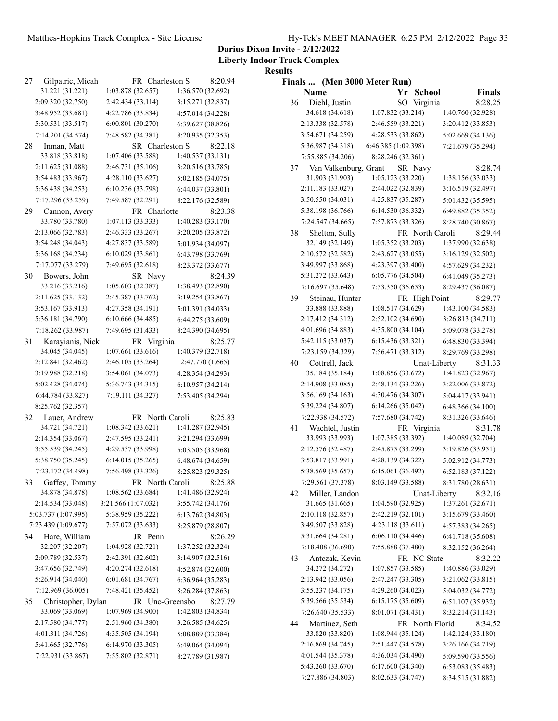**Darius Dixon Invite - 2/12/2022**

**Liberty Indoor Track Complex Results**

|                                        |                                     |                              | Results |                                   |                     |                 |                              |
|----------------------------------------|-------------------------------------|------------------------------|---------|-----------------------------------|---------------------|-----------------|------------------------------|
| Gilpatric, Micah<br>27                 | FR Charleston S                     | 8:20.94                      |         | Finals  (Men 3000 Meter Run)      |                     |                 |                              |
| 31.221 (31.221)                        | 1:03.878 (32.657)                   | 1:36.570 (32.692)            |         | Name                              |                     | Yr School       | <b>Finals</b>                |
| 2:09.320 (32.750)                      | 2:42.434 (33.114)                   | 3:15.271 (32.837)            | 36      | Diehl, Justin                     |                     | SO Virginia     | 8:28.25                      |
| 3:48.952 (33.681)                      | 4:22.786 (33.834)                   | 4:57.014 (34.228)            |         | 34.618 (34.618)                   | 1:07.832 (33.214)   |                 | 1:40.760 (32.928)            |
| 5:30.531 (33.517)                      | 6:00.801(30.270)                    | 6:39.627 (38.826)            |         | 2:13.338 (32.578)                 | 2:46.559 (33.221)   |                 | 3:20.412 (33.853)            |
| 7:14.201 (34.574)                      | 7:48.582 (34.381)                   | 8:20.935 (32.353)            |         | 3:54.671 (34.259)                 | 4:28.533 (33.862)   |                 | 5:02.669 (34.136)            |
| Inman, Matt<br>28                      | SR Charleston S                     | 8:22.18                      |         | 5:36.987 (34.318)                 | 6:46.385 (1:09.398) |                 | 7:21.679 (35.294)            |
| 33.818 (33.818)                        | 1:07.406 (33.588)                   | 1:40.537 (33.131)            |         | 7:55.885 (34.206)                 | 8:28.246 (32.361)   |                 |                              |
| 2:11.625 (31.088)                      | 2:46.731 (35.106)                   | 3:20.516 (33.785)            | 37      | Van Valkenburg, Grant             | SR Navy             |                 | 8:28.74                      |
| 3:54.483 (33.967)                      | 4:28.110 (33.627)                   | 5:02.185 (34.075)            |         | 31.903 (31.903)                   | 1:05.123 (33.220)   |                 | 1:38.156 (33.033)            |
| 5:36.438 (34.253)                      | 6:10.236 (33.798)                   | 6:44.037 (33.801)            |         | 2:11.183 (33.027)                 | 2:44.022 (32.839)   |                 | 3:16.519(32.497)             |
| 7:17.296 (33.259)                      | 7:49.587 (32.291)                   | 8:22.176 (32.589)            |         | 3:50.550(34.031)                  | 4:25.837 (35.287)   |                 | 5:01.432 (35.595)            |
| Cannon, Avery<br>29                    | FR Charlotte                        | 8:23.38                      |         | 5:38.198 (36.766)                 | 6:14.530 (36.332)   |                 | 6:49.882 (35.352)            |
| 33.780 (33.780)                        | 1:07.113(33.333)                    | 1:40.283 (33.170)            |         | 7:24.547 (34.665)                 | 7:57.873 (33.326)   |                 | 8:28.740 (30.867)            |
| 2:13.066 (32.783)                      | 2:46.333 (33.267)                   | 3:20.205 (33.872)            | 38      | Shelton, Sully                    |                     | FR North Caroli | 8:29.44                      |
| 3:54.248 (34.043)                      | 4:27.837 (33.589)                   | 5:01.934 (34.097)            |         | 32.149 (32.149)                   | 1:05.352(33.203)    |                 | 1:37.990 (32.638)            |
| 5:36.168 (34.234)                      | 6:10.029(33.861)                    | 6:43.798 (33.769)            |         | 2:10.572 (32.582)                 | 2:43.627 (33.055)   |                 | 3:16.129(32.502)             |
| 7:17.077 (33.279)                      | 7:49.695 (32.618)                   | 8:23.372 (33.677)            |         | 3:49.997 (33.868)                 | 4:23.397 (33.400)   |                 | 4:57.629 (34.232)            |
| Bowers, John<br>30                     | SR Navy                             | 8:24.39                      |         | 5:31.272 (33.643)                 | 6:05.776 (34.504)   |                 | 6:41.049 (35.273)            |
| 33.216 (33.216)                        | 1:05.603(32.387)                    | 1:38.493 (32.890)            |         | 7:16.697 (35.648)                 | 7:53.350 (36.653)   |                 | 8:29.437 (36.087)            |
| 2:11.625 (33.132)                      | 2:45.387 (33.762)                   | 3:19.254 (33.867)            | 39      | Steinau, Hunter                   |                     | FR High Point   | 8:29.77                      |
| 3:53.167(33.913)                       | 4:27.358 (34.191)                   | 5:01.391 (34.033)            |         | 33.888 (33.888)                   | 1:08.517(34.629)    |                 | 1:43.100 (34.583)            |
| 5:36.181 (34.790)                      | 6:10.666(34.485)                    | 6:44.275 (33.609)            |         | 2:17.412 (34.312)                 | 2:52.102 (34.690)   |                 | 3:26.813(34.711)             |
| 7:18.262 (33.987)                      | 7:49.695 (31.433)                   | 8:24.390 (34.695)            |         | 4:01.696 (34.883)                 | 4:35.800 (34.104)   |                 | 5:09.078 (33.278)            |
| Karayianis, Nick<br>31                 | FR Virginia                         | 8:25.77                      |         | 5:42.115 (33.037)                 | 6:15.436(33.321)    |                 | 6:48.830 (33.394)            |
| 34.045 (34.045)                        | 1:07.661(33.616)                    | 1:40.379 (32.718)            |         | 7:23.159 (34.329)                 | 7:56.471 (33.312)   |                 | 8:29.769 (33.298)            |
| 2:12.841 (32.462)                      | 2:46.105 (33.264)                   | 2:47.770 (1.665)             | 40      | Cottrell, Jack                    |                     | Unat-Liberty    | 8:31.33                      |
| 3:19.988 (32.218)                      | 3:54.061 (34.073)                   | 4:28.354 (34.293)            |         | 35.184 (35.184)                   | 1:08.856(33.672)    |                 | 1:41.823 (32.967)            |
| 5:02.428 (34.074)                      | 5:36.743 (34.315)                   | 6:10.957 (34.214)            |         | 2:14.908 (33.085)                 | 2:48.134 (33.226)   |                 | 3:22.006 (33.872)            |
| 6:44.784 (33.827)                      | 7:19.111 (34.327)                   | 7:53.405 (34.294)            |         | 3:56.169 (34.163)                 | 4:30.476 (34.307)   |                 | 5:04.417 (33.941)            |
| 8:25.762 (32.357)                      |                                     |                              |         | 5:39.224 (34.807)                 | 6:14.266(35.042)    |                 | 6:48.366 (34.100)            |
| Lauer, Andrew<br>32                    | FR North Caroli                     | 8:25.83                      |         | 7:22.938 (34.572)                 | 7:57.680 (34.742)   |                 | 8:31.326 (33.646)            |
| 34.721 (34.721)                        | 1:08.342(33.621)                    | 1:41.287 (32.945)            | 41      | Wachtel, Justin                   |                     | FR Virginia     | 8:31.78                      |
| 2:14.354(33.067)                       | 2:47.595 (33.241)                   | 3:21.294 (33.699)            |         | 33.993 (33.993)                   | 1:07.385 (33.392)   |                 | 1:40.089 (32.704)            |
| 3:55.539 (34.245)                      | 4:29.537 (33.998)                   | 5:03.505 (33.968)            |         | 2:12.576 (32.487)                 | 2:45.875 (33.299)   |                 | 3:19.826 (33.951)            |
| 5:38.750 (35.245)                      | 6:14.015(35.265)                    | 6:48.674 (34.659)            |         | 3:53.817 (33.991)                 | 4:28.139 (34.322)   |                 | 5:02.912 (34.773)            |
| 7:23.172 (34.498)                      | 7:56.498 (33.326)                   | 8:25.823 (29.325)            |         | 5:38.569 (35.657)                 | 6:15.061 (36.492)   |                 | 6:52.183 (37.122)            |
| 33<br>Gaffey, Tommy<br>34.878 (34.878) | FR North Caroli<br>1:08.562(33.684) | 8:25.88<br>1:41.486 (32.924) |         | 7:29.561 (37.378)                 | 8:03.149 (33.588)   |                 | 8:31.780 (28.631)            |
| 2:14.534 (33.048)                      | 3:21.566 (1:07.032)                 | 3:55.742 (34.176)            | 42      | Miller, Landon<br>31.665 (31.665) | 1:04.590 (32.925)   | Unat-Liberty    | 8:32.16<br>1:37.261 (32.671) |
| 5:03.737 (1:07.995)                    | 5:38.959 (35.222)                   | 6:13.762 (34.803)            |         | 2:10.118 (32.857)                 | 2:42.219 (32.101)   |                 | 3:15.679 (33.460)            |
| 7:23.439 (1:09.677)                    | 7:57.072 (33.633)                   | 8:25.879 (28.807)            |         | 3:49.507 (33.828)                 | 4:23.118 (33.611)   |                 | 4:57.383 (34.265)            |
| Hare, William<br>34                    | JR Penn                             | 8:26.29                      |         | 5:31.664 (34.281)                 | 6:06.110(34.446)    |                 | 6:41.718 (35.608)            |
| 32.207 (32.207)                        | 1:04.928(32.721)                    | 1:37.252 (32.324)            |         | 7:18.408 (36.690)                 | 7:55.888 (37.480)   |                 | 8:32.152 (36.264)            |
| 2:09.789 (32.537)                      | 2:42.391 (32.602)                   | 3:14.907 (32.516)            | 43      | Antczak, Kevin                    |                     | FR NC State     | 8:32.22                      |
| 3:47.656 (32.749)                      | 4:20.274 (32.618)                   | 4:52.874 (32.600)            |         | 34.272 (34.272)                   | 1:07.857(33.585)    |                 | 1:40.886 (33.029)            |
| 5:26.914 (34.040)                      | 6:01.681 (34.767)                   | 6:36.964 (35.283)            |         | 2:13.942 (33.056)                 | 2:47.247 (33.305)   |                 | 3:21.062 (33.815)            |
| 7:12.969 (36.005)                      | 7:48.421 (35.452)                   | 8:26.284 (37.863)            |         | 3:55.237 (34.175)                 | 4:29.260 (34.023)   |                 | 5:04.032 (34.772)            |
| Christopher, Dylan<br>35               | JR Unc-Greensbo                     | 8:27.79                      |         | 5:39.566 (35.534)                 | 6:15.175 (35.609)   |                 | 6:51.107 (35.932)            |
| 33.069 (33.069)                        | 1:07.969(34.900)                    | 1:42.803 (34.834)            |         | 7:26.640 (35.533)                 | 8:01.071 (34.431)   |                 | 8:32.214 (31.143)            |
| 2:17.580 (34.777)                      | 2:51.960 (34.380)                   | 3:26.585 (34.625)            | 44      | Martinez, Seth                    |                     | FR North Florid | 8:34.52                      |
| 4:01.311 (34.726)                      | 4:35.505 (34.194)                   | 5:08.889 (33.384)            |         | 33.820 (33.820)                   | 1:08.944 (35.124)   |                 | 1:42.124 (33.180)            |
| 5:41.665 (32.776)                      | 6:14.970 (33.305)                   | 6:49.064 (34.094)            |         | 2:16.869 (34.745)                 | 2:51.447 (34.578)   |                 | 3:26.166 (34.719)            |
| 7:22.931 (33.867)                      | 7:55.802 (32.871)                   | 8:27.789 (31.987)            |         | 4:01.544 (35.378)                 | 4:36.034 (34.490)   |                 | 5:09.590 (33.556)            |
|                                        |                                     |                              |         | 5:43.260 (33.670)                 | 6:17.600(34.340)    |                 | 6:53.083 (35.483)            |
|                                        |                                     |                              |         | 7:27.886 (34.803)                 | 8:02.633 (34.747)   |                 | 8:34.515 (31.882)            |
|                                        |                                     |                              |         |                                   |                     |                 |                              |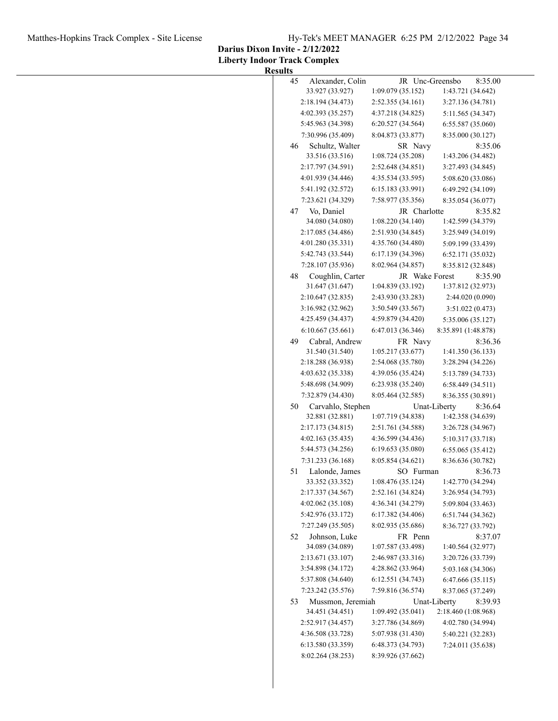**Darius Dixon Invite - 2/12/2022**

**Liberty Indoor Track Complex Results**

| 45 | Alexander, Colin  |                                        | JR Unc-Greensbo | 8:35.00                      |
|----|-------------------|----------------------------------------|-----------------|------------------------------|
|    | 33.927 (33.927)   | 1:09.079 (35.152)                      |                 | 1:43.721 (34.642)            |
|    | 2:18.194 (34.473) | 2:52.355 (34.161)                      |                 | 3:27.136 (34.781)            |
|    | 4:02.393 (35.257) | 4:37.218 (34.825)                      |                 | 5:11.565 (34.347)            |
|    | 5:45.963 (34.398) | 6:20.527 (34.564)                      |                 | 6:55.587 (35.060)            |
|    | 7:30.996 (35.409) | 8:04.873 (33.877)                      |                 | 8:35.000 (30.127)            |
| 46 | Schultz, Walter   |                                        | SR Navy         | 8:35.06                      |
|    | 33.516 (33.516)   | 1:08.724(35.208)                       |                 | 1:43.206 (34.482)            |
|    | 2:17.797 (34.591) | 2:52.648 (34.851)                      |                 | 3:27.493 (34.845)            |
|    | 4:01.939 (34.446) | 4:35.534 (33.595)                      |                 | 5:08.620 (33.086)            |
|    | 5:41.192 (32.572) | 6:15.183 (33.991)                      |                 | 6:49.292 (34.109)            |
|    | 7:23.621 (34.329) | 7:58.977 (35.356)                      |                 | 8:35.054 (36.077)            |
|    | Vo, Daniel        |                                        |                 |                              |
| 47 | 34.080 (34.080)   | 1:08.220 (34.140)                      | JR Charlotte    | 8:35.82<br>1:42.599 (34.379) |
|    | 2:17.085 (34.486) | 2:51.930 (34.845)                      |                 | 3:25.949 (34.019)            |
|    | 4:01.280 (35.331) |                                        |                 |                              |
|    | 5:42.743 (33.544) | 4:35.760 (34.480)<br>6:17.139 (34.396) |                 | 5:09.199 (33.439)            |
|    |                   |                                        |                 | 6:52.171 (35.032)            |
|    | 7:28.107 (35.936) | 8:02.964 (34.857)                      |                 | 8:35.812 (32.848)            |
| 48 | Coughlin, Carter  |                                        | JR Wake Forest  | 8:35.90                      |
|    | 31.647 (31.647)   | 1:04.839 (33.192)                      |                 | 1:37.812 (32.973)            |
|    | 2:10.647 (32.835) | 2:43.930 (33.283)                      |                 | 2:44.020 (0.090)             |
|    | 3:16.982 (32.962) | 3:50.549 (33.567)                      |                 | 3:51.022(0.473)              |
|    | 4:25.459 (34.437) | 4:59.879 (34.420)                      |                 | 5:35.006 (35.127)            |
|    | 6:10.667(35.661)  | 6:47.013 (36.346)                      |                 | 8:35.891 (1:48.878)          |
| 49 | Cabral, Andrew    |                                        | FR Navy         | 8:36.36                      |
|    | 31.540 (31.540)   | 1:05.217(33.677)                       |                 | 1:41.350(36.133)             |
|    | 2:18.288 (36.938) | 2:54.068 (35.780)                      |                 | 3:28.294 (34.226)            |
|    | 4:03.632 (35.338) | 4:39.056 (35.424)                      |                 | 5:13.789 (34.733)            |
|    | 5:48.698 (34.909) | 6:23.938 (35.240)                      |                 | 6:58.449(34.511)             |
|    | 7:32.879 (34.430) | 8:05.464 (32.585)                      |                 | 8:36.355 (30.891)            |
| 50 | Carvahlo, Stephen |                                        | Unat-Liberty    | 8:36.64                      |
|    | 32.881 (32.881)   | 1:07.719 (34.838)                      |                 | 1:42.358 (34.639)            |
|    | 2:17.173 (34.815) | 2:51.761 (34.588)                      |                 | 3:26.728 (34.967)            |
|    | 4:02.163 (35.435) | 4:36.599 (34.436)                      |                 | 5:10.317 (33.718)            |
|    | 5:44.573 (34.256) | 6:19.653 (35.080)                      |                 | 6:55.065 (35.412)            |
|    | 7:31.233 (36.168) | 8:05.854 (34.621)                      |                 | 8:36.636 (30.782)            |
| 51 | Lalonde, James    |                                        | SO Furman       | 8:36.73                      |
|    | 33.352 (33.352)   | 1:08.476 (35.124)                      |                 | 1:42.770 (34.294)            |
|    | 2:17.337 (34.567) | 2:52.161 (34.824)                      |                 | 3:26.954 (34.793)            |
|    | 4:02.062(35.108)  | 4:36.341 (34.279)                      |                 | 5:09.804 (33.463)            |
|    | 5:42.976 (33.172) | 6:17.382 (34.406)                      |                 | 6:51.744 (34.362)            |
|    | 7:27.249 (35.505) | 8:02.935 (35.686)                      |                 | 8:36.727 (33.792)            |
| 52 | Johnson, Luke     |                                        | FR Penn         | 8:37.07                      |
|    | 34.089 (34.089)   | 1:07.587 (33.498)                      |                 | 1:40.564 (32.977)            |
|    | 2:13.671 (33.107) | 2:46.987 (33.316)                      |                 | 3:20.726 (33.739)            |
|    | 3:54.898 (34.172) | 4:28.862 (33.964)                      |                 | 5:03.168 (34.306)            |
|    | 5:37.808 (34.640) | 6:12.551(34.743)                       |                 | 6:47.666 (35.115)            |
|    | 7:23.242 (35.576) | 7:59.816 (36.574)                      |                 | 8:37.065 (37.249)            |
| 53 | Mussmon, Jeremiah |                                        | Unat-Liberty    | 8:39.93                      |
|    | 34.451 (34.451)   | 1:09.492(35.041)                       |                 | 2:18.460 (1:08.968)          |
|    | 2:52.917 (34.457) | 3:27.786 (34.869)                      |                 | 4:02.780 (34.994)            |
|    | 4:36.508 (33.728) | 5:07.938 (31.430)                      |                 | 5:40.221 (32.283)            |
|    | 6:13.580 (33.359) | 6:48.373 (34.793)                      |                 | 7:24.011 (35.638)            |
|    | 8:02.264 (38.253) | 8:39.926 (37.662)                      |                 |                              |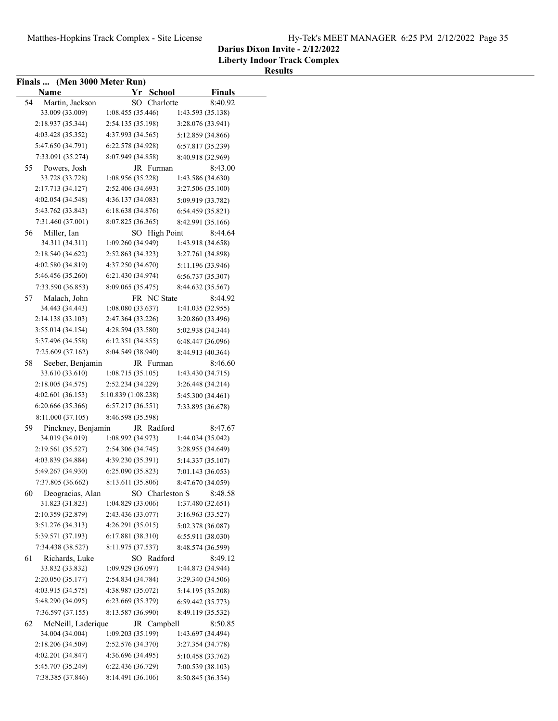**Liberty Indoor Track Complex**

|    | Finals  (Men 3000 Meter Run) |                                   |                   |
|----|------------------------------|-----------------------------------|-------------------|
|    | Name                         | Yr School                         | Finals            |
| 54 | Martin, Jackson              | SO Charlotte                      | 8:40.92           |
|    | 33.009 (33.009)              | 1:08.455 (35.446)                 | 1:43.593 (35.138) |
|    | 2:18.937 (35.344)            | 2:54.135 (35.198)                 | 3:28.076 (33.941) |
|    | 4:03.428 (35.352)            | 4:37.993 (34.565)                 | 5:12.859 (34.866) |
|    | 5:47.650 (34.791)            | 6:22.578 (34.928)                 | 6:57.817 (35.239) |
|    | 7:33.091 (35.274)            | 8:07.949 (34.858)                 | 8:40.918 (32.969) |
| 55 | Powers, Josh                 | JR Furman                         | 8:43.00           |
|    | 33.728 (33.728)              | 1:08.956 (35.228)                 | 1:43.586 (34.630) |
|    | 2:17.713 (34.127)            | 2:52.406 (34.693)                 | 3:27.506 (35.100) |
|    | 4:02.054 (34.548)            | 4:36.137 (34.083)                 | 5:09.919 (33.782) |
|    | 5:43.762 (33.843)            | 6:18.638(34.876)                  | 6:54.459 (35.821) |
|    | 7:31.460 (37.001)            | 8:07.825 (36.365)                 | 8:42.991 (35.166) |
|    | Miller, Ian                  |                                   | 8:44.64           |
| 56 | 34.311 (34.311)              | SO High Point<br>1:09.260(34.949) | 1:43.918 (34.658) |
|    | 2:18.540 (34.622)            | 2:52.863 (34.323)                 | 3:27.761 (34.898) |
|    | 4:02.580 (34.819)            | 4:37.250 (34.670)                 |                   |
|    |                              |                                   | 5:11.196 (33.946) |
|    | 5:46.456 (35.260)            | 6:21.430 (34.974)                 | 6:56.737 (35.307) |
|    | 7:33.590 (36.853)            | 8:09.065 (35.475)                 | 8:44.632 (35.567) |
| 57 | Malach, John                 | FR NC State                       | 8:44.92           |
|    | 34.443 (34.443)              | 1:08.080(33.637)                  | 1:41.035 (32.955) |
|    | 2:14.138 (33.103)            | 2:47.364 (33.226)                 | 3:20.860 (33.496) |
|    | 3:55.014(34.154)             | 4:28.594 (33.580)                 | 5:02.938 (34.344) |
|    | 5:37.496 (34.558)            | 6:12.351 (34.855)                 | 6:48.447 (36.096) |
|    | 7:25.609 (37.162)            | 8:04.549 (38.940)                 | 8:44.913 (40.364) |
| 58 | Seeber, Benjamin             | JR Furman                         | 8:46.60           |
|    | 33.610 (33.610)              | 1:08.715(35.105)                  | 1:43.430 (34.715) |
|    | 2:18.005 (34.575)            | 2:52.234 (34.229)                 | 3:26.448 (34.214) |
|    | 4:02.601(36.153)             | 5:10.839 (1:08.238)               | 5:45.300 (34.461) |
|    | 6:20.666 (35.366)            | 6:57.217(36.551)                  | 7:33.895 (36.678) |
|    | 8:11.000 (37.105)            | 8:46.598 (35.598)                 |                   |
| 59 | Pinckney, Benjamin           | JR Radford                        | 8:47.67           |
|    | 34.019 (34.019)              | 1:08.992 (34.973)                 | 1:44.034 (35.042) |
|    | 2:19.561 (35.527)            | 2:54.306 (34.745)                 | 3:28.955 (34.649) |
|    | 4:03.839 (34.884)            | 4:39.230 (35.391)                 | 5:14.337 (35.107) |
|    | 5:49.267 (34.930)            | 6:25.090 (35.823)                 | 7:01.143 (36.053) |
|    | 7:37.805 (36.662)            | 8:13.611 (35.806)                 | 8:47.670 (34.059) |
| 60 | Deogracias, Alan             | SO Charleston S                   | 8:48.58           |
|    | 31.823 (31.823)              | 1:04.829 (33.006)                 | 1:37.480 (32.651) |
|    | 2:10.359 (32.879)            | 2:43.436 (33.077)                 | 3:16.963 (33.527) |
|    | 3:51.276 (34.313)            | 4:26.291(35.015)                  | 5:02.378 (36.087) |
|    | 5:39.571 (37.193)            | 6:17.881 (38.310)                 | 6:55.911 (38.030) |
|    | 7:34.438 (38.527)            | 8:11.975 (37.537)                 | 8:48.574 (36.599) |
| 61 | Richards, Luke               | SO Radford                        | 8:49.12           |
|    | 33.832 (33.832)              | 1:09.929 (36.097)                 | 1:44.873 (34.944) |
|    | 2:20.050(35.177)             | 2:54.834 (34.784)                 | 3:29.340 (34.506) |
|    | 4:03.915 (34.575)            | 4:38.987 (35.072)                 | 5:14.195 (35.208) |
|    | 5:48.290 (34.095)            | 6:23.669 (35.379)                 | 6:59.442 (35.773) |
|    | 7:36.597 (37.155)            | 8:13.587 (36.990)                 | 8:49.119 (35.532) |
| 62 | McNeill, Laderique           | JR Campbell                       | 8:50.85           |
|    | 34.004 (34.004)              | 1:09.203 (35.199)                 | 1:43.697 (34.494) |
|    | 2:18.206 (34.509)            | 2:52.576 (34.370)                 | 3:27.354 (34.778) |
|    | 4:02.201(34.847)             | 4:36.696 (34.495)                 | 5:10.458 (33.762) |
|    | 5:45.707 (35.249)            | 6:22.436 (36.729)                 | 7:00.539 (38.103) |
|    | 7:38.385 (37.846)            | 8:14.491 (36.106)                 | 8:50.845 (36.354) |
|    |                              |                                   |                   |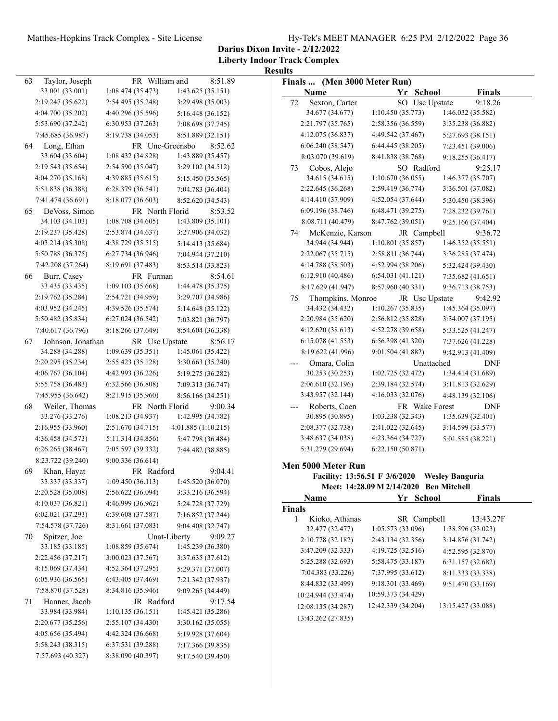**Darius Dixon Invite - 2/12/2022**

|    |                   |                   |                         | <b>Results</b> |                              |                                               |                |                    |
|----|-------------------|-------------------|-------------------------|----------------|------------------------------|-----------------------------------------------|----------------|--------------------|
| 63 | Taylor, Joseph    | FR William and    | 8:51.89                 |                | Finals  (Men 3000 Meter Run) |                                               |                |                    |
|    | 33.001 (33.001)   | 1:08.474(35.473)  | 1:43.625 (35.151)       |                | Name                         | Yr School                                     |                | <b>Finals</b>      |
|    | 2:19.247 (35.622) | 2:54.495 (35.248) | 3:29.498 (35.003)       | 72             | Sexton, Carter               |                                               | SO Usc Upstate | 9:18.26            |
|    | 4:04.700 (35.202) | 4:40.296 (35.596) | 5:16.448 (36.152)       |                | 34.677 (34.677)              | 1:10.450(35.773)                              |                | 1:46.032 (35.582)  |
|    | 5:53.690 (37.242) | 6:30.953 (37.263) | 7:08.698 (37.745)       |                | 2:21.797 (35.765)            | 2:58.356 (36.559)                             |                | 3:35.238 (36.882)  |
|    | 7:45.685 (36.987) | 8:19.738 (34.053) | 8:51.889 (32.151)       |                | 4:12.075 (36.837)            | 4:49.542 (37.467)                             |                | 5:27.693 (38.151)  |
| 64 | Long, Ethan       | FR Unc-Greensbo   | 8:52.62                 |                | 6:06.240 (38.547)            | 6:44.445 (38.205)                             |                | 7:23.451 (39.006)  |
|    | 33.604 (33.604)   | 1:08.432(34.828)  | 1:43.889 (35.457)       |                | 8:03.070 (39.619)            | 8:41.838 (38.768)                             |                | 9:18.255 (36.417)  |
|    | 2:19.543 (35.654) | 2:54.590 (35.047) | 3:29.102 (34.512)       | 73             | Cobos, Alejo                 | SO Radford                                    |                | 9:25.17            |
|    | 4:04.270 (35.168) | 4:39.885 (35.615) | 5:15.450 (35.565)       |                | 34.615 (34.615)              | 1:10.670(36.055)                              |                | 1:46.377 (35.707)  |
|    | 5:51.838 (36.388) | 6:28.379 (36.541) | 7:04.783 (36.404)       |                | 2:22.645 (36.268)            | 2:59.419 (36.774)                             |                | 3:36.501 (37.082)  |
|    | 7:41.474 (36.691) | 8:18.077 (36.603) | 8:52.620 (34.543)       |                | 4:14.410 (37.909)            | 4:52.054 (37.644)                             |                | 5:30.450 (38.396)  |
| 65 | DeVoss, Simon     | FR North Florid   | 8:53.52                 |                | 6:09.196 (38.746)            | 6:48.471 (39.275)                             |                | 7:28.232 (39.761)  |
|    | 34.103 (34.103)   | 1:08.708(34.605)  | 1:43.809 (35.101)       |                | 8:08.711 (40.479)            | 8:47.762 (39.051)                             |                | 9:25.166 (37.404)  |
|    | 2:19.237 (35.428) | 2:53.874 (34.637) | 3:27.906 (34.032)       | 74             | McKenzie, Karson             | JR Campbell                                   |                | 9:36.72            |
|    | 4:03.214 (35.308) | 4:38.729 (35.515) | 5:14.413 (35.684)       |                | 34.944 (34.944)              | 1:10.801 (35.857)                             |                | 1:46.352 (35.551)  |
|    | 5:50.788 (36.375) | 6:27.734 (36.946) | 7:04.944 (37.210)       |                | 2:22.067(35.715)             | 2:58.811 (36.744)                             |                | 3:36.285 (37.474)  |
|    | 7:42.208 (37.264) | 8:19.691 (37.483) | 8:53.514 (33.823)       |                | 4:14.788 (38.503)            | 4:52.994 (38.206)                             |                | 5:32.424 (39.430)  |
| 66 | Burr, Casey       | FR Furman         | 8:54.61                 |                | 6:12.910 (40.486)            | 6:54.031 (41.121)                             |                | 7:35.682 (41.651)  |
|    | 33.435 (33.435)   | 1:09.103(35.668)  | 1:44.478 (35.375)       |                | 8:17.629 (41.947)            | 8:57.960 (40.331)                             |                | 9:36.713 (38.753)  |
|    | 2:19.762 (35.284) | 2:54.721 (34.959) | 3:29.707 (34.986)       | 75             | Thompkins, Monroe            |                                               | JR Usc Upstate | 9:42.92            |
|    | 4:03.952 (34.245) | 4:39.526 (35.574) | 5:14.648 (35.122)       |                | 34.432 (34.432)              | 1:10.267(35.835)                              |                | 1:45.364 (35.097)  |
|    | 5:50.482 (35.834) | 6:27.024(36.542)  | 7:03.821 (36.797)       |                | 2:20.984 (35.620)            | 2:56.812 (35.828)                             |                | 3:34.007 (37.195)  |
|    | 7:40.617 (36.796) | 8:18.266 (37.649) | 8:54.604 (36.338)       |                | 4:12.620 (38.613)            | 4:52.278 (39.658)                             |                | 5:33.525 (41.247)  |
| 67 | Johnson, Jonathan | SR Usc Upstate    | 8:56.17                 |                | 6:15.078 (41.553)            | 6:56.398 (41.320)                             |                | 7:37.626 (41.228)  |
|    | 34.288 (34.288)   | 1:09.639(35.351)  | 1:45.061 (35.422)       |                | 8:19.622 (41.996)            | 9:01.504 (41.882)                             |                | 9:42.913 (41.409)  |
|    | 2:20.295 (35.234) | 2:55.423 (35.128) | 3:30.663 (35.240)       |                | Omara, Colin                 |                                               | Unattached     | DNF                |
|    | 4:06.767 (36.104) | 4:42.993 (36.226) | 5:19.275 (36.282)       |                | 30.253 (30.253)              | 1:02.725(32.472)                              |                | 1:34.414 (31.689)  |
|    | 5:55.758 (36.483) | 6:32.566 (36.808) | 7:09.313 (36.747)       |                | 2:06.610 (32.196)            | 2:39.184 (32.574)                             |                | 3:11.813 (32.629)  |
|    | 7:45.955 (36.642) | 8:21.915 (35.960) | 8:56.166 (34.251)       |                | 3:43.957 (32.144)            | 4:16.033 (32.076)                             |                | 4:48.139 (32.106)  |
| 68 | Weiler, Thomas    | FR North Florid   | 9:00.34                 |                | Roberts, Coen                |                                               | FR Wake Forest | <b>DNF</b>         |
|    | 33.276 (33.276)   | 1:08.213(34.937)  | 1:42.995 (34.782)       |                | 30.895 (30.895)              | 1:03.238(32.343)                              |                | 1:35.639(32.401)   |
|    | 2:16.955 (33.960) | 2:51.670 (34.715) | 4:01.885(1:10.215)      |                | 2:08.377 (32.738)            | 2:41.022 (32.645)                             |                | 3:14.599 (33.577)  |
|    | 4:36.458 (34.573) | 5:11.314 (34.856) | 5:47.798 (36.484)       |                | 3:48.637 (34.038)            | 4:23.364 (34.727)                             |                | 5:01.585 (38.221)  |
|    | 6:26.265(38.467)  | 7:05.597 (39.332) | 7:44.482 (38.885)       |                | 5:31.279 (29.694)            | 6:22.150(50.871)                              |                |                    |
|    | 8:23.722 (39.240) | 9:00.336 (36.614) |                         |                |                              |                                               |                |                    |
| 69 | Khan, Hayat       | FR Radford        | 9:04.41                 |                | Men 5000 Meter Run           |                                               |                |                    |
|    | 33.337 (33.337)   | 1:09.450(36.113)  | 1:45.520 (36.070)       |                |                              | Facility: 13:56.51 F 3/6/2020 Wesley Banguria |                |                    |
|    | 2:20.528 (35.008) | 2:56.622 (36.094) | 3:33.216 (36.594)       |                |                              | Meet: 14:28.09 M 2/14/2020 Ben Mitchell       |                |                    |
|    | 4:10.037(36.821)  | 4:46.999 (36.962) | 5:24.728 (37.729)       |                | Name                         | Yr School                                     |                | <b>Finals</b>      |
|    | 6:02.021(37.293)  | 6:39.608 (37.587) | 7:16.852 (37.244)       | Finals         |                              |                                               |                |                    |
|    | 7:54.578 (37.726) | 8:31.661 (37.083) | 9:04.408 (32.747)       | $\mathbf{1}$   | Kioko, Athanas               | SR Campbell                                   |                | 13:43.27F          |
| 70 | Spitzer, Joe      |                   | Unat-Liberty<br>9:09.27 |                | 32.477 (32.477)              | 1:05.573(33.096)                              |                | 1:38.596 (33.023)  |
|    | 33.185 (33.185)   | 1:08.859 (35.674) | 1:45.239 (36.380)       |                | 2:10.778 (32.182)            | 2:43.134 (32.356)                             |                | 3:14.876 (31.742)  |
|    | 2:22.456 (37.217) | 3:00.023 (37.567) | 3:37.635 (37.612)       |                | 3:47.209 (32.333)            | 4:19.725 (32.516)                             |                | 4:52.595 (32.870)  |
|    | 4:15.069 (37.434) | 4:52.364 (37.295) | 5:29.371 (37.007)       |                | 5:25.288 (32.693)            | 5:58.475 (33.187)                             |                | 6:31.157 (32.682)  |
|    | 6:05.936(36.565)  | 6:43.405 (37.469) | 7:21.342 (37.937)       |                | 7:04.383 (33.226)            | 7:37.995 (33.612)                             |                | 8:11.333 (33.338)  |
|    | 7:58.870 (37.528) | 8:34.816 (35.946) | 9:09.265 (34.449)       |                | 8:44.832 (33.499)            | 9:18.301 (33.469)                             |                | 9:51.470 (33.169)  |
| 71 | Hanner, Jacob     | JR Radford        | 9:17.54                 |                | 10:24.944 (33.474)           | 10:59.373 (34.429)                            |                |                    |
|    | 33.984 (33.984)   | 1:10.135(36.151)  | 1:45.421 (35.286)       |                | 12:08.135 (34.287)           | 12:42.339 (34.204)                            |                | 13:15.427 (33.088) |
|    | 2:20.677(35.256)  | 2:55.107(34.430)  | 3:30.162 (35.055)       |                | 13:43.262 (27.835)           |                                               |                |                    |
|    | 4:05.656 (35.494) | 4:42.324 (36.668) | 5:19.928 (37.604)       |                |                              |                                               |                |                    |
|    | 5:58.243 (38.315) | 6:37.531 (39.288) | 7:17.366 (39.835)       |                |                              |                                               |                |                    |
|    | 7:57.693 (40.327) | 8:38.090 (40.397) | 9:17.540 (39.450)       |                |                              |                                               |                |                    |
|    |                   |                   |                         |                |                              |                                               |                |                    |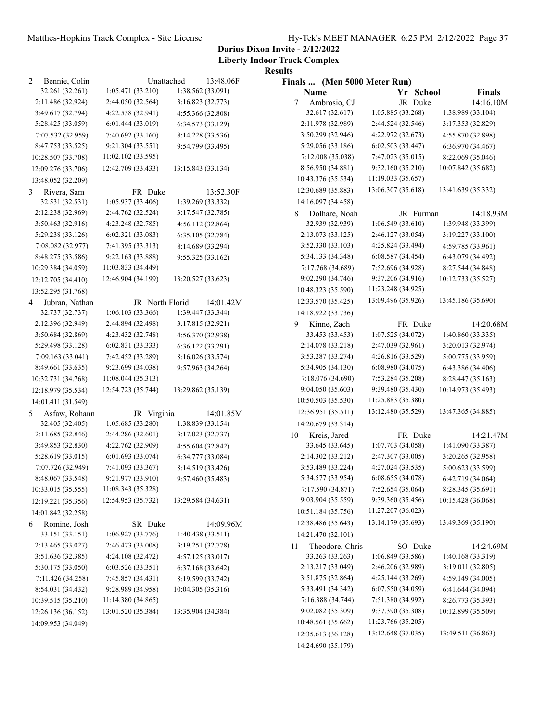**Darius Dixon Invite - 2/12/2022**

|                     |                    |                    | <b>Results</b>                  |                    |                    |
|---------------------|--------------------|--------------------|---------------------------------|--------------------|--------------------|
| Bennie, Colin<br>2  | Unattached         | 13:48.06F          | Finals  (Men 5000 Meter Run)    |                    |                    |
| 32.261 (32.261)     | 1:05.471(33.210)   | 1:38.562 (33.091)  | Name                            | Yr School          | Finals             |
| 2:11.486 (32.924)   | 2:44.050 (32.564)  | 3:16.823 (32.773)  | $7\phantom{.0}$<br>Ambrosio, CJ | JR Duke            | 14:16.10M          |
| 3:49.617 (32.794)   | 4:22.558 (32.941)  | 4:55.366 (32.808)  | 32.617 (32.617)                 | 1:05.885 (33.268)  | 1:38.989 (33.104)  |
| 5:28.425 (33.059)   | 6:01.444(33.019)   | 6:34.573 (33.129)  | 2:11.978 (32.989)               | 2:44.524 (32.546)  | 3:17.353 (32.829)  |
| 7:07.532 (32.959)   | 7:40.692 (33.160)  | 8:14.228 (33.536)  | 3:50.299 (32.946)               | 4:22.972 (32.673)  | 4:55.870 (32.898)  |
| 8:47.753 (33.525)   | 9:21.304 (33.551)  | 9:54.799 (33.495)  | 5:29.056 (33.186)               | 6:02.503 (33.447)  | 6:36.970 (34.467)  |
| 10:28.507 (33.708)  | 11:02.102 (33.595) |                    | 7:12.008 (35.038)               | 7:47.023 (35.015)  | 8:22.069 (35.046)  |
| 12:09.276 (33.706)  | 12:42.709 (33.433) | 13:15.843 (33.134) | 8:56.950 (34.881)               | 9:32.160 (35.210)  | 10:07.842 (35.682) |
| 13:48.052 (32.209)  |                    |                    | 10:43.376 (35.534)              | 11:19.033 (35.657) |                    |
| Rivera, Sam<br>3    | FR Duke            | 13:52.30F          | 12:30.689 (35.883)              | 13:06.307 (35.618) | 13:41.639 (35.332) |
| 32.531 (32.531)     | 1:05.937(33.406)   | 1:39.269 (33.332)  | 14:16.097 (34.458)              |                    |                    |
| 2:12.238 (32.969)   | 2:44.762 (32.524)  | 3:17.547 (32.785)  | Dolhare, Noah<br>8              | JR Furman          | 14:18.93M          |
| 3:50.463 (32.916)   | 4:23.248 (32.785)  | 4:56.112 (32.864)  | 32.939 (32.939)                 | 1:06.549(33.610)   | 1:39.948 (33.399)  |
| 5:29.238 (33.126)   | 6:02.321(33.083)   | 6:35.105 (32.784)  | 2:13.073 (33.125)               | 2:46.127 (33.054)  | 3:19.227(33.100)   |
| 7:08.082 (32.977)   | 7:41.395 (33.313)  | 8:14.689 (33.294)  | 3:52.330 (33.103)               | 4:25.824 (33.494)  | 4:59.785 (33.961)  |
| 8:48.275 (33.586)   | 9:22.163 (33.888)  | 9:55.325 (33.162)  | 5:34.133 (34.348)               | 6:08.587 (34.454)  | 6:43.079 (34.492)  |
| 10:29.384 (34.059)  | 11:03.833 (34.449) |                    | 7:17.768 (34.689)               | 7:52.696 (34.928)  | 8:27.544 (34.848)  |
| 12:12.705 (34.410)  | 12:46.904 (34.199) | 13:20.527 (33.623) | 9:02.290 (34.746)               | 9:37.206 (34.916)  | 10:12.733 (35.527) |
| 13:52.295 (31.768)  |                    |                    | 10:48.323 (35.590)              | 11:23.248 (34.925) |                    |
| Jubran, Nathan<br>4 | JR North Florid    | 14:01.42M          | 12:33.570 (35.425)              | 13:09.496 (35.926) | 13:45.186 (35.690) |
| 32.737 (32.737)     | 1:06.103(33.366)   | 1:39.447 (33.344)  | 14:18.922 (33.736)              |                    |                    |
| 2:12.396 (32.949)   | 2:44.894 (32.498)  | 3:17.815 (32.921)  | Kinne, Zach<br>9                | FR Duke            | 14:20.68M          |
| 3:50.684 (32.869)   | 4:23.432 (32.748)  | 4:56.370 (32.938)  | 33.453 (33.453)                 | 1:07.525 (34.072)  | 1:40.860 (33.335)  |
| 5:29.498 (33.128)   | 6:02.831(33.333)   | 6:36.122 (33.291)  | 2:14.078 (33.218)               | 2:47.039 (32.961)  | 3:20.013 (32.974)  |
| 7:09.163 (33.041)   | 7:42.452 (33.289)  | 8:16.026 (33.574)  | 3:53.287 (33.274)               | 4:26.816 (33.529)  | 5:00.775 (33.959)  |
| 8:49.661 (33.635)   | 9:23.699 (34.038)  | 9:57.963 (34.264)  | 5:34.905 (34.130)               | 6:08.980 (34.075)  | 6:43.386 (34.406)  |
| 10:32.731 (34.768)  | 11:08.044 (35.313) |                    | 7:18.076 (34.690)               | 7:53.284 (35.208)  | 8:28.447 (35.163)  |
| 12:18.979 (35.534)  | 12:54.723 (35.744) | 13:29.862 (35.139) | 9:04.050 (35.603)               | 9:39.480 (35.430)  | 10:14.973 (35.493) |
| 14:01.411 (31.549)  |                    |                    | 10:50.503 (35.530)              | 11:25.883 (35.380) |                    |
| Asfaw, Rohann<br>5  | JR Virginia        | 14:01.85M          | 12:36.951 (35.511)              | 13:12.480 (35.529) | 13:47.365 (34.885) |
| 32.405 (32.405)     | 1:05.685 (33.280)  | 1:38.839 (33.154)  | 14:20.679 (33.314)              |                    |                    |
| 2:11.685 (32.846)   | 2:44.286 (32.601)  | 3:17.023 (32.737)  | Kreis, Jared<br>10              | FR Duke            | 14:21.47M          |
| 3:49.853 (32.830)   | 4:22.762 (32.909)  | 4:55.604 (32.842)  | 33.645 (33.645)                 | 1:07.703 (34.058)  | 1:41.090 (33.387)  |
| 5:28.619(33.015)    | 6:01.693(33.074)   | 6:34.777 (33.084)  | 2:14.302 (33.212)               | 2:47.307 (33.005)  | 3:20.265 (32.958)  |
| 7:07.726 (32.949)   | 7:41.093 (33.367)  | 8:14.519 (33.426)  | 3:53.489 (33.224)               | 4:27.024 (33.535)  | 5:00.623 (33.599)  |
| 8:48.067 (33.548)   | 9:21.977 (33.910)  | 9:57.460 (35.483)  | 5:34.577 (33.954)               | 6:08.655 (34.078)  | 6:42.719 (34.064)  |
| 10:33.015 (35.555)  | 11:08.343 (35.328) |                    | 7:17.590 (34.871)               | 7:52.654 (35.064)  | 8:28.345 (35.691)  |
| 12:19.221 (35.356)  | 12:54.953 (35.732) | 13:29.584 (34.631) | 9:03.904 (35.559)               | 9:39.360 (35.456)  | 10:15.428 (36.068) |
| 14:01.842 (32.258)  |                    |                    | 10:51.184 (35.756)              | 11:27.207 (36.023) |                    |
| Romine, Josh<br>6   | SR Duke            | 14:09.96M          | 12:38.486 (35.643)              | 13:14.179 (35.693) | 13:49.369 (35.190) |
| 33.151 (33.151)     | 1:06.927 (33.776)  | 1:40.438 (33.511)  | 14:21.470 (32.101)              |                    |                    |
| 2:13.465 (33.027)   | 2:46.473 (33.008)  | 3:19.251 (32.778)  | Theodore, Chris<br>11           | SO Duke            | 14:24.69M          |
| 3:51.636 (32.385)   | 4:24.108 (32.472)  | 4:57.125 (33.017)  | 33.263 (33.263)                 | 1:06.849 (33.586)  | 1:40.168 (33.319)  |
| 5:30.175 (33.050)   | 6:03.526 (33.351)  | 6:37.168 (33.642)  | 2:13.217 (33.049)               | 2:46.206 (32.989)  | 3:19.011 (32.805)  |
| 7:11.426 (34.258)   | 7:45.857 (34.431)  | 8:19.599 (33.742)  | 3:51.875 (32.864)               | 4:25.144 (33.269)  | 4:59.149 (34.005)  |
| 8:54.031 (34.432)   | 9:28.989 (34.958)  | 10:04.305 (35.316) | 5:33.491 (34.342)               | 6:07.550 (34.059)  | 6:41.644 (34.094)  |
| 10:39.515 (35.210)  | 11:14.380 (34.865) |                    | 7:16.388 (34.744)               | 7:51.380 (34.992)  | 8:26.773 (35.393)  |
| 12:26.136 (36.152)  | 13:01.520 (35.384) | 13:35.904 (34.384) | 9:02.082 (35.309)               | 9:37.390 (35.308)  | 10:12.899 (35.509) |
| 14:09.953 (34.049)  |                    |                    | 10:48.561 (35.662)              | 11:23.766 (35.205) |                    |
|                     |                    |                    | 12:35.613 (36.128)              | 13:12.648 (37.035) | 13:49.511 (36.863) |
|                     |                    |                    | 14:24.690 (35.179)              |                    |                    |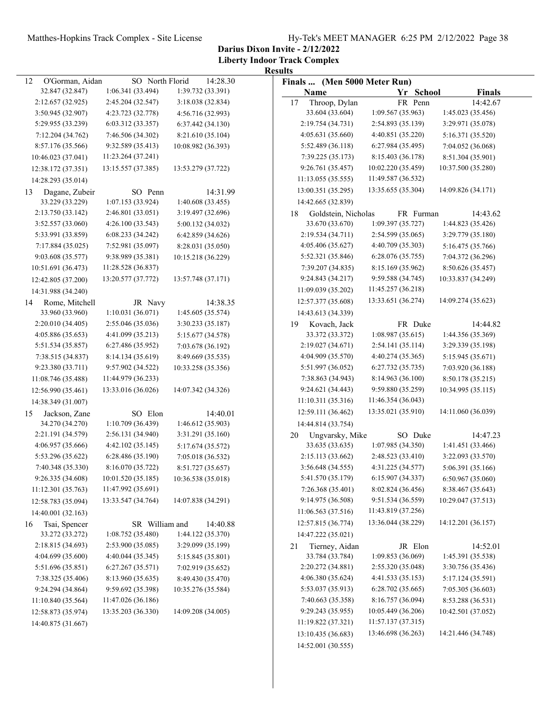**Darius Dixon Invite - 2/12/2022**

|                       |                    |                    | <b>Results</b>               |                    |                    |
|-----------------------|--------------------|--------------------|------------------------------|--------------------|--------------------|
| O'Gorman, Aidan<br>12 | SO North Florid    | 14:28.30           | Finals  (Men 5000 Meter Run) |                    |                    |
| 32.847 (32.847)       | 1:06.341 (33.494)  | 1:39.732 (33.391)  | Name                         | Yr School          | <b>Finals</b>      |
| 2:12.657 (32.925)     | 2:45.204 (32.547)  | 3:18.038 (32.834)  | Throop, Dylan<br>17          | FR Penn            | 14:42.67           |
| 3:50.945 (32.907)     | 4:23.723 (32.778)  | 4:56.716 (32.993)  | 33.604 (33.604)              | 1:09.567 (35.963)  | 1:45.023 (35.456)  |
| 5:29.955 (33.239)     | 6:03.312 (33.357)  | 6:37.442 (34.130)  | 2:19.754 (34.731)            | 2:54.893 (35.139)  | 3:29.971 (35.078)  |
| 7:12.204 (34.762)     | 7:46.506 (34.302)  | 8:21.610 (35.104)  | 4:05.631 (35.660)            | 4:40.851 (35.220)  | 5:16.371 (35.520)  |
| 8:57.176 (35.566)     | 9:32.589 (35.413)  | 10:08.982 (36.393) | 5:52.489 (36.118)            | 6:27.984 (35.495)  | 7:04.052 (36.068)  |
| 10:46.023 (37.041)    | 11:23.264 (37.241) |                    | 7:39.225 (35.173)            | 8:15.403 (36.178)  | 8:51.304 (35.901)  |
| 12:38.172 (37.351)    | 13:15.557 (37.385) | 13:53.279 (37.722) | 9:26.761 (35.457)            | 10:02.220 (35.459) | 10:37.500 (35.280) |
| 14:28.293 (35.014)    |                    |                    | 11:13.055 (35.555)           | 11:49.587 (36.532) |                    |
| Dagane, Zubeir<br>13  | SO Penn            | 14:31.99           | 13:00.351 (35.295)           | 13:35.655 (35.304) | 14:09.826 (34.171) |
| 33.229 (33.229)       | 1:07.153(33.924)   | 1:40.608 (33.455)  | 14:42.665 (32.839)           |                    |                    |
| 2:13.750 (33.142)     | 2:46.801 (33.051)  | 3:19.497 (32.696)  | 18<br>Goldstein, Nicholas    | FR Furman          | 14:43.62           |
| 3:52.557 (33.060)     | 4:26.100 (33.543)  | 5:00.132 (34.032)  | 33.670 (33.670)              | 1:09.397 (35.727)  | 1:44.823 (35.426)  |
| 5:33.991 (33.859)     | 6:08.233(34.242)   | 6:42.859 (34.626)  | 2:19.534 (34.711)            | 2:54.599 (35.065)  | 3:29.779 (35.180)  |
| 7:17.884 (35.025)     | 7:52.981 (35.097)  | 8:28.031 (35.050)  | 4:05.406 (35.627)            | 4:40.709 (35.303)  | 5:16.475 (35.766)  |
| 9:03.608 (35.577)     | 9:38.989 (35.381)  | 10:15.218 (36.229) | 5:52.321 (35.846)            | 6:28.076 (35.755)  | 7:04.372 (36.296)  |
| 10:51.691 (36.473)    | 11:28.528 (36.837) |                    | 7:39.207 (34.835)            | 8:15.169 (35.962)  | 8:50.626 (35.457)  |
|                       | 13:20.577 (37.772) | 13:57.748 (37.171) | 9:24.843 (34.217)            | 9:59.588 (34.745)  | 10:33.837 (34.249) |
| 12:42.805 (37.200)    |                    |                    | 11:09.039 (35.202)           | 11:45.257 (36.218) |                    |
| 14:31.988 (34.240)    |                    |                    |                              | 13:33.651 (36.274) | 14:09.274 (35.623) |
| Rome, Mitchell<br>14  | JR Navy            | 14:38.35           | 12:57.377 (35.608)           |                    |                    |
| 33.960 (33.960)       | 1:10.031 (36.071)  | 1:45.605 (35.574)  | 14:43.613 (34.339)           |                    |                    |
| 2:20.010 (34.405)     | 2:55.046 (35.036)  | 3:30.233 (35.187)  | Kovach, Jack<br>19           | FR Duke            | 14:44.82           |
| 4:05.886 (35.653)     | 4:41.099 (35.213)  | 5:15.677 (34.578)  | 33.372 (33.372)              | 1:08.987(35.615)   | 1:44.356 (35.369)  |
| 5:51.534 (35.857)     | 6:27.486 (35.952)  | 7:03.678 (36.192)  | 2:19.027 (34.671)            | 2:54.141 (35.114)  | 3:29.339 (35.198)  |
| 7:38.515 (34.837)     | 8:14.134 (35.619)  | 8:49.669 (35.535)  | 4:04.909 (35.570)            | 4:40.274 (35.365)  | 5:15.945 (35.671)  |
| 9:23.380 (33.711)     | 9:57.902 (34.522)  | 10:33.258 (35.356) | 5:51.997 (36.052)            | 6:27.732 (35.735)  | 7:03.920 (36.188)  |
| 11:08.746 (35.488)    | 11:44.979 (36.233) |                    | 7:38.863 (34.943)            | 8:14.963 (36.100)  | 8:50.178 (35.215)  |
| 12:56.990 (35.461)    | 13:33.016 (36.026) | 14:07.342 (34.326) | 9:24.621 (34.443)            | 9:59.880 (35.259)  | 10:34.995 (35.115) |
| 14:38.349 (31.007)    |                    |                    | 11:10.311 (35.316)           | 11:46.354 (36.043) |                    |
| Jackson, Zane<br>15   | SO Elon            | 14:40.01           | 12:59.111 (36.462)           | 13:35.021 (35.910) | 14:11.060 (36.039) |
| 34.270 (34.270)       | 1:10.709 (36.439)  | 1:46.612 (35.903)  | 14:44.814 (33.754)           |                    |                    |
| 2:21.191 (34.579)     | 2:56.131 (34.940)  | 3:31.291 (35.160)  | Ungvarsky, Mike<br>20        | SO Duke            | 14:47.23           |
| 4:06.957 (35.666)     | 4:42.102 (35.145)  | 5:17.674 (35.572)  | 33.635 (33.635)              | 1:07.985 (34.350)  | 1:41.451 (33.466)  |
| 5:53.296 (35.622)     | 6:28.486 (35.190)  | 7:05.018 (36.532)  | 2:15.113 (33.662)            | 2:48.523 (33.410)  | 3:22.093 (33.570)  |
| 7:40.348 (35.330)     | 8:16.070 (35.722)  | 8:51.727 (35.657)  | 3:56.648 (34.555)            | 4:31.225 (34.577)  | 5:06.391 (35.166)  |
| 9:26.335 (34.608)     | 10:01.520 (35.185) | 10:36.538 (35.018) | 5:41.570 (35.179)            | 6:15.907 (34.337)  | 6:50.967 (35.060)  |
| 11:12.301(35.763)     | 11:47.992 (35.691) |                    | 7:26.368 (35.401)            | 8:02.824 (36.456)  | 8:38.467 (35.643)  |
| 12:58.783 (35.094)    | 13:33.547 (34.764) | 14:07.838 (34.291) | 9:14.975 (36.508)            | 9:51.534 (36.559)  | 10:29.047 (37.513) |
| 14:40.001 (32.163)    |                    |                    | 11:06.563 (37.516)           | 11:43.819 (37.256) |                    |
| Tsai, Spencer<br>16   | SR William and     | 14:40.88           | 12:57.815 (36.774)           | 13:36.044 (38.229) | 14:12.201 (36.157) |
| 33.272 (33.272)       | 1:08.752 (35.480)  | 1:44.122 (35.370)  | 14:47.222 (35.021)           |                    |                    |
| 2:18.815 (34.693)     | 2:53.900 (35.085)  | 3:29.099 (35.199)  | Tierney, Aidan<br>21         | JR Elon            | 14:52.01           |
| 4:04.699 (35.600)     | 4:40.044 (35.345)  | 5:15.845 (35.801)  | 33.784 (33.784)              | 1:09.853 (36.069)  | 1:45.391 (35.538)  |
| 5:51.696 (35.851)     | 6:27.267 (35.571)  | 7:02.919 (35.652)  | 2:20.272 (34.881)            | 2:55.320 (35.048)  | 3:30.756 (35.436)  |
| 7:38.325 (35.406)     | 8:13.960 (35.635)  | 8:49.430 (35.470)  | 4:06.380 (35.624)            | 4:41.533 (35.153)  | 5:17.124 (35.591)  |
| 9:24.294 (34.864)     | 9:59.692 (35.398)  | 10:35.276 (35.584) | 5:53.037 (35.913)            | 6:28.702(35.665)   | 7:05.305 (36.603)  |
| 11:10.840 (35.564)    | 11:47.026 (36.186) |                    | 7:40.663 (35.358)            | 8:16.757 (36.094)  | 8:53.288 (36.531)  |
| 12:58.873 (35.974)    | 13:35.203 (36.330) | 14:09.208 (34.005) | 9:29.243 (35.955)            | 10:05.449 (36.206) | 10:42.501 (37.052) |
| 14:40.875 (31.667)    |                    |                    | 11:19.822 (37.321)           | 11:57.137 (37.315) |                    |
|                       |                    |                    | 13:10.435 (36.683)           | 13:46.698 (36.263) | 14:21.446 (34.748) |
|                       |                    |                    | 14:52.001 (30.555)           |                    |                    |
|                       |                    |                    |                              |                    |                    |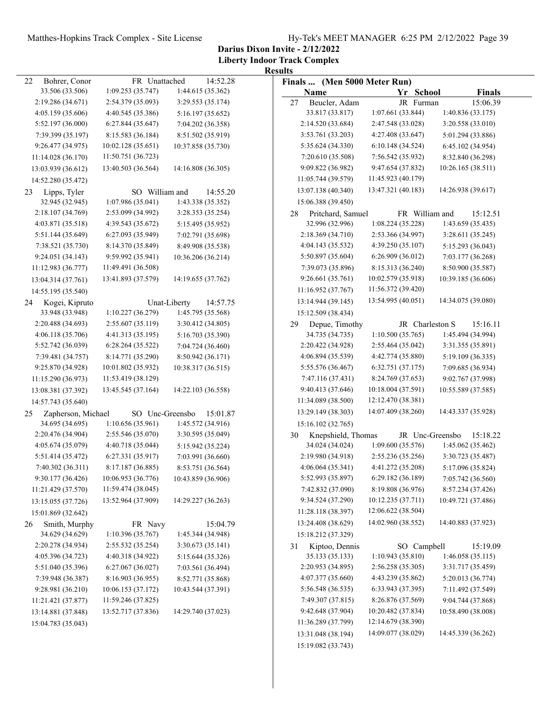**Darius Dixon Invite - 2/12/2022**

|                                             |                                     |                               | <b>Results</b>                              |                                      |                                        |
|---------------------------------------------|-------------------------------------|-------------------------------|---------------------------------------------|--------------------------------------|----------------------------------------|
| 22<br>Bohrer, Conor                         | FR Unattached                       | 14:52.28                      | Finals  (Men 5000 Meter Run)                |                                      |                                        |
| 33.506 (33.506)                             | 1:09.253(35.747)                    | 1:44.615 (35.362)             | Name                                        | Yr School                            | <b>Finals</b>                          |
| 2:19.286 (34.671)                           | 2:54.379 (35.093)                   | 3:29.553 (35.174)             | Beucler, Adam<br>27                         | JR Furman                            | 15:06.39                               |
| 4:05.159 (35.606)                           | 4:40.545 (35.386)                   | 5:16.197 (35.652)             | 33.817 (33.817)                             | 1:07.661 (33.844)                    | 1:40.836 (33.175)                      |
| 5:52.197 (36.000)                           | 6:27.844(35.647)                    | 7:04.202 (36.358)             | 2:14.520 (33.684)                           | 2:47.548 (33.028)                    | 3:20.558 (33.010)                      |
| 7:39.399 (35.197)                           | 8:15.583 (36.184)                   | 8:51.502 (35.919)             | 3:53.761 (33.203)                           | 4:27.408 (33.647)                    | 5:01.294 (33.886)                      |
| 9:26.477 (34.975)                           | 10:02.128 (35.651)                  | 10:37.858 (35.730)            | 5:35.624 (34.330)                           | 6:10.148(34.524)                     | 6:45.102 (34.954)                      |
| 11:14.028 (36.170)                          | 11:50.751 (36.723)                  |                               | 7:20.610 (35.508)                           | 7:56.542 (35.932)                    | 8:32.840 (36.298)                      |
| 13:03.939 (36.612)                          | 13:40.503 (36.564)                  | 14:16.808 (36.305)            | 9:09.822 (36.982)                           | 9:47.654 (37.832)                    | 10:26.165 (38.511)                     |
| 14:52.280 (35.472)                          |                                     |                               | 11:05.744 (39.579)                          | 11:45.923 (40.179)                   |                                        |
| Lipps, Tyler<br>23                          | SO William and                      | 14:55.20                      | 13:07.138 (40.340)                          | 13:47.321 (40.183)                   | 14:26.938 (39.617)                     |
| 32.945 (32.945)                             | 1:07.986(35.041)                    | 1:43.338 (35.352)             | 15:06.388 (39.450)                          |                                      |                                        |
| 2:18.107 (34.769)                           | 2:53.099 (34.992)                   | 3:28.353 (35.254)             | Pritchard, Samuel<br>28                     | FR William and                       | 15:12.51                               |
| 4:03.871 (35.518)                           | 4:39.543 (35.672)                   | 5:15.495 (35.952)             | 32.996 (32.996)                             | 1:08.224 (35.228)                    | 1:43.659 (35.435)                      |
| 5:51.144 (35.649)                           | 6:27.093 (35.949)                   | 7:02.791 (35.698)             | 2:18.369 (34.710)                           | 2:53.366 (34.997)                    | 3:28.611 (35.245)                      |
| 7:38.521 (35.730)                           | 8:14.370 (35.849)                   | 8:49.908 (35.538)             | 4:04.143 (35.532)                           | 4:39.250 (35.107)                    | 5:15.293 (36.043)                      |
| 9:24.051 (34.143)                           | 9:59.992 (35.941)                   | 10:36.206 (36.214)            | 5:50.897 (35.604)                           | 6:26.909(36.012)                     | 7:03.177 (36.268)                      |
| 11:12.983 (36.777)                          | 11:49.491 (36.508)                  |                               | 7:39.073 (35.896)                           | 8:15.313 (36.240)                    | 8:50.900 (35.587)                      |
| 13:04.314 (37.761)                          | 13:41.893 (37.579)                  | 14:19.655 (37.762)            | 9:26.661(35.761)                            | 10:02.579 (35.918)                   | 10:39.185 (36.606)                     |
| 14:55.195 (35.540)                          |                                     |                               | 11:16.952 (37.767)                          | 11:56.372 (39.420)                   |                                        |
| Kogei, Kipruto<br>24                        |                                     | Unat-Liberty<br>14:57.75      | 13:14.944 (39.145)                          | 13:54.995 (40.051)                   | 14:34.075 (39.080)                     |
| 33.948 (33.948)                             | 1:10.227 (36.279)                   | 1:45.795 (35.568)             | 15:12.509 (38.434)                          |                                      |                                        |
| 2:20.488 (34.693)                           | 2:55.607 (35.119)                   | 3:30.412 (34.805)             | Depue, Timothy<br>29                        | JR Charleston S                      | 15:16.11                               |
| 4:06.118 (35.706)                           | 4:41.313 (35.195)                   | 5:16.703 (35.390)             | 34.735 (34.735)                             | 1:10.500(35.765)                     | 1:45.494 (34.994)                      |
| 5:52.742 (36.039)                           | 6:28.264(35.522)                    | 7:04.724 (36.460)             | 2:20.422 (34.928)                           | 2:55.464 (35.042)                    | 3:31.355 (35.891)                      |
| 7:39.481 (34.757)                           | 8:14.771 (35.290)                   | 8:50.942 (36.171)             | 4:06.894 (35.539)                           | 4:42.774 (35.880)                    | 5:19.109 (36.335)                      |
| 9:25.870 (34.928)                           | 10:01.802 (35.932)                  | 10:38.317 (36.515)            | 5:55.576 (36.467)                           | 6:32.751(37.175)                     | 7:09.685 (36.934)                      |
| 11:15.290 (36.973)                          | 11:53.419 (38.129)                  |                               | 7:47.116 (37.431)                           | 8:24.769 (37.653)                    | 9:02.767 (37.998)                      |
| 13:08.381 (37.392)                          | 13:45.545 (37.164)                  | 14:22.103 (36.558)            | 9:40.413 (37.646)                           | 10:18.004 (37.591)                   | 10:55.589 (37.585)                     |
| 14:57.743 (35.640)                          |                                     |                               | 11:34.089 (38.500)                          | 12:12.470 (38.381)                   |                                        |
|                                             |                                     |                               | 13:29.149 (38.303)                          | 14:07.409 (38.260)                   | 14:43.337 (35.928)                     |
| Zapherson, Michael<br>25<br>34.695 (34.695) | SO Unc-Greensbo<br>1:10.656(35.961) | 15:01.87<br>1:45.572 (34.916) | 15:16.102 (32.765)                          |                                      |                                        |
| 2:20.476 (34.904)                           | 2:55.546 (35.070)                   | 3:30.595 (35.049)             |                                             |                                      | 15:18.22                               |
| 4:05.674 (35.079)                           | 4:40.718 (35.044)                   | 5:15.942 (35.224)             | Knepshield, Thomas<br>30<br>34.024 (34.024) | JR Unc-Greensbo<br>1:09.600 (35.576) | 1:45.062 (35.462)                      |
| 5:51.414 (35.472)                           |                                     |                               | 2:19.980 (34.918)                           | 2:55.236(35.256)                     | 3:30.723 (35.487)                      |
| 7:40.302 (36.311)                           | 6:27.331 (35.917)                   | 7:03.991 (36.660)             | 4:06.064(35.341)                            | 4:41.272 (35.208)                    |                                        |
| 9:30.177 (36.426)                           | 8:17.187 (36.885)                   | 8:53.751 (36.564)             |                                             | 6:29.182 (36.189)                    | 5:17.096 (35.824)<br>7:05.742 (36.560) |
|                                             | 10:06.953 (36.776)                  | 10:43.859 (36.906)            | 5:52.993 (35.897)                           |                                      |                                        |
| 11:21.429 (37.570)                          | 11:59.474 (38.045)                  |                               | 7:42.832 (37.090)                           | 8:19.808 (36.976)                    | 8:57.234 (37.426)                      |
| 13:15.055 (37.726)                          | 13:52.964 (37.909)                  | 14:29.227 (36.263)            | 9:34.524 (37.290)                           | 10:12.235 (37.711)                   | 10:49.721 (37.486)                     |
| 15:01.869 (32.642)                          |                                     |                               | 11:28.118 (38.397)                          | 12:06.622 (38.504)                   |                                        |
| Smith, Murphy<br>26                         | FR Navy                             | 15:04.79                      | 13:24.408 (38.629)                          | 14:02.960 (38.552)                   | 14:40.883 (37.923)                     |
| 34.629 (34.629)                             | 1:10.396 (35.767)                   | 1:45.344 (34.948)             | 15:18.212 (37.329)                          |                                      |                                        |
| 2:20.278 (34.934)                           | 2:55.532 (35.254)                   | 3:30.673 (35.141)             | Kiptoo, Dennis<br>31                        | SO Campbell                          | 15:19.09                               |
| 4:05.396 (34.723)                           | 4:40.318 (34.922)                   | 5:15.644 (35.326)             | 35.133 (35.133)                             | 1:10.943 (35.810)                    | 1:46.058 (35.115)                      |
| 5:51.040 (35.396)                           | 6:27.067 (36.027)                   | 7:03.561 (36.494)             | 2:20.953 (34.895)                           | 2:56.258(35.305)                     | 3:31.717 (35.459)                      |
| 7:39.948 (36.387)                           | 8:16.903 (36.955)                   | 8:52.771 (35.868)             | 4:07.377 (35.660)                           | 4:43.239 (35.862)                    | 5:20.013 (36.774)                      |
| 9:28.981 (36.210)                           | 10:06.153 (37.172)                  | 10:43.544 (37.391)            | 5:56.548 (36.535)                           | 6:33.943 (37.395)                    | 7:11.492 (37.549)                      |
| 11:21.421 (37.877)                          | 11:59.246 (37.825)                  |                               | 7:49.307 (37.815)                           | 8:26.876 (37.569)                    | 9:04.744 (37.868)                      |
| 13:14.881 (37.848)                          | 13:52.717 (37.836)                  | 14:29.740 (37.023)            | 9:42.648 (37.904)                           | 10:20.482 (37.834)                   | 10:58.490 (38.008)                     |
| 15:04.783 (35.043)                          |                                     |                               | 11:36.289 (37.799)                          | 12:14.679 (38.390)                   |                                        |
|                                             |                                     |                               | 13:31.048 (38.194)                          | 14:09.077 (38.029)                   | 14:45.339 (36.262)                     |
|                                             |                                     |                               | 15:19.082 (33.743)                          |                                      |                                        |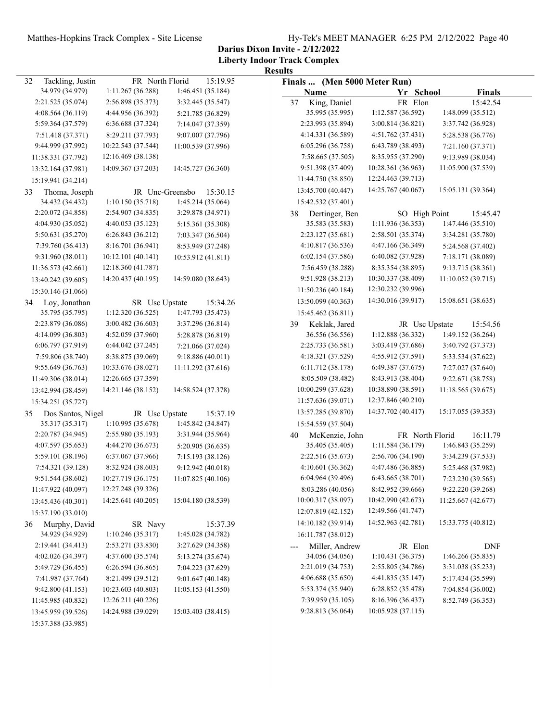**Darius Dixon Invite - 2/12/2022**

|                                                                | <b>Results</b>               |                    |                    |
|----------------------------------------------------------------|------------------------------|--------------------|--------------------|
| FR North Florid<br>15:19.95<br>32<br>Tackling, Justin          | Finals  (Men 5000 Meter Run) |                    |                    |
| 34.979 (34.979)<br>1:11.267 (36.288)<br>1:46.451 (35.184)      | Name                         | Yr School          | <b>Finals</b>      |
| 2:21.525 (35.074)<br>2:56.898 (35.373)<br>3:32.445 (35.547)    | King, Daniel<br>37           | FR Elon            | 15:42.54           |
| 4:08.564 (36.119)<br>4:44.956 (36.392)<br>5:21.785 (36.829)    | 35.995 (35.995)              | 1:12.587 (36.592)  | 1:48.099 (35.512)  |
| 5:59.364 (37.579)<br>6:36.688 (37.324)<br>7:14.047 (37.359)    | 2:23.993 (35.894)            | 3:00.814(36.821)   | 3:37.742 (36.928)  |
| 7:51.418 (37.371)<br>8:29.211 (37.793)<br>9:07.007 (37.796)    | 4:14.331 (36.589)            | 4:51.762 (37.431)  | 5:28.538 (36.776)  |
| 10:22.543 (37.544)<br>9:44.999 (37.992)<br>11:00.539 (37.996)  | 6:05.296 (36.758)            | 6:43.789 (38.493)  | 7:21.160 (37.371)  |
| 12:16.469 (38.138)<br>11:38.331 (37.792)                       | 7:58.665 (37.505)            | 8:35.955 (37.290)  | 9:13.989 (38.034)  |
| 14:09.367 (37.203)<br>14:45.727 (36.360)<br>13:32.164 (37.981) | 9:51.398 (37.409)            | 10:28.361 (36.963) | 11:05.900 (37.539) |
| 15:19.941 (34.214)                                             | 11:44.750 (38.850)           | 12:24.463 (39.713) |                    |
| JR Unc-Greensbo<br>15:30.15<br>33<br>Thoma, Joseph             | 13:45.700 (40.447)           | 14:25.767 (40.067) | 15:05.131 (39.364) |
| 34.432 (34.432)<br>1:10.150 (35.718)<br>1:45.214 (35.064)      | 15:42.532 (37.401)           |                    |                    |
| 2:20.072 (34.858)<br>2:54.907 (34.835)<br>3:29.878 (34.971)    | 38<br>Dertinger, Ben         | SO High Point      | 15:45.47           |
| 4:04.930 (35.052)<br>4:40.053 (35.123)<br>5:15.361 (35.308)    | 35.583 (35.583)              | 1:11.936 (36.353)  | 1:47.446 (35.510)  |
| 5:50.631 (35.270)<br>6:26.843(36.212)<br>7:03.347 (36.504)     | 2:23.127 (35.681)            | 2:58.501 (35.374)  | 3:34.281 (35.780)  |
| 7:39.760 (36.413)<br>8:16.701 (36.941)<br>8:53.949 (37.248)    | 4:10.817(36.536)             | 4:47.166 (36.349)  | 5:24.568 (37.402)  |
| 9:31.960 (38.011)<br>10:12.101 (40.141)<br>10:53.912 (41.811)  | 6:02.154(37.586)             | 6:40.082 (37.928)  | 7:18.171 (38.089)  |
| 12:18.360 (41.787)<br>11:36.573 (42.661)                       | 7:56.459 (38.288)            | 8:35.354 (38.895)  | 9:13.715 (38.361)  |
| 14:20.437 (40.195)<br>14:59.080 (38.643)<br>13:40.242 (39.605) | 9:51.928 (38.213)            | 10:30.337 (38.409) | 11:10.052 (39.715) |
| 15:30.146 (31.066)                                             | 11:50.236 (40.184)           | 12:30.232 (39.996) |                    |
| 15:34.26<br>Loy, Jonathan<br>SR Usc Upstate<br>34              | 13:50.099 (40.363)           | 14:30.016 (39.917) | 15:08.651 (38.635) |
| 35.795 (35.795)<br>1:12.320 (36.525)<br>1:47.793 (35.473)      | 15:45.462 (36.811)           |                    |                    |
| 2:23.879 (36.086)<br>3:00.482 (36.603)<br>3:37.296 (36.814)    | Keklak, Jared<br>39          | JR Usc Upstate     | 15:54.56           |
| 4:14.099 (36.803)<br>4:52.059 (37.960)<br>5:28.878 (36.819)    | 36.556 (36.556)              | 1:12.888 (36.332)  | 1:49.152 (36.264)  |
| 6:06.797 (37.919)<br>6:44.042 (37.245)<br>7:21.066 (37.024)    | 2:25.733 (36.581)            | 3:03.419 (37.686)  | 3:40.792 (37.373)  |
| 8:38.875 (39.069)<br>7:59.806 (38.740)<br>9:18.886 (40.011)    | 4:18.321 (37.529)            | 4:55.912 (37.591)  | 5:33.534 (37.622)  |
| 9:55.649 (36.763)<br>10:33.676 (38.027)<br>11:11.292 (37.616)  | 6:11.712 (38.178)            | 6:49.387 (37.675)  | 7:27.027 (37.640)  |
| 12:26.665 (37.359)<br>11:49.306 (38.014)                       | 8:05.509 (38.482)            | 8:43.913 (38.404)  | 9:22.671 (38.758)  |
| 14:21.146 (38.152)<br>14:58.524 (37.378)<br>13:42.994 (38.459) | 10:00.299 (37.628)           | 10:38.890 (38.591) | 11:18.565 (39.675) |
| 15:34.251 (35.727)                                             | 11:57.636 (39.071)           | 12:37.846 (40.210) |                    |
| Dos Santos, Nigel<br>15:37.19<br>35<br>JR Usc Upstate          | 13:57.285 (39.870)           | 14:37.702 (40.417) | 15:17.055 (39.353) |
| 35.317 (35.317)<br>1:10.995 (35.678)<br>1:45.842 (34.847)      | 15:54.559 (37.504)           |                    |                    |
| 2:20.787 (34.945)<br>2:55.980 (35.193)<br>3:31.944 (35.964)    | McKenzie, John<br>40         | FR North Florid    | 16:11.79           |
| 4:07.597 (35.653)<br>4:44.270 (36.673)<br>5:20.905 (36.635)    | 35.405 (35.405)              | 1:11.584(36.179)   | 1:46.843 (35.259)  |
| 5:59.101 (38.196)<br>6:37.067 (37.966)<br>7:15.193 (38.126)    | 2:22.516 (35.673)            | 2:56.706 (34.190)  | 3:34.239 (37.533)  |
| 7:54.321 (39.128)<br>8:32.924 (38.603)<br>9:12.942 (40.018)    | 4:10.601 (36.362)            | 4:47.486 (36.885)  | 5:25.468 (37.982)  |
| 9:51.544 (38.602)<br>10:27.719 (36.175)<br>11:07.825 (40.106)  | 6:04.964 (39.496)            | 6:43.665 (38.701)  | 7:23.230 (39.565)  |
| 12:27.248 (39.326)<br>11:47.922 (40.097)                       | 8:03.286 (40.056)            | 8:42.952 (39.666)  | 9:22.220 (39.268)  |
| 15:04.180 (38.539)<br>14:25.641 (40.205)<br>13:45.436 (40.301) | 10:00.317 (38.097)           | 10:42.990 (42.673) | 11:25.667 (42.677) |
| 15:37.190 (33.010)                                             | 12:07.819 (42.152)           | 12:49.566 (41.747) |                    |
| Murphy, David<br>36<br>SR Navy<br>15:37.39                     | 14:10.182 (39.914)           | 14:52.963 (42.781) | 15:33.775 (40.812) |
| 34.929 (34.929)<br>1:10.246 (35.317)<br>1:45.028 (34.782)      | 16:11.787 (38.012)           |                    |                    |
| 2:19.441(34.413)<br>2:53.271 (33.830)<br>3:27.629 (34.358)     | Miller, Andrew               | JR Elon            | <b>DNF</b>         |
| 4:02.026 (34.397)<br>4:37.600 (35.574)<br>5:13.274 (35.674)    | 34.056 (34.056)              | 1:10.431 (36.375)  | 1:46.266(35.835)   |
| 5:49.729 (36.455)<br>6:26.594(36.865)<br>7:04.223 (37.629)     | 2:21.019 (34.753)            | 2:55.805 (34.786)  | 3:31.038 (35.233)  |
| 7:41.987 (37.764)<br>8:21.499 (39.512)<br>9:01.647 (40.148)    | 4:06.688 (35.650)            | 4:41.835 (35.147)  | 5:17.434 (35.599)  |
| 10:23.603 (40.803)<br>9:42.800(41.153)<br>11:05.153 (41.550)   | 5:53.374 (35.940)            | 6:28.852 (35.478)  | 7:04.854 (36.002)  |
| 12:26.211 (40.226)<br>11:45.985 (40.832)                       | 7:39.959 (35.105)            | 8:16.396 (36.437)  | 8:52.749 (36.353)  |
| 15:03.403 (38.415)<br>14:24.988 (39.029)<br>13:45.959 (39.526) | 9:28.813 (36.064)            | 10:05.928 (37.115) |                    |
| 15:37.388 (33.985)                                             |                              |                    |                    |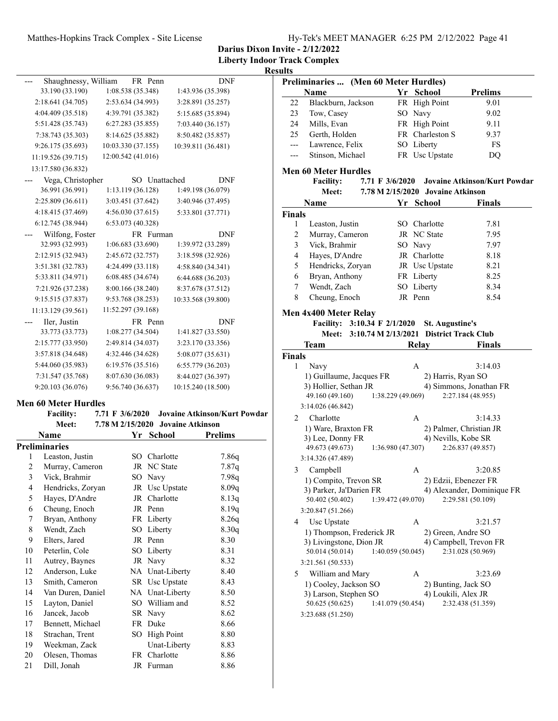**Liberty Indoor Track Complex**

### **Results**

| Shaughnessy, William<br><b>DNF</b><br>33.190 (33.190)<br>1:08.538 (35.348)<br>1:43.936 (35.398)<br>2:18.641 (34.705)<br>2:53.634 (34.993)<br>3:28.891 (35.257)<br>4:04.409 (35.518)<br>4:39.791 (35.382)<br>5:15.685 (35.894)<br>5:51.428 (35.743)<br>6:27.283 (35.855)<br>7:03.440 (36.157)<br>8:14.625 (35.882)<br>7:38.743 (35.303)<br>8:50.482 (35.857)<br>9:26.175 (35.693)<br>10:03.330 (37.155)<br>10:39.811 (36.481)<br>12:00.542 (41.016)<br>11:19.526 (39.715)<br>13:17.580 (36.832)<br>Vega, Christopher<br>Unattached<br><b>DNF</b><br>SO.<br>36.991 (36.991)<br>1:13.119(36.128)<br>1:49.198 (36.079)<br>2:25.809 (36.611)<br>3:03.451 (37.642)<br>3:40.946 (37.495)<br>4:18.415 (37.469)<br>4:56.030(37.615)<br>5:33.801 (37.771)<br>6:12.745 (38.944)<br>6:53.073 (40.328)<br>Wilfong, Foster<br>FR Furman<br><b>DNF</b><br>32.993 (32.993)<br>1:06.683(33.690)<br>1:39.972 (33.289)<br>2:12.915 (32.943)<br>2:45.672 (32.757)<br>3:18.598 (32.926)<br>3:51.381 (32.783)<br>4:24.499 (33.118)<br>4:58.840 (34.341)<br>5:33.811 (34.971)<br>6:08.485 (34.674)<br>6:44.688 (36.203)<br>8:00.166 (38.240)<br>7:21.926 (37.238)<br>8:37.678 (37.512)<br>9:15.515 (37.837)<br>9:53.768 (38.253)<br>10:33.568 (39.800) |                   |                   |                   |
|---------------------------------------------------------------------------------------------------------------------------------------------------------------------------------------------------------------------------------------------------------------------------------------------------------------------------------------------------------------------------------------------------------------------------------------------------------------------------------------------------------------------------------------------------------------------------------------------------------------------------------------------------------------------------------------------------------------------------------------------------------------------------------------------------------------------------------------------------------------------------------------------------------------------------------------------------------------------------------------------------------------------------------------------------------------------------------------------------------------------------------------------------------------------------------------------------------------------------------|-------------------|-------------------|-------------------|
|                                                                                                                                                                                                                                                                                                                                                                                                                                                                                                                                                                                                                                                                                                                                                                                                                                                                                                                                                                                                                                                                                                                                                                                                                                 |                   | FR Penn           |                   |
|                                                                                                                                                                                                                                                                                                                                                                                                                                                                                                                                                                                                                                                                                                                                                                                                                                                                                                                                                                                                                                                                                                                                                                                                                                 |                   |                   |                   |
|                                                                                                                                                                                                                                                                                                                                                                                                                                                                                                                                                                                                                                                                                                                                                                                                                                                                                                                                                                                                                                                                                                                                                                                                                                 |                   |                   |                   |
|                                                                                                                                                                                                                                                                                                                                                                                                                                                                                                                                                                                                                                                                                                                                                                                                                                                                                                                                                                                                                                                                                                                                                                                                                                 |                   |                   |                   |
|                                                                                                                                                                                                                                                                                                                                                                                                                                                                                                                                                                                                                                                                                                                                                                                                                                                                                                                                                                                                                                                                                                                                                                                                                                 |                   |                   |                   |
|                                                                                                                                                                                                                                                                                                                                                                                                                                                                                                                                                                                                                                                                                                                                                                                                                                                                                                                                                                                                                                                                                                                                                                                                                                 |                   |                   |                   |
|                                                                                                                                                                                                                                                                                                                                                                                                                                                                                                                                                                                                                                                                                                                                                                                                                                                                                                                                                                                                                                                                                                                                                                                                                                 |                   |                   |                   |
|                                                                                                                                                                                                                                                                                                                                                                                                                                                                                                                                                                                                                                                                                                                                                                                                                                                                                                                                                                                                                                                                                                                                                                                                                                 |                   |                   |                   |
|                                                                                                                                                                                                                                                                                                                                                                                                                                                                                                                                                                                                                                                                                                                                                                                                                                                                                                                                                                                                                                                                                                                                                                                                                                 |                   |                   |                   |
|                                                                                                                                                                                                                                                                                                                                                                                                                                                                                                                                                                                                                                                                                                                                                                                                                                                                                                                                                                                                                                                                                                                                                                                                                                 |                   |                   |                   |
|                                                                                                                                                                                                                                                                                                                                                                                                                                                                                                                                                                                                                                                                                                                                                                                                                                                                                                                                                                                                                                                                                                                                                                                                                                 |                   |                   |                   |
|                                                                                                                                                                                                                                                                                                                                                                                                                                                                                                                                                                                                                                                                                                                                                                                                                                                                                                                                                                                                                                                                                                                                                                                                                                 |                   |                   |                   |
|                                                                                                                                                                                                                                                                                                                                                                                                                                                                                                                                                                                                                                                                                                                                                                                                                                                                                                                                                                                                                                                                                                                                                                                                                                 |                   |                   |                   |
|                                                                                                                                                                                                                                                                                                                                                                                                                                                                                                                                                                                                                                                                                                                                                                                                                                                                                                                                                                                                                                                                                                                                                                                                                                 |                   |                   |                   |
|                                                                                                                                                                                                                                                                                                                                                                                                                                                                                                                                                                                                                                                                                                                                                                                                                                                                                                                                                                                                                                                                                                                                                                                                                                 |                   |                   |                   |
|                                                                                                                                                                                                                                                                                                                                                                                                                                                                                                                                                                                                                                                                                                                                                                                                                                                                                                                                                                                                                                                                                                                                                                                                                                 |                   |                   |                   |
|                                                                                                                                                                                                                                                                                                                                                                                                                                                                                                                                                                                                                                                                                                                                                                                                                                                                                                                                                                                                                                                                                                                                                                                                                                 |                   |                   |                   |
|                                                                                                                                                                                                                                                                                                                                                                                                                                                                                                                                                                                                                                                                                                                                                                                                                                                                                                                                                                                                                                                                                                                                                                                                                                 |                   |                   |                   |
|                                                                                                                                                                                                                                                                                                                                                                                                                                                                                                                                                                                                                                                                                                                                                                                                                                                                                                                                                                                                                                                                                                                                                                                                                                 |                   |                   |                   |
|                                                                                                                                                                                                                                                                                                                                                                                                                                                                                                                                                                                                                                                                                                                                                                                                                                                                                                                                                                                                                                                                                                                                                                                                                                 |                   |                   |                   |
|                                                                                                                                                                                                                                                                                                                                                                                                                                                                                                                                                                                                                                                                                                                                                                                                                                                                                                                                                                                                                                                                                                                                                                                                                                 |                   |                   |                   |
| 11:52.297 (39.168)<br>11:13.129 (39.561)                                                                                                                                                                                                                                                                                                                                                                                                                                                                                                                                                                                                                                                                                                                                                                                                                                                                                                                                                                                                                                                                                                                                                                                        |                   |                   |                   |
| Iler, Justin<br>FR Penn<br><b>DNF</b>                                                                                                                                                                                                                                                                                                                                                                                                                                                                                                                                                                                                                                                                                                                                                                                                                                                                                                                                                                                                                                                                                                                                                                                           |                   |                   |                   |
| 33.773 (33.773)<br>1:08.277 (34.504)<br>1:41.827 (33.550)                                                                                                                                                                                                                                                                                                                                                                                                                                                                                                                                                                                                                                                                                                                                                                                                                                                                                                                                                                                                                                                                                                                                                                       |                   |                   |                   |
| 2:15.777 (33.950)<br>2:49.814 (34.037)<br>3:23.170 (33.356)                                                                                                                                                                                                                                                                                                                                                                                                                                                                                                                                                                                                                                                                                                                                                                                                                                                                                                                                                                                                                                                                                                                                                                     |                   |                   |                   |
| 3:57.818 (34.648)<br>4:32.446 (34.628)<br>5:08.077 (35.631)                                                                                                                                                                                                                                                                                                                                                                                                                                                                                                                                                                                                                                                                                                                                                                                                                                                                                                                                                                                                                                                                                                                                                                     |                   |                   |                   |
| 5:44.060 (35.983)<br>6:19.576(35.516)<br>6:55.779 (36.203)                                                                                                                                                                                                                                                                                                                                                                                                                                                                                                                                                                                                                                                                                                                                                                                                                                                                                                                                                                                                                                                                                                                                                                      |                   |                   |                   |
|                                                                                                                                                                                                                                                                                                                                                                                                                                                                                                                                                                                                                                                                                                                                                                                                                                                                                                                                                                                                                                                                                                                                                                                                                                 | 8:44.027 (36.397) | 8:07.630 (36.083) | 7:31.547 (35.768) |
|                                                                                                                                                                                                                                                                                                                                                                                                                                                                                                                                                                                                                                                                                                                                                                                                                                                                                                                                                                                                                                                                                                                                                                                                                                 |                   | 9:56.740 (36.637) | 9:20.103 (36.076) |

### **Men 60 Meter Hurdles**

| <b>Facility:</b> | 7.71 F 3/6/2020 | <b>Jovaine Atkinson/Kurt Powdar</b> |
|------------------|-----------------|-------------------------------------|
| <b>Meet:</b>     |                 | 7.78 M 2/15/2020 Jovaine Atkinson   |

| Name |                      | School<br>Yr |                   | Prelims |  |
|------|----------------------|--------------|-------------------|---------|--|
|      | <b>Preliminaries</b> |              |                   |         |  |
| 1    | Leaston, Justin      |              | SO Charlotte      | 7.86q   |  |
| 2    | Murray, Cameron      |              | JR NC State       | 7.87q   |  |
| 3    | Vick, Brahmir        |              | SO Navy           | 7.98q   |  |
| 4    | Hendricks, Zoryan    |              | JR Usc Upstate    | 8.09q   |  |
| 5    | Hayes, D'Andre       |              | JR Charlotte      | 8.13q   |  |
| 6    | Cheung, Enoch        |              | JR Penn           | 8.19q   |  |
| 7    | Bryan, Anthony       |              | FR Liberty        | 8.26q   |  |
| 8    | Wendt, Zach          |              | SO Liberty        | 8.30q   |  |
| 9    | Elters, Jared        |              | JR Penn           | 8.30    |  |
| 10   | Peterlin, Cole       |              | SO Liberty        | 8.31    |  |
| 11   | Autrey, Baynes       |              | JR Navy           | 8.32    |  |
| 12   | Anderson, Luke       |              | NA Unat-Liberty   | 8.40    |  |
| 13   | Smith, Cameron       |              | SR Usc Upstate    | 8.43    |  |
| 14   | Van Duren, Daniel    |              | NA Unat-Liberty   | 8.50    |  |
| 15   | Layton, Daniel       |              | SO William and    | 8.52    |  |
| 16   | Jancek, Jacob        |              | SR Navy           | 8.62    |  |
| 17   | Bennett, Michael     |              | FR Duke           | 8.66    |  |
| 18   | Strachan, Trent      | SО           | <b>High Point</b> | 8.80    |  |
| 19   | Weekman, Zack        |              | Unat-Liberty      | 8.83    |  |
| 20   | Olesen, Thomas       |              | FR Charlotte      | 8.86    |  |
| 21   | Dill, Jonah          |              | JR Furman         | 8.86    |  |
|      |                      |              |                   |         |  |

| Preliminaries  (Men 60 Meter Hurdles) |                    |  |                 |                |
|---------------------------------------|--------------------|--|-----------------|----------------|
|                                       | <b>Name</b>        |  | Yr School       | <b>Prelims</b> |
| 22                                    | Blackburn, Jackson |  | FR High Point   | 9.01           |
| 23                                    | Tow, Casey         |  | SO Navy         | 9.02           |
| 24                                    | Mills, Evan        |  | FR High Point   | 9.11           |
| 25                                    | Gerth, Holden      |  | FR Charleston S | 9.37           |
|                                       | Lawrence, Felix    |  | SO Liberty      | FS             |
|                                       | Stinson, Michael   |  | FR Usc Upstate  | DO             |

# **Men 60 Meter Hurdles**<br>**Facility:** 7.71

**Facility: 7.71 F Jovaine Atkinson/Kurt Powdar 3/6/2020 Meet: 7.78 M 2/15/2020 Jovaine Atkinson**

| Name          |                   | Yr School      | <b>Finals</b> |  |
|---------------|-------------------|----------------|---------------|--|
| <b>Finals</b> |                   |                |               |  |
|               | Leaston, Justin   | SO Charlotte   | 7.81          |  |
| 2             | Murray, Cameron   | JR NC State    | 7.95          |  |
| 3             | Vick, Brahmir     | SO Navy        | 7.97          |  |
| 4             | Hayes, D'Andre    | JR Charlotte   | 8.18          |  |
| 5             | Hendricks, Zoryan | JR Usc Upstate | 8.21          |  |
| 6             | Bryan, Anthony    | FR Liberty     | 8.25          |  |
| 7             | Wendt, Zach       | SO Liberty     | 8.34          |  |
| 8             | Cheung, Enoch     | JR Penn        | 8.54          |  |

### **Men 4x400 Meter Relay**

Facility: 3:10.34 F  $2/1/2020$  St. Augustine's

```
Meet: 3:10.74 M 2/13/2021 District Track Club<br>Relay Einals
```

| Relay        | <b>Finals</b>                                                                                                                                                                                                                                                                                                                                  |
|--------------|------------------------------------------------------------------------------------------------------------------------------------------------------------------------------------------------------------------------------------------------------------------------------------------------------------------------------------------------|
|              |                                                                                                                                                                                                                                                                                                                                                |
| A            | 3:14.03                                                                                                                                                                                                                                                                                                                                        |
|              | 2) Harris, Ryan SO                                                                                                                                                                                                                                                                                                                             |
|              | 4) Simmons, Jonathan FR                                                                                                                                                                                                                                                                                                                        |
|              | 2:27.184 (48.955)                                                                                                                                                                                                                                                                                                                              |
|              |                                                                                                                                                                                                                                                                                                                                                |
| A            | 3:14.33                                                                                                                                                                                                                                                                                                                                        |
|              | 2) Palmer, Christian JR                                                                                                                                                                                                                                                                                                                        |
|              | 4) Nevills, Kobe SR                                                                                                                                                                                                                                                                                                                            |
|              | 2:26.837 (49.857)                                                                                                                                                                                                                                                                                                                              |
|              |                                                                                                                                                                                                                                                                                                                                                |
| $\mathsf{A}$ | 3:20.85                                                                                                                                                                                                                                                                                                                                        |
|              | 2) Edzii, Ebenezer FR                                                                                                                                                                                                                                                                                                                          |
|              | 4) Alexander, Dominique FR                                                                                                                                                                                                                                                                                                                     |
|              | 2:29.581 (50.109)                                                                                                                                                                                                                                                                                                                              |
|              |                                                                                                                                                                                                                                                                                                                                                |
| A            | 3:21.57                                                                                                                                                                                                                                                                                                                                        |
|              | 2) Green, Andre SO                                                                                                                                                                                                                                                                                                                             |
|              | 4) Campbell, Trevon FR                                                                                                                                                                                                                                                                                                                         |
|              | 2:31.028 (50.969)                                                                                                                                                                                                                                                                                                                              |
|              |                                                                                                                                                                                                                                                                                                                                                |
| $\mathsf{A}$ | 3:23.69                                                                                                                                                                                                                                                                                                                                        |
|              | 2) Bunting, Jack SO                                                                                                                                                                                                                                                                                                                            |
|              | 4) Loukili, Alex JR                                                                                                                                                                                                                                                                                                                            |
|              | 2:32.438 (51.359)                                                                                                                                                                                                                                                                                                                              |
|              |                                                                                                                                                                                                                                                                                                                                                |
|              | 1) Guillaume, Jacques FR<br>3) Hollier, Sethan JR<br>1:38.229 (49.069)<br>1) Ware, Braxton FR<br>1:36.980 (47.307)<br>1) Compito, Trevon SR<br>3) Parker, Ja'Darien FR<br>1:39.472 (49.070)<br>1) Thompson, Frederick JR<br>3) Livingstone, Dion JR<br>1:40.059(50.045)<br>1) Cooley, Jackson SO<br>3) Larson, Stephen SO<br>1:41.079 (50.454) |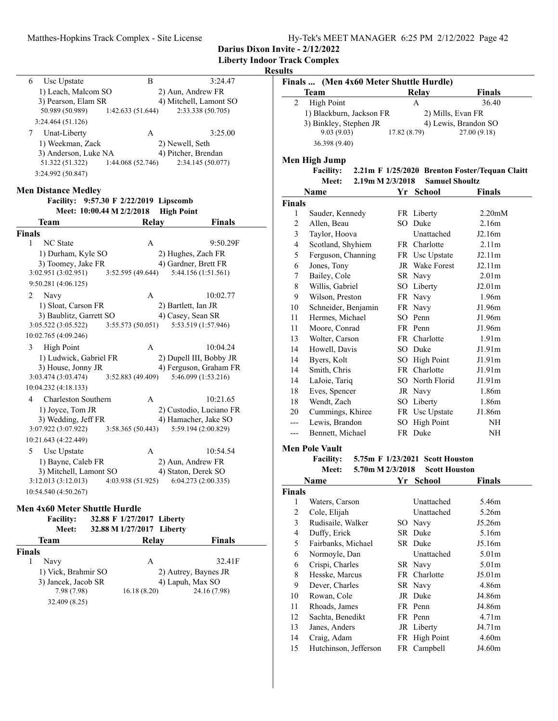**Liberty Indoor Track Complex**

### **Results**

| Usc Upstate<br>6     | В                 | 3:24.47                |
|----------------------|-------------------|------------------------|
| 1) Leach, Malcom SO  |                   | 2) Aun, Andrew FR      |
| 3) Pearson, Elam SR  |                   | 4) Mitchell, Lamont SO |
| 50.989 (50.989)      | 1:42.633 (51.644) | 2:33.338 (50.705)      |
| 3:24.464 (51.126)    |                   |                        |
| Unat-Liberty         | A                 | 3:25.00                |
| 1) Weekman, Zack     |                   | 2) Newell, Seth        |
| 3) Anderson, Luke NA |                   | 4) Pitcher, Brendan    |
| 51.322 (51.322)      | 1:44.068 (52.746) | 2:34.145 (50.077)      |
| 3:24.992 (50.847)    |                   |                        |
|                      |                   |                        |

### **Men Distance Medley**

### Facility: 9:57.30 F 2/22/2019 Lipscomb **Meet: 10:00.44 M 2/2/2018 High Point**

| Team                                | Relay             |                         | <b>Finals</b> |
|-------------------------------------|-------------------|-------------------------|---------------|
| <b>Finals</b>                       |                   |                         |               |
| <b>NC</b> State<br>1                | $\mathsf{A}$      |                         | 9:50.29F      |
| 1) Durham, Kyle SO                  |                   | 2) Hughes, Zach FR      |               |
| 3) Toomey, Jake FR                  |                   | 4) Gardner, Brett FR    |               |
| 3:02.951(3:02.951)                  | 3:52.595(49.644)  | 5:44.156 (1:51.561)     |               |
| 9:50.281(4:06.125)                  |                   |                         |               |
| $\mathcal{D}_{\mathcal{L}}$<br>Navy | $\mathsf{A}$      |                         | 10:02.77      |
| 1) Sloat, Carson FR                 |                   | 2) Bartlett, Ian JR     |               |
| 3) Baublitz, Garrett SO             |                   | 4) Casey, Sean SR       |               |
| 3:05.522(3:05.522)                  | 3:55.573(50.051)  | 5:53.519 (1:57.946)     |               |
| 10:02.765 (4:09.246)                |                   |                         |               |
| 3<br><b>High Point</b>              | $\mathsf{A}$      |                         | 10:04.24      |
| 1) Ludwick, Gabriel FR              |                   | 2) Dupell III, Bobby JR |               |
| 3) House, Jonny JR                  |                   | 4) Ferguson, Graham FR  |               |
| 3:03.474 (3:03.474)                 | 3:52.883(49.409)  | 5:46.099 (1:53.216)     |               |
| 10:04.232 (4:18.133)                |                   |                         |               |
| 4<br>Charleston Southern            | $\mathsf{A}$      |                         | 10:21.65      |
| 1) Joyce, Tom JR                    |                   | 2) Custodio, Luciano FR |               |
| 3) Wedding, Jeff FR                 |                   | 4) Hamacher, Jake SO    |               |
| 3:07.922(3:07.922)                  | 3:58.365(50.443)  | 5:59.194 (2:00.829)     |               |
| 10:21.643 (4:22.449)                |                   |                         |               |
| 5<br>Usc Upstate                    | A                 |                         | 10:54.54      |
| 1) Bayne, Caleb FR                  |                   | 2) Aun, Andrew FR       |               |
| 3) Mitchell, Lamont SO              |                   | 4) Staton, Derek SO     |               |
| 3:12.013(3:12.013)                  | 4:03.938 (51.925) | 6:04.273(2:00.335)      |               |
| 10:54.540 (4:50.267)                |                   |                         |               |

### **Men 4x60 Meter Shuttle Hurdle**

| <b>Facility:</b><br>Meet: | 32.88 F 1/27/2017 Liberty<br>32.88 M 1/27/2017 Liberty |                      |
|---------------------------|--------------------------------------------------------|----------------------|
| Team                      | <b>Relay</b>                                           | <b>Finals</b>        |
| Finals                    |                                                        |                      |
| Navy                      | А                                                      | 32.41F               |
| 1) Vick, Brahmir SO       |                                                        | 2) Autrey, Baynes JR |
| 3) Jancek, Jacob SR       |                                                        | 4) Lapuh, Max SO     |
| 7.98 (7.98)               | 16.18(8.20)                                            | 24.16 (7.98)         |
| 32.409 (8.25)             |                                                        |                      |
|                           |                                                        |                      |

| Finals  (Men 4x60 Meter Shuttle Hurdle) |             |                      |  |
|-----------------------------------------|-------------|----------------------|--|
| Team                                    | Relay       | <b>Finals</b>        |  |
| <b>High Point</b>                       | А           | 36.40                |  |
| 1) Blackburn, Jackson FR                |             | 2) Mills, Evan FR    |  |
| 3) Binkley, Stephen JR                  |             | 4) Lewis, Brandon SO |  |
| 9.03(9.03)                              | 17.82(8.79) | 27.00(9.18)          |  |
| 36.398 (9.40)                           |             |                      |  |

### **Men High Jump**

Facility: 2.21m F 1/25/2020 Brenton Foster/Tequan Claitt **Meet: 2.19m M 2/3/2018 Samuel Shoultz**

|        | Name                | Yr  | School                | Finals              |
|--------|---------------------|-----|-----------------------|---------------------|
| Finals |                     |     |                       |                     |
| 1      | Sauder, Kennedy     |     | FR Liberty            | 2.20 <sub>m</sub> M |
| 2      | Allen, Beau         | SО  | Duke                  | 2.16m               |
| 3      | Taylor, Hoova       |     | Unattached            | J2.16m              |
| 4      | Scotland, Shyhiem   |     | FR Charlotte          | 2.11 <sub>m</sub>   |
| 5      | Ferguson, Channing  |     | FR Usc Upstate        | J2.11m              |
| 6      | Jones, Tony         |     | <b>JR</b> Wake Forest | J2.11m              |
| 7      | Bailey, Cole        |     | SR Navy               | 2.01 <sub>m</sub>   |
| 8      | Willis, Gabriel     |     | SO Liberty            | J2.01 <sub>m</sub>  |
| 9      | Wilson, Preston     |     | FR Navy               | 1.96m               |
| 10     | Schneider, Benjamin |     | FR Navy               | J1.96m              |
| 11     | Hermes, Michael     | SO. | Penn                  | J1.96m              |
| 11     | Moore, Conrad       |     | FR Penn               | J1.96m              |
| 13     | Wolter, Carson      |     | FR Charlotte          | 1.91 <sub>m</sub>   |
| 14     | Howell, Davis       |     | SO Duke               | J1.91m              |
| 14     | Byers, Kolt         | SО  | High Point            | J1.91m              |
| 14     | Smith, Chris        |     | FR Charlotte          | J1.91m              |
| 14     | LaJoie, Tariq       | SО  | North Florid          | J1.91m              |
| 18     | Eves, Spencer       |     | JR Navy               | 1.86m               |
| 18     | Wendt, Zach         |     | SO Liberty            | 1.86m               |
| 20     | Cummings, Khiree    |     | FR Usc Upstate        | J1.86m              |
|        | Lewis, Brandon      | SO  | <b>High Point</b>     | NH                  |
| ---    | Bennett, Michael    |     | FR Duke               | NH                  |

### **Men Pole Vault**

**Facility:** 5.75m **F** 1/23/2021 Scott Houston **Meet: 5.70m M 2/3/2018 Scott Houston**

|               | Name                  | Yr | <b>School</b> | <b>Finals</b>      |  |
|---------------|-----------------------|----|---------------|--------------------|--|
| <b>Finals</b> |                       |    |               |                    |  |
| 1             | Waters, Carson        |    | Unattached    | 5.46m              |  |
| 2             | Cole, Elijah          |    | Unattached    | 5.26m              |  |
| 3             | Rudisaile, Walker     |    | SO Navy       | J5.26m             |  |
| 4             | Duffy, Erick          |    | SR Duke       | 5.16m              |  |
| 5             | Fairbanks, Michael    |    | SR Duke       | J5.16m             |  |
| 6             | Normoyle, Dan         |    | Unattached    | 5.01 <sub>m</sub>  |  |
| 6             | Crispi, Charles       |    | SR Navy       | 5.01 <sub>m</sub>  |  |
| 8             | Hesske, Marcus        |    | FR Charlotte  | J5.01 <sub>m</sub> |  |
| 9             | Dever, Charles        |    | SR Navy       | 4.86m              |  |
| 10            | Rowan, Cole           |    | JR Duke       | J4.86m             |  |
| 11            | Rhoads, James         |    | FR Penn       | J4.86m             |  |
| 12            | Sachta, Benedikt      |    | FR Penn       | 4.71 <sub>m</sub>  |  |
| 13            | Janes, Anders         |    | JR Liberty    | J4.71m             |  |
| 14            | Craig, Adam           |    | FR High Point | 4.60m              |  |
| 15            | Hutchinson, Jefferson |    | FR Campbell   | J4.60m             |  |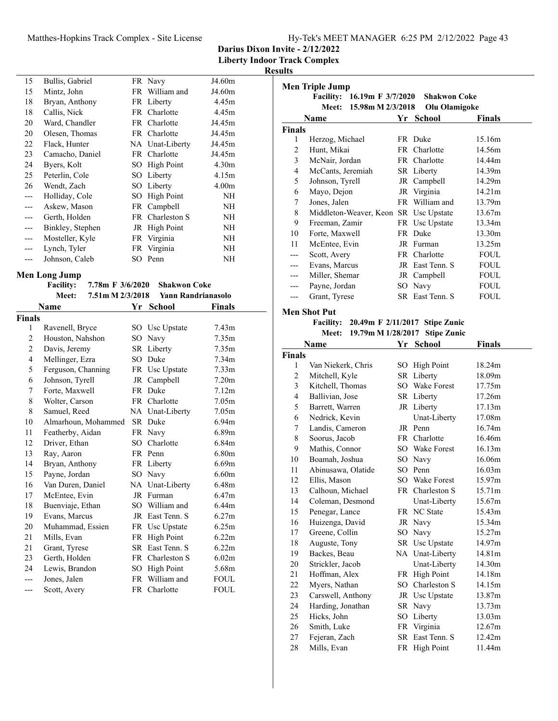### Matthes-Hopkins Track Complex - Site License Hy-Tek's MEET MANAGER 6:25 PM 2/12/2022 Page 43

**Darius Dixon Invite - 2/12/2022**

**Liberty Indoor Track Complex**

**Results**

| 15    | Bullis, Gabriel  |    | FR Navy           | J4.60m            |
|-------|------------------|----|-------------------|-------------------|
| 15    | Mintz, John      |    | FR William and    | J4.60m            |
| 18    | Bryan, Anthony   |    | FR Liberty        | 4.45m             |
| 18    | Callis, Nick     |    | FR Charlotte      | 4.45m             |
| 20    | Ward, Chandler   |    | FR Charlotte      | J4.45m            |
| 20    | Olesen, Thomas   |    | FR Charlotte      | J4.45m            |
| 22    | Flack, Hunter    |    | NA Unat-Liberty   | J4.45m            |
| 23    | Camacho, Daniel  |    | FR Charlotte      | J4.45m            |
| 24    | Byers, Kolt      |    | SO High Point     | 4.30 <sub>m</sub> |
| 25    | Peterlin, Cole   |    | SO Liberty        | 4.15m             |
| 26    | Wendt, Zach      |    | SO Liberty        | 4.00 <sub>m</sub> |
| $---$ | Holliday, Cole   | SО | <b>High Point</b> | NH                |
| $---$ | Askew, Mason     |    | FR Campbell       | NH                |
| $---$ | Gerth, Holden    |    | FR Charleston S   | NH                |
| $---$ | Binkley, Stephen |    | JR High Point     | NH                |
| $---$ | Mosteller, Kyle  |    | FR Virginia       | NH                |
| $---$ | Lynch, Tyler     |    | FR Virginia       | NH                |
| ---   | Johnson, Caleb   |    | SO Penn           | NH                |
|       |                  |    |                   |                   |

# **Men Long Jump**<br>**Facility:**

|        | <b>Facility:</b>    | 7.78m F 3/6/2020 |      | <b>Shakwon Coke</b> |                   |
|--------|---------------------|------------------|------|---------------------|-------------------|
|        | Meet:               | 7.51m M 2/3/2018 |      | Yann Randrianasolo  |                   |
|        | Name                |                  | Yr   | <b>School</b>       | Finals            |
| Finals |                     |                  |      |                     |                   |
| 1      | Ravenell, Bryce     |                  |      | SO Usc Upstate      | 7.43 <sub>m</sub> |
| 2      | Houston, Nahshon    |                  | SO.  | Navy                | 7.35m             |
| 2      | Davis, Jeremy       |                  |      | SR Liberty          | 7.35m             |
| 4      | Mellinger, Ezra     |                  |      | SO Duke             | 7.34 <sub>m</sub> |
| 5      | Ferguson, Channing  |                  |      | FR Usc Upstate      | 7.33 <sub>m</sub> |
| 6      | Johnson, Tyrell     |                  |      | JR Campbell         | 7.20 <sub>m</sub> |
| 7      | Forte, Maxwell      |                  |      | FR Duke             | 7.12m             |
| 8      | Wolter, Carson      |                  |      | FR Charlotte        | 7.05 <sub>m</sub> |
| 8      | Samuel, Reed        |                  |      | NA Unat-Liberty     | 7.05 <sub>m</sub> |
| 10     | Almarhoun, Mohammed |                  |      | SR Duke             | 6.94 <sub>m</sub> |
| 11     | Featherby, Aidan    |                  |      | FR Navy             | 6.89 <sub>m</sub> |
| 12     | Driver, Ethan       |                  |      | SO Charlotte        | 6.84 <sub>m</sub> |
| 13     | Ray, Aaron          |                  |      | FR Penn             | 6.80 <sub>m</sub> |
| 14     | Bryan, Anthony      |                  |      | FR Liberty          | 6.69m             |
| 15     | Payne, Jordan       |                  |      | SO Navy             | 6.60m             |
| 16     | Van Duren, Daniel   |                  |      | NA Unat-Liberty     | 6.48m             |
| 17     | McEntee, Evin       |                  |      | JR Furman           | 6.47m             |
| 18     | Buenviaje, Ethan    |                  |      | SO William and      | 6.44m             |
| 19     | Evans, Marcus       |                  |      | JR East Tenn. S     | 6.27m             |
| 20     | Muhammad, Essien    |                  | FR   | Usc Upstate         | 6.25m             |
| 21     | Mills, Evan         |                  | FR   | <b>High Point</b>   | 6.22m             |
| 21     | Grant, Tyrese       |                  | SR - | East Tenn, S        | 6.22m             |
| 23     | Gerth, Holden       |                  |      | FR Charleston S     | 6.02m             |
| 24     | Lewis, Brandon      |                  | SO.  | <b>High Point</b>   | 5.68m             |
| ---    | Jones, Jalen        |                  |      | FR William and      | <b>FOUL</b>       |
| ---    | Scott, Avery        |                  |      | FR Charlotte        | FOUL              |

|                | <b>Men Triple Jump</b>                   |    |                     |               |
|----------------|------------------------------------------|----|---------------------|---------------|
|                | Facility: 16.19m F 3/7/2020              |    | <b>Shakwon Coke</b> |               |
|                | <b>Meet:</b><br>15.98m M 2/3/2018        |    | Olu Olamigoke       |               |
|                | Name                                     |    | Yr School           | <b>Finals</b> |
| <b>Finals</b>  |                                          |    |                     |               |
| 1              | Herzog, Michael                          |    | FR Duke             | 15.16m        |
| $\overline{2}$ | Hunt, Mikai                              |    | FR Charlotte        | 14.56m        |
| 3              | McNair, Jordan                           |    | FR Charlotte        | 14.44m        |
| $\overline{4}$ | McCants, Jeremiah                        |    | SR Liberty          | 14.39m        |
| 5              | Johnson, Tyrell                          |    | JR Campbell         | 14.29m        |
| 6              | Mayo, Dejon                              |    | JR Virginia         | 14.21m        |
| 7              | Jones, Jalen                             |    | FR William and      | 13.79m        |
| 8              | Middleton-Weaver, Keon SR Usc Upstate    |    |                     | 13.67m        |
| 9              | Freeman, Zamir                           |    | FR Usc Upstate      | 13.34m        |
| 10             | Forte, Maxwell                           |    | FR Duke             | 13.30m        |
| 11             | McEntee, Evin                            |    | JR Furman           | 13.25m        |
| ---            | Scott, Avery                             |    | FR Charlotte        | <b>FOUL</b>   |
| ---            | Evans, Marcus                            |    | JR East Tenn. S     | <b>FOUL</b>   |
| ---            | Miller, Shemar                           |    | JR Campbell         | <b>FOUL</b>   |
| ---            | Payne, Jordan                            |    | SO Navy             | FOUL          |
| ---            | Grant, Tyrese                            |    | SR East Tenn. S     | <b>FOUL</b>   |
|                | <b>Men Shot Put</b>                      |    |                     |               |
|                | Facility: 20.49m F 2/11/2017 Stipe Zunic |    |                     |               |
|                | 19.79m M 1/28/2017<br><b>Meet:</b>       |    | <b>Stipe Zunic</b>  |               |
|                | Name                                     | Yr | <b>School</b>       | <b>Finals</b> |
| <b>Finals</b>  |                                          |    |                     |               |
| 1              | Van Niekerk, Chris                       |    | SO High Point       | 18.24m        |
| 2              | Mitchell, Kyle                           |    | SR Liberty          | 18.09m        |
| 3              | Kitchell, Thomas                         |    | SO Wake Forest      | 17.75m        |
| 4              | Ballivian, Jose                          |    | SR Liberty          | 17.26m        |
| 5              | Barrett, Warren                          |    | JR Liberty          | 17.13m        |
| 6              | Nedrick, Kevin                           |    | Unat-Liberty        | 17.08m        |
| 7              | Landis, Cameron                          |    | JR Penn             | 16.74m        |
| 8              | Soorus, Jacob                            |    | FR Charlotte        | 16.46m        |
| 9              | Mathis, Connor                           |    | SO Wake Forest      | 16.13m        |
| 10             | Boamah, Joshua                           |    | SO Navy             | 16.06m        |
| 11             | Abinusawa, Olatide                       |    | SO Penn             | 16.03m        |
| 12             | Ellis, Mason                             |    | SO Wake Forest      | 15.97m        |
| 13             | Calhoun, Michael                         |    | FR Charleston S     | 15.71m        |
| 14             | Coleman, Desmond                         |    | Unat-Liberty        | 15.67m        |
| 15             | Penegar, Lance                           |    | FR NC State         | 15.43m        |
| 16             | Huizenga, David                          |    | JR Navy             | 15.34m        |
| 17             | Greene, Collin                           |    | SO Navy             | 15.27m        |
| 18             | Auguste, Tony                            |    | SR Usc Upstate      | 14.97m        |
| 19             | Backes, Beau                             |    | NA Unat-Liberty     | 14.81m        |
| 20             | Strickler, Jacob                         |    | Unat-Liberty        | 14.30m        |
| 21             | Hoffman, Alex                            |    | FR High Point       | 14.18m        |
| 22             | Myers, Nathan                            |    | SO Charleston S     | 14.15m        |
| 23             | Carswell, Anthony                        |    | JR Usc Upstate      | 13.87m        |
| 24             | Harding, Jonathan                        |    | SR Navy             | 13.73m        |
| 25             | Hicks, John                              |    | SO Liberty          | 13.03m        |
| 26             | Smith, Luke                              |    | FR Virginia         | 12.67m        |

27 Fejeran, Zach SR East Tenn. S 12.42m 28 Mills, Evan FR High Point 11.44m